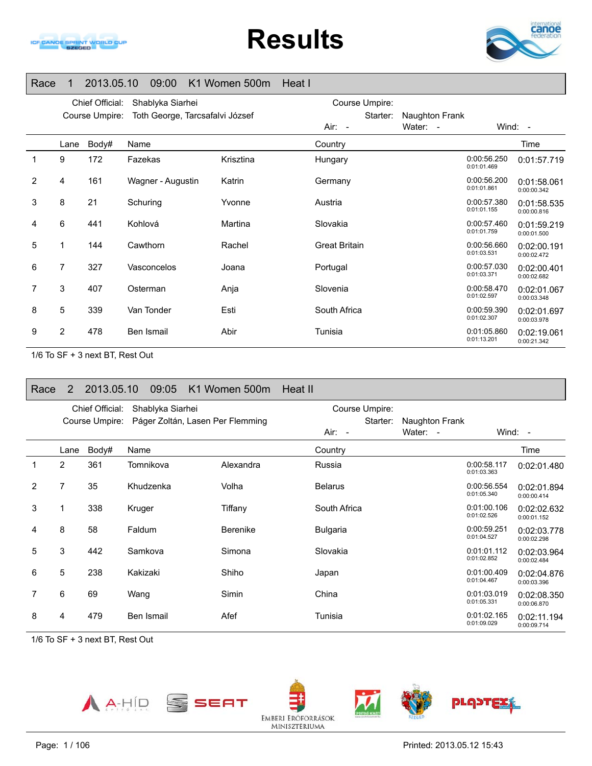

# **Results**



#### Race 1 2013.05.10 09:00 K1 Women 500m Heat I

|                |      | Chief Official: | Shablyka Siarhei                |           | Course Umpire:       |                |                            |                            |
|----------------|------|-----------------|---------------------------------|-----------|----------------------|----------------|----------------------------|----------------------------|
|                |      | Course Umpire:  | Toth George, Tarcsafalvi József |           | Starter:             | Naughton Frank |                            |                            |
|                |      |                 |                                 |           | Air: -               | Water: -       |                            | Wind: -                    |
|                | Lane | Body#           | Name                            |           | Country              |                |                            | Time                       |
|                | 9    | 172             | Fazekas                         | Krisztina | Hungary              |                | 0:00:56.250<br>0:01:01.469 | 0:01:57.719                |
| $\overline{2}$ | 4    | 161             | Wagner - Augustin               | Katrin    | Germany              |                | 0:00:56.200<br>0:01:01.861 | 0:01:58.061<br>0:00:00.342 |
| 3              | 8    | 21              | Schuring                        | Yvonne    | Austria              |                | 0:00:57.380<br>0:01:01.155 | 0:01:58.535<br>0:00:00.816 |
| 4              | 6    | 441             | Kohlová                         | Martina   | Slovakia             |                | 0:00:57.460<br>0:01:01.759 | 0:01:59.219<br>0:00:01.500 |
| 5              | 1    | 144             | Cawthorn                        | Rachel    | <b>Great Britain</b> |                | 0:00:56.660<br>0:01:03.531 | 0:02:00.191<br>0:00:02.472 |
| 6              | 7    | 327             | Vasconcelos                     | Joana     | Portugal             |                | 0:00:57.030<br>0:01:03.371 | 0:02:00.401<br>0:00:02.682 |
|                | 3    | 407             | Osterman                        | Anja      | Slovenia             |                | 0:00:58.470<br>0:01:02.597 | 0:02:01.067<br>0:00:03.348 |
| 8              | 5    | 339             | Van Tonder                      | Esti      | South Africa         |                | 0:00:59.390<br>0:01:02.307 | 0:02:01.697<br>0:00:03.978 |
| 9              | 2    | 478             | Ben Ismail                      | Abir      | Tunisia              |                | 0:01:05.860<br>0:01:13.201 | 0:02:19.061<br>0:00:21.342 |

1/6 To SF + 3 next BT, Rest Out

#### Race 2 2013.05.10 09:05 K1 Women 500m Heat IIChief Official: Shablyka Siarhei Course Umpire: Páger Zoltán, Lasen Per Flemming Course Umpire: Starter: Naughton Frank Air: -Water: - Wind: -Lane Body# Name**Country Country Country Country Country** Time 1 2 361 Tomnikova Alexandra Russia 0:00:58.117 0:01:03.363 0:02:01.480 2 7 35 Khudzenka Volha Belarus 0:00:56.554 0:01:05.340 0:02:01.894 0:00:00.414 3 1 338 KrugerTiffany South Africa 0:01:00.106 0:01:02.526 0:02:02.6320:00:01.152 4 8 58 FaldumBerenike Bulgaria bulgaria 0:00:59.251 0:01:04.527 0:02:03.778 0:00:02.298 5 3 442 SamkovaSimona Slovakia 1986 Slovakia 1991.01.112 0:01:02.852 0:02:03.964 0:00:02.4846 5 238 KakizakiShiho Japan 1980 Japan 0:01:00.409 0:01:04.4670:02:04.876 0:00:03.396 7 6 69 WangSimin China China 0:01:03.019 0:01:03.019 0:02:08.350 0:00:06.8708 4 479 Ben IsmailAfef **Tunisia COLOGY** 0:01:09.029 0:02:11.194 0:00:09.714

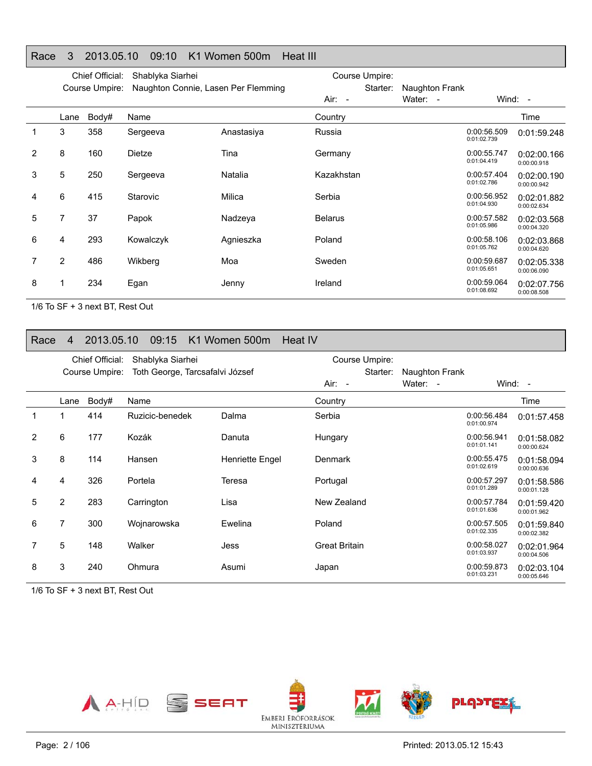#### Race 3 2013.05.10 09:10 K1 Women 500m Heat III

|                |                | Chief Official: | Shablyka Siarhei                    |            | Course Umpire: |                |                            |                            |
|----------------|----------------|-----------------|-------------------------------------|------------|----------------|----------------|----------------------------|----------------------------|
|                |                | Course Umpire:  | Naughton Connie, Lasen Per Flemming |            | Starter:       | Naughton Frank |                            |                            |
|                |                |                 |                                     |            | Air: -         | Water: -       |                            | Wind: -                    |
|                | Lane           | Body#           | Name                                |            | Country        |                |                            | Time                       |
|                | 3              | 358             | Sergeeva                            | Anastasiya | Russia         |                | 0:00:56.509<br>0:01:02.739 | 0:01:59.248                |
| $\overline{2}$ | 8              | 160             | Dietze                              | Tina       | Germany        |                | 0:00:55.747<br>0:01:04.419 | 0:02:00.166<br>0:00:00.918 |
| 3              | 5              | 250             | Sergeeva                            | Natalia    | Kazakhstan     |                | 0:00:57.404<br>0:01:02.786 | 0:02:00.190<br>0:00:00.942 |
| 4              | 6              | 415             | Starovic                            | Milica     | Serbia         |                | 0:00:56.952<br>0:01:04.930 | 0:02:01.882<br>0:00:02.634 |
| 5              | 7              | 37              | Papok                               | Nadzeya    | <b>Belarus</b> |                | 0:00:57.582<br>0:01:05.986 | 0:02:03.568<br>0:00:04.320 |
| 6              | 4              | 293             | Kowalczyk                           | Agnieszka  | Poland         |                | 0:00:58.106<br>0:01:05.762 | 0:02:03.868<br>0:00:04.620 |
| 7              | $\overline{2}$ | 486             | Wikberg                             | Moa        | Sweden         |                | 0:00:59.687<br>0:01:05.651 | 0:02:05.338<br>0:00:06.090 |
| 8              |                | 234             | Egan                                | Jenny      | Ireland        |                | 0:00:59.064<br>0:01:08.692 | 0:02:07.756<br>0:00:08.508 |

1/6 To SF + 3 next BT, Rest Out

#### Race 4 2013.05.10 09:15 K1 Women 500m Heat IV

|                |                | Chief Official: | Shablyka Siarhei                |                 | Course Umpire:       |                |                            |                            |
|----------------|----------------|-----------------|---------------------------------|-----------------|----------------------|----------------|----------------------------|----------------------------|
|                |                | Course Umpire:  | Toth George, Tarcsafalvi József |                 | Starter:             | Naughton Frank |                            |                            |
|                |                |                 |                                 |                 | Air: -               | Water: -       |                            | Wind: $-$                  |
|                | Lane           | Body#           | Name                            |                 | Country              |                |                            | Time                       |
|                |                | 414             | Ruzicic-benedek                 | Dalma           | Serbia               |                | 0:00:56.484<br>0:01:00.974 | 0:01:57.458                |
| $\overline{2}$ | 6              | 177             | Kozák                           | Danuta          | Hungary              |                | 0:00:56.941<br>0:01:01.141 | 0:01:58.082<br>0:00:00.624 |
| 3              | 8              | 114             | Hansen                          | Henriette Engel | Denmark              |                | 0:00:55.475<br>0:01:02.619 | 0:01:58.094<br>0:00:00.636 |
| 4              | 4              | 326             | Portela                         | Teresa          | Portugal             |                | 0:00:57.297<br>0:01:01.289 | 0:01:58.586<br>0:00:01.128 |
| 5              | $\overline{2}$ | 283             | Carrington                      | Lisa            | New Zealand          |                | 0:00:57.784<br>0:01:01.636 | 0:01:59.420<br>0:00:01.962 |
| 6              | 7              | 300             | Wojnarowska                     | Ewelina         | Poland               |                | 0:00:57.505<br>0:01:02.335 | 0:01:59.840<br>0:00:02.382 |
| 7              | 5              | 148             | Walker                          | Jess            | <b>Great Britain</b> |                | 0:00:58.027<br>0:01:03.937 | 0:02:01.964<br>0:00:04.506 |
| 8              | 3              | 240             | Ohmura                          | Asumi           | Japan                |                | 0:00:59.873<br>0:01:03.231 | 0:02:03.104<br>0:00:05.646 |

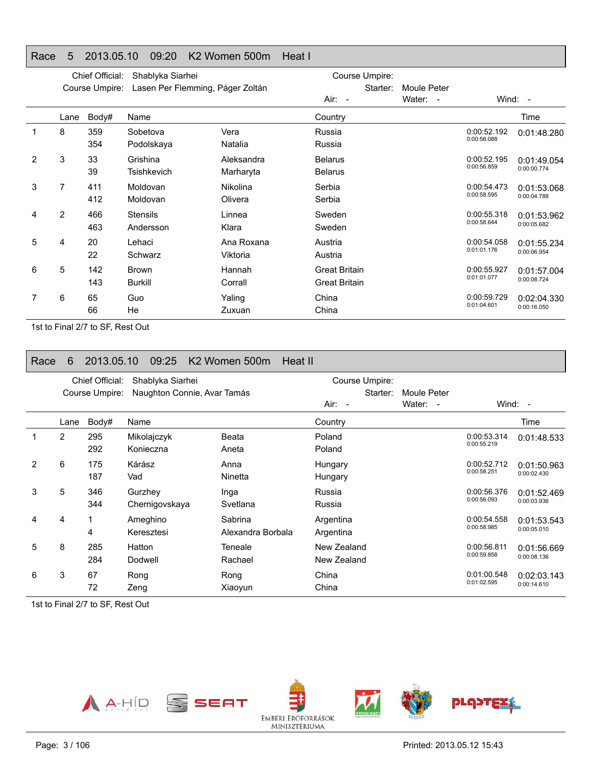#### Race 5 2013.05.10 09:20 K2 Women 500m Heat I

|   |      | Chief Official: | Shablyka Siarhei                 |            |                      | Course Umpire: |             |                            |             |
|---|------|-----------------|----------------------------------|------------|----------------------|----------------|-------------|----------------------------|-------------|
|   |      | Course Umpire:  | Lasen Per Flemming, Páger Zoltán |            |                      | Starter:       | Moule Peter |                            |             |
|   |      |                 |                                  |            | $Air: -$             |                | Water: -    |                            | Wind: -     |
|   | Lane | Body#           | Name                             |            | Country              |                |             |                            | Time        |
|   | 8    | 359             | Sobetova                         | Vera       | Russia               |                |             | 0:00:52.192                | 0:01:48.280 |
|   |      | 354             | Podolskaya                       | Natalia    | Russia               |                |             | 0:00:56.088                |             |
| 2 | 3    | 33              | Grishina                         | Aleksandra | <b>Belarus</b>       |                |             | 0:00:52.195                | 0:01:49.054 |
|   |      | 39              | Tsishkevich                      | Marharyta  | <b>Belarus</b>       |                |             | 0:00:56.859                | 0:00:00.774 |
| 3 | 7    | 411             | Moldovan                         | Nikolina   | Serbia               |                |             | 0:00:54.473<br>0:00:58.595 | 0:01:53.068 |
|   |      | 412             | Moldovan                         | Olivera    | Serbia               |                |             |                            | 0:00:04.788 |
| 4 | 2    | 466             | <b>Stensils</b>                  | Linnea     | Sweden               |                |             | 0:00:55.318<br>0:00:58.644 | 0:01:53.962 |
|   |      | 463             | Andersson                        | Klara      | Sweden               |                |             |                            | 0:00:05.682 |
| 5 | 4    | 20              | Lehaci                           | Ana Roxana | Austria              |                |             | 0:00:54.058<br>0:01:01.176 | 0:01:55.234 |
|   |      | 22              | Schwarz                          | Viktoria   | Austria              |                |             |                            | 0:00:06.954 |
| 6 | 5    | 142             | <b>Brown</b>                     | Hannah     | <b>Great Britain</b> |                |             | 0:00:55.927                | 0:01:57.004 |
|   |      | 143             | <b>Burkill</b>                   | Corrall    | <b>Great Britain</b> |                |             | 0:01:01.077                | 0:00:08.724 |
|   | 6    | 65              | Guo                              | Yaling     | China                |                |             | 0:00:59.729                | 0:02:04.330 |
|   |      | 66              | He                               | Zuxuan     | China                |                |             | 0:01:04.601                | 0:00:16.050 |

1st to Final 2/7 to SF, Rest Out

#### Race 6 2013.05.10 09:25 K2 Women 500m Heat II

|               |                | Chief Official: | Shablyka Siarhei            |                              |                            | Course Umpire: |                         |                            |                            |
|---------------|----------------|-----------------|-----------------------------|------------------------------|----------------------------|----------------|-------------------------|----------------------------|----------------------------|
|               |                | Course Umpire:  | Naughton Connie, Avar Tamás |                              | Air: -                     | Starter:       | Moule Peter<br>Water: - |                            | Wind: $-$                  |
|               | Lane           | Body#           | Name                        |                              | Country                    |                |                         |                            | Time                       |
|               | $\overline{2}$ | 295<br>292      | Mikolajczyk<br>Konieczna    | Beata<br>Aneta               | Poland<br>Poland           |                |                         | 0:00:53.314<br>0:00:55.219 | 0:01:48.533                |
| $\mathcal{P}$ | 6              | 175<br>187      | Kárász<br>Vad               | Anna<br>Ninetta              | Hungary<br>Hungary         |                |                         | 0:00:52.712<br>0:00:58.251 | 0:01:50.963<br>0:00:02.430 |
| 3             | 5              | 346<br>344      | Gurzhey<br>Chernigovskaya   | Inga<br>Svetlana             | Russia<br>Russia           |                |                         | 0:00:56.376<br>0:00:56.093 | 0:01:52.469<br>0:00:03.936 |
| 4             | 4              | 1<br>4          | Ameghino<br>Keresztesi      | Sabrina<br>Alexandra Borbala | Argentina<br>Argentina     |                |                         | 0:00:54.558<br>0:00:58.985 | 0:01:53.543<br>0:00:05.010 |
| 5             | 8              | 285<br>284      | Hatton<br>Dodwell           | Teneale<br>Rachael           | New Zealand<br>New Zealand |                |                         | 0:00:56.811<br>0:00:59.858 | 0:01:56.669<br>0:00:08.136 |
| 6             | 3              | 67<br>72        | Rong<br>Zeng                | Rong<br>Xiaoyun              | China<br>China             |                |                         | 0:01:00.548<br>0:01:02.595 | 0:02:03.143<br>0:00:14.610 |

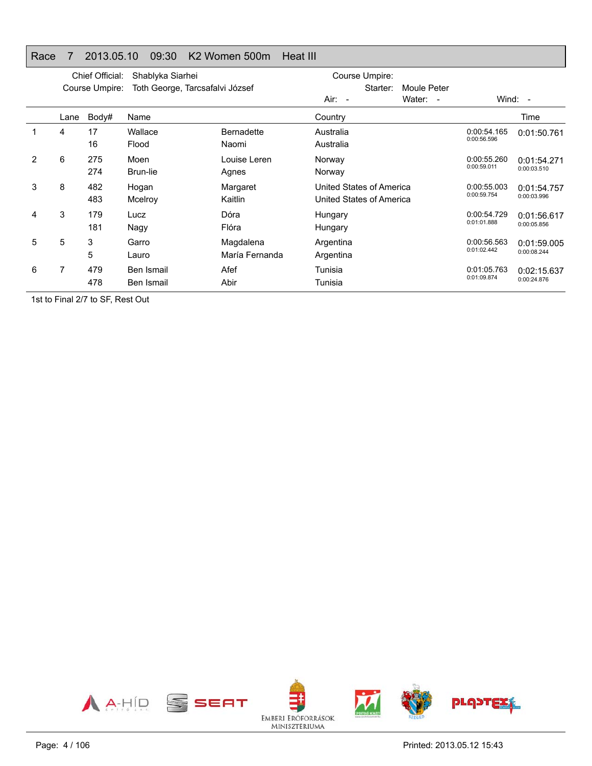#### Race 7 2013.05.10 09:30 K2 Women 500m Heat III

|   |      | Chief Official: | Shablyka Siarhei                |                             | Course Umpire:                                       |                                    |                            |                            |
|---|------|-----------------|---------------------------------|-----------------------------|------------------------------------------------------|------------------------------------|----------------------------|----------------------------|
|   |      | Course Umpire:  | Toth George, Tarcsafalvi József |                             | Starter:                                             | Moule Peter                        |                            |                            |
|   |      |                 |                                 |                             | $Air: -$                                             | Water:<br>$\overline{\phantom{a}}$ |                            | Wind: $-$                  |
|   | Lane | Body#           | Name                            |                             | Country                                              |                                    |                            | Time                       |
|   | 4    | 17<br>16        | Wallace<br>Flood                | <b>Bernadette</b><br>Naomi  | Australia<br>Australia                               |                                    | 0:00:54.165<br>0:00:56.596 | 0:01:50.761                |
| 2 | 6    | 275<br>274      | Moen<br>Brun-lie                | Louise Leren<br>Agnes       | Norway<br>Norway                                     |                                    | 0:00:55.260<br>0:00:59.011 | 0:01:54.271<br>0:00:03.510 |
| 3 | 8    | 482<br>483      | Hogan<br>Mcelroy                | Margaret<br>Kaitlin         | United States of America<br>United States of America |                                    | 0:00:55.003<br>0:00:59.754 | 0:01:54.757<br>0:00:03.996 |
| 4 | 3    | 179<br>181      | Lucz<br>Nagy                    | Dóra<br>Flóra               | Hungary<br>Hungary                                   |                                    | 0:00:54.729<br>0:01:01.888 | 0:01:56.617<br>0:00:05.856 |
| 5 | 5    | 3<br>5          | Garro<br>Lauro                  | Magdalena<br>María Fernanda | Argentina<br>Argentina                               |                                    | 0:00:56.563<br>0:01:02.442 | 0:01:59.005<br>0:00:08.244 |
| 6 | 7    | 479<br>478      | Ben Ismail<br>Ben Ismail        | Afef<br>Abir                | Tunisia<br>Tunisia                                   |                                    | 0:01:05.763<br>0:01:09.874 | 0:02:15.637<br>0:00:24.876 |

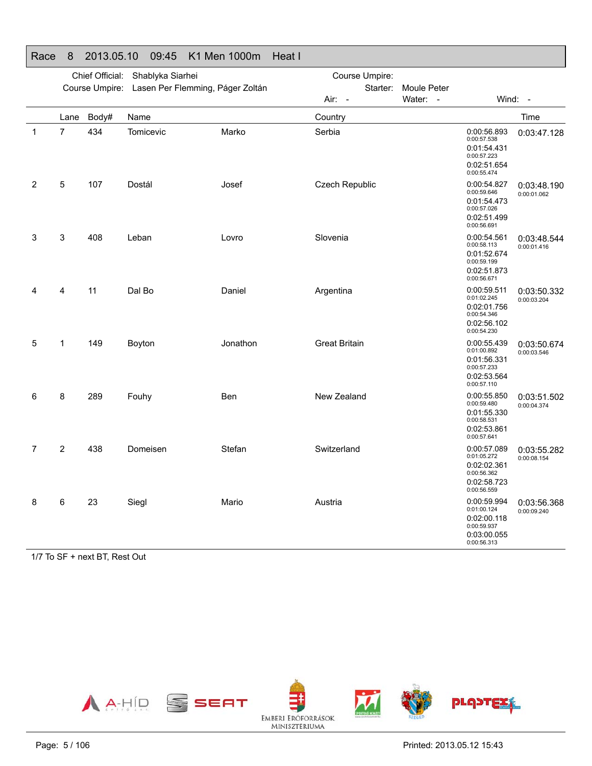#### Race 8 2013.05.10 09:45 K1 Men 1000m Heat IChief Official: Shablyka Siarhei Course Umpire: Lasen Per Flemming, Páger Zoltán Course Umpire: Starter: Moule Peter Air: -Water: - Wind: -Lane Body# Name**Country Country Country Country Country** Time 1 7 434 TomicevicMarko Serbia 30:00:56.893 0:00:57.5380:01:54.4310:00:57.223 0:02:51.6540:00:55.4740:03:47.128 2 5 107 Dostál Josef Czech Republic 0:00:54.827 0:00:59.646 0:01:54.473 0:00:57.026 0:02:51.499 0:00:56.6910:03:48.190 0:00:01.062 3 3 408 LebanLovro Slovenia 1986 - Slovenia 1996 - 1997 - 1998 - 1999 - 1998 - 1999 - 1999 - 1999 - 1999 - 1999 - 1999 - 19 0:00:58.113 0:01:52.674 0:00:59.1990:02:51.873 0:00:56.671 0:03:48.544 0:00:01.416 4 4 11 Dal BoDaniel **Argentina** COO:59.511 0:00:59.511 0:02:01.7560:00:54.346 0:02:56.102 0:00:54.230 0:03:50.3320:00:03.2045 1 149 BoytonJonathon Great Britain 0:00:55.439 0:01:00.8920:01:56.3310:00:57.233 0:02:53.5640:00:57.1100:03:50.674 0:00:03.546 6 8 289 FouhyBen New Zealand 0:00:55.850 0:00:59.480 0:01:55.330 0:00:58.5310:02:53.8610:00:57.641 0:03:51.502 0:00:04.374 7 2 438 DomeisenStefan Switzerland 0:00:57.089 0:01:05.272 0:02:02.3610:00:56.3620:02:58.723 0:00:56.5590:03:55.282 0:00:08.1548 6 23 SieglMario **Austria** Austria **COLO**:59.994 0:00:59.994 0:02:00.118 0:00:59.937 0:03:00.0550:00:56.3130:03:56.368 0:00:09.240

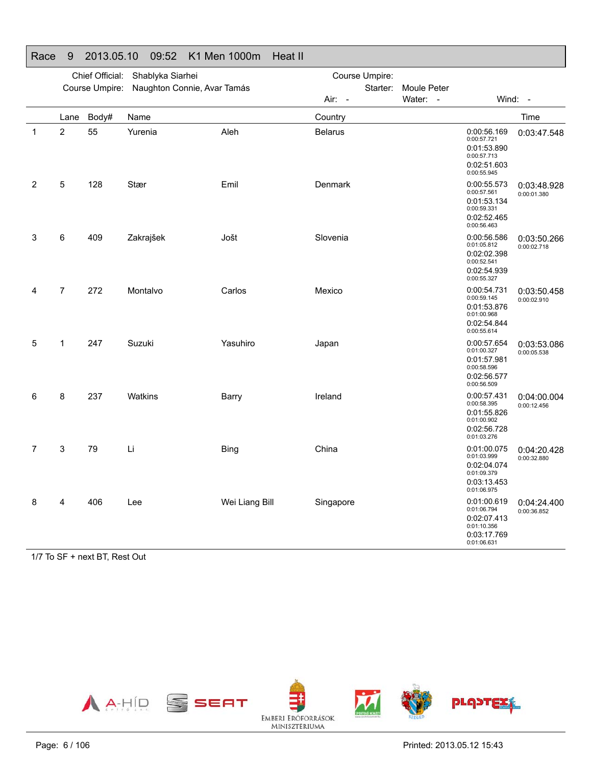| 1 vauu       |      | <b>LUIU.UU.IU</b> | 00.OL                                      | <b>INTIVIOLE LUUUILE</b> | 11 Juan 11     |             |                                                                                        |                            |
|--------------|------|-------------------|--------------------------------------------|--------------------------|----------------|-------------|----------------------------------------------------------------------------------------|----------------------------|
|              |      | Chief Official:   | Shablyka Siarhei                           |                          | Course Umpire: |             |                                                                                        |                            |
|              |      |                   | Course Umpire: Naughton Connie, Avar Tamás |                          | Starter:       | Moule Peter |                                                                                        |                            |
|              |      |                   |                                            |                          | Air: -         | Water: -    |                                                                                        | Wind: -                    |
|              | Lane | Body#             | Name                                       |                          | Country        |             |                                                                                        | Time                       |
| $\mathbf{1}$ | 2    | 55                | Yurenia                                    | Aleh                     | <b>Belarus</b> |             | 0:00:56.169<br>0:00:57.721<br>0:01:53.890<br>0:00:57.713<br>0:02:51.603<br>0:00:55.945 | 0:03:47.548                |
| 2            | 5    | 128               | Stær                                       | Emil                     | Denmark        |             | 0:00:55.573<br>0:00:57.561<br>0:01:53.134<br>0:00:59.331<br>0:02:52.465<br>0:00:56.463 | 0:03:48.928<br>0:00:01.380 |
| 3            | 6    | 409               | Zakrajšek                                  | Jošt                     | Slovenia       |             | 0:00:56.586<br>0:01:05.812<br>0:02:02.398<br>0:00:52.541<br>0:02:54.939<br>0:00:55.327 | 0:03:50.266<br>0:00:02.718 |
| 4            | 7    | 272               | Montalvo                                   | Carlos                   | Mexico         |             | 0:00:54.731<br>0:00:59.145<br>0:01:53.876<br>0:01:00.968<br>0:02:54.844<br>0:00:55.614 | 0:03:50.458<br>0:00:02.910 |
| 5            | 1    | 247               | Suzuki                                     | Yasuhiro                 | Japan          |             | 0:00:57.654<br>0:01:00.327<br>0:01:57.981<br>0:00:58.596<br>0:02:56.577<br>0:00:56.509 | 0:03:53.086<br>0:00:05.538 |
| 6            | 8    | 237               | Watkins                                    | Barry                    | Ireland        |             | 0:00:57.431<br>0:00:58.395<br>0:01:55.826<br>0:01:00.902<br>0:02:56.728<br>0:01:03.276 | 0:04:00.004<br>0:00:12.456 |
| 7            | 3    | 79                | Li                                         | <b>Bing</b>              | China          |             | 0:01:00.075<br>0:01:03.999<br>0:02:04.074<br>0:01:09.379<br>0:03:13.453<br>0:01:06.975 | 0:04:20.428<br>0:00:32.880 |
| 8            | 4    | 406               | Lee                                        | Wei Liang Bill           | Singapore      |             | 0:01:00.619<br>0:01:06.794<br>0:02:07.413<br>0:01:10.356<br>0:03:17.769<br>0:01:06.631 | 0:04:24.400<br>0:00:36.852 |

# Race 9 2013.05.10 09:52 K1 Men 1000m Heat II

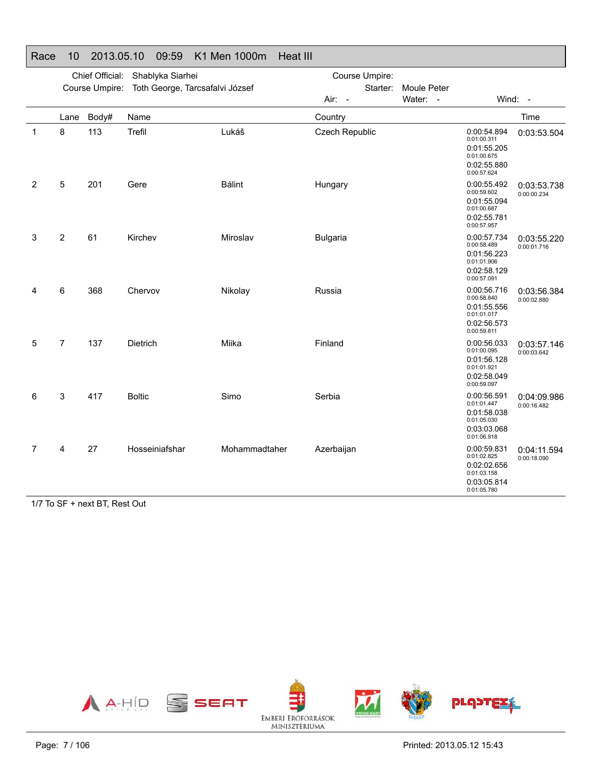|                | Chief Official:<br>Shablyka Siarhei |                                                        |                                 |               | Course Umpire:        |             |                                                                                        |                            |
|----------------|-------------------------------------|--------------------------------------------------------|---------------------------------|---------------|-----------------------|-------------|----------------------------------------------------------------------------------------|----------------------------|
|                |                                     | Course Umpire:                                         | Toth George, Tarcsafalvi József |               | Starter:              | Moule Peter |                                                                                        |                            |
|                |                                     |                                                        |                                 |               | $Air: -$              | Water: -    |                                                                                        | Wind: -                    |
|                | Lane                                | Body#                                                  | Name                            |               | Country               |             |                                                                                        | Time                       |
| $\mathbf{1}$   | 8                                   | 113                                                    | Trefil                          | Lukáš         | <b>Czech Republic</b> |             | 0:00:54.894<br>0:01:00.311<br>0:01:55.205<br>0:01:00.675<br>0:02:55.880<br>0:00:57.624 | 0:03:53.504                |
| $\overline{2}$ | 5                                   | 201                                                    | Gere                            | <b>Bálint</b> | Hungary               |             | 0:00:55.492<br>0:00:59.602<br>0:01:55.094<br>0:01:00.687<br>0:02:55.781<br>0:00:57.957 | 0:03:53.738<br>0:00:00.234 |
| 3              | 2                                   | 61                                                     | Kirchev                         | Miroslav      | <b>Bulgaria</b>       |             | 0:00:57.734<br>0:00:58.489<br>0:01:56.223<br>0:01:01.906<br>0:02:58.129<br>0:00:57.091 | 0:03:55.220<br>0:00:01.716 |
| 4              | 6                                   | 368                                                    | Chervov                         | Nikolay       | Russia                |             | 0:00:56.716<br>0:00:58.840<br>0:01:55.556<br>0:01:01.017<br>0:02:56.573<br>0:00:59.811 | 0:03:56.384<br>0:00:02.880 |
| 5              | $\overline{7}$                      | 137                                                    | Dietrich                        | Miika         | Finland               |             | 0:00:56.033<br>0:01:00.095<br>0:01:56.128<br>0:01:01.921<br>0:02:58.049<br>0:00:59.097 | 0:03:57.146<br>0:00:03.642 |
| 6              | 3                                   | 417                                                    | <b>Boltic</b>                   | Simo          | Serbia                |             | 0:00:56.591<br>0:01:01.447<br>0:01:58.038<br>0:01:05.030<br>0:03:03.068<br>0:01:06.918 | 0:04:09.986<br>0:00:16.482 |
| 7              | 4<br>$   -$                         | 27<br>$\sim$ $\sim$ $\sim$ $\sim$ $\sim$ $\sim$ $\sim$ | Hosseiniafshar                  | Mohammadtaher | Azerbaijan            |             | 0:00:59.831<br>0:01:02.825<br>0:02:02.656<br>0:01:03.158<br>0:03:05.814<br>0:01:05.780 | 0:04:11.594<br>0:00:18.090 |

#### Race 10 2013.05.10 09:59 K1 Men 1000m Heat III

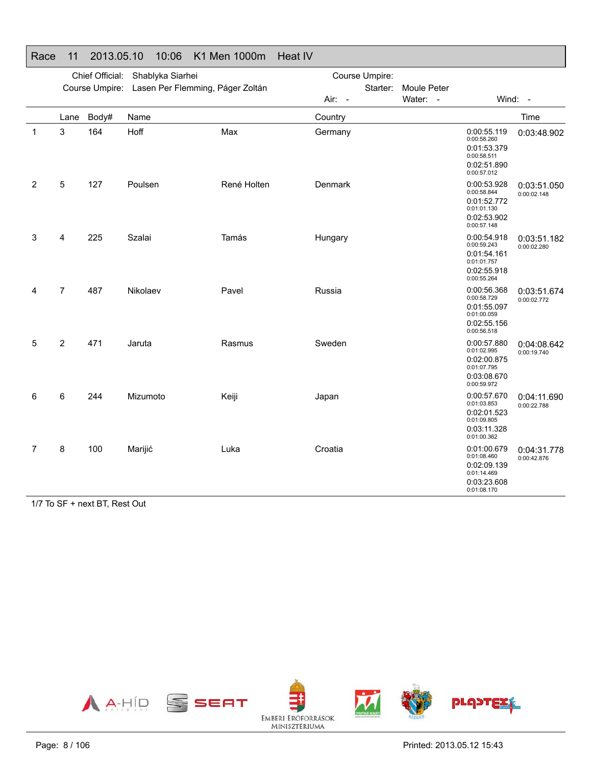|   |      | Chief Official: | Shablyka Siarhei                                |             |         | Course Umpire: |             |                                                                                        |                            |
|---|------|-----------------|-------------------------------------------------|-------------|---------|----------------|-------------|----------------------------------------------------------------------------------------|----------------------------|
|   |      |                 | Course Umpire: Lasen Per Flemming, Páger Zoltán |             |         | Starter:       | Moule Peter |                                                                                        |                            |
|   |      |                 |                                                 |             | Air: -  |                | Water: -    |                                                                                        | Wind: -                    |
|   | Lane | Body#           | Name                                            |             | Country |                |             |                                                                                        | Time                       |
| 1 | 3    | 164             | Hoff                                            | Max         | Germany |                |             | 0:00:55.119<br>0:00:58.260<br>0:01:53.379<br>0:00:58.511<br>0:02:51.890<br>0:00:57.012 | 0:03:48.902                |
| 2 | 5    | 127             | Poulsen                                         | René Holten | Denmark |                |             | 0:00:53.928<br>0:00:58.844<br>0:01:52.772<br>0:01:01.130<br>0:02:53.902<br>0:00:57.148 | 0:03:51.050<br>0:00:02.148 |
| 3 | 4    | 225             | Szalai                                          | Tamás       | Hungary |                |             | 0:00:54.918<br>0:00:59.243<br>0:01:54.161<br>0:01:01.757<br>0:02:55.918<br>0:00:55.264 | 0:03:51.182<br>0:00:02.280 |
| 4 | 7    | 487             | Nikolaev                                        | Pavel       | Russia  |                |             | 0:00:56.368<br>0:00:58.729<br>0:01:55.097<br>0:01:00.059<br>0:02:55.156<br>0:00:56.518 | 0:03:51.674<br>0:00:02.772 |
| 5 | 2    | 471             | Jaruta                                          | Rasmus      | Sweden  |                |             | 0:00:57.880<br>0:01:02.995<br>0:02:00.875<br>0:01:07.795<br>0:03:08.670<br>0:00:59.972 | 0:04:08.642<br>0:00:19.740 |
| 6 | 6    | 244             | Mizumoto                                        | Keiji       | Japan   |                |             | 0:00:57.670<br>0:01:03.853<br>0:02:01.523<br>0:01:09.805<br>0:03:11.328<br>0:01:00.362 | 0:04:11.690<br>0:00:22.788 |
| 7 | 8    | 100             | Marijić                                         | Luka        | Croatia |                |             | 0:01:00.679<br>0:01:08.460<br>0:02:09.139<br>0:01:14.469<br>0:03:23.608<br>0:01:08.170 | 0:04:31.778<br>0:00:42.876 |

#### Race 11 2013.05.10 10:06 K1 Men 1000m Heat IV

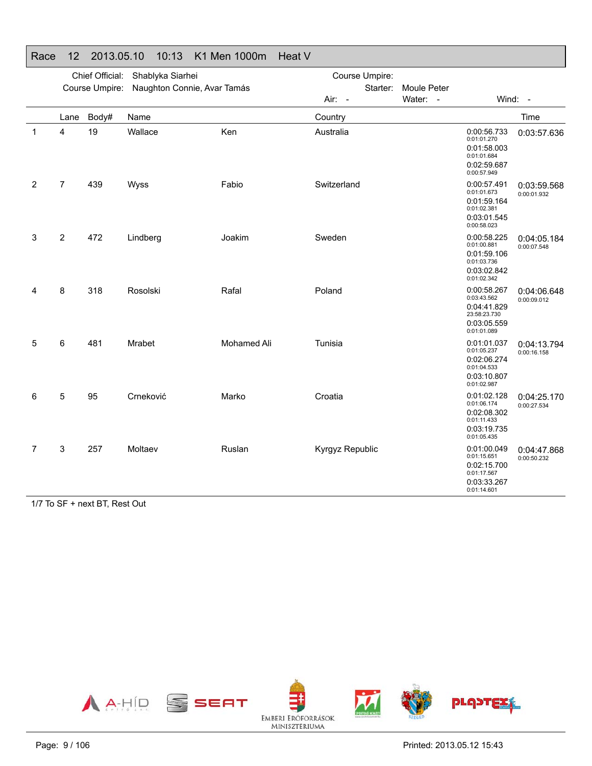|   |                | Chief Official: | Shablyka Siarhei            |                    | Course Umpire:  |                    |                                                                                         |                            |
|---|----------------|-----------------|-----------------------------|--------------------|-----------------|--------------------|-----------------------------------------------------------------------------------------|----------------------------|
|   |                | Course Umpire:  | Naughton Connie, Avar Tamás |                    | Starter:        | <b>Moule Peter</b> |                                                                                         |                            |
|   |                |                 |                             |                    | Air: -          | Water: -           |                                                                                         | Wind: -                    |
|   | Lane           | Body#           | Name                        |                    | Country         |                    |                                                                                         | Time                       |
| 1 | 4              | 19              | Wallace                     | Ken                | Australia       |                    | 0:00:56.733<br>0:01:01.270<br>0:01:58.003<br>0:01:01.684<br>0:02:59.687<br>0:00:57.949  | 0:03:57.636                |
| 2 | $\overline{7}$ | 439             | Wyss                        | Fabio              | Switzerland     |                    | 0:00:57.491<br>0:01:01.673<br>0:01:59.164<br>0:01:02.381<br>0:03:01.545<br>0:00:58.023  | 0:03:59.568<br>0:00:01.932 |
| 3 | $\overline{c}$ | 472             | Lindberg                    | Joakim             | Sweden          |                    | 0:00:58.225<br>0:01:00.881<br>0:01:59.106<br>0:01:03.736<br>0:03:02.842<br>0:01:02.342  | 0:04:05.184<br>0:00:07.548 |
| 4 | 8              | 318             | Rosolski                    | Rafal              | Poland          |                    | 0:00:58.267<br>0:03:43.562<br>0:04:41.829<br>23:58:23.730<br>0:03:05.559<br>0:01:01.089 | 0:04:06.648<br>0:00:09.012 |
| 5 | 6              | 481             | Mrabet                      | <b>Mohamed Ali</b> | Tunisia         |                    | 0:01:01.037<br>0:01:05.237<br>0:02:06.274<br>0:01:04.533<br>0:03:10.807<br>0:01:02.987  | 0:04:13.794<br>0:00:16.158 |
| 6 | 5              | 95              | Crneković                   | Marko              | Croatia         |                    | 0:01:02.128<br>0:01:06.174<br>0:02:08.302<br>0:01:11.433<br>0:03:19.735<br>0:01:05.435  | 0:04:25.170<br>0:00:27.534 |
| 7 | 3              | 257             | Moltaev                     | Ruslan             | Kyrgyz Republic |                    | 0:01:00.049<br>0:01:15.651<br>0:02:15.700<br>0:01:17.567<br>0:03:33.267<br>0:01:14.601  | 0:04:47.868<br>0:00:50.232 |

### Race 12 2013.05.10 10:13 K1 Men 1000m Heat V

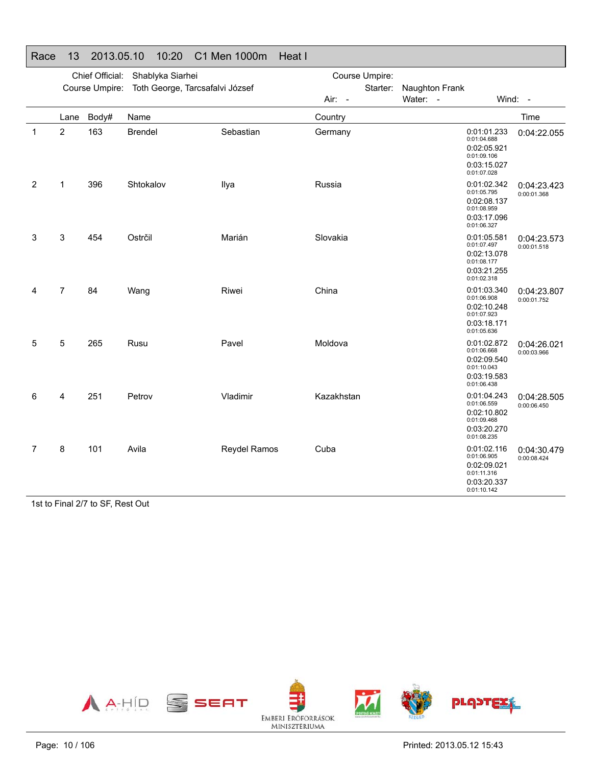| Race         | 13             | 2013.05.10      |                | 10:20            | C1 Men 1000m                    | Heat I     |                |                |                                                                                        |                            |
|--------------|----------------|-----------------|----------------|------------------|---------------------------------|------------|----------------|----------------|----------------------------------------------------------------------------------------|----------------------------|
|              |                | Chief Official: |                | Shablyka Siarhei |                                 |            | Course Umpire: |                |                                                                                        |                            |
|              |                | Course Umpire:  |                |                  | Toth George, Tarcsafalvi József |            | Starter:       | Naughton Frank |                                                                                        |                            |
|              |                |                 |                |                  |                                 | Air: -     |                | Water: -       |                                                                                        | Wind: -                    |
|              | Lane           | Body#           | Name           |                  |                                 | Country    |                |                |                                                                                        | Time                       |
| $\mathbf{1}$ | $\overline{2}$ | 163             | <b>Brendel</b> |                  | Sebastian                       | Germany    |                |                | 0:01:01.233<br>0:01:04.688<br>0:02:05.921<br>0:01:09.106<br>0:03:15.027<br>0:01:07.028 | 0:04:22.055                |
| 2            | $\mathbf{1}$   | 396             | Shtokalov      |                  | Ilya                            | Russia     |                |                | 0:01:02.342<br>0:01:05.795<br>0:02:08.137<br>0:01:08.959<br>0:03:17.096<br>0:01:06.327 | 0:04:23.423<br>0:00:01.368 |
| 3            | 3              | 454             | Ostrčil        |                  | Marián                          | Slovakia   |                |                | 0:01:05.581<br>0:01:07.497<br>0:02:13.078<br>0:01:08.177<br>0:03:21.255<br>0:01:02.318 | 0:04:23.573<br>0:00:01.518 |
| 4            | $\overline{7}$ | 84              | Wang           |                  | Riwei                           | China      |                |                | 0:01:03.340<br>0:01:06.908<br>0:02:10.248<br>0:01:07.923<br>0:03:18.171<br>0:01:05.636 | 0:04:23.807<br>0:00:01.752 |
| 5            | 5              | 265             | Rusu           |                  | Pavel                           | Moldova    |                |                | 0:01:02.872<br>0:01:06.668<br>0:02:09.540<br>0:01:10.043<br>0:03:19.583<br>0:01:06.438 | 0:04:26.021<br>0:00:03.966 |
| 6            | 4              | 251             | Petrov         |                  | Vladimir                        | Kazakhstan |                |                | 0:01:04.243<br>0:01:06.559<br>0:02:10.802<br>0:01:09.468<br>0:03:20.270<br>0:01:08.235 | 0:04:28.505<br>0:00:06.450 |
| 7            | 8              | 101             | Avila          |                  | <b>Reydel Ramos</b>             | Cuba       |                |                | 0:01:02.116<br>0:01:06.905<br>0:02:09.021<br>0:01:11.316<br>0:03:20.337<br>0:01:10.142 | 0:04:30.479<br>0:00:08.424 |

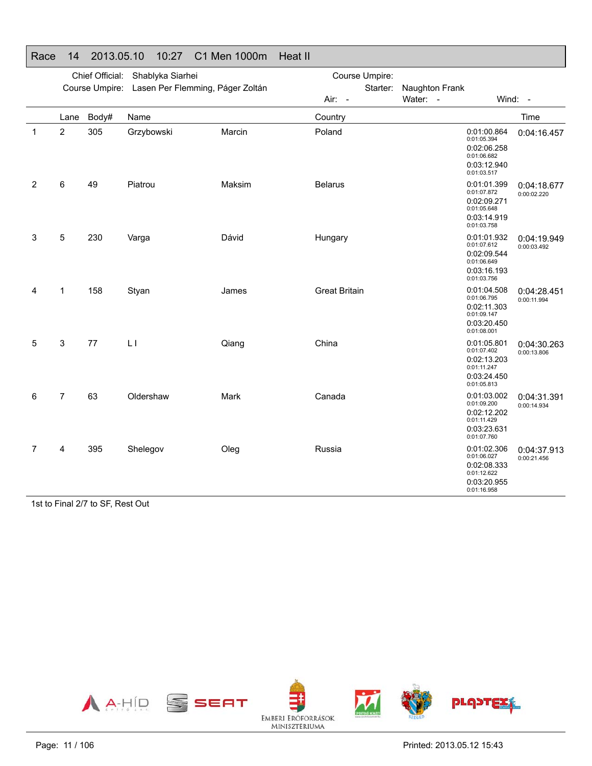| י זמטע |                | <b>LUIU.UU.IU</b> | 10.61                                           | U I IVIUII TUUUIII<br>11 JUCIL 11 |                      |                |                                                                                        |                            |
|--------|----------------|-------------------|-------------------------------------------------|-----------------------------------|----------------------|----------------|----------------------------------------------------------------------------------------|----------------------------|
|        |                | Chief Official:   | Shablyka Siarhei                                |                                   | Course Umpire:       |                |                                                                                        |                            |
|        |                |                   | Course Umpire: Lasen Per Flemming, Páger Zoltán |                                   | Starter:             | Naughton Frank |                                                                                        |                            |
|        |                |                   |                                                 |                                   | Air: -               | Water: -       |                                                                                        | Wind: -                    |
|        | Lane           | Body#             | Name                                            |                                   | Country              |                |                                                                                        | Time                       |
| 1      | 2              | 305               | Grzybowski                                      | Marcin                            | Poland               |                | 0:01:00.864<br>0:01:05.394<br>0:02:06.258<br>0:01:06.682<br>0:03:12.940<br>0:01:03.517 | 0:04:16.457                |
| 2      | 6              | 49                | Piatrou                                         | Maksim                            | <b>Belarus</b>       |                | 0:01:01.399<br>0:01:07.872<br>0:02:09.271<br>0:01:05.648<br>0:03:14.919<br>0:01:03.758 | 0:04:18.677<br>0:00:02.220 |
| 3      | 5              | 230               | Varga                                           | Dávid                             | Hungary              |                | 0:01:01.932<br>0:01:07.612<br>0:02:09.544<br>0:01:06.649<br>0:03:16.193<br>0:01:03.756 | 0:04:19.949<br>0:00:03.492 |
| 4      | 1              | 158               | Styan                                           | James                             | <b>Great Britain</b> |                | 0:01:04.508<br>0:01:06.795<br>0:02:11.303<br>0:01:09.147<br>0:03:20.450<br>0:01:08.001 | 0:04:28.451<br>0:00:11.994 |
| 5      | 3              | 77                | L1                                              | Qiang                             | China                |                | 0:01:05.801<br>0:01:07.402<br>0:02:13.203<br>0:01:11.247<br>0:03:24.450<br>0:01:05.813 | 0:04:30.263<br>0:00:13.806 |
| 6      | $\overline{7}$ | 63                | Oldershaw                                       | Mark                              | Canada               |                | 0:01:03.002<br>0:01:09.200<br>0:02:12.202<br>0:01:11.429<br>0:03:23.631<br>0:01:07.760 | 0:04:31.391<br>0:00:14.934 |
| 7      | 4              | 395               | Shelegov                                        | Oleg                              | Russia               |                | 0:01:02.306<br>0:01:06.027<br>0:02:08.333<br>0:01:12.622<br>0:03:20.955<br>0:01:16.958 | 0:04:37.913<br>0:00:21.456 |

## Race 14 2013.05.10 10:27 C1 Men 1000m Heat II

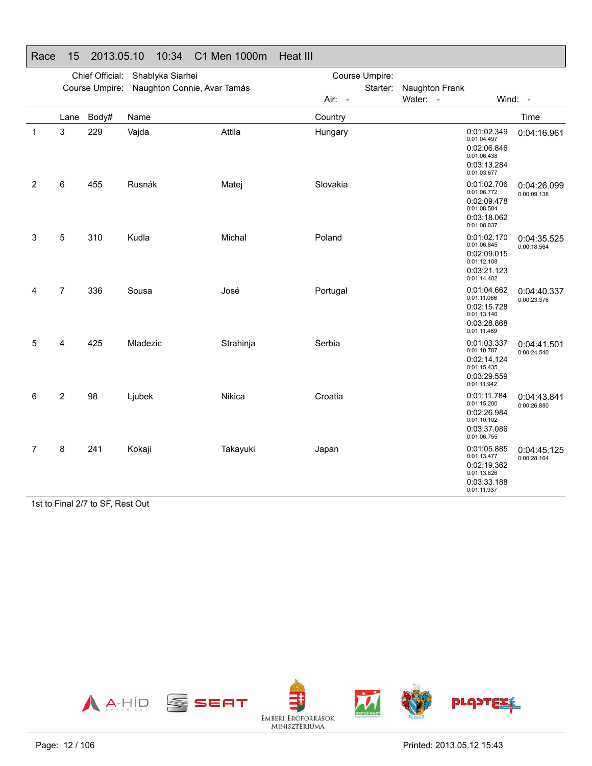|   |                | Chief Official: | Shablyka Siarhei            |           | Course Umpire: |                |                                                                                        |                            |
|---|----------------|-----------------|-----------------------------|-----------|----------------|----------------|----------------------------------------------------------------------------------------|----------------------------|
|   |                | Course Umpire:  | Naughton Connie, Avar Tamás |           | Starter:       | Naughton Frank |                                                                                        |                            |
|   |                |                 |                             |           | Air: -         | Water: -       |                                                                                        | Wind: -                    |
|   | Lane           | Body#           | Name                        |           | Country        |                |                                                                                        | Time                       |
| 1 | 3              | 229             | Vajda                       | Attila    | Hungary        |                | 0:01:02.349<br>0:01:04.497<br>0:02:06.846<br>0:01:06.438<br>0:03:13.284<br>0:01:03.677 | 0:04:16.961                |
| 2 | 6              | 455             | Rusnák                      | Matej     | Slovakia       |                | 0:01:02.706<br>0:01:06.772<br>0:02:09.478<br>0:01:08.584<br>0:03:18.062<br>0:01:08.037 | 0:04:26.099<br>0:00:09.138 |
| 3 | 5              | 310             | Kudla                       | Michal    | Poland         |                | 0:01:02.170<br>0:01:06.845<br>0:02:09.015<br>0:01:12.108<br>0:03:21.123<br>0:01:14.402 | 0:04:35.525<br>0:00:18.564 |
| 4 | $\overline{7}$ | 336             | Sousa                       | José      | Portugal       |                | 0:01:04.662<br>0:01:11.066<br>0:02:15.728<br>0:01:13.140<br>0:03:28.868<br>0:01:11.469 | 0:04:40.337<br>0:00:23.376 |
| 5 | 4              | 425             | Mladezic                    | Strahinja | Serbia         |                | 0:01:03.337<br>0:01:10.787<br>0:02:14.124<br>0:01:15.435<br>0:03:29.559<br>0:01:11.942 | 0:04:41.501<br>0:00:24.540 |
| 6 | $\overline{c}$ | 98              | Ljubek                      | Nikica    | Croatia        |                | 0:01:11.784<br>0:01:15.200<br>0:02:26.984<br>0:01:10.102<br>0:03:37.086<br>0:01:06.755 | 0:04:43.841<br>0:00:26.880 |
| 7 | 8              | 241             | Kokaji                      | Takayuki  | Japan          |                | 0:01:05.885<br>0:01:13.477<br>0:02:19.362<br>0:01:13.826<br>0:03:33.188<br>0:01:11.937 | 0:04:45.125<br>0:00:28.164 |

### Race 15 2013.05.10 10:34 C1 Men 1000m Heat III

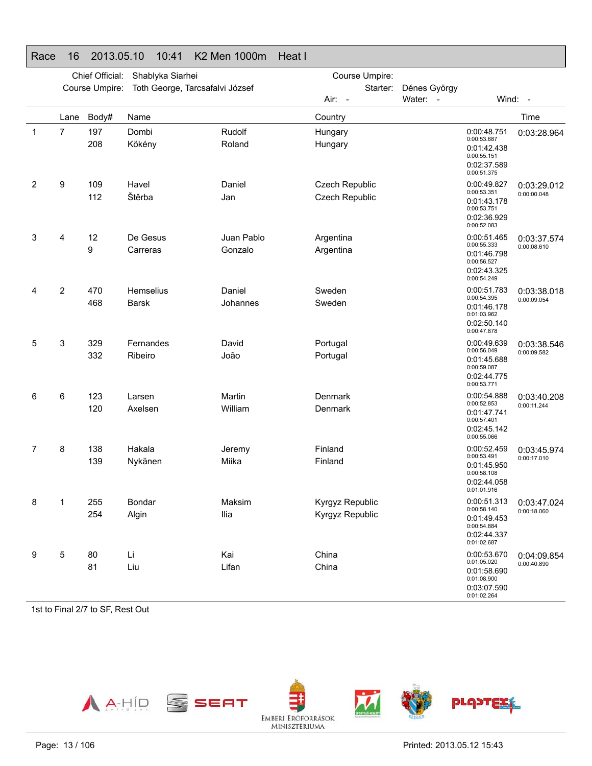|              |                | Chief Official: | Shablyka Siarhei                |            | Course Umpire:  |              |                                                                         |             |
|--------------|----------------|-----------------|---------------------------------|------------|-----------------|--------------|-------------------------------------------------------------------------|-------------|
|              |                | Course Umpire:  | Toth George, Tarcsafalvi József |            | Starter:        | Dénes György |                                                                         |             |
|              |                |                 |                                 |            | Air: -          | Water: -     | Wind: -                                                                 |             |
|              | Lane           | Body#           | Name                            |            | Country         |              |                                                                         | Time        |
| $\mathbf{1}$ | 7              | 197             | Dombi                           | Rudolf     | Hungary         |              | 0:00:48.751                                                             | 0:03:28.964 |
|              |                | 208             | Kökény                          | Roland     | Hungary         |              | 0:00:53.687<br>0:01:42.438<br>0:00:55.151<br>0:02:37.589<br>0:00:51.375 |             |
| 2            | 9              | 109             | Havel                           | Daniel     | Czech Republic  |              | 0:00:49.827                                                             | 0:03:29.012 |
|              |                | 112             | Štěrba                          | Jan        | Czech Republic  |              | 0:00:53.351<br>0:01:43.178<br>0:00:53.751<br>0:02:36.929<br>0:00:52.083 | 0:00:00.048 |
| 3            | 4              | 12              | De Gesus                        | Juan Pablo | Argentina       |              | 0:00:51.465                                                             | 0:03:37.574 |
|              |                | 9               | Carreras                        | Gonzalo    | Argentina       |              | 0:00:55.333<br>0:01:46.798<br>0:00:56.527<br>0:02:43.325<br>0:00:54.249 | 0:00:08.610 |
| 4            | $\overline{c}$ | 470             | Hemselius                       | Daniel     | Sweden          |              | 0:00:51.783                                                             | 0:03:38.018 |
|              |                | 468             | <b>Barsk</b>                    | Johannes   | Sweden          |              | 0:00:54.395<br>0:01:46.178<br>0:01:03.962<br>0:02:50.140                | 0:00:09.054 |
| 5            | 3              | 329             | Fernandes                       | David      | Portugal        |              | 0:00:47.878<br>0:00:49.639                                              | 0:03:38.546 |
|              |                | 332             | Ribeiro                         | João       | Portugal        |              | 0:00:56.049<br>0:01:45.688<br>0:00:59.087<br>0:02:44.775<br>0:00:53.771 | 0:00:09.582 |
| 6            | 6              | 123             | Larsen                          | Martin     | Denmark         |              | 0:00:54.888                                                             | 0:03:40.208 |
|              |                | 120             | Axelsen                         | William    | Denmark         |              | 0:00:52.853<br>0:01:47.741<br>0:00:57.401<br>0:02:45.142<br>0:00:55.066 | 0:00:11.244 |
| 7            | 8              | 138             | Hakala                          | Jeremy     | Finland         |              | 0:00:52.459                                                             | 0:03:45.974 |
|              |                | 139             | Nykänen                         | Miika      | Finland         |              | 0:00:53.491<br>0:01:45.950<br>0:00:58.108<br>0:02:44.058<br>0:01:01.916 | 0:00:17.010 |
| 8            | 1              | 255             | Bondar                          | Maksim     | Kyrgyz Republic |              | 0:00:51.313                                                             | 0:03:47.024 |
|              |                | 254             | Algin                           | llia       | Kyrgyz Republic |              | 0:00:58.140<br>0:01:49.453<br>0:00:54.884<br>0:02:44.337<br>0:01:02.687 | 0:00:18.060 |
| 9            | 5              | 80              | Li                              | Kai        | China           |              | 0:00:53.670                                                             | 0:04:09.854 |
|              |                | 81              | Liu                             | Lifan      | China           |              | 0:01:05.020<br>0:01:58.690<br>0:01:08.900<br>0:03:07.590<br>0:01:02.264 | 0:00:40.890 |

### Race 16 2013.05.10 10:41 K2 Men 1000m Heat I

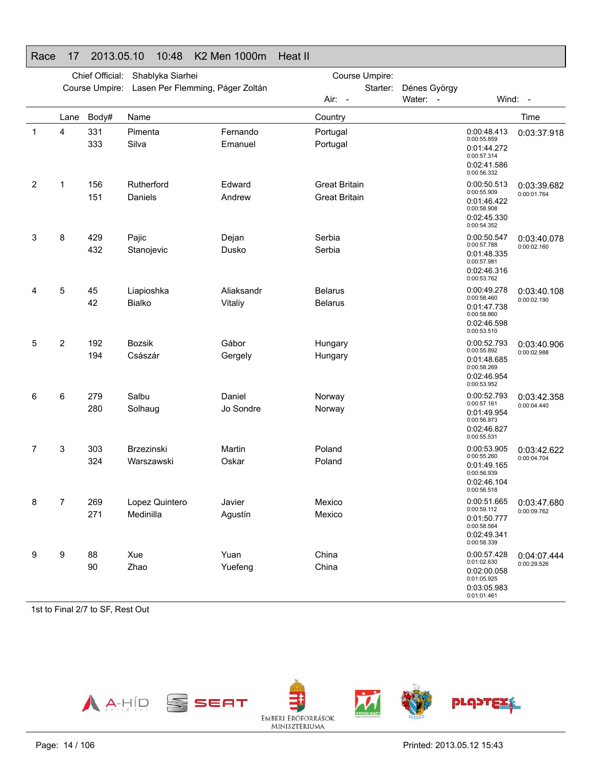#### Race 17 2013.05.10 10:48 K2 Men 1000m Heat IIChief Official: Shablyka Siarhei Course Umpire: Lasen Per Flemming, Páger Zoltán Course Umpire: Starter: Dénes György Air: -Water: - Wind: -Lane Body# Name**Country Country Country Country Country** Time 1 4 331 PimentaFernando Portugal 333 SilvaEmanuel Portugal 0:00:48.413 0:00:55.8590:01:44.272 0:00:57.314 0:02:41.586 0:00:56.3320:03:37.9182 1 156 Rutherford Edward Great Britain 151 Daniels Andrew Great Britain 0:00:50.5130:00:55.9090:01:46.422 0:00:58.9080:02:45.3300:00:54.3520:03:39.682 0:00:01.7643 8 429 PajicDejan Serbia 432 StanojevicDusko Serbia 0:00:50.5470:00:57.788 0:01:48.3350:00:57.9810:02:46.316 0:00:53.762 0:03:40.0780:00:02.1604 5 45 LiapioshkaAliaksandr **Belarus** 42 BialkoVitaliy **Belarus** 0:00:49.278 0:00:58.4600:01:47.7380:00:58.860 0:02:46.598 0:00:53.510 0:03:40.1080:00:02.1905 2 192 BozsikGábor Hungary 194 CsászárGergely **Hungary** 0:00:52.793 0:00:55.8920:01:48.685 0:00:58.2690:02:46.9540:00:53.9520:03:40.906 0:00:02.988 6 6 279 SalbuDaniel Norway 280 SolhaugJo Sondre Norway 0:00:52.793 0:00:57.161 0:01:49.9540:00:56.8730:02:46.8270:00:55.531 0:03:42.358 0:00:04.440 7 3 303 BrzezinskiMartin **Poland** 324 WarszawskiOskar Poland 0:00:53.905 0:00:55.260 0:01:49.1650:00:56.939 0:02:46.1040:00:56.518 0:03:42.622 0:00:04.7048 7 269 Lopez Quintero Javier Mexico 271 Medinilla Agustín Mexico 0:00:51.665 0:00:59.1120:01:50.7770:00:58.564 0:02:49.3410:00:58.3390:03:47.6800:00:09.762 9 9 88 Xue Yuan China 90 ZhaoYuefeng China 0:00:57.428 0:01:02.630 0:02:00.058 0:01:05.925 0:03:05.9830:04:07.4440:00:29.526

1st to Final 2/7 to SF, Rest Out



0:01:01.461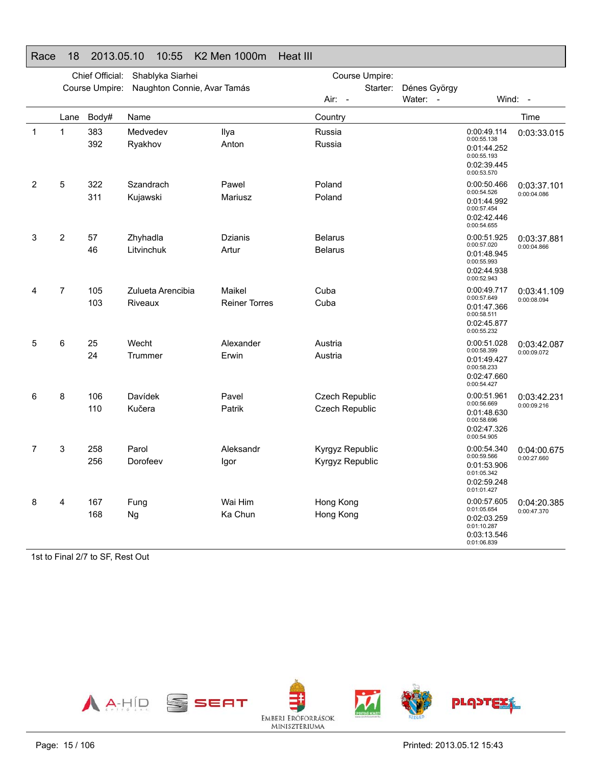|                |                | Chief Official: | Shablyka Siarhei             |                                | Course Umpire:                     |                  |                                                                                        |                            |
|----------------|----------------|-----------------|------------------------------|--------------------------------|------------------------------------|------------------|----------------------------------------------------------------------------------------|----------------------------|
|                |                | Course Umpire:  | Naughton Connie, Avar Tamás  |                                | Starter:                           | Dénes György     |                                                                                        |                            |
|                |                |                 |                              |                                | Air: -                             | Water:<br>$\sim$ | Wind:                                                                                  | $\sim$                     |
|                | Lane           | Body#           | Name                         |                                | Country                            |                  |                                                                                        | Time                       |
| $\mathbf 1$    | 1              | 383<br>392      | Medvedev<br>Ryakhov          | Ilya<br>Anton                  | Russia<br>Russia                   |                  | 0:00:49.114<br>0:00:55.138<br>0:01:44.252<br>0:00:55.193<br>0:02:39.445<br>0:00:53.570 | 0:03:33.015                |
| $\overline{2}$ | 5              | 322<br>311      | Szandrach<br>Kujawski        | Pawel<br>Mariusz               | Poland<br>Poland                   |                  | 0:00:50.466<br>0:00:54.526<br>0:01:44.992<br>0:00:57.454<br>0:02:42.446<br>0:00:54.655 | 0:03:37.101<br>0:00:04.086 |
| 3              | $\overline{2}$ | 57<br>46        | Zhyhadla<br>Litvinchuk       | Dzianis<br>Artur               | <b>Belarus</b><br><b>Belarus</b>   |                  | 0:00:51.925<br>0:00:57.020<br>0:01:48.945<br>0:00:55.993<br>0:02:44.938<br>0:00:52.943 | 0:03:37.881<br>0:00:04.866 |
| 4              | $\overline{7}$ | 105<br>103      | Zulueta Arencibia<br>Riveaux | Maikel<br><b>Reiner Torres</b> | Cuba<br>Cuba                       |                  | 0:00:49.717<br>0:00:57.649<br>0:01:47.366<br>0:00:58.511<br>0:02:45.877<br>0:00:55.232 | 0:03:41.109<br>0:00:08.094 |
| 5              | 6              | 25<br>24        | Wecht<br>Trummer             | Alexander<br>Erwin             | Austria<br>Austria                 |                  | 0:00:51.028<br>0:00:58.399<br>0:01:49.427<br>0:00:58.233<br>0:02:47.660<br>0:00:54.427 | 0:03:42.087<br>0:00:09.072 |
| 6              | 8              | 106<br>110      | Davídek<br>Kučera            | Pavel<br>Patrik                | Czech Republic<br>Czech Republic   |                  | 0:00:51.961<br>0:00:56.669<br>0:01:48.630<br>0:00:58.696<br>0:02:47.326<br>0:00:54.905 | 0:03:42.231<br>0:00:09.216 |
| 7              | 3              | 258<br>256      | Parol<br>Dorofeev            | Aleksandr<br>lgor              | Kyrgyz Republic<br>Kyrgyz Republic |                  | 0:00:54.340<br>0:00:59.566<br>0:01:53.906<br>0:01:05.342<br>0:02:59.248<br>0:01:01.427 | 0:04:00.675<br>0:00:27.660 |
| 8              | 4              | 167<br>168      | Fung<br>Ng                   | Wai Him<br>Ka Chun             | Hong Kong<br>Hong Kong             |                  | 0:00:57.605<br>0:01:05.654<br>0:02:03.259<br>0:01:10.287<br>0:03:13.546<br>0:01:06.839 | 0:04:20.385<br>0:00:47.370 |

#### Race 18 2013.05.10 10:55 K2 Men 1000m Heat III

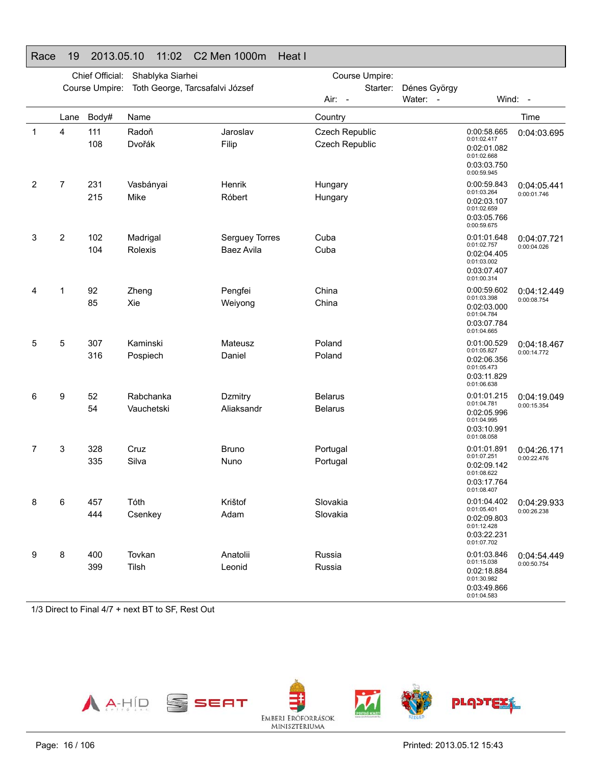#### Race 19 2013.05.10 11:02 C2 Men 1000m Heat IChief Official: Shablyka Siarhei Course Umpire: Toth George, Tarcsafalvi József Course Umpire: Starter: Dénes György Air: Water: - Wind: -Lane Body# Name**Country Country Country Country Country** Time 1 4 111 RadoňJaroslav Czech Republic 108 Dvořák Filip Czech Republic 0:00:58.665 0:01:02.4170:02:01.082 0:01:02.668 0:03:03.750 0:00:59.9450:04:03.6952 7 231 VasbányaiHenrik Hungary 215 MikeRóbert Hungary 0:00:59.8430:01:03.2640:02:03.1070:01:02.6590:03:05.7660:00:59.6750:04:05.4410:00:01.746 3 2 102 MadrigalSerguey Torres Cuba 104 RolexisBaez Avila **Cuba** 0:01:01.648 0:01:02.7570:02:04.4050:01:03.0020:03:07.4070:01:00.314 0:04:07.7210:00:04.0264 1 92 ZhengPengfei China 85 XieWeiyong China 0:00:59.602 0:01:03.3980:02:03.0000:01:04.784 0:03:07.7840:01:04.6650:04:12.4490:00:08.7545 5 307 KaminskiMateusz **Poland** 316 PospiechDaniel Poland 0:01:00.529 0:01:05.8270:02:06.356 0:01:05.473 0:03:11.8290:01:06.6380:04:18.4670:00:14.772 6 9 52 RabchankaDzmitry **Belarus** 54 VauchetskiAliaksandr **Belarus** 0:01:01.215 0:01:04.781 0:02:05.996 0:01:04.9950:03:10.9910:01:08.058 0:04:19.049 0:00:15.354 7 3 328 CruzBruno Portugal 335 SilvaNuno Portugal 0:01:01.8910:01:07.251 0:02:09.1420:01:08.622 0:03:17.7640:01:08.4070:04:26.1710:00:22.4768 6 457 Tóth Krištof Slovakia 444 Csenkey Adam Slovakia 0:01:04.402 0:01:05.4010:02:09.803 0:01:12.4280:03:22.2310:01:07.7020:04:29.933 0:00:26.238 9 8 400 Tovkan Anatolii Russia 399 TilshLeonid Russia 0:01:03.846 0:01:15.038 0:02:18.8840:01:30.982 0:03:49.8660:04:54.4490:00:50.754

1/3 Direct to Final 4/7 + next BT to SF, Rest Out



0:01:04.583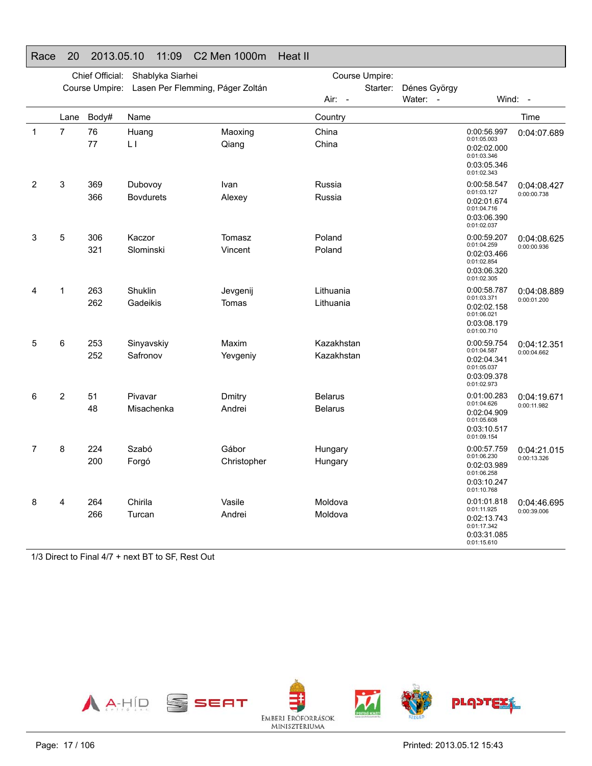#### Race 20 2013.05.10 11:09 C2 Men 1000m Heat II

|              |                | Chief Official: | Shablyka Siarhei                 |                      | Course Umpire:                   |                  |                                                                                        |                            |
|--------------|----------------|-----------------|----------------------------------|----------------------|----------------------------------|------------------|----------------------------------------------------------------------------------------|----------------------------|
|              |                | Course Umpire:  | Lasen Per Flemming, Páger Zoltán |                      | Starter:                         | Dénes György     |                                                                                        |                            |
|              |                |                 |                                  |                      | Air:<br>$\sim$                   | Water:<br>$\sim$ |                                                                                        | Wind: -                    |
|              | Lane           | Body#           | Name                             |                      | Country                          |                  |                                                                                        | Time                       |
| $\mathbf{1}$ | 7              | 76<br>77        | Huang<br>LΙ                      | Maoxing<br>Qiang     | China<br>China                   |                  | 0:00:56.997<br>0:01:05.003<br>0:02:02.000<br>0:01:03.346<br>0:03:05.346<br>0:01:02.343 | 0:04:07.689                |
| 2            | 3              | 369<br>366      | Dubovoy<br><b>Bovdurets</b>      | Ivan<br>Alexey       | Russia<br>Russia                 |                  | 0:00:58.547<br>0:01:03.127<br>0:02:01.674<br>0:01:04.716<br>0:03:06.390<br>0:01:02.037 | 0:04:08.427<br>0:00:00.738 |
| 3            | 5              | 306<br>321      | Kaczor<br>Slominski              | Tomasz<br>Vincent    | Poland<br>Poland                 |                  | 0:00:59.207<br>0:01:04.259<br>0:02:03.466<br>0:01:02.854<br>0:03:06.320<br>0:01:02.305 | 0:04:08.625<br>0:00:00.936 |
| 4            | 1              | 263<br>262      | Shuklin<br>Gadeikis              | Jevgenij<br>Tomas    | Lithuania<br>Lithuania           |                  | 0:00:58.787<br>0:01:03.371<br>0:02:02.158<br>0:01:06.021<br>0:03:08.179<br>0:01:00.710 | 0:04:08.889<br>0:00:01.200 |
| 5            | 6              | 253<br>252      | Sinyavskiy<br>Safronov           | Maxim<br>Yevgeniy    | Kazakhstan<br>Kazakhstan         |                  | 0:00:59.754<br>0:01:04.587<br>0:02:04.341<br>0:01:05.037<br>0:03:09.378<br>0:01:02.973 | 0:04:12.351<br>0:00:04.662 |
| 6            | $\overline{2}$ | 51<br>48        | Pivavar<br>Misachenka            | Dmitry<br>Andrei     | <b>Belarus</b><br><b>Belarus</b> |                  | 0:01:00.283<br>0:01:04.626<br>0:02:04.909<br>0:01:05.608<br>0:03:10.517<br>0:01:09.154 | 0:04:19.671<br>0:00:11.982 |
| 7            | 8              | 224<br>200      | Szabó<br>Forgó                   | Gábor<br>Christopher | Hungary<br>Hungary               |                  | 0:00:57.759<br>0:01:06.230<br>0:02:03.989<br>0:01:06.258<br>0:03:10.247<br>0:01:10.768 | 0:04:21.015<br>0:00:13.326 |
| 8            | 4              | 264<br>266      | Chirila<br>Turcan                | Vasile<br>Andrei     | Moldova<br>Moldova               |                  | 0:01:01.818<br>0:01:11.925<br>0:02:13.743<br>0:01:17.342<br>0:03:31.085<br>0:01:15.610 | 0:04:46.695<br>0:00:39.006 |

1/3 Direct to Final 4/7 + next BT to SF, Rest Out

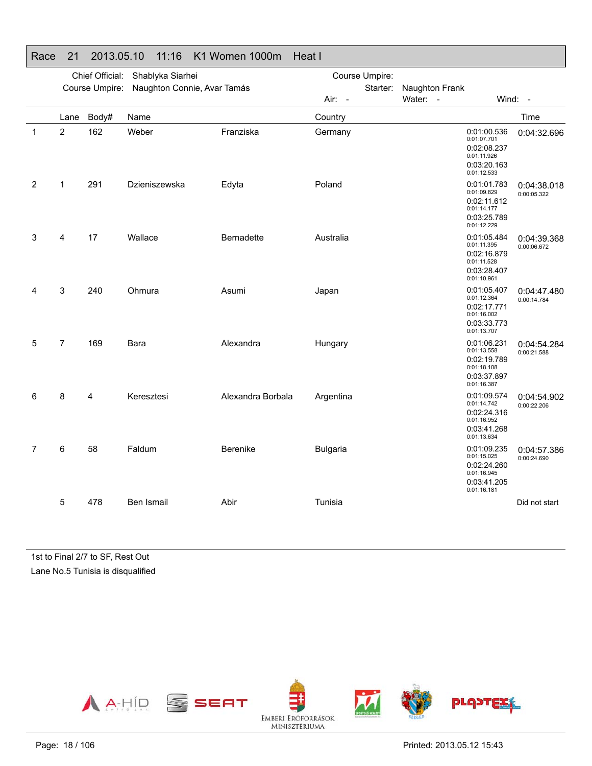|   |                | Chief Official: | Shablyka Siarhei            |                   | Course Umpire:  |                |                                                                                        |                            |
|---|----------------|-----------------|-----------------------------|-------------------|-----------------|----------------|----------------------------------------------------------------------------------------|----------------------------|
|   |                | Course Umpire:  | Naughton Connie, Avar Tamás |                   | Starter:        | Naughton Frank |                                                                                        |                            |
|   |                |                 |                             |                   | Air: -          | Water: -       |                                                                                        | Wind: -                    |
|   | Lane           | Body#           | Name                        |                   | Country         |                |                                                                                        | Time                       |
| 1 | $\overline{2}$ | 162             | Weber                       | Franziska         | Germany         |                | 0:01:00.536<br>0:01:07.701<br>0:02:08.237<br>0:01:11.926<br>0:03:20.163<br>0:01:12.533 | 0:04:32.696                |
| 2 | 1              | 291             | Dzieniszewska               | Edyta             | Poland          |                | 0:01:01.783<br>0:01:09.829<br>0:02:11.612<br>0:01:14.177<br>0:03:25.789<br>0:01:12.229 | 0:04:38.018<br>0:00:05.322 |
| 3 | 4              | 17              | Wallace                     | Bernadette        | Australia       |                | 0:01:05.484<br>0:01:11.395<br>0:02:16.879<br>0:01:11.528<br>0:03:28.407<br>0:01:10.961 | 0:04:39.368<br>0:00:06.672 |
| 4 | 3              | 240             | Ohmura                      | Asumi             | Japan           |                | 0:01:05.407<br>0:01:12.364<br>0:02:17.771<br>0:01:16.002<br>0:03:33.773<br>0:01:13.707 | 0:04:47.480<br>0:00:14.784 |
| 5 | $\overline{7}$ | 169             | Bara                        | Alexandra         | Hungary         |                | 0:01:06.231<br>0:01:13.558<br>0:02:19.789<br>0:01:18.108<br>0:03:37.897<br>0:01:16.387 | 0:04:54.284<br>0:00:21.588 |
| 6 | 8              | 4               | Keresztesi                  | Alexandra Borbala | Argentina       |                | 0:01:09.574<br>0:01:14.742<br>0:02:24.316<br>0:01:16.952<br>0:03:41.268<br>0:01:13.634 | 0:04:54.902<br>0:00:22.206 |
| 7 | 6              | 58              | Faldum                      | Berenike          | <b>Bulgaria</b> |                | 0:01:09.235<br>0:01:15.025<br>0:02:24.260<br>0:01:16.945<br>0:03:41.205<br>0:01:16.181 | 0:04:57.386<br>0:00:24.690 |
|   | 5              | 478             | Ben Ismail                  | Abir              | Tunisia         |                |                                                                                        | Did not start              |

#### Race 21 2013.05.10 11:16 K1 Women 1000m Heat I

1st to Final 2/7 to SF, Rest Out Lane No.5 Tunisia is disqualified

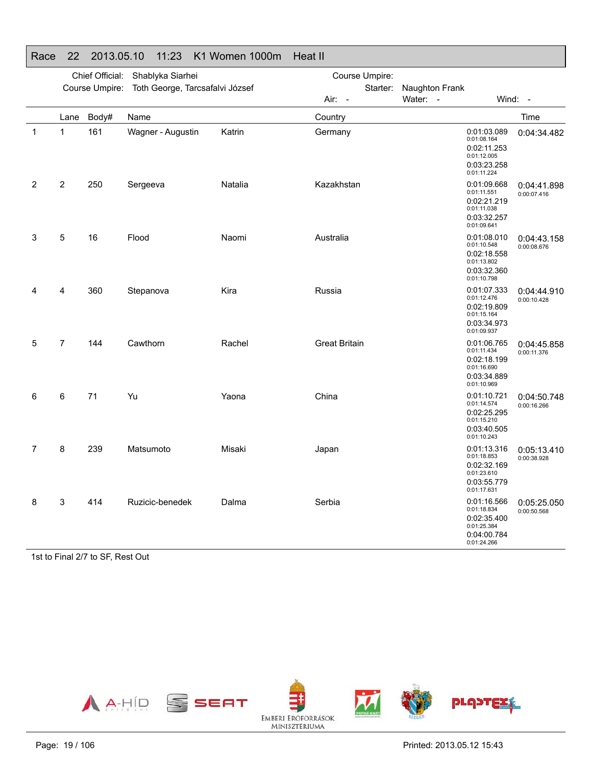|             |                | Chief Official: | Shablyka Siarhei                |         | Course Umpire:       |                                                                                        |                            |  |  |
|-------------|----------------|-----------------|---------------------------------|---------|----------------------|----------------------------------------------------------------------------------------|----------------------------|--|--|
|             |                | Course Umpire:  | Toth George, Tarcsafalvi József |         | Starter:             | Naughton Frank                                                                         |                            |  |  |
|             |                |                 |                                 |         | Air: -               | Water: -                                                                               | Wind: -                    |  |  |
|             | Lane           | Body#           | Name                            |         | Country              |                                                                                        | Time                       |  |  |
| $\mathbf 1$ | 1              | 161             | Wagner - Augustin               | Katrin  | Germany              | 0:01:03.089<br>0:01:08.164<br>0:02:11.253<br>0:01:12.005<br>0:03:23.258<br>0:01:11.224 | 0:04:34.482                |  |  |
| 2           | 2              | 250             | Sergeeva                        | Natalia | Kazakhstan           | 0:01:09.668<br>0:01:11.551<br>0:02:21.219<br>0:01:11.038<br>0:03:32.257<br>0:01:09.641 | 0:04:41.898<br>0:00:07.416 |  |  |
| 3           | 5              | 16              | Flood                           | Naomi   | Australia            | 0:01:08.010<br>0:01:10.548<br>0:02:18.558<br>0:01:13.802<br>0:03:32.360<br>0:01:10.798 | 0:04:43.158<br>0:00:08.676 |  |  |
| 4           | 4              | 360             | Stepanova                       | Kira    | Russia               | 0:01:07.333<br>0:01:12.476<br>0:02:19.809<br>0:01:15.164<br>0:03:34.973<br>0:01:09.937 | 0:04:44.910<br>0:00:10.428 |  |  |
| 5           | $\overline{7}$ | 144             | Cawthorn                        | Rachel  | <b>Great Britain</b> | 0:01:06.765<br>0:01:11.434<br>0:02:18.199<br>0:01:16.690<br>0:03:34.889<br>0:01:10.969 | 0:04:45.858<br>0:00:11.376 |  |  |
| 6           | 6              | 71              | Yu                              | Yaona   | China                | 0:01:10.721<br>0:01:14.574<br>0:02:25.295<br>0:01:15.210<br>0:03:40.505<br>0:01:10.243 | 0:04:50.748<br>0:00:16.266 |  |  |
| 7           | 8              | 239             | Matsumoto                       | Misaki  | Japan                | 0:01:13.316<br>0:01:18.853<br>0:02:32.169<br>0:01:23.610<br>0:03:55.779<br>0:01:17.631 | 0:05:13.410<br>0:00:38.928 |  |  |
| 8           | 3              | 414             | Ruzicic-benedek                 | Dalma   | Serbia               | 0:01:16.566<br>0:01:18.834<br>0:02:35.400<br>0:01:25.384<br>0:04:00.784<br>0:01:24.266 | 0:05:25.050<br>0:00:50.568 |  |  |

#### Race 22 2013.05.10 11:23 K1 Women 1000m Heat II

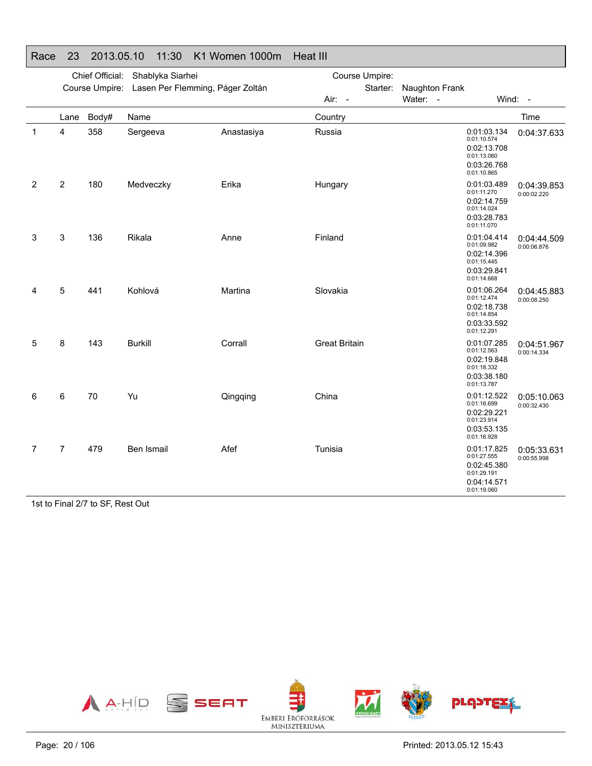|   |                | Chief Official: | Shablyka Siarhei                 |            | Course Umpire:       |                |                                                                                        |                            |  |
|---|----------------|-----------------|----------------------------------|------------|----------------------|----------------|----------------------------------------------------------------------------------------|----------------------------|--|
|   |                | Course Umpire:  | Lasen Per Flemming, Páger Zoltán |            | Starter:             | Naughton Frank |                                                                                        |                            |  |
|   |                |                 |                                  |            | Air: -               | Water: -       |                                                                                        | Wind: -                    |  |
|   | Lane           | Body#           | Name                             |            | Country              |                |                                                                                        | Time                       |  |
| 1 | 4              | 358             | Sergeeva                         | Anastasiya | Russia               |                | 0:01:03.134<br>0:01:10.574<br>0:02:13.708<br>0:01:13.060<br>0:03:26.768<br>0:01:10.865 | 0:04:37.633                |  |
| 2 | $\overline{c}$ | 180             | Medveczky                        | Erika      | Hungary              |                | 0:01:03.489<br>0:01:11.270<br>0:02:14.759<br>0:01:14.024<br>0:03:28.783<br>0:01:11.070 | 0:04:39.853<br>0:00:02.220 |  |
| 3 | 3              | 136             | Rikala                           | Anne       | Finland              |                | 0:01:04.414<br>0:01:09.982<br>0:02:14.396<br>0:01:15.445<br>0:03:29.841<br>0:01:14.668 | 0:04:44.509<br>0:00:06.876 |  |
| 4 | 5              | 441             | Kohlová                          | Martina    | Slovakia             |                | 0:01:06.264<br>0:01:12.474<br>0:02:18.738<br>0:01:14.854<br>0:03:33.592<br>0:01:12.291 | 0:04:45.883<br>0:00:08.250 |  |
| 5 | 8              | 143             | <b>Burkill</b>                   | Corrall    | <b>Great Britain</b> |                | 0:01:07.285<br>0:01:12.563<br>0:02:19.848<br>0:01:18.332<br>0:03:38.180<br>0:01:13.787 | 0:04:51.967<br>0:00:14.334 |  |
| 6 | 6              | 70              | Yu                               | Qingqing   | China                |                | 0:01:12.522<br>0:01:16.699<br>0:02:29.221<br>0:01:23.914<br>0:03:53.135<br>0:01:16.928 | 0:05:10.063<br>0:00:32.430 |  |
| 7 | $\overline{7}$ | 479             | Ben Ismail                       | Afef       | Tunisia              |                | 0:01:17.825<br>0:01:27.555<br>0:02:45.380<br>0:01:29.191<br>0:04:14.571<br>0:01:19.060 | 0:05:33.631<br>0:00:55.998 |  |

### Race 23 2013.05.10 11:30 K1 Women 1000m Heat III

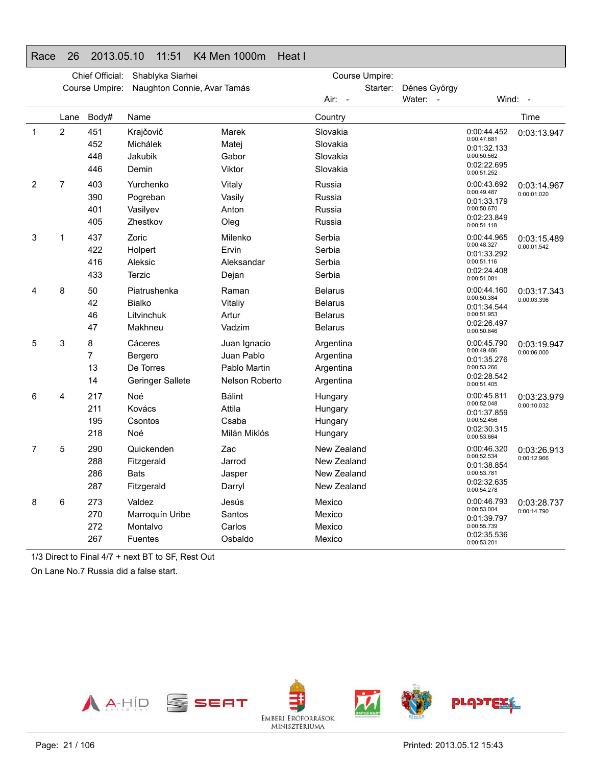### Race 26 2013.05.10 11:51 K4 Men 1000m Heat I

|              |                | Chief Official:          | Shablyka Siarhei                                           |                                                              |                                                               | Course Umpire: |              |                                                                                        |                            |
|--------------|----------------|--------------------------|------------------------------------------------------------|--------------------------------------------------------------|---------------------------------------------------------------|----------------|--------------|----------------------------------------------------------------------------------------|----------------------------|
|              |                | Course Umpire:           | Naughton Connie, Avar Tamás                                |                                                              |                                                               | Starter:       | Dénes György |                                                                                        |                            |
|              |                |                          |                                                            |                                                              | Air: -                                                        |                | Water: -     | Wind:                                                                                  | $\sim$                     |
|              | Lane           | Body#                    | Name                                                       |                                                              | Country                                                       |                |              |                                                                                        | Time                       |
| $\mathbf{1}$ | $\overline{c}$ | 451<br>452               | Krajčovič<br>Michálek                                      | Marek<br>Matej                                               | Slovakia<br>Slovakia                                          |                |              | 0:00:44.452<br>0:00:47.681<br>0:01:32.133                                              | 0:03:13.947                |
|              |                | 448<br>446               | Jakubik<br>Demin                                           | Gabor<br>Viktor                                              | Slovakia<br>Slovakia                                          |                |              | 0:00:50.562<br>0:02:22.695<br>0:00:51.252                                              |                            |
| 2            | 7              | 403<br>390<br>401<br>405 | Yurchenko<br>Pogreban<br>Vasilyev<br>Zhestkov              | Vitaly<br>Vasily<br>Anton<br>Oleg                            | Russia<br>Russia<br>Russia<br>Russia                          |                |              | 0:00:43.692<br>0:00:49.487<br>0:01:33.179<br>0:00:50.670<br>0:02:23.849<br>0:00:51.118 | 0:03:14.967<br>0:00:01.020 |
| 3            | 1              | 437<br>422<br>416<br>433 | Zoric<br>Holpert<br>Aleksic<br>Terzic                      | Milenko<br>Ervin<br>Aleksandar<br>Dejan                      | Serbia<br>Serbia<br>Serbia<br>Serbia                          |                |              | 0:00:44.965<br>0:00:48.327<br>0:01:33.292<br>0:00:51.116<br>0:02:24.408<br>0:00:51.081 | 0:03:15.489<br>0:00:01.542 |
| 4            | 8              | 50<br>42<br>46<br>47     | Piatrushenka<br><b>Bialko</b><br>Litvinchuk<br>Makhneu     | Raman<br>Vitaliy<br>Artur<br>Vadzim                          | Belarus<br><b>Belarus</b><br><b>Belarus</b><br><b>Belarus</b> |                |              | 0:00:44.160<br>0:00:50.384<br>0:01:34.544<br>0:00:51.953<br>0:02:26.497<br>0:00:50.846 | 0:03:17.343<br>0:00:03.396 |
| 5            | 3              | 8<br>7<br>13<br>14       | Cáceres<br>Bergero<br>De Torres<br><b>Geringer Sallete</b> | Juan Ignacio<br>Juan Pablo<br>Pablo Martin<br>Nelson Roberto | Argentina<br>Argentina<br>Argentina<br>Argentina              |                |              | 0:00:45.790<br>0:00:49.486<br>0:01:35.276<br>0:00:53.266<br>0:02:28.542<br>0:00:51.405 | 0:03:19.947<br>0:00:06.000 |
| 6            | 4              | 217<br>211<br>195<br>218 | Noé<br>Kovács<br>Csontos<br>Noé                            | <b>Bálint</b><br>Attila<br>Csaba<br>Milán Miklós             | Hungary<br>Hungary<br>Hungary<br>Hungary                      |                |              | 0:00:45.811<br>0:00:52.048<br>0:01:37.859<br>0:00:52.456<br>0:02:30.315<br>0:00:53.664 | 0:03:23.979<br>0:00:10.032 |
| 7            | 5              | 290<br>288<br>286<br>287 | Quickenden<br>Fitzgerald<br><b>Bats</b><br>Fitzgerald      | Zac<br>Jarrod<br>Jasper<br>Darryl                            | New Zealand<br>New Zealand<br>New Zealand<br>New Zealand      |                |              | 0:00:46.320<br>0:00:52.534<br>0:01:38.854<br>0:00:53.781<br>0:02:32.635<br>0:00:54.278 | 0:03:26.913<br>0:00:12.966 |
| 8            | 6              | 273<br>270<br>272<br>267 | Valdez<br>Marroquín Uribe<br>Montalvo<br><b>Fuentes</b>    | Jesús<br>Santos<br>Carlos<br>Osbaldo                         | Mexico<br>Mexico<br>Mexico<br>Mexico                          |                |              | 0:00:46.793<br>0:00:53.004<br>0:01:39.797<br>0:00:55.739<br>0:02:35.536<br>0:00:53.201 | 0:03:28.737<br>0:00:14.790 |

1/3 Direct to Final 4/7 + next BT to SF, Rest Out

On Lane No.7 Russia did a false start.

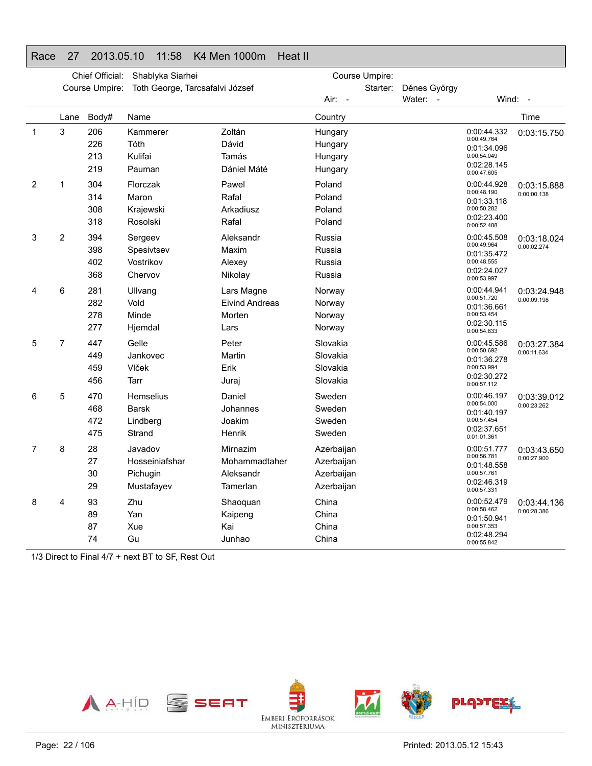### Race 27 2013.05.10 11:58 K4 Men 1000m Heat II

|              |                | Chief Official:          | Shablyka Siarhei                                    |                                                       | Course Umpire:                                       |          |                          |                                                                                        |                            |
|--------------|----------------|--------------------------|-----------------------------------------------------|-------------------------------------------------------|------------------------------------------------------|----------|--------------------------|----------------------------------------------------------------------------------------|----------------------------|
|              |                | Course Umpire:           | Toth George, Tarcsafalvi József                     |                                                       | Air: -                                               | Starter: | Dénes György<br>Water: - | Wind:                                                                                  | $\sim$                     |
|              | Lane           | Body#                    | Name                                                |                                                       | Country                                              |          |                          |                                                                                        | Time                       |
| $\mathbf{1}$ | 3              | 206<br>226<br>213<br>219 | Kammerer<br>Tóth<br>Kulifai<br>Pauman               | Zoltán<br>Dávid<br>Tamás<br>Dániel Máté               | Hungary<br>Hungary<br>Hungary<br>Hungary             |          |                          | 0:00:44.332<br>0:00:49.764<br>0:01:34.096<br>0:00:54.049<br>0:02:28.145<br>0:00:47.605 | 0:03:15.750                |
| 2            | 1              | 304<br>314<br>308<br>318 | Florczak<br>Maron<br>Krajewski<br>Rosolski          | Pawel<br>Rafal<br>Arkadiusz<br>Rafal                  | Poland<br>Poland<br>Poland<br>Poland                 |          |                          | 0:00:44.928<br>0:00:48.190<br>0:01:33.118<br>0:00:50.282<br>0:02:23.400<br>0:00:52.488 | 0:03:15.888<br>0:00:00.138 |
| 3            | $\overline{2}$ | 394<br>398<br>402<br>368 | Sergeev<br>Spesivtsev<br>Vostrikov<br>Chervov       | Aleksandr<br>Maxim<br>Alexey<br>Nikolay               | Russia<br>Russia<br>Russia<br>Russia                 |          |                          | 0:00:45.508<br>0:00:49.964<br>0:01:35.472<br>0:00:48.555<br>0:02:24.027<br>0:00:53.997 | 0:03:18.024<br>0:00:02.274 |
| 4            | 6              | 281<br>282<br>278<br>277 | Ullvang<br>Vold<br>Minde<br>Hjemdal                 | Lars Magne<br><b>Eivind Andreas</b><br>Morten<br>Lars | Norway<br>Norway<br>Norway<br>Norway                 |          |                          | 0:00:44.941<br>0:00:51.720<br>0:01:36.661<br>0:00:53.454<br>0:02:30.115<br>0:00:54.833 | 0:03:24.948<br>0:00:09.198 |
| 5            | $\overline{7}$ | 447<br>449<br>459<br>456 | Gelle<br>Jankovec<br>Vlček<br>Tarr                  | Peter<br>Martin<br>Erik<br>Juraj                      | Slovakia<br>Slovakia<br>Slovakia<br>Slovakia         |          |                          | 0:00:45.586<br>0:00:50.692<br>0:01:36.278<br>0:00:53.994<br>0:02:30.272<br>0:00:57.112 | 0:03:27.384<br>0:00:11.634 |
| 6            | 5              | 470<br>468<br>472<br>475 | <b>Hemselius</b><br>Barsk<br>Lindberg<br>Strand     | Daniel<br>Johannes<br>Joakim<br>Henrik                | Sweden<br>Sweden<br>Sweden<br>Sweden                 |          |                          | 0:00:46.197<br>0:00:54.000<br>0:01:40.197<br>0:00:57.454<br>0:02:37.651<br>0:01:01.361 | 0:03:39.012<br>0:00:23.262 |
| 7            | 8              | 28<br>27<br>30<br>29     | Javadov<br>Hosseiniafshar<br>Pichugin<br>Mustafayev | Mirnazim<br>Mohammadtaher<br>Aleksandr<br>Tamerlan    | Azerbaijan<br>Azerbaijan<br>Azerbaijan<br>Azerbaijan |          |                          | 0:00:51.777<br>0:00:56.781<br>0:01:48.558<br>0:00:57.761<br>0:02:46.319<br>0:00:57.331 | 0:03:43.650<br>0:00:27.900 |
| 8            | 4              | 93<br>89<br>87<br>74     | Zhu<br>Yan<br>Xue<br>Gu                             | Shaoquan<br>Kaipeng<br>Kai<br>Junhao                  | China<br>China<br>China<br>China                     |          |                          | 0:00:52.479<br>0:00:58.462<br>0:01:50.941<br>0:00:57.353<br>0:02:48.294<br>0:00:55.842 | 0:03:44.136<br>0:00:28.386 |

1/3 Direct to Final 4/7 + next BT to SF, Rest Out

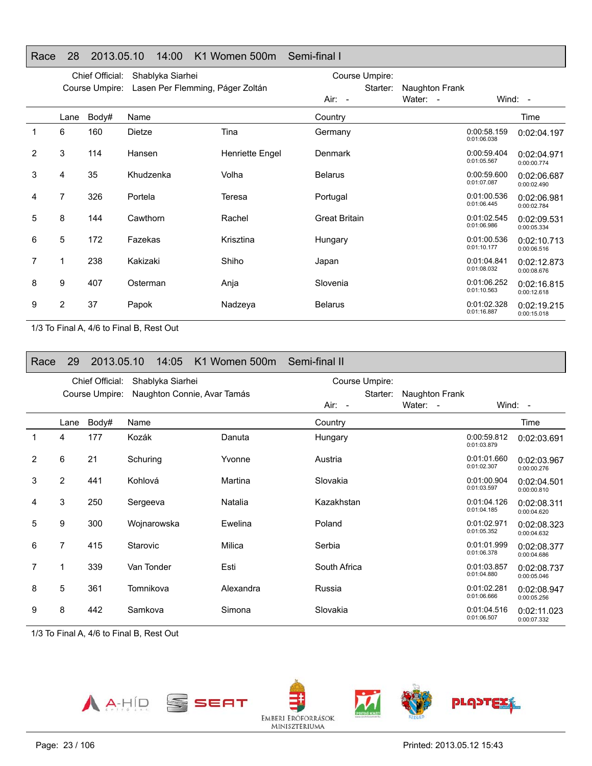#### Race 28 2013.05.10 14:00 K1 Women 500m Semi-final I

|                | Chief Official:<br>Shablyka Siarhei |                |                                  | Course Umpire:  |                      |                |                            |                            |
|----------------|-------------------------------------|----------------|----------------------------------|-----------------|----------------------|----------------|----------------------------|----------------------------|
|                |                                     | Course Umpire: | Lasen Per Flemming, Páger Zoltán |                 | Starter:             | Naughton Frank |                            |                            |
|                |                                     |                |                                  |                 | Air: -               | Water: -       |                            | Wind: -                    |
|                | Lane                                | Body#          | Name                             |                 | Country              |                |                            | Time                       |
| $\mathbf{1}$   | 6                                   | 160            | Dietze                           | Tina            | Germany              |                | 0:00:58.159<br>0:01:06.038 | 0:02:04.197                |
| 2              | 3                                   | 114            | Hansen                           | Henriette Engel | Denmark              |                | 0:00:59.404<br>0:01:05.567 | 0:02:04.971<br>0:00:00.774 |
| 3              | 4                                   | 35             | Khudzenka                        | Volha           | <b>Belarus</b>       |                | 0:00:59.600<br>0:01:07.087 | 0:02:06.687<br>0:00:02.490 |
| 4              | 7                                   | 326            | Portela                          | Teresa          | Portugal             |                | 0:01:00.536<br>0:01:06.445 | 0:02:06.981<br>0:00:02.784 |
| 5              | 8                                   | 144            | Cawthorn                         | Rachel          | <b>Great Britain</b> |                | 0:01:02.545<br>0:01:06.986 | 0:02:09.531<br>0:00:05.334 |
| 6              | 5                                   | 172            | Fazekas                          | Krisztina       | Hungary              |                | 0:01:00.536<br>0:01:10.177 | 0:02:10.713<br>0:00:06.516 |
| $\overline{7}$ | 1                                   | 238            | Kakizaki                         | Shiho           | Japan                |                | 0:01:04.841<br>0:01:08.032 | 0:02:12.873<br>0:00:08.676 |
| 8              | 9                                   | 407            | Osterman                         | Anja            | Slovenia             |                | 0:01:06.252<br>0:01:10.563 | 0:02:16.815<br>0:00:12.618 |
| 9              | $\overline{2}$                      | 37             | Papok                            | Nadzeya         | <b>Belarus</b>       |                | 0:01:02.328<br>0:01:16.887 | 0:02:19.215<br>0:00:15.018 |

1/3 To Final A, 4/6 to Final B, Rest Out

| Race | 29   | 2013.05.10      |            | 14:05            | K1 Women 500m               | Semi-final II |                |                |                            |                            |
|------|------|-----------------|------------|------------------|-----------------------------|---------------|----------------|----------------|----------------------------|----------------------------|
|      |      | Chief Official: |            | Shablyka Siarhei |                             |               | Course Umpire: |                |                            |                            |
|      |      | Course Umpire:  |            |                  | Naughton Connie, Avar Tamás |               | Starter:       | Naughton Frank |                            |                            |
|      |      |                 |            |                  |                             | $Air: -$      |                | Water: -       |                            | Wind: $-$                  |
|      | Lane | Body#           | Name       |                  |                             | Country       |                |                |                            | Time                       |
| 1    | 4    | 177             | Kozák      |                  | Danuta                      | Hungary       |                |                | 0:00:59.812<br>0:01:03.879 | 0:02:03.691                |
| 2    | 6    | 21              | Schuring   |                  | Yvonne                      | Austria       |                |                | 0:01:01.660<br>0:01:02.307 | 0:02:03.967<br>0:00:00.276 |
| 3    | 2    | 441             | Kohlová    |                  | Martina                     | Slovakia      |                |                | 0:01:00.904<br>0:01:03.597 | 0:02:04.501<br>0:00:00.810 |
| 4    | 3    | 250             | Sergeeva   |                  | Natalia                     | Kazakhstan    |                |                | 0:01:04.126<br>0:01:04.185 | 0:02:08.311<br>0:00:04.620 |
| 5    | 9    | 300             |            | Wojnarowska      | Ewelina                     | Poland        |                |                | 0:01:02.971<br>0:01:05.352 | 0:02:08.323<br>0:00:04.632 |
| 6    | 7    | 415             | Starovic   |                  | Milica                      | Serbia        |                |                | 0:01:01.999<br>0:01:06.378 | 0:02:08.377<br>0:00:04.686 |
| 7    |      | 339             | Van Tonder |                  | Esti                        | South Africa  |                |                | 0:01:03.857<br>0:01:04.880 | 0:02:08.737<br>0:00:05.046 |
| 8    | 5    | 361             | Tomnikova  |                  | Alexandra                   | Russia        |                |                | 0:01:02.281<br>0:01:06.666 | 0:02:08.947<br>0:00:05.256 |
| 9    | 8    | 442             | Samkova    |                  | Simona                      | Slovakia      |                |                | 0:01:04.516<br>0:01:06.507 | 0:02:11.023<br>0:00:07.332 |

1/3 To Final A, 4/6 to Final B, Rest Out

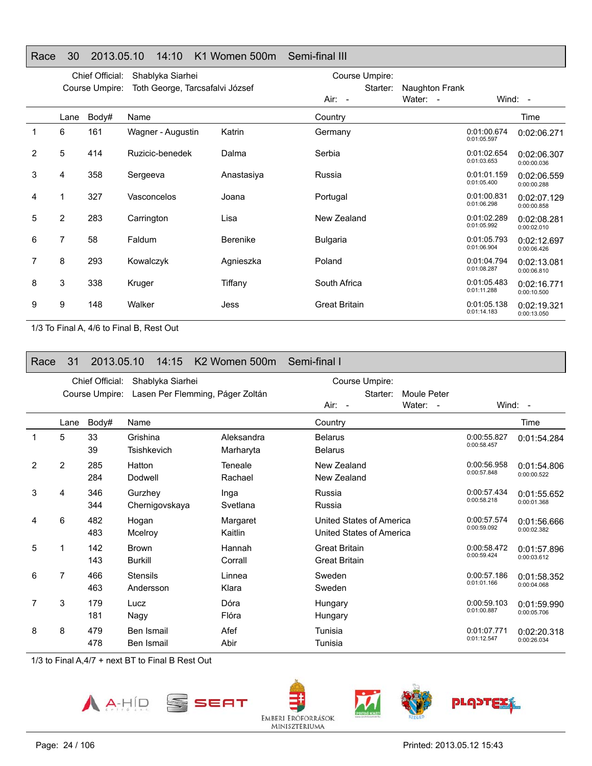#### Race 30 2013.05.10 14:10 K1 Women 500m Semi-final III

|                |                | Chief Official: | Shablyka Siarhei                |                 | Course Umpire:       |                |                            |                            |
|----------------|----------------|-----------------|---------------------------------|-----------------|----------------------|----------------|----------------------------|----------------------------|
|                |                | Course Umpire:  | Toth George, Tarcsafalvi József |                 | Starter:             | Naughton Frank |                            |                            |
|                |                |                 |                                 |                 | Air: -               | Water: -       |                            | Wind: $-$                  |
|                | Lane           | Body#           | Name                            |                 | Country              |                |                            | Time                       |
| 1              | 6              | 161             | Wagner - Augustin               | Katrin          | Germany              |                | 0:01:00.674<br>0:01:05.597 | 0:02:06.271                |
| $\overline{2}$ | 5              | 414             | Ruzicic-benedek                 | Dalma           | Serbia               |                | 0:01:02.654<br>0:01:03.653 | 0:02:06.307<br>0:00:00.036 |
| 3              | 4              | 358             | Sergeeva                        | Anastasiya      | Russia               |                | 0:01:01.159<br>0:01:05.400 | 0:02:06.559<br>0:00:00.288 |
| 4              |                | 327             | Vasconcelos                     | Joana           | Portugal             |                | 0:01:00.831<br>0:01:06.298 | 0:02:07.129<br>0:00:00.858 |
| 5              | $\overline{2}$ | 283             | Carrington                      | Lisa            | New Zealand          |                | 0:01:02.289<br>0:01:05.992 | 0:02:08.281<br>0:00:02.010 |
| 6              | 7              | 58              | Faldum                          | <b>Berenike</b> | <b>Bulgaria</b>      |                | 0:01:05.793<br>0:01:06.904 | 0:02:12.697<br>0:00:06.426 |
| 7              | 8              | 293             | Kowalczyk                       | Agnieszka       | Poland               |                | 0:01:04.794<br>0:01:08.287 | 0:02:13.081<br>0:00:06.810 |
| 8              | 3              | 338             | Kruger                          | Tiffany         | South Africa         |                | 0:01:05.483<br>0:01:11.288 | 0:02:16.771<br>0:00:10.500 |
| 9              | 9              | 148             | Walker                          | Jess            | <b>Great Britain</b> |                | 0:01:05.138<br>0:01:14.183 | 0:02:19.321<br>0:00:13.050 |

1/3 To Final A, 4/6 to Final B, Rest Out

| Race | 31   | 2013.05.10                        | 14:15                          | K <sub>2</sub> Women 500m        | Semi-final I                                                      |                                                          |
|------|------|-----------------------------------|--------------------------------|----------------------------------|-------------------------------------------------------------------|----------------------------------------------------------|
|      |      | Chief Official:<br>Course Umpire: | Shablyka Siarhei               | Lasen Per Flemming, Páger Zoltán | Course Umpire:<br>Starter:<br>Moule Peter<br>Water: -<br>$Air: -$ | Wind: -                                                  |
|      | Lane | Body#                             | Name                           |                                  | Country                                                           | Time                                                     |
| 1    | 5    | 33<br>39                          | Grishina<br>Tsishkevich        | Aleksandra<br>Marharyta          | <b>Belarus</b><br><b>Belarus</b>                                  | 0:00:55.827<br>0:01:54.284<br>0:00:58.457                |
| 2    | 2    | 285<br>284                        | Hatton<br>Dodwell              | Teneale<br>Rachael               | New Zealand<br>New Zealand                                        | 0:00:56.958<br>0:01:54.806<br>0:00:57.848<br>0:00:00.522 |
| 3    | 4    | 346<br>344                        | Gurzhey<br>Chernigovskaya      | Inga<br>Svetlana                 | Russia<br>Russia                                                  | 0:00:57.434<br>0:01:55.652<br>0:00:58.218<br>0:00:01.368 |
| 4    | 6    | 482<br>483                        | Hogan<br>Mcelroy               | Margaret<br>Kaitlin              | United States of America<br>United States of America              | 0:00:57.574<br>0:01:56.666<br>0:00:59.092<br>0:00:02.382 |
| 5    |      | 142<br>143                        | <b>Brown</b><br><b>Burkill</b> | Hannah<br>Corrall                | <b>Great Britain</b><br><b>Great Britain</b>                      | 0:00:58.472<br>0:01:57.896<br>0:00:59.424<br>0:00:03.612 |
| 6    | 7    | 466<br>463                        | <b>Stensils</b><br>Andersson   | Linnea<br>Klara                  | Sweden<br>Sweden                                                  | 0:00:57.186<br>0:01:58.352<br>0:01:01.166<br>0:00:04.068 |
|      | 3    | 179<br>181                        | Lucz<br>Nagy                   | Dóra<br>Flóra                    | Hungary<br>Hungary                                                | 0:00:59.103<br>0:01:59.990<br>0:01:00.887<br>0:00:05.706 |
| 8    | 8    | 479<br>478                        | Ben Ismail<br>Ben Ismail       | Afef<br>Abir                     | Tunisia<br>Tunisia                                                | 0:01:07.771<br>0:02:20.318<br>0:01:12.547<br>0:00:26.034 |





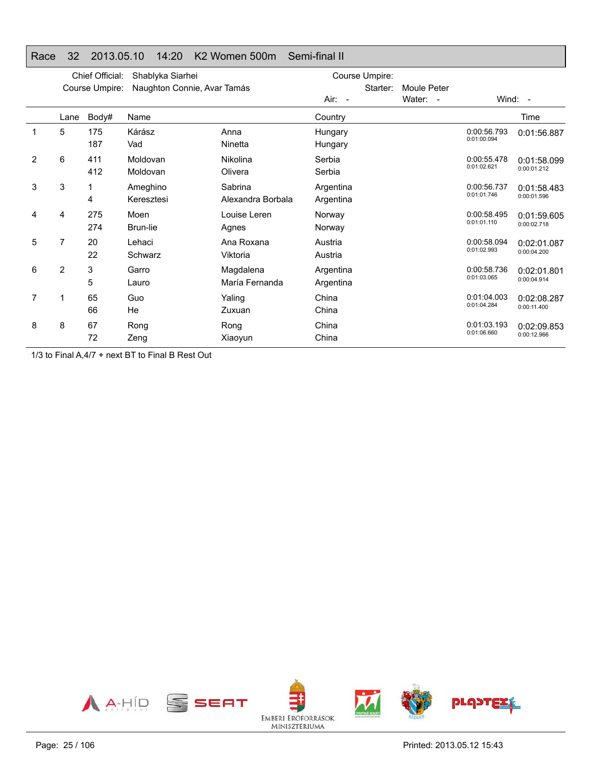#### Race 32 2013.05.10 14:20 K2 Women 500m Semi-final II

|   | Chief Official:<br>Shablyka Siarhei |                |                             |                              | Course Umpire:         |          |                    |                            |                            |
|---|-------------------------------------|----------------|-----------------------------|------------------------------|------------------------|----------|--------------------|----------------------------|----------------------------|
|   |                                     | Course Umpire: | Naughton Connie, Avar Tamás |                              |                        | Starter: | <b>Moule Peter</b> |                            |                            |
|   |                                     |                |                             |                              | Air: -                 |          | Water: -           |                            | Wind: $-$                  |
|   | Lane                                | Body#          | Name                        |                              | Country                |          |                    |                            | Time                       |
| 1 | 5                                   | 175<br>187     | Kárász<br>Vad               | Anna<br>Ninetta              | Hungary<br>Hungary     |          |                    | 0:00:56.793<br>0:01:00.094 | 0:01:56.887                |
| 2 | 6                                   | 411<br>412     | Moldovan<br>Moldovan        | Nikolina<br>Olivera          | Serbia<br>Serbia       |          |                    | 0:00:55.478<br>0:01:02.621 | 0:01:58.099<br>0:00:01.212 |
| 3 | 3                                   | 4              | Ameghino<br>Keresztesi      | Sabrina<br>Alexandra Borbala | Argentina<br>Argentina |          |                    | 0:00:56.737<br>0:01:01.746 | 0:01:58.483<br>0:00:01.596 |
| 4 | 4                                   | 275<br>274     | Moen<br>Brun-lie            | Louise Leren<br>Agnes        | Norway<br>Norway       |          |                    | 0:00:58.495<br>0:01:01.110 | 0:01:59.605<br>0:00:02.718 |
| 5 | 7                                   | 20<br>22       | Lehaci<br>Schwarz           | Ana Roxana<br>Viktoria       | Austria<br>Austria     |          |                    | 0:00:58.094<br>0:01:02.993 | 0:02:01.087<br>0:00:04.200 |
| 6 | $\overline{2}$                      | 3<br>5         | Garro<br>Lauro              | Magdalena<br>María Fernanda  | Argentina<br>Argentina |          |                    | 0:00:58.736<br>0:01:03.065 | 0:02:01.801<br>0:00:04.914 |
| 7 |                                     | 65<br>66       | Guo<br>He                   | Yaling<br>Zuxuan             | China<br>China         |          |                    | 0:01:04.003<br>0:01:04.284 | 0:02:08.287<br>0:00:11.400 |
| 8 | 8                                   | 67<br>72       | Rong<br>Zeng                | Rong<br>Xiaoyun              | China<br>China         |          |                    | 0:01:03.193<br>0:01:06.660 | 0:02:09.853<br>0:00:12.966 |

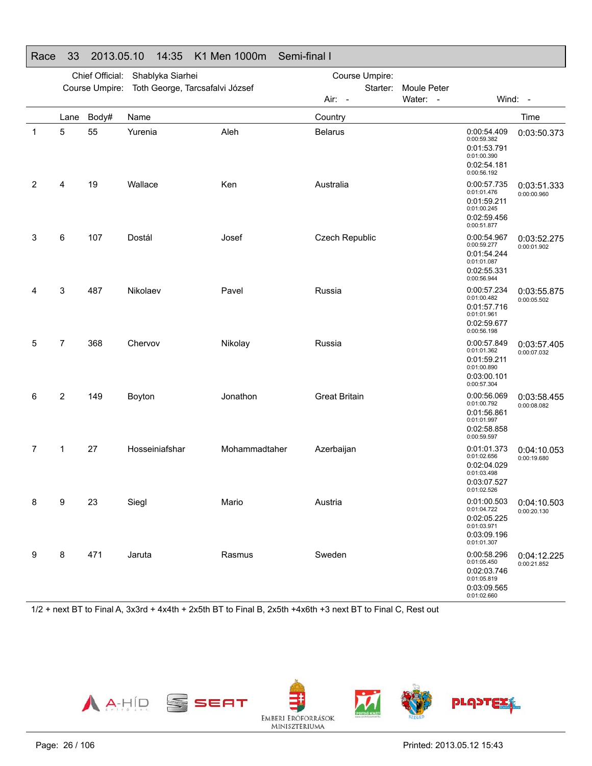|   |      | Chief Official: | Shablyka Siarhei                |               | Course Umpire:       |          |             |                                                                                        |                                          |
|---|------|-----------------|---------------------------------|---------------|----------------------|----------|-------------|----------------------------------------------------------------------------------------|------------------------------------------|
|   |      | Course Umpire:  | Toth George, Tarcsafalvi József |               |                      | Starter: | Moule Peter |                                                                                        |                                          |
|   |      |                 |                                 |               | Air: -               |          | Water: -    |                                                                                        | Wind: -                                  |
|   | Lane | Body#           | Name                            |               | Country              |          |             |                                                                                        | Time                                     |
| 1 | 5    | 55              | Yurenia                         | Aleh          | <b>Belarus</b>       |          |             | 0:00:54.409<br>0:00:59.382<br>0:01:53.791<br>0:01:00.390<br>0:02:54.181<br>0:00:56.192 | 0:03:50.373                              |
| 2 | 4    | 19              | Wallace                         | Ken           | Australia            |          |             | 0:00:57.735<br>0:01:01.476<br>0:01:59.211<br>0:01:00.245<br>0:02:59.456<br>0:00:51.877 | 0:03:51.333<br>0:00:00.960               |
| 3 | 6    | 107             | Dostál                          | Josef         | Czech Republic       |          |             | 0:00:54.967<br>0:00:59.277<br>0:01:54.244<br>0:01:01.087<br>0:02:55.331<br>0:00:56.944 | 0:03:52.275<br>0:00:01.902               |
| 4 | 3    | 487             | Nikolaev                        | Pavel         | Russia               |          |             | 0:00:57.234<br>0:01:00.482<br>0:01:57.716<br>0:01:01.961<br>0:02:59.677<br>0:00:56.198 | 0:03:55.875<br>0:00:05.502               |
| 5 | 7    | 368             | Chervov                         | Nikolay       | Russia               |          |             | 0:00:57.849<br>0:01:01.362<br>0:01:59.211<br>0:01:00.890<br>0:03:00.101<br>0:00:57.304 | 0:03:57.405<br>0:00:07.032               |
| 6 | 2    | 149             | Boyton                          | Jonathon      | <b>Great Britain</b> |          |             | 0:00:56.069<br>0:01:00.792<br>0:01:56.861<br>0:01:01.997<br>0:02:58.858<br>0:00:59.597 | 0:03:58.455<br>0:00:08.082               |
| 7 | 1    | 27              | Hosseiniafshar                  | Mohammadtaher | Azerbaijan           |          |             | 0:01:01.373<br>0:01:02.656<br>0:02:04.029<br>0:01:03.498<br>0:03:07.527<br>0:01:02.526 | 0:04:10.053<br>0:00:19.680               |
| 8 | 9    | 23              | Siegl                           | Mario         | Austria              |          |             | 0:01:04.722<br>0:02:05.225<br>0:01:03.971<br>0:03:09.196<br>0:01:01.307                | 0:01:00.503   0:04:10.503<br>0:00:20.130 |
| 9 | 8    | 471             | Jaruta                          | Rasmus        | Sweden               |          |             | 0:00:58.296<br>0:01:05.450<br>0:02:03.746<br>0:01:05.819<br>0:03:09.565<br>0:01:02.660 | 0:04:12.225<br>0:00:21.852               |

### Race 33 2013.05.10 14:35 K1 Men 1000m Semi-final I

1/2 + next BT to Final A, 3x3rd + 4x4th + 2x5th BT to Final B, 2x5th +4x6th +3 next BT to Final C, Rest out

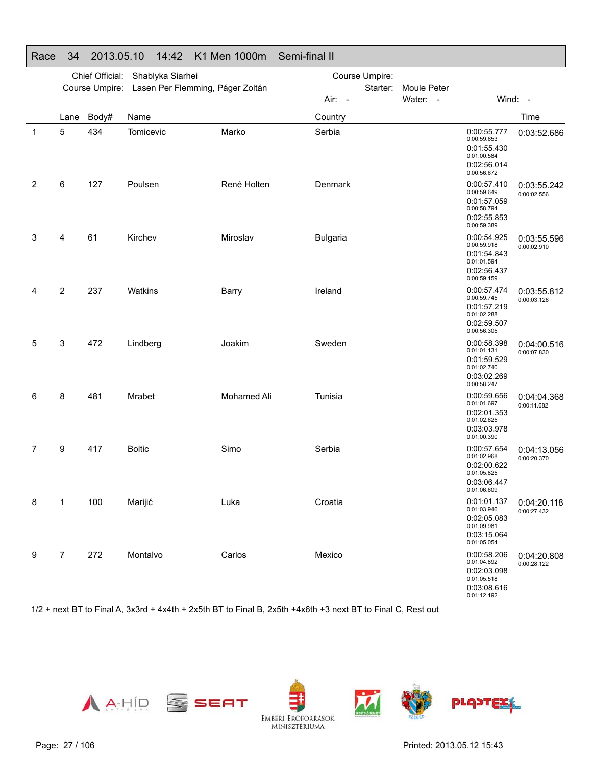|              |                | Chief Official: | Shablyka Siarhei                 |             | Course Umpire:  |          |             |                                                                                        |                                          |
|--------------|----------------|-----------------|----------------------------------|-------------|-----------------|----------|-------------|----------------------------------------------------------------------------------------|------------------------------------------|
|              |                | Course Umpire:  | Lasen Per Flemming, Páger Zoltán |             |                 | Starter: | Moule Peter |                                                                                        |                                          |
|              |                |                 |                                  |             | Air: -          |          | Water: -    |                                                                                        | Wind: -                                  |
|              | Lane           | Body#           | Name                             |             | Country         |          |             |                                                                                        | Time                                     |
| $\mathbf{1}$ | 5              | 434             | Tomicevic                        | Marko       | Serbia          |          |             | 0:00:55.777<br>0:00:59.653<br>0:01:55.430<br>0:01:00.584<br>0:02:56.014<br>0:00:56.672 | 0:03:52.686                              |
| 2            | 6              | 127             | Poulsen                          | René Holten | Denmark         |          |             | 0:00:57.410<br>0:00:59.649<br>0:01:57.059<br>0:00:58.794<br>0:02:55.853<br>0:00:59.389 | 0:03:55.242<br>0:00:02.556               |
| 3            | 4              | 61              | Kirchev                          | Miroslav    | <b>Bulgaria</b> |          |             | 0:00:54.925<br>0:00:59.918<br>0:01:54.843<br>0:01:01.594<br>0:02:56.437<br>0:00:59.159 | 0:03:55.596<br>0:00:02.910               |
| 4            | 2              | 237             | Watkins                          | Barry       | Ireland         |          |             | 0:00:57.474<br>0:00:59.745<br>0:01:57.219<br>0:01:02.288<br>0:02:59.507<br>0:00:56.305 | 0:03:55.812<br>0:00:03.126               |
| 5            | 3              | 472             | Lindberg                         | Joakim      | Sweden          |          |             | 0:00:58.398<br>0:01:01.131<br>0:01:59.529<br>0:01:02.740<br>0:03:02.269<br>0:00:58.247 | 0:04:00.516<br>0:00:07.830               |
| 6            | 8              | 481             | Mrabet                           | Mohamed Ali | Tunisia         |          |             | 0:00:59.656<br>0:01:01.697<br>0:02:01.353<br>0:01:02.625<br>0:03:03.978<br>0:01:00.390 | 0:04:04.368<br>0:00:11.682               |
| 7            | 9              | 417             | <b>Boltic</b>                    | Simo        | Serbia          |          |             | 0:00:57.654<br>0:01:02.968<br>0:02:00.622<br>0:01:05.825<br>0:03:06.447<br>0:01:06.609 | 0:04:13.056<br>0:00:20.370               |
| 8            | $\overline{1}$ | 100             | Marijić                          | Luka        | Croatia         |          |             | 0:01:03.946<br>0:02:05.083<br>0:01:09.981<br>0:03:15.064<br>0:01:05.054                | 0:01:01.137   0:04:20.118<br>0:00:27.432 |
| 9            | $\overline{7}$ | 272             | Montalvo                         | Carlos      | Mexico          |          |             | 0:00:58.206<br>0:01:04.892<br>0:02:03.098<br>0:01:05.518<br>0:03:08.616<br>0:01:12.192 | 0:04:20.808<br>0:00:28.122               |

#### Race 34 2013.05.10 14:42 K1 Men 1000m Semi-final II

1/2 + next BT to Final A, 3x3rd + 4x4th + 2x5th BT to Final B, 2x5th +4x6th +3 next BT to Final C, Rest out

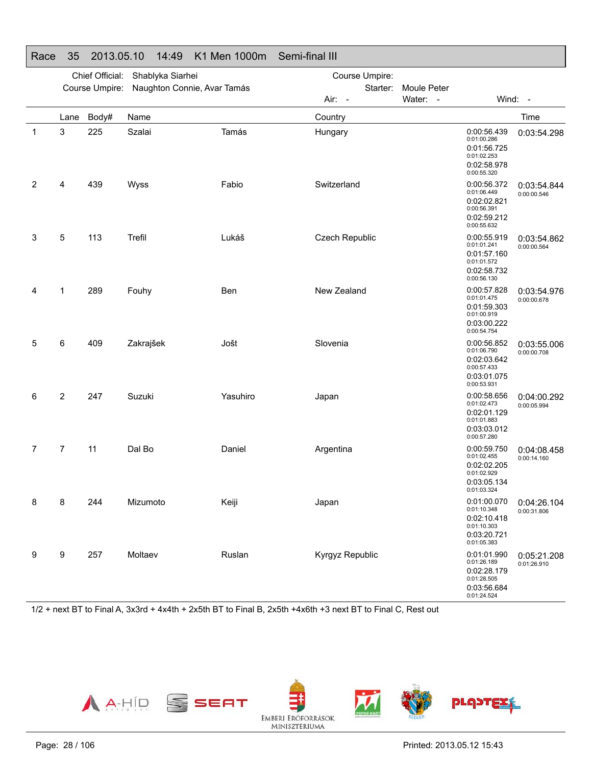|   | Chief Official:<br>Shablyka Siarhei |                |                             |          | Course Umpire:  |                                           |                                           |                                          |  |
|---|-------------------------------------|----------------|-----------------------------|----------|-----------------|-------------------------------------------|-------------------------------------------|------------------------------------------|--|
|   |                                     | Course Umpire: | Naughton Connie, Avar Tamás |          | Starter:        | Moule Peter                               |                                           |                                          |  |
|   |                                     |                |                             |          | Air: -          | Water: -                                  | Wind: -                                   |                                          |  |
|   | Lane                                | Body#          | Name                        |          | Country         |                                           |                                           | Time                                     |  |
| 1 | 3                                   | 225            | Szalai                      | Tamás    | Hungary         | 0:01:00.286<br>0:01:02.253<br>0:00:55.320 | 0:00:56.439<br>0:01:56.725<br>0:02:58.978 | 0:03:54.298                              |  |
| 2 | 4                                   | 439            | Wyss                        | Fabio    | Switzerland     | 0:01:06.449<br>0:00:56.391<br>0:00:55.632 | 0:00:56.372<br>0:02:02.821<br>0:02:59.212 | 0:03:54.844<br>0:00:00.546               |  |
| 3 | 5                                   | 113            | Trefil                      | Lukáš    | Czech Republic  | 0:01:01.241<br>0:01:01.572<br>0:00:56.130 | 0:00:55.919<br>0:01:57.160<br>0:02:58.732 | 0:03:54.862<br>0:00:00.564               |  |
| 4 | 1                                   | 289            | Fouhy                       | Ben      | New Zealand     | 0:01:01.475<br>0:01:00.919<br>0:00:54.754 | 0:00:57.828<br>0:01:59.303<br>0:03:00.222 | 0:03:54.976<br>0:00:00.678               |  |
| 5 | 6                                   | 409            | Zakrajšek                   | Jošt     | Slovenia        | 0:01:06.790<br>0:00:57.433<br>0:00:53.931 | 0:00:56.852<br>0:02:03.642<br>0:03:01.075 | 0:03:55.006<br>0:00:00.708               |  |
| 6 | 2                                   | 247            | Suzuki                      | Yasuhiro | Japan           | 0:01:02.473<br>0:01:01.883<br>0:00:57.280 | 0:00:58.656<br>0:02:01.129<br>0:03:03.012 | 0:04:00.292<br>0:00:05.994               |  |
| 7 | 7                                   | 11             | Dal Bo                      | Daniel   | Argentina       | 0:01:02.455<br>0:01:02.929<br>0:01:03.324 | 0:00:59.750<br>0:02:02.205<br>0:03:05.134 | 0:04:08.458<br>0:00:14.160               |  |
| 8 | 8                                   | 244            | Mizumoto                    | Keiji    | Japan           | 0:01:10.348<br>0:01:10.303<br>0:01:05.383 | 0:02:10.418<br>0:03:20.721                | 0:01:00.070   0:04:26.104<br>0:00:31.806 |  |
| 9 | $\boldsymbol{9}$                    | 257            | Moltaev                     | Ruslan   | Kyrgyz Republic | 0:01:26.189<br>0:01:28.505<br>0:01:24.524 | 0:01:01.990<br>0:02:28.179<br>0:03:56.684 | 0:05:21.208<br>0:01:26.910               |  |

### Race 35 2013.05.10 14:49 K1 Men 1000m Semi-final III

1/2 + next BT to Final A, 3x3rd + 4x4th + 2x5th BT to Final B, 2x5th +4x6th +3 next BT to Final C, Rest out

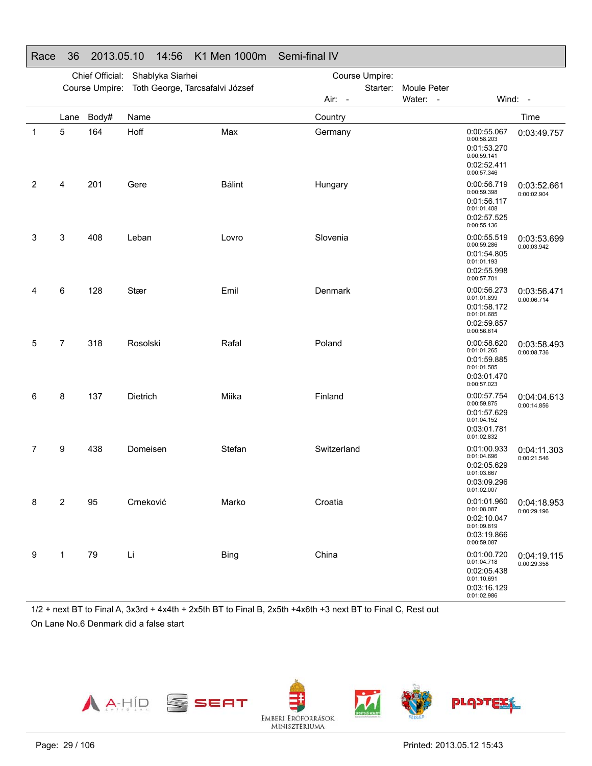|   |                | Chief Official: | Shablyka Siarhei                |               | Course Umpire: |          |             |                                                                                        |                                          |
|---|----------------|-----------------|---------------------------------|---------------|----------------|----------|-------------|----------------------------------------------------------------------------------------|------------------------------------------|
|   |                | Course Umpire:  | Toth George, Tarcsafalvi József |               |                | Starter: | Moule Peter |                                                                                        |                                          |
|   |                |                 |                                 |               | Air: -         |          | Water: -    |                                                                                        | Wind: -                                  |
|   | Lane           | Body#           | Name                            |               | Country        |          |             |                                                                                        | Time                                     |
| 1 | 5              | 164             | Hoff                            | Max           | Germany        |          |             | 0:00:55.067<br>0:00:58.203<br>0:01:53.270<br>0:00:59.141<br>0:02:52.411<br>0:00:57.346 | 0:03:49.757                              |
| 2 | 4              | 201             | Gere                            | <b>Bálint</b> | Hungary        |          |             | 0:00:56.719<br>0:00:59.398<br>0:01:56.117<br>0:01:01.408<br>0:02:57.525<br>0:00:55.136 | 0:03:52.661<br>0:00:02.904               |
| 3 | 3              | 408             | Leban                           | Lovro         | Slovenia       |          |             | 0:00:55.519<br>0:00:59.286<br>0:01:54.805<br>0:01:01.193<br>0:02:55.998<br>0:00:57.701 | 0:03:53.699<br>0:00:03.942               |
| 4 | 6              | 128             | Stær                            | Emil          | Denmark        |          |             | 0:00:56.273<br>0:01:01.899<br>0:01:58.172<br>0:01:01.685<br>0:02:59.857<br>0:00:56.614 | 0:03:56.471<br>0:00:06.714               |
| 5 | $\overline{7}$ | 318             | Rosolski                        | Rafal         | Poland         |          |             | 0:00:58.620<br>0:01:01.265<br>0:01:59.885<br>0:01:01.585<br>0:03:01.470<br>0:00:57.023 | 0:03:58.493<br>0:00:08.736               |
| 6 | 8              | 137             | Dietrich                        | Miika         | Finland        |          |             | 0:00:57.754<br>0:00:59.875<br>0:01:57.629<br>0:01:04.152<br>0:03:01.781<br>0:01:02.832 | 0:04:04.613<br>0:00:14.856               |
| 7 | 9              | 438             | Domeisen                        | Stefan        | Switzerland    |          |             | 0:01:00.933<br>0:01:04.696<br>0:02:05.629<br>0:01:03.667<br>0:03:09.296<br>0:01:02.007 | 0:04:11.303<br>0:00:21.546               |
| 8 | $\overline{2}$ | 95              | Crneković                       | Marko         | Croatia        |          |             | 0:01:08.087<br>0:02:10.047<br>0:01:09.819<br>0:03:19.866<br>0:00:59.087                | 0:01:01.960   0:04:18.953<br>0:00:29.196 |
| 9 | $\mathbf{1}$   | 79              | Li                              | <b>Bing</b>   | China          |          |             | 0:01:00.720<br>0:01:04.718<br>0:02:05.438<br>0:01:10.691<br>0:03:16.129<br>0:01:02.986 | 0:04:19.115<br>0:00:29.358               |

### Race 36 2013.05.10 14:56 K1 Men 1000m Semi-final IV

1/2 + next BT to Final A, 3x3rd + 4x4th + 2x5th BT to Final B, 2x5th +4x6th +3 next BT to Final C, Rest out On Lane No.6 Denmark did a false start







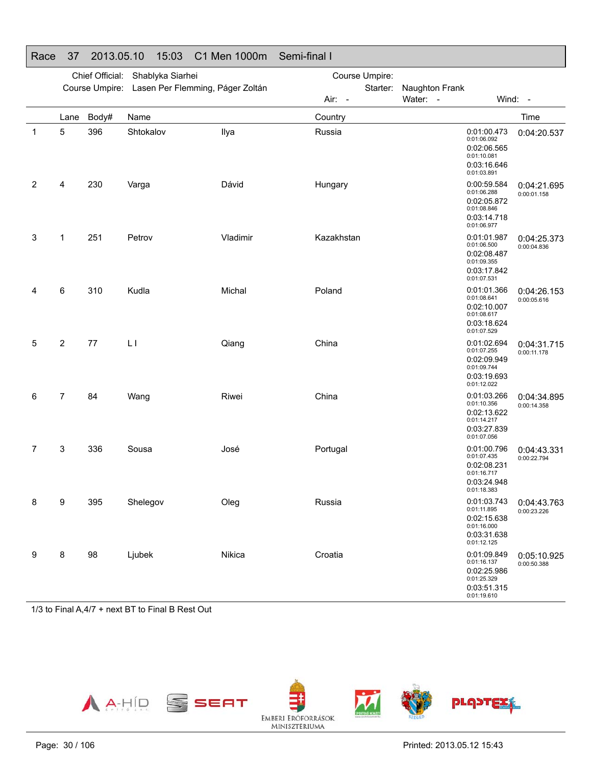|   | Chief Official:<br>Shablyka Siarhei |                |                                  |          | Course Umpire: |          |                |                                                                                        |                                          |  |
|---|-------------------------------------|----------------|----------------------------------|----------|----------------|----------|----------------|----------------------------------------------------------------------------------------|------------------------------------------|--|
|   |                                     | Course Umpire: | Lasen Per Flemming, Páger Zoltán |          |                | Starter: | Naughton Frank |                                                                                        |                                          |  |
|   |                                     |                |                                  |          | Air: -         |          | Water: -       |                                                                                        | Wind: -                                  |  |
|   | Lane                                | Body#          | Name                             |          | Country        |          |                |                                                                                        | Time                                     |  |
| 1 | 5                                   | 396            | Shtokalov                        | Ilya     | Russia         |          |                | 0:01:00.473<br>0:01:06.092<br>0:02:06.565<br>0:01:10.081<br>0:03:16.646<br>0:01:03.891 | 0:04:20.537                              |  |
| 2 | 4                                   | 230            | Varga                            | Dávid    | Hungary        |          |                | 0:00:59.584<br>0:01:06.288<br>0:02:05.872<br>0:01:08.846<br>0:03:14.718<br>0:01:06.977 | 0:04:21.695<br>0:00:01.158               |  |
| 3 | 1                                   | 251            | Petrov                           | Vladimir | Kazakhstan     |          |                | 0:01:01.987<br>0:01:06.500<br>0:02:08.487<br>0:01:09.355<br>0:03:17.842<br>0:01:07.531 | 0:04:25.373<br>0:00:04.836               |  |
| 4 | 6                                   | 310            | Kudla                            | Michal   | Poland         |          |                | 0:01:01.366<br>0:01:08.641<br>0:02:10.007<br>0:01:08.617<br>0:03:18.624<br>0:01:07.529 | 0:04:26.153<br>0:00:05.616               |  |
| 5 | 2                                   | 77             | LI                               | Qiang    | China          |          |                | 0:01:02.694<br>0:01:07.255<br>0:02:09.949<br>0:01:09.744<br>0:03:19.693<br>0:01:12.022 | 0:04:31.715<br>0:00:11.178               |  |
| 6 | 7                                   | 84             | Wang                             | Riwei    | China          |          |                | 0:01:03.266<br>0:01:10.356<br>0:02:13.622<br>0:01:14.217<br>0:03:27.839<br>0:01:07.056 | 0:04:34.895<br>0:00:14.358               |  |
| 7 | 3                                   | 336            | Sousa                            | José     | Portugal       |          |                | 0:01:00.796<br>0:01:07.435<br>0:02:08.231<br>0:01:16.717<br>0:03:24.948<br>0:01:18.383 | 0:04:43.331<br>0:00:22.794               |  |
| 8 | 9                                   | 395            | Shelegov                         | Oleg     | Russia         |          |                | 0:01:11.895<br>0:02:15.638<br>0:01:16.000<br>0:03:31.638<br>0:01:12.125                | 0:01:03.743   0:04:43.763<br>0:00:23.226 |  |
| 9 | 8                                   | 98             | Ljubek                           | Nikica   | Croatia        |          |                | 0:01:09.849<br>0:01:16.137<br>0:02:25.986<br>0:01:25.329<br>0:03:51.315<br>0:01:19.610 | 0:05:10.925<br>0:00:50.388               |  |

### Race 37 2013.05.10 15:03 C1 Men 1000m Semi-final I

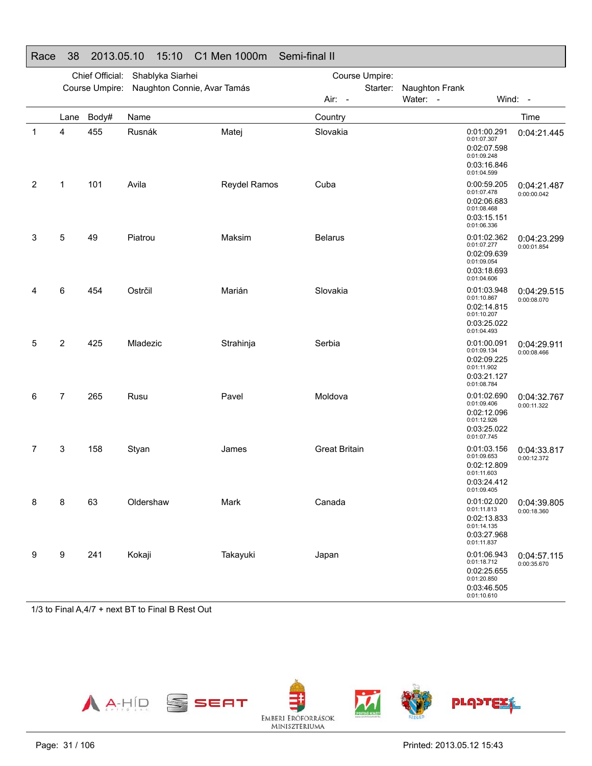|   |      | Chief Official: | Shablyka Siarhei            |              | Course Umpire:       |                                                                                        |                                          |  |  |
|---|------|-----------------|-----------------------------|--------------|----------------------|----------------------------------------------------------------------------------------|------------------------------------------|--|--|
|   |      | Course Umpire:  | Naughton Connie, Avar Tamás |              | Starter:             | Naughton Frank                                                                         |                                          |  |  |
|   |      |                 |                             |              | Air: -               | Water: -                                                                               | Wind: -                                  |  |  |
|   | Lane | Body#           | Name                        |              | Country              |                                                                                        | Time                                     |  |  |
| 1 | 4    | 455             | Rusnák                      | Matej        | Slovakia             | 0:01:00.291<br>0:01:07.307<br>0:02:07.598<br>0:01:09.248<br>0:03:16.846<br>0:01:04.599 | 0:04:21.445                              |  |  |
| 2 | 1    | 101             | Avila                       | Reydel Ramos | Cuba                 | 0:00:59.205<br>0:01:07.478<br>0:02:06.683<br>0:01:08.468<br>0:03:15.151<br>0:01:06.336 | 0:04:21.487<br>0:00:00.042               |  |  |
| 3 | 5    | 49              | Piatrou                     | Maksim       | <b>Belarus</b>       | 0:01:02.362<br>0:01:07.277<br>0:02:09.639<br>0:01:09.054<br>0:03:18.693<br>0:01:04.606 | 0:04:23.299<br>0:00:01.854               |  |  |
| 4 | 6    | 454             | Ostrčil                     | Marián       | Slovakia             | 0:01:03.948<br>0:01:10.867<br>0:02:14.815<br>0:01:10.207<br>0:03:25.022<br>0:01:04.493 | 0:04:29.515<br>0:00:08.070               |  |  |
| 5 | 2    | 425             | Mladezic                    | Strahinja    | Serbia               | 0:01:00.091<br>0:01:09.134<br>0:02:09.225<br>0:01:11.902<br>0:03:21.127<br>0:01:08.784 | 0:04:29.911<br>0:00:08.466               |  |  |
| 6 | 7    | 265             | Rusu                        | Pavel        | Moldova              | 0:01:02.690<br>0:01:09.406<br>0:02:12.096<br>0:01:12.926<br>0:03:25.022<br>0:01:07.745 | 0:04:32.767<br>0:00:11.322               |  |  |
| 7 | 3    | 158             | Styan                       | James        | <b>Great Britain</b> | 0:01:03.156<br>0:01:09.653<br>0:02:12.809<br>0:01:11.603<br>0:03:24.412<br>0:01:09.405 | 0:04:33.817<br>0:00:12.372               |  |  |
| 8 | 8    | 63              | Oldershaw                   | Mark         | Canada               | 0:01:11.813<br>0:02:13.833<br>0:01:14.135<br>0:03:27.968<br>0:01:11.837                | 0:01:02.020   0:04:39.805<br>0:00:18.360 |  |  |
| 9 | 9    | 241             | Kokaji                      | Takayuki     | Japan                | 0:01:06.943<br>0:01:18.712<br>0:02:25.655<br>0:01:20.850<br>0:03:46.505<br>0:01:10.610 | 0:04:57.115<br>0:00:35.670               |  |  |

### Race 38 2013.05.10 15:10 C1 Men 1000m Semi-final II

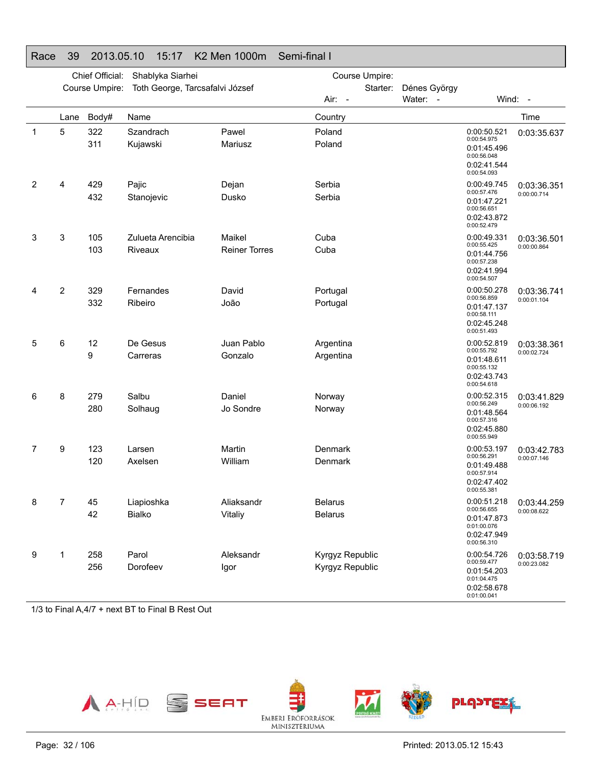|             | Chief Official:<br>Shablyka Siarhei<br>Course Umpire: |                |                                 |                      |                  |                          |                                                                                        |                            |
|-------------|-------------------------------------------------------|----------------|---------------------------------|----------------------|------------------|--------------------------|----------------------------------------------------------------------------------------|----------------------------|
|             |                                                       | Course Umpire: | Toth George, Tarcsafalvi József |                      |                  | Starter:<br>Dénes György |                                                                                        |                            |
|             |                                                       |                |                                 |                      | Air: -           | Water: -                 |                                                                                        | Wind: -                    |
|             | Lane                                                  | Body#          | Name                            |                      | Country          |                          |                                                                                        | Time                       |
| $\mathbf 1$ | 5                                                     | 322<br>311     | Szandrach<br>Kujawski           | Pawel<br>Mariusz     | Poland<br>Poland |                          | 0:00:50.521<br>0:00:54.975<br>0:01:45.496<br>0:00:56.048<br>0:02:41.544<br>0:00:54.093 | 0:03:35.637                |
| 2           | 4                                                     | 429<br>432     | Pajic<br>Stanojevic             | Dejan<br>Dusko       | Serbia<br>Serbia |                          | 0:00:49.745<br>0:00:57.476                                                             | 0:03:36.351<br>0:00:00.714 |
|             |                                                       |                |                                 |                      |                  |                          | 0:01:47.221<br>0:00:56.651<br>0:02:43.872<br>0:00:52.479                               |                            |
| 3           | 3                                                     | 105            | Zulueta Arencibia               | Maikel               | Cuba             |                          | 0:00:49.331<br>0:00:55.425                                                             | 0:03:36.501                |
|             |                                                       | 103            | Riveaux                         | <b>Reiner Torres</b> | Cuba             |                          | 0:01:44.756<br>0:00:57.238<br>0:02:41.994<br>0:00:54.507                               | 0:00:00.864                |
| 4           | 2                                                     | 329            | Fernandes                       | David                | Portugal         |                          | 0:00:50.278                                                                            | 0:03:36.741                |
|             |                                                       | 332            | Ribeiro                         | João                 | Portugal         |                          | 0:00:56.859<br>0:01:47.137<br>0:00:58.111<br>0:02:45.248<br>0:00:51.493                | 0:00:01.104                |
| 5           | 6                                                     | 12             | De Gesus                        | Juan Pablo           | Argentina        |                          | 0:00:52.819<br>0:00:55.792                                                             | 0:03:38.361                |
|             |                                                       | 9              | Carreras                        | Gonzalo              | Argentina        |                          | 0:01:48.611<br>0:00:55.132<br>0:02:43.743<br>0:00:54.618                               | 0:00:02.724                |
| 6           | 8                                                     | 279            | Salbu                           | Daniel               | Norway           |                          | 0:00:52.315<br>0:00:56.249                                                             | 0:03:41.829                |
|             |                                                       | 280            | Solhaug                         | Jo Sondre            | Norway           |                          | 0:01:48.564<br>0:00:57.316<br>0:02:45.880<br>0:00:55.949                               | 0:00:06.192                |
| 7           | 9                                                     | 123            | Larsen                          | Martin               | Denmark          |                          | 0:00:53.197<br>0:00:56.291                                                             | 0:03:42.783                |
|             |                                                       | 120            | Axelsen                         | William              | Denmark          |                          | 0:01:49.488<br>0:00:57.914<br>0:02:47.402<br>0:00:55.381                               | 0:00:07.146                |
|             | $\overline{7}$                                        | 45             | Liapioshka                      | Aliaksandr           | <b>Belarus</b>   |                          | 0:00:56.655                                                                            | 0:00:51.218   0:03:44.259  |
|             |                                                       | 42             | Bialko                          | Vitaliy              | <b>Belarus</b>   |                          | 0:01:47.873<br>0:01:00.076<br>0:02:47.949<br>0:00:56.310                               | 0:00:08.622                |
| 9           | 1                                                     | 258            | Parol                           | Aleksandr            | Kyrgyz Republic  |                          | 0:00:54.726                                                                            | 0:03:58.719                |
|             |                                                       | 256            | Dorofeev                        | Igor                 | Kyrgyz Republic  |                          | 0:00:59.477<br>0:01:54.203<br>0:01:04.475<br>0:02:58.678<br>0:01:00.041                | 0:00:23.082                |

### Race 39 2013.05.10 15:17 K2 Men 1000m Semi-final I

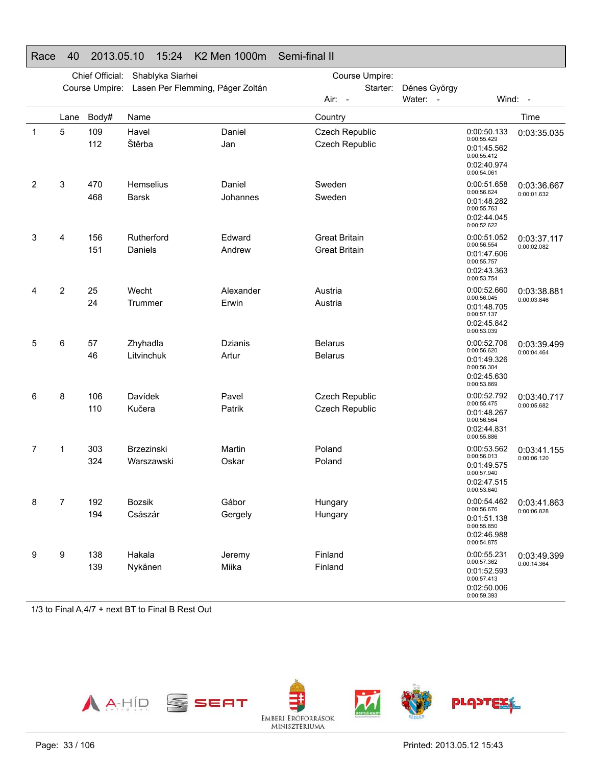|             | Chief Official:<br>Shablyka Siarhei |                |                                  |                    | Course Umpire:                               |                          |                                                                                        |                            |
|-------------|-------------------------------------|----------------|----------------------------------|--------------------|----------------------------------------------|--------------------------|----------------------------------------------------------------------------------------|----------------------------|
|             |                                     | Course Umpire: | Lasen Per Flemming, Páger Zoltán |                    | Starter:<br>Air: -                           | Dénes György<br>Water: - |                                                                                        | Wind: -                    |
|             | Lane                                | Body#          | Name                             |                    | Country                                      |                          |                                                                                        | Time                       |
| $\mathbf 1$ | 5                                   | 109<br>112     | Havel<br>Štěrba                  | Daniel<br>Jan      | Czech Republic<br>Czech Republic             |                          | 0:00:50.133<br>0:00:55.429<br>0:01:45.562<br>0:00:55.412<br>0:02:40.974<br>0:00:54.061 | 0:03:35.035                |
| 2           | 3                                   | 470<br>468     | <b>Hemselius</b><br><b>Barsk</b> | Daniel<br>Johannes | Sweden<br>Sweden                             |                          | 0:00:51.658<br>0:00:56.624<br>0:01:48.282<br>0:00:55.763<br>0:02:44.045<br>0:00:52.622 | 0:03:36.667<br>0:00:01.632 |
| 3           | 4                                   | 156<br>151     | Rutherford<br>Daniels            | Edward<br>Andrew   | <b>Great Britain</b><br><b>Great Britain</b> |                          | 0:00:51.052<br>0:00:56.554<br>0:01:47.606<br>0:00:55.757<br>0:02:43.363<br>0:00:53.754 | 0:03:37.117<br>0:00:02.082 |
| 4           | $\overline{2}$                      | 25<br>24       | Wecht<br>Trummer                 | Alexander<br>Erwin | Austria<br>Austria                           |                          | 0:00:52.660<br>0:00:56.045<br>0:01:48.705<br>0:00:57.137<br>0:02:45.842<br>0:00:53.039 | 0:03:38.881<br>0:00:03.846 |
| 5           | 6                                   | 57<br>46       | Zhyhadla<br>Litvinchuk           | Dzianis<br>Artur   | <b>Belarus</b><br><b>Belarus</b>             |                          | 0:00:52.706<br>0:00:56.620<br>0:01:49.326<br>0:00:56.304<br>0:02:45.630<br>0:00:53.869 | 0:03:39.499<br>0:00:04.464 |
| 6           | 8                                   | 106<br>110     | Davídek<br>Kučera                | Pavel<br>Patrik    | Czech Republic<br>Czech Republic             |                          | 0:00:52.792<br>0:00:55.475<br>0:01:48.267<br>0:00:56.564<br>0:02:44.831<br>0:00:55.886 | 0:03:40.717<br>0:00:05.682 |
| 7           | 1                                   | 303<br>324     | Brzezinski<br>Warszawski         | Martin<br>Oskar    | Poland<br>Poland                             |                          | 0:00:53.562<br>0:00:56.013<br>0:01:49.575<br>0:00:57.940<br>0:02:47.515<br>0:00:53.640 | 0:03:41.155<br>0:00:06.120 |
| 8           | 7                                   | 192<br>194     | Bozsik<br>Császár                | Gábor<br>Gergely   | Hungary<br>Hungary                           |                          | 0:00:54.462<br>0:00:56.676<br>0:01:51.138<br>0:00:55.850<br>0:02:46.988<br>0:00:54.875 | 0:03:41.863<br>0:00:06.828 |
| 9           | 9                                   | 138<br>139     | Hakala<br>Nykänen                | Jeremy<br>Miika    | Finland<br>Finland                           |                          | 0:00:55.231<br>0:00:57.362<br>0:01:52.593<br>0:00:57.413<br>0:02:50.006<br>0:00:59.393 | 0:03:49.399<br>0:00:14.364 |

#### Race 40 2013.05.10 15:24 K2 Men 1000m Semi-final II

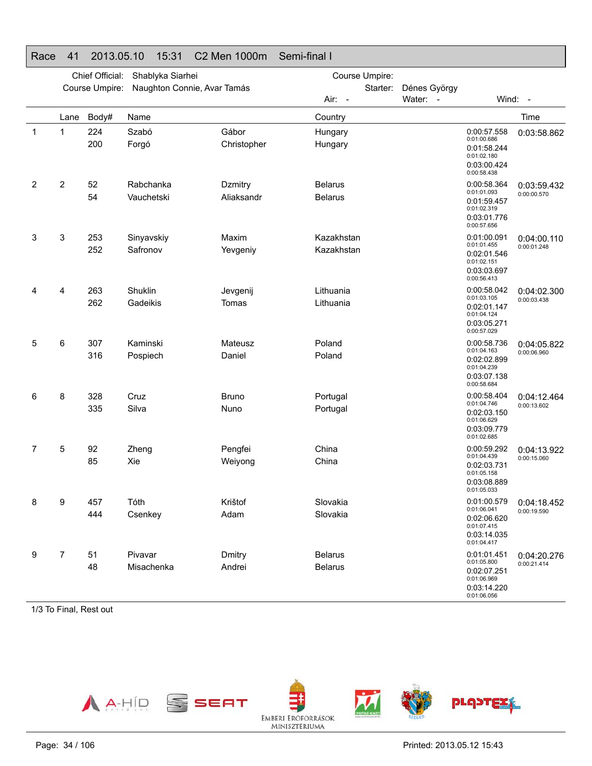|             | Chief Official:<br>Shablyka Siarhei |                |                             |                       | Course Umpire:                   |          |              |                                                                                        |                                          |
|-------------|-------------------------------------|----------------|-----------------------------|-----------------------|----------------------------------|----------|--------------|----------------------------------------------------------------------------------------|------------------------------------------|
|             |                                     | Course Umpire: | Naughton Connie, Avar Tamás |                       |                                  | Starter: | Dénes György |                                                                                        |                                          |
|             |                                     |                |                             |                       | Air: -                           |          | Water: -     |                                                                                        | Wind: -                                  |
|             | Lane                                | Body#          | Name                        |                       | Country                          |          |              |                                                                                        | Time                                     |
| $\mathbf 1$ | 1                                   | 224<br>200     | Szabó<br>Forgó              | Gábor<br>Christopher  | Hungary<br>Hungary               |          |              | 0:00:57.558<br>0:01:00.686<br>0:01:58.244<br>0:01:02.180<br>0:03:00.424<br>0:00:58.438 | 0:03:58.862                              |
| 2           | $\overline{2}$                      | 52<br>54       | Rabchanka<br>Vauchetski     | Dzmitry<br>Aliaksandr | <b>Belarus</b><br><b>Belarus</b> |          |              | 0:00:58.364<br>0:01:01.093<br>0:01:59.457<br>0:01:02.319<br>0:03:01.776<br>0:00:57.656 | 0:03:59.432<br>0:00:00.570               |
| 3           | 3                                   | 253<br>252     | Sinyavskiy<br>Safronov      | Maxim<br>Yevgeniy     | Kazakhstan<br>Kazakhstan         |          |              | 0:01:00.091<br>0:01:01.455<br>0:02:01.546<br>0:01:02.151<br>0:03:03.697<br>0:00:56.413 | 0:04:00.110<br>0:00:01.248               |
| 4           | 4                                   | 263<br>262     | Shuklin<br>Gadeikis         | Jevgenij<br>Tomas     | Lithuania<br>Lithuania           |          |              | 0:00:58.042<br>0:01:03.105<br>0:02:01.147<br>0:01:04.124<br>0:03:05.271<br>0:00:57.029 | 0:04:02.300<br>0:00:03.438               |
| 5           | 6                                   | 307<br>316     | Kaminski<br>Pospiech        | Mateusz<br>Daniel     | Poland<br>Poland                 |          |              | 0:00:58.736<br>0:01:04.163<br>0:02:02.899<br>0:01:04.239<br>0:03:07.138<br>0:00:58.684 | 0:04:05.822<br>0:00:06.960               |
| 6           | 8                                   | 328<br>335     | Cruz<br>Silva               | <b>Bruno</b><br>Nuno  | Portugal<br>Portugal             |          |              | 0:00:58.404<br>0:01:04.746<br>0:02:03.150<br>0:01:06.629<br>0:03:09.779<br>0:01:02.685 | 0:04:12.464<br>0:00:13.602               |
| 7           | 5                                   | 92<br>85       | Zheng<br>Xie                | Pengfei<br>Weiyong    | China<br>China                   |          |              | 0:00:59.292<br>0:01:04.439<br>0:02:03.731<br>0:01:05.158<br>0:03:08.889<br>0:01:05.033 | 0:04:13.922<br>0:00:15.060               |
|             | 9                                   | 457<br>444     | Tóth<br>Csenkey             | Krištof<br>Adam       | Slovakia<br>Slovakia             |          |              | 0:01:06.041<br>0:02:06.620<br>0:01:07.415<br>0:03:14.035<br>0:01:04.417                | 0:01:00.579   0:04:18.452<br>0:00:19.590 |
| 9           | $\overline{7}$                      | 51<br>48       | Pivavar<br>Misachenka       | Dmitry<br>Andrei      | <b>Belarus</b><br><b>Belarus</b> |          |              | 0:01:01.451<br>0:01:05.800<br>0:02:07.251<br>0:01:06.969<br>0:03:14.220<br>0:01:06.056 | 0:04:20.276<br>0:00:21.414               |

### Race 41 2013.05.10 15:31 C2 Men 1000m Semi-final I

1/3 To Final, Rest out

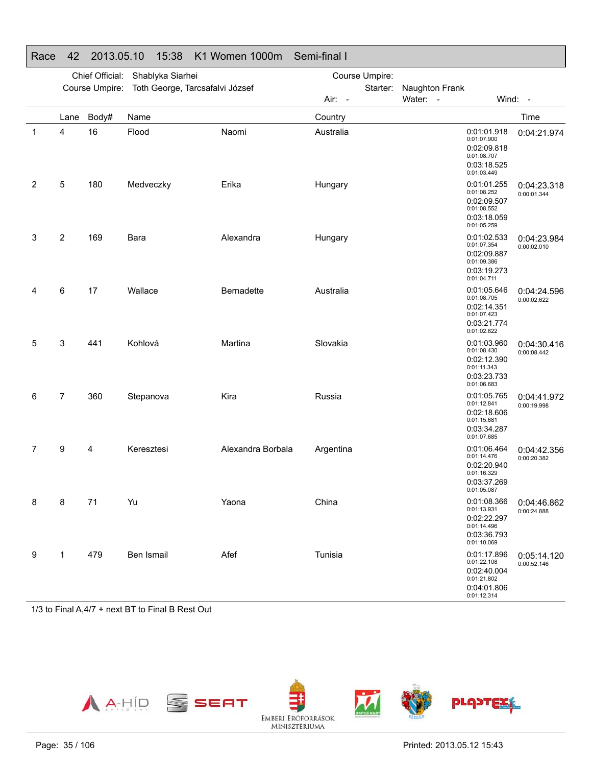|   |      | Chief Official: | Shablyka Siarhei                |                   | Course Umpire: |          |                |                                                                                        |                                          |
|---|------|-----------------|---------------------------------|-------------------|----------------|----------|----------------|----------------------------------------------------------------------------------------|------------------------------------------|
|   |      | Course Umpire:  | Toth George, Tarcsafalvi József |                   |                | Starter: | Naughton Frank |                                                                                        |                                          |
|   |      |                 |                                 |                   | Air: -         |          | Water: -       |                                                                                        | Wind: -                                  |
|   | Lane | Body#           | Name                            |                   | Country        |          |                |                                                                                        | Time                                     |
| 1 | 4    | 16              | Flood                           | Naomi             | Australia      |          |                | 0:01:01.918<br>0:01:07.900<br>0:02:09.818<br>0:01:08.707<br>0:03:18.525<br>0:01:03.449 | 0:04:21.974                              |
| 2 | 5    | 180             | Medveczky                       | Erika             | Hungary        |          |                | 0:01:01.255<br>0:01:08.252<br>0:02:09.507<br>0:01:08.552<br>0:03:18.059<br>0:01:05.259 | 0:04:23.318<br>0:00:01.344               |
| 3 | 2    | 169             | Bara                            | Alexandra         | Hungary        |          |                | 0:01:02.533<br>0:01:07.354<br>0:02:09.887<br>0:01:09.386<br>0:03:19.273<br>0:01:04.711 | 0:04:23.984<br>0:00:02.010               |
| 4 | 6    | 17              | Wallace                         | <b>Bernadette</b> | Australia      |          |                | 0:01:05.646<br>0:01:08.705<br>0:02:14.351<br>0:01:07.423<br>0:03:21.774<br>0:01:02.822 | 0:04:24.596<br>0:00:02.622               |
| 5 | 3    | 441             | Kohlová                         | Martina           | Slovakia       |          |                | 0:01:03.960<br>0:01:08.430<br>0:02:12.390<br>0:01:11.343<br>0:03:23.733<br>0:01:06.683 | 0:04:30.416<br>0:00:08.442               |
| 6 | 7    | 360             | Stepanova                       | Kira              | Russia         |          |                | 0:01:05.765<br>0:01:12.841<br>0:02:18.606<br>0:01:15.681<br>0:03:34.287<br>0:01:07.685 | 0:04:41.972<br>0:00:19.998               |
| 7 | 9    | 4               | Keresztesi                      | Alexandra Borbala | Argentina      |          |                | 0:01:06.464<br>0:01:14.476<br>0:02:20.940<br>0:01:16.329<br>0:03:37.269<br>0:01:05.087 | 0:04:42.356<br>0:00:20.382               |
| 8 | 8    | 71              | Yu                              | Yaona             | China          |          |                | 0:01:13.931<br>0:02:22.297<br>0:01:14.496<br>0:03:36.793<br>0:01:10.069                | 0:01:08.366   0:04:46.862<br>0:00:24.888 |
| 9 | 1    | 479             | Ben Ismail                      | Afef              | Tunisia        |          |                | 0:01:17.896<br>0:01:22.108<br>0:02:40.004<br>0:01:21.802<br>0:04:01.806<br>0:01:12.314 | 0:05:14.120<br>0:00:52.146               |

### Race 42 2013.05.10 15:38 K1 Women 1000m Semi-final I

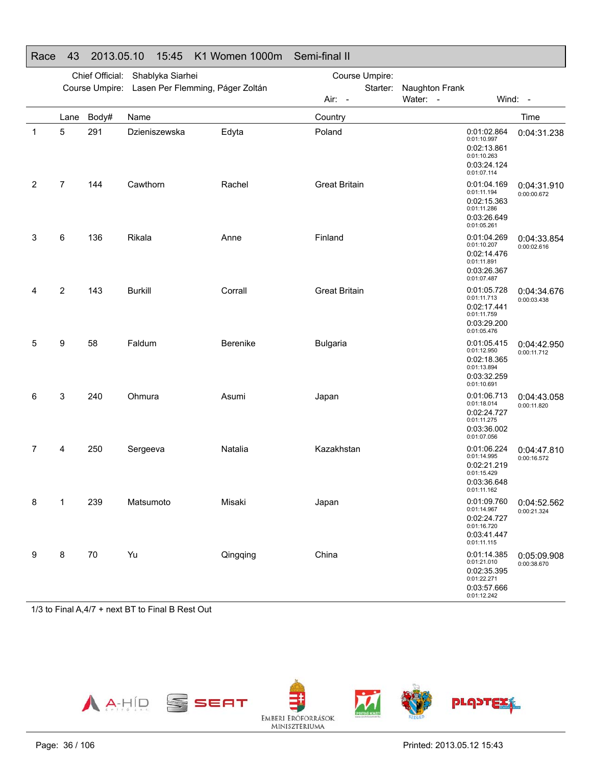|   |                | Chief Official: | Shablyka Siarhei                                |          | Course Umpire:       |                                                                                        |                            |
|---|----------------|-----------------|-------------------------------------------------|----------|----------------------|----------------------------------------------------------------------------------------|----------------------------|
|   |                |                 | Course Umpire: Lasen Per Flemming, Páger Zoltán |          | Starter:<br>Air: -   | Naughton Frank<br>Water: -                                                             | Wind: -                    |
|   | Lane           | Body#           | Name                                            |          | Country              |                                                                                        | Time                       |
| 1 | 5              | 291             | Dzieniszewska                                   | Edyta    | Poland               | 0:01:02.864<br>0:01:10.997<br>0:02:13.861<br>0:01:10.263<br>0:03:24.124<br>0:01:07.114 | 0:04:31.238                |
| 2 | $\overline{7}$ | 144             | Cawthorn                                        | Rachel   | <b>Great Britain</b> | 0:01:04.169<br>0:01:11.194<br>0:02:15.363<br>0:01:11.286<br>0:03:26.649<br>0:01:05.261 | 0:04:31.910<br>0:00:00.672 |
| 3 | 6              | 136             | Rikala                                          | Anne     | Finland              | 0:01:04.269<br>0:01:10.207<br>0:02:14.476<br>0:01:11.891<br>0:03:26.367<br>0:01:07.487 | 0:04:33.854<br>0:00:02.616 |
| 4 | $\overline{2}$ | 143             | <b>Burkill</b>                                  | Corrall  | <b>Great Britain</b> | 0:01:05.728<br>0:01:11.713<br>0:02:17.441<br>0:01:11.759<br>0:03:29.200<br>0:01:05.476 | 0:04:34.676<br>0:00:03.438 |
| 5 | 9              | 58              | Faldum                                          | Berenike | <b>Bulgaria</b>      | 0:01:05.415<br>0:01:12.950<br>0:02:18.365<br>0:01:13.894<br>0:03:32.259<br>0:01:10.691 | 0:04:42.950<br>0:00:11.712 |
| 6 | 3              | 240             | Ohmura                                          | Asumi    | Japan                | 0:01:06.713<br>0:01:18.014<br>0:02:24.727<br>0:01:11.275<br>0:03:36.002<br>0:01:07.056 | 0:04:43.058<br>0:00:11.820 |
| 7 | 4              | 250             | Sergeeva                                        | Natalia  | Kazakhstan           | 0:01:06.224<br>0:01:14.995<br>0:02:21.219<br>0:01:15.429<br>0:03:36.648<br>0:01:11.162 | 0:04:47.810<br>0:00:16.572 |
| 8 | 1              | 239             | Matsumoto                                       | Misaki   | Japan                | 0:01:09.760<br>0:01:14.967<br>0:02:24.727<br>0:01:16.720<br>0:03:41.447<br>0:01:11.115 | 0:04:52.562<br>0:00:21.324 |
| 9 | 8              | 70              | Yu                                              | Qingqing | China                | 0:01:14.385<br>0:01:21.010<br>0:02:35.395<br>0:01:22.271<br>0:03:57.666<br>0:01:12.242 | 0:05:09.908<br>0:00:38.670 |

### Race 43 2013.05.10 15:45 K1 Women 1000m Semi-final II

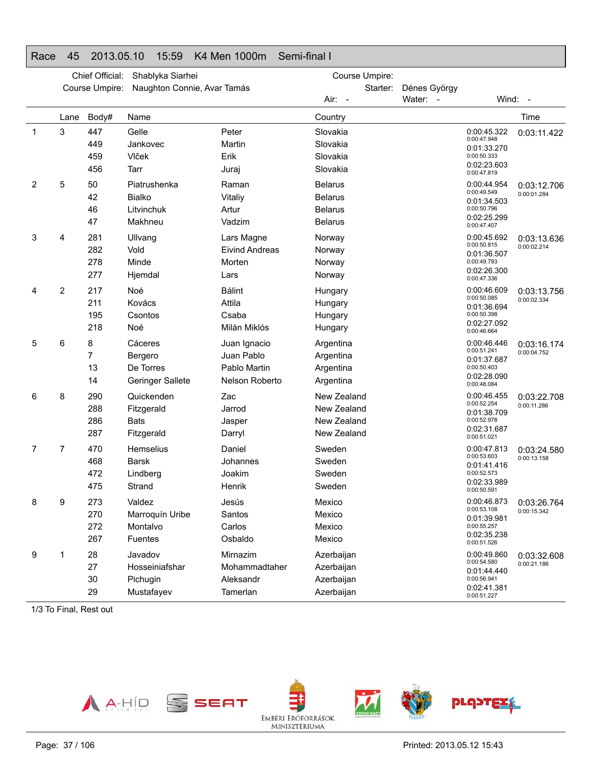### Race 45 2013.05.10 15:59 K4 Men 1000m Semi-final I

|   |      | Chief Official: | Shablyka Siarhei            |                       |                | Course Umpire: |              |                                           |             |
|---|------|-----------------|-----------------------------|-----------------------|----------------|----------------|--------------|-------------------------------------------|-------------|
|   |      | Course Umpire:  | Naughton Connie, Avar Tamás |                       |                | Starter:       | Dénes György |                                           |             |
|   |      |                 |                             |                       | Air: -         |                | Water: -     |                                           | Wind: -     |
|   | Lane | Body#           | Name                        |                       | Country        |                |              |                                           | Time        |
| 1 | 3    | 447             | Gelle                       | Peter                 | Slovakia       |                |              | 0:00:45.322                               | 0:03:11.422 |
|   |      | 449             | Jankovec                    | Martin                | Slovakia       |                |              | 0:00:47.948<br>0:01:33.270                |             |
|   |      | 459             | Vlček                       | Erik                  | Slovakia       |                |              | 0:00:50.333                               |             |
|   |      | 456             | Tarr                        | Juraj                 | Slovakia       |                |              | 0:02:23.603<br>0:00:47.819                |             |
| 2 | 5    | 50              | Piatrushenka                | Raman                 | <b>Belarus</b> |                |              | 0:00:44.954                               | 0:03:12.706 |
|   |      | 42              | <b>Bialko</b>               | Vitaliy               | <b>Belarus</b> |                |              | 0:00:49.549<br>0:01:34.503                | 0:00:01.284 |
|   |      | 46              | Litvinchuk                  | Artur                 | <b>Belarus</b> |                |              | 0:00:50.796                               |             |
|   |      | 47              | Makhneu                     | Vadzim                | <b>Belarus</b> |                |              | 0:02:25.299<br>0:00:47.407                |             |
| 3 | 4    | 281             | Ullvang                     | Lars Magne            | Norway         |                |              | 0:00:45.692                               | 0:03:13.636 |
|   |      | 282             | Vold                        | <b>Eivind Andreas</b> | Norway         |                |              | 0:00:50.815<br>0:01:36.507                | 0:00:02.214 |
|   |      | 278             | Minde                       | Morten                | Norway         |                |              | 0:00:49.793                               |             |
|   |      | 277             | Hjemdal                     | Lars                  | Norway         |                |              | 0:02:26.300<br>0:00:47.336                |             |
| 4 | 2    | 217             | Noé                         | <b>Bálint</b>         | Hungary        |                |              | 0:00:46.609                               | 0:03:13.756 |
|   |      | 211             | Kovács                      | Attila                | Hungary        |                |              | 0:00:50.085<br>0:01:36.694                | 0:00:02.334 |
|   |      | 195             | Csontos                     | Csaba                 | Hungary        |                |              | 0:00:50.398<br>0:02:27.092<br>0:00:46.664 |             |
|   |      | 218             | Noé                         | Milán Miklós          | Hungary        |                |              |                                           |             |
| 5 | 6    | 8               | Cáceres                     | Juan Ignacio          | Argentina      |                |              | 0:00:46.446                               | 0:03:16.174 |
|   |      | $\overline{7}$  | Bergero                     | Juan Pablo            | Argentina      |                |              | 0:00:51.241<br>0:01:37.687                | 0:00:04.752 |
|   |      | 13              | De Torres                   | Pablo Martin          | Argentina      |                |              | 0:00:50.403                               |             |
|   |      | 14              | <b>Geringer Sallete</b>     | Nelson Roberto        | Argentina      |                |              | 0:02:28.090<br>0:00:48.084                |             |
| 6 | 8    | 290             | Quickenden                  | Zac                   | New Zealand    |                |              | 0:00:46.455                               | 0:03:22.708 |
|   |      | 288             | Fitzgerald                  | Jarrod                | New Zealand    |                |              | 0:00:52.254<br>0:01:38.709                | 0:00:11.286 |
|   |      | 286             | <b>Bats</b>                 | Jasper                | New Zealand    |                |              | 0:00:52.978                               |             |
|   |      | 287             | Fitzgerald                  | Darryl                | New Zealand    |                |              | 0:02:31.687<br>0:00:51.021                |             |
| 7 | 7    | 470             | Hemselius                   | Daniel                | Sweden         |                |              | 0:00:47.813                               | 0:03:24.580 |
|   |      | 468             | <b>Barsk</b>                | Johannes              | Sweden         |                |              | 0:00:53.603<br>0:01:41.416                | 0:00:13.158 |
|   |      | 472             | Lindberg                    | Joakim                | Sweden         |                |              | 0:00:52.573                               |             |
|   |      | 475             | Strand                      | Henrik                | Sweden         |                |              | 0:02:33.989<br>0:00:50.591                |             |
| 8 | 9    | 273             | Valdez                      | Jesús                 | Mexico         |                |              | 0:00:46.873                               | 0:03:26.764 |
|   |      | 270             | Marroquín Uribe             | Santos                | Mexico         |                |              | 0:00:53.108<br>0:01:39.981                | 0:00:15.342 |
|   |      | 272             | Montalvo                    | Carlos                | Mexico         |                |              | 0:00:55.257                               |             |
|   |      | 267             | Fuentes                     | Osbaldo               | Mexico         |                |              | 0:02:35.238<br>0:00:51.526                |             |
| 9 | 1    | 28              | Javadov                     | Mirnazim              | Azerbaijan     |                |              | 0:00:49.860                               | 0:03:32.608 |
|   |      | 27              | Hosseiniafshar              | Mohammadtaher         | Azerbaijan     |                |              | 0:00:54.580<br>0:01:44.440                | 0:00:21.186 |
|   |      | 30              | Pichugin                    | Aleksandr             | Azerbaijan     |                |              | 0:00:56.941                               |             |
|   |      | 29              | Mustafayev                  | Tamerlan              | Azerbaijan     |                |              | 0:02:41.381<br>0:00:51.227                |             |

1/3 To Final, Rest out

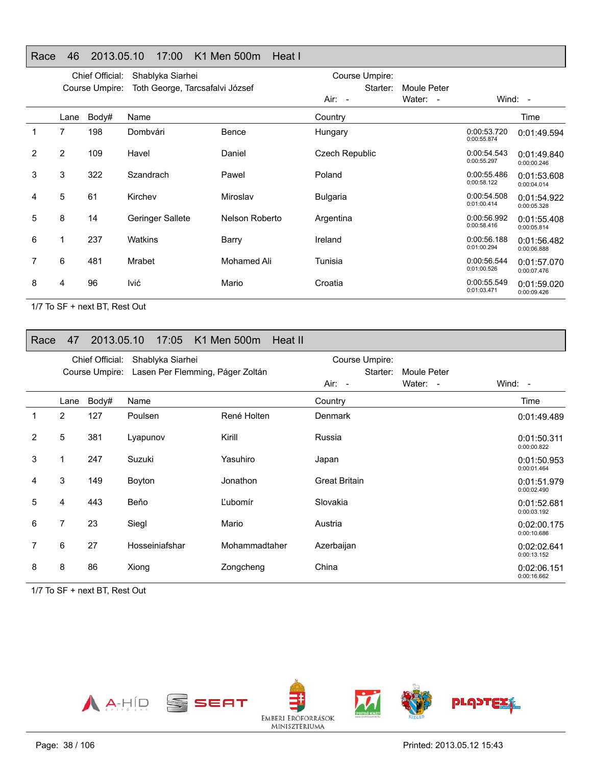### Race 46 2013.05.10 17:00 K1 Men 500m Heat I

|   | Chief Official:<br>Shablyka Siarhei<br>Toth George, Tarcsafalvi József<br>Course Umpire: |       |                  |                | Course Umpire:       |                         |                            |                            |
|---|------------------------------------------------------------------------------------------|-------|------------------|----------------|----------------------|-------------------------|----------------------------|----------------------------|
|   |                                                                                          |       |                  |                | Starter:<br>$Air: -$ | Moule Peter<br>Water: - |                            | Wind: -                    |
|   | Lane                                                                                     | Body# | Name             |                | Country              |                         |                            | Time                       |
| 1 | 7                                                                                        | 198   | Dombvári         | Bence          | Hungary              |                         | 0:00:53.720<br>0:00:55.874 | 0:01:49.594                |
| 2 | $\overline{2}$                                                                           | 109   | Havel            | Daniel         | Czech Republic       |                         | 0:00:54.543<br>0:00:55.297 | 0:01:49.840<br>0:00:00.246 |
| 3 | 3                                                                                        | 322   | Szandrach        | Pawel          | Poland               |                         | 0:00:55.486<br>0:00:58.122 | 0:01:53.608<br>0:00:04.014 |
| 4 | 5                                                                                        | 61    | Kirchev          | Miroslav       | <b>Bulgaria</b>      |                         | 0:00:54.508<br>0:01:00.414 | 0:01:54.922<br>0:00:05.328 |
| 5 | 8                                                                                        | 14    | Geringer Sallete | Nelson Roberto | Argentina            |                         | 0:00:56.992<br>0:00:58.416 | 0:01:55.408<br>0:00:05.814 |
| 6 |                                                                                          | 237   | Watkins          | Barry          | Ireland              |                         | 0:00:56.188<br>0:01:00.294 | 0:01:56.482<br>0:00:06.888 |
| 7 | 6                                                                                        | 481   | <b>Mrabet</b>    | Mohamed Ali    | Tunisia              |                         | 0:00:56.544<br>0:01:00.526 | 0:01:57.070<br>0:00:07.476 |
| 8 | 4                                                                                        | 96    | lvić             | Mario          | Croatia              |                         | 0:00:55.549<br>0:01:03.471 | 0:01:59.020<br>0:00:09.426 |

1/7 To SF + next BT, Rest Out

#### Race 47 2013.05.10 17:05 K1 Men 500m Heat II

|                |                | Chief Official: | Shablyka Siarhei                                |               |                      |             |                            |
|----------------|----------------|-----------------|-------------------------------------------------|---------------|----------------------|-------------|----------------------------|
|                |                |                 | Course Umpire: Lasen Per Flemming, Páger Zoltán |               | Starter:             | Moule Peter |                            |
|                |                |                 |                                                 |               | Air: -               | Water: -    | Wind: -                    |
|                | Lane           | Body#           | Name                                            |               | Country              |             | Time                       |
|                | 2              | 127             | Poulsen                                         | René Holten   | <b>Denmark</b>       |             | 0:01:49.489                |
| $\overline{2}$ | 5              | 381             | Lyapunov                                        | Kirill        | Russia               |             | 0:01:50.311<br>0:00:00.822 |
| 3              | 1              | 247             | Suzuki                                          | Yasuhiro      | Japan                |             | 0:01:50.953<br>0:00:01.464 |
| 4              | 3              | 149             | Boyton                                          | Jonathon      | <b>Great Britain</b> |             | 0:01:51.979<br>0:00:02.490 |
| 5              | 4              | 443             | Beňo                                            | Ľubomír       | Slovakia             |             | 0:01:52.681<br>0:00:03.192 |
| 6              | $\overline{7}$ | 23              | Siegl                                           | Mario         | Austria              |             | 0:02:00.175<br>0:00:10.686 |
| $\overline{7}$ | 6              | 27              | Hosseiniafshar                                  | Mohammadtaher | Azerbaijan           |             | 0:02:02.641<br>0:00:13.152 |
| 8              | 8              | 86              | Xiong                                           | Zongcheng     | China                |             | 0:02:06.151<br>0:00:16.662 |

1/7 To SF + next BT, Rest Out

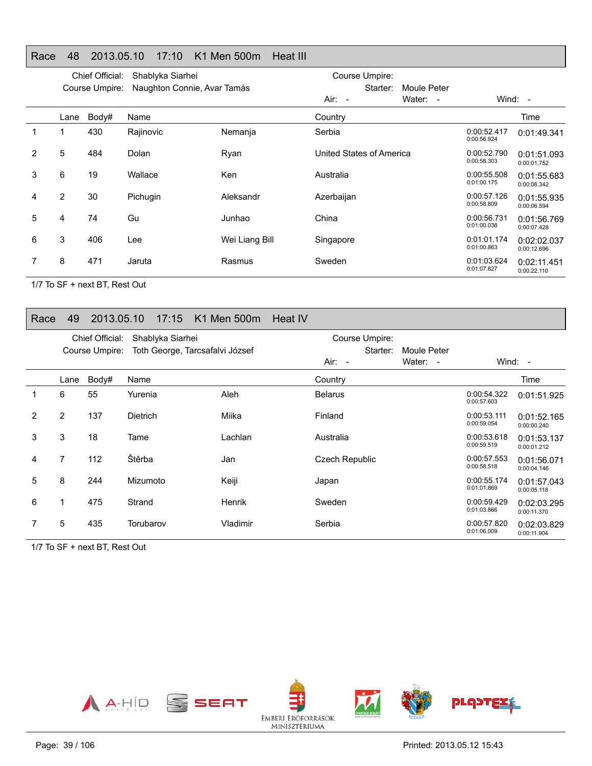### Race 48 2013.05.10 17:10 K1 Men 500m Heat III

|   | Chief Official:<br>Shablyka Siarhei |                |                             |                | Course Umpire:           |             |                            |                            |
|---|-------------------------------------|----------------|-----------------------------|----------------|--------------------------|-------------|----------------------------|----------------------------|
|   |                                     | Course Umpire: | Naughton Connie, Avar Tamás |                | Starter:                 | Moule Peter |                            |                            |
|   |                                     |                |                             |                | $Air: -$                 | Water: -    |                            | Wind: $-$                  |
|   | Lane                                | Body#          | Name                        |                | Country                  |             |                            | Time                       |
| 1 |                                     | 430            | Rajinovic                   | Nemanja        | Serbia                   |             | 0:00:52.417<br>0:00:56.924 | 0:01:49.341                |
| 2 | 5                                   | 484            | Dolan                       | Ryan           | United States of America |             | 0:00:52.790<br>0:00:58.303 | 0:01:51.093<br>0:00:01.752 |
| 3 | 6                                   | 19             | Wallace                     | Ken            | Australia                |             | 0:00:55.508<br>0:01:00.175 | 0:01:55.683<br>0:00:06.342 |
| 4 | $\overline{2}$                      | 30             | Pichugin                    | Aleksandr      | Azerbaijan               |             | 0:00:57.126<br>0:00:58.809 | 0:01:55.935<br>0:00:06.594 |
| 5 | 4                                   | 74             | Gu                          | Junhao         | China                    |             | 0:00:56.731<br>0:01:00.038 | 0:01:56.769<br>0:00:07.428 |
| 6 | 3                                   | 406            | Lee                         | Wei Liang Bill | Singapore                |             | 0:01:01.174<br>0:01:00.863 | 0:02:02.037<br>0:00:12.696 |
|   | 8                                   | 471            | Jaruta                      | Rasmus         | Sweden                   |             | 0:01:03.624<br>0:01:07.827 | 0:02:11.451<br>0:00:22.110 |
|   |                                     |                |                             |                |                          |             |                            |                            |

1/7 To SF + next BT, Rest Out

#### Race 49 2013.05.10 17:15 K1 Men 500m Heat IV

|                | Chief Official:<br>Shablyka Siarhei |                |                                 |               | Course Umpire: |             |                            |                            |
|----------------|-------------------------------------|----------------|---------------------------------|---------------|----------------|-------------|----------------------------|----------------------------|
|                |                                     | Course Umpire: | Toth George, Tarcsafalvi József |               | Starter:       | Moule Peter |                            |                            |
|                |                                     |                |                                 |               | Air: -         | Water: -    |                            | Wind: $-$                  |
|                | Lane                                | Body#          | Name                            |               | Country        |             |                            | Time                       |
|                | 6                                   | 55             | Yurenia                         | Aleh          | <b>Belarus</b> |             | 0:00:54.322<br>0:00:57.603 | 0:01:51.925                |
| $\overline{2}$ | $\overline{2}$                      | 137            | <b>Dietrich</b>                 | Miika         | Finland        |             | 0:00:53.111<br>0:00:59.054 | 0:01:52.165<br>0:00:00.240 |
| 3              | 3                                   | 18             | Tame                            | Lachlan       | Australia      |             | 0:00:53.618<br>0:00:59.519 | 0:01:53.137<br>0:00:01.212 |
| 4              | 7                                   | 112            | Štěrba                          | Jan           | Czech Republic |             | 0:00:57.553<br>0:00:58.518 | 0:01:56.071<br>0:00:04.146 |
| 5              | 8                                   | 244            | Mizumoto                        | Keiji         | Japan          |             | 0:00:55.174<br>0:01:01.869 | 0:01:57.043<br>0:00:05.118 |
| 6              | 1                                   | 475            | Strand                          | <b>Henrik</b> | Sweden         |             | 0:00:59.429<br>0:01:03.866 | 0:02:03.295<br>0:00:11.370 |
|                | 5                                   | 435            | Torubarov                       | Vladimir      | Serbia         |             | 0:00:57.820<br>0:01:06.009 | 0:02:03.829<br>0:00:11.904 |

1/7 To SF + next BT, Rest Out

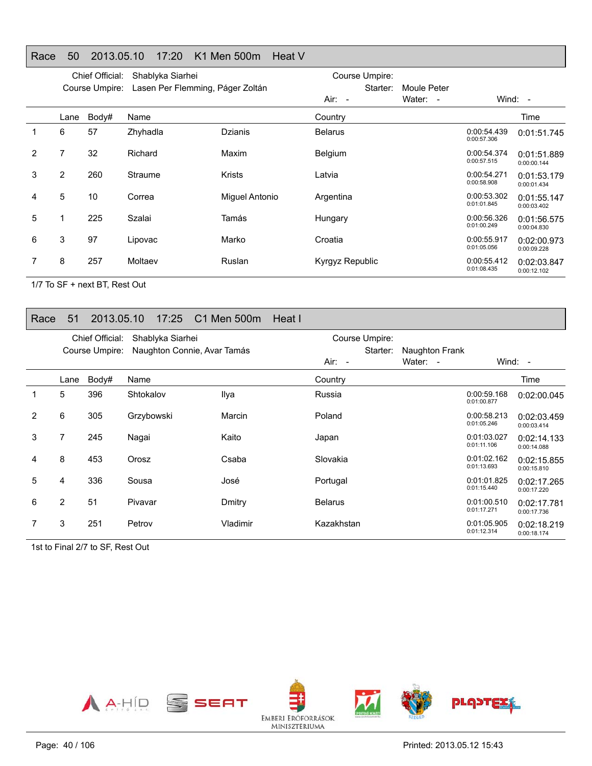### Race 50 2013.05.10 17:20 K1 Men 500m Heat V

| Course Umpire:<br>Lasen Per Flemming, Páger Zoltán<br>Starter:<br>Moule Peter<br>Wind: -<br>Water: -<br>Air: -<br>Body#<br>Name<br>Country<br>Time<br>Lane<br>6<br>57<br>Zhyhadla<br>0:00:54.439<br><b>Dzianis</b><br><b>Belarus</b><br>0:00:57.306<br>32<br>2<br>7<br>Richard<br>Maxim<br>Belgium<br>0:00:54.374<br>0:00:57.515<br>0:00:00.144<br>3<br>2<br>260<br><b>Krists</b><br>0:00:54.271<br><b>Straume</b><br>Latvia<br>0:00:58.908<br>0:00:01.434<br>5<br>10<br>0:00:53.302<br>Correa<br>Miguel Antonio<br>Argentina<br>4<br>0:01:01.845<br>0:00:03.402<br>5<br>225<br>Szalai<br>Tamás<br>0:00:56.326<br>Hungary<br>0:01:00.249<br>0:00:04.830<br>3<br>97<br>6<br>0:00:55.917<br>Marko<br>Croatia<br>Lipovac<br>0:01:05.056<br>0:00:09.228<br>8<br>257<br>7<br>Moltaev<br>Ruslan<br>0:00:55.412<br>Kyrgyz Republic<br>0:01:08.435 |  | Chief Official: | Shablyka Siarhei |  | Course Umpire: |  |                            |
|--------------------------------------------------------------------------------------------------------------------------------------------------------------------------------------------------------------------------------------------------------------------------------------------------------------------------------------------------------------------------------------------------------------------------------------------------------------------------------------------------------------------------------------------------------------------------------------------------------------------------------------------------------------------------------------------------------------------------------------------------------------------------------------------------------------------------------------------|--|-----------------|------------------|--|----------------|--|----------------------------|
|                                                                                                                                                                                                                                                                                                                                                                                                                                                                                                                                                                                                                                                                                                                                                                                                                                            |  |                 |                  |  |                |  |                            |
|                                                                                                                                                                                                                                                                                                                                                                                                                                                                                                                                                                                                                                                                                                                                                                                                                                            |  |                 |                  |  |                |  |                            |
|                                                                                                                                                                                                                                                                                                                                                                                                                                                                                                                                                                                                                                                                                                                                                                                                                                            |  |                 |                  |  |                |  |                            |
|                                                                                                                                                                                                                                                                                                                                                                                                                                                                                                                                                                                                                                                                                                                                                                                                                                            |  |                 |                  |  |                |  | 0:01:51.745                |
|                                                                                                                                                                                                                                                                                                                                                                                                                                                                                                                                                                                                                                                                                                                                                                                                                                            |  |                 |                  |  |                |  | 0:01:51.889                |
|                                                                                                                                                                                                                                                                                                                                                                                                                                                                                                                                                                                                                                                                                                                                                                                                                                            |  |                 |                  |  |                |  | 0:01:53.179                |
|                                                                                                                                                                                                                                                                                                                                                                                                                                                                                                                                                                                                                                                                                                                                                                                                                                            |  |                 |                  |  |                |  | 0:01:55.147                |
|                                                                                                                                                                                                                                                                                                                                                                                                                                                                                                                                                                                                                                                                                                                                                                                                                                            |  |                 |                  |  |                |  | 0:01:56.575                |
|                                                                                                                                                                                                                                                                                                                                                                                                                                                                                                                                                                                                                                                                                                                                                                                                                                            |  |                 |                  |  |                |  | 0:02:00.973                |
|                                                                                                                                                                                                                                                                                                                                                                                                                                                                                                                                                                                                                                                                                                                                                                                                                                            |  |                 |                  |  |                |  | 0:02:03.847<br>0:00:12.102 |

1/7 To SF + next BT, Rest Out

#### Race 51 2013.05.10 17:25 C1 Men 500m Heat I

|   |                | Chief Official: | Shablyka Siarhei            |          | Course Umpire: |                |                            |                            |
|---|----------------|-----------------|-----------------------------|----------|----------------|----------------|----------------------------|----------------------------|
|   |                | Course Umpire:  | Naughton Connie, Avar Tamás |          | Starter:       | Naughton Frank |                            |                            |
|   |                |                 |                             |          | $Air: -$       | Water: -       |                            | Wind: $-$                  |
|   | Lane           | Body#           | Name                        |          | Country        |                |                            | Time                       |
|   | 5              | 396             | Shtokalov                   | Ilya     | Russia         |                | 0:00:59.168<br>0:01:00.877 | 0:02:00.045                |
| 2 | 6              | 305             | Grzybowski                  | Marcin   | Poland         |                | 0:00:58.213<br>0:01:05.246 | 0:02:03.459<br>0:00:03.414 |
| 3 | 7              | 245             | Nagai                       | Kaito    | Japan          |                | 0:01:03.027<br>0:01:11.106 | 0:02:14.133<br>0:00:14.088 |
| 4 | 8              | 453             | Orosz                       | Csaba    | Slovakia       |                | 0:01:02.162<br>0:01:13.693 | 0:02:15.855<br>0:00:15.810 |
| 5 | 4              | 336             | Sousa                       | José     | Portugal       |                | 0:01:01.825<br>0:01:15.440 | 0:02:17.265<br>0:00:17.220 |
| 6 | $\overline{2}$ | 51              | Pivavar                     | Dmitry   | <b>Belarus</b> |                | 0:01:00.510<br>0:01:17.271 | 0:02:17.781<br>0:00:17.736 |
|   | 3              | 251             | Petrov                      | Vladimir | Kazakhstan     |                | 0:01:05.905<br>0:01:12.314 | 0:02:18.219<br>0:00:18.174 |

1st to Final 2/7 to SF, Rest Out

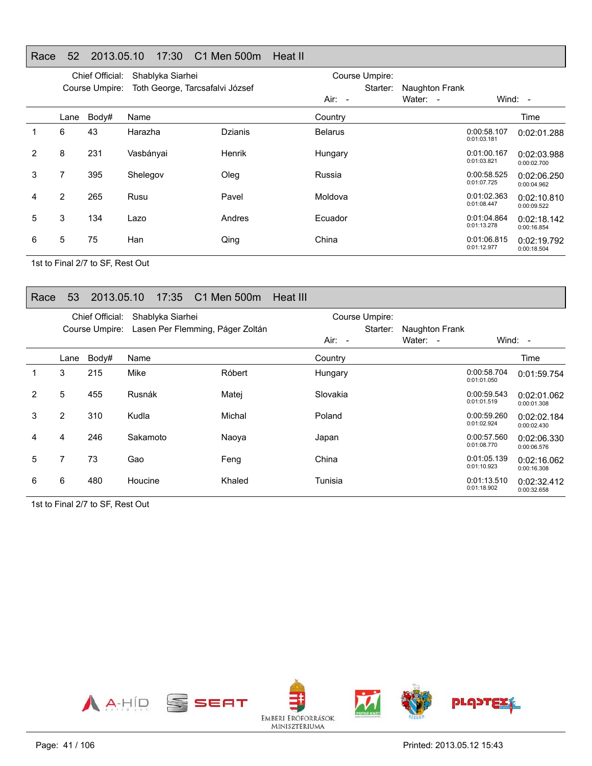### Race 52 2013.05.10 17:30 C1 Men 500m Heat II

|   |                | Chief Official: | Shablyka Siarhei                |                |                | Course Umpire: |                                    |                            |                            |
|---|----------------|-----------------|---------------------------------|----------------|----------------|----------------|------------------------------------|----------------------------|----------------------------|
|   |                | Course Umpire:  | Toth George, Tarcsafalvi József |                |                | Starter:       | <b>Naughton Frank</b>              |                            |                            |
|   |                |                 |                                 |                | $Air: -$       |                | Water:<br>$\overline{\phantom{a}}$ |                            | Wind: $-$                  |
|   | Lane           | Body#           | Name                            |                | Country        |                |                                    |                            | Time                       |
|   | 6              | 43              | Harazha                         | <b>Dzianis</b> | <b>Belarus</b> |                |                                    | 0:00:58.107<br>0:01:03.181 | 0:02:01.288                |
| 2 | 8              | 231             | Vasbányai                       | Henrik         | Hungary        |                |                                    | 0:01:00.167<br>0:01:03.821 | 0:02:03.988<br>0:00:02.700 |
| 3 | 7              | 395             | Shelegov                        | Oleg           | Russia         |                |                                    | 0:00:58.525<br>0:01:07.725 | 0:02:06.250<br>0:00:04.962 |
| 4 | $\overline{2}$ | 265             | Rusu                            | Pavel          | Moldova        |                |                                    | 0:01:02.363<br>0:01:08.447 | 0:02:10.810<br>0:00:09.522 |
| 5 | 3              | 134             | Lazo                            | Andres         | Ecuador        |                |                                    | 0:01:04.864<br>0:01:13.278 | 0:02:18.142<br>0:00:16.854 |
| 6 | 5              | 75              | Han                             | Qing           | China          |                |                                    | 0:01:06.815<br>0:01:12.977 | 0:02:19.792<br>0:00:18.504 |

1st to Final 2/7 to SF, Rest Out

#### Race 53 2013.05.10 17:35 C1 Men 500m Heat III

|   |                | Chief Official: | Shablyka Siarhei                 |        |          | Course Umpire: |                |                            |                            |
|---|----------------|-----------------|----------------------------------|--------|----------|----------------|----------------|----------------------------|----------------------------|
|   |                | Course Umpire:  | Lasen Per Flemming, Páger Zoltán |        |          | Starter:       | Naughton Frank |                            |                            |
|   |                |                 |                                  |        | $Air: -$ |                | Water: -       | Wind: $-$                  |                            |
|   | Lane           | Body#           | Name                             |        | Country  |                |                |                            | Time                       |
|   | 3              | 215             | Mike                             | Róbert | Hungary  |                |                | 0:00:58.704<br>0:01:01.050 | 0:01:59.754                |
| 2 | 5              | 455             | Rusnák                           | Matei  | Slovakia |                |                | 0:00:59.543<br>0:01:01.519 | 0:02:01.062<br>0:00:01.308 |
| 3 | $\overline{2}$ | 310             | Kudla                            | Michal | Poland   |                |                | 0:00:59.260<br>0:01:02.924 | 0:02:02.184<br>0:00:02.430 |
| 4 | 4              | 246             | Sakamoto                         | Naoya  | Japan    |                |                | 0:00:57.560<br>0:01:08.770 | 0:02:06.330<br>0:00:06.576 |
| 5 | 7              | 73              | Gao                              | Feng   | China    |                |                | 0:01:05.139<br>0:01:10.923 | 0:02:16.062<br>0:00:16.308 |
| 6 | 6              | 480             | Houcine                          | Khaled | Tunisia  |                |                | 0:01:13.510<br>0:01:18.902 | 0:02:32.412<br>0:00:32.658 |
|   |                |                 |                                  |        |          |                |                |                            |                            |

1st to Final 2/7 to SF, Rest Out

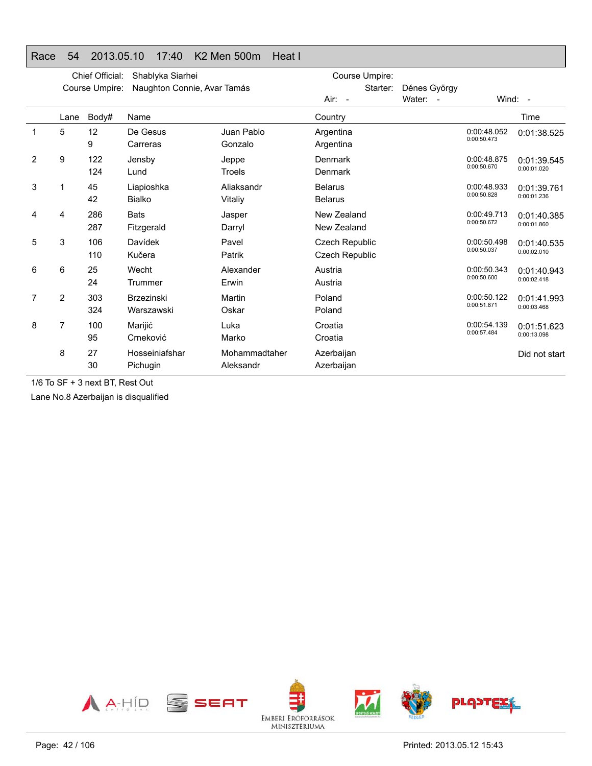#### Race 54 2013.05.10 17:40 K2 Men 500m Heat I

|   | Chief Official:<br>Shablyka Siarhei |                |                                 |                            | Course Umpire:                                 |              |                            |                            |
|---|-------------------------------------|----------------|---------------------------------|----------------------------|------------------------------------------------|--------------|----------------------------|----------------------------|
|   |                                     | Course Umpire: | Naughton Connie, Avar Tamás     |                            | Starter:                                       | Dénes György |                            |                            |
|   |                                     |                |                                 |                            | Air: -                                         | Water: -     | Wind: $-$                  |                            |
|   | Lane                                | Body#          | Name                            |                            | Country                                        |              |                            | Time                       |
|   | 5                                   | 12<br>9        | De Gesus<br>Carreras            | Juan Pablo<br>Gonzalo      | Argentina<br>Argentina                         |              | 0:00:48.052<br>0:00:50.473 | 0:01:38.525                |
| 2 | 9                                   | 122<br>124     | Jensby<br>Lund                  | Jeppe<br>Troels            | Denmark<br>Denmark                             |              | 0:00:48.875<br>0:00:50.670 | 0:01:39.545<br>0:00:01.020 |
| 3 | 1                                   | 45<br>42       | Liapioshka<br><b>Bialko</b>     | Aliaksandr<br>Vitaliy      | <b>Belarus</b><br><b>Belarus</b>               |              | 0:00:48.933<br>0:00:50.828 | 0:01:39.761<br>0:00:01.236 |
| 4 | 4                                   | 286<br>287     | <b>Bats</b><br>Fitzgerald       | Jasper<br>Darryl           | New Zealand<br>New Zealand                     |              | 0:00:49.713<br>0:00:50.672 | 0:01:40.385<br>0:00:01.860 |
| 5 | 3                                   | 106<br>110     | Davídek<br>Kučera               | Pavel<br>Patrik            | <b>Czech Republic</b><br><b>Czech Republic</b> |              | 0:00:50.498<br>0:00:50.037 | 0:01:40.535<br>0:00:02.010 |
| 6 | 6                                   | 25<br>24       | Wecht<br>Trummer                | Alexander<br>Erwin         | Austria<br>Austria                             |              | 0:00:50.343<br>0:00:50.600 | 0:01:40.943<br>0:00:02.418 |
| 7 | 2                                   | 303<br>324     | <b>Brzezinski</b><br>Warszawski | Martin<br>Oskar            | Poland<br>Poland                               |              | 0:00:50.122<br>0:00:51.871 | 0:01:41.993<br>0:00:03.468 |
| 8 | 7                                   | 100<br>95      | Marijić<br>Crneković            | Luka<br>Marko              | Croatia<br>Croatia                             |              | 0:00:54.139<br>0:00:57.484 | 0:01:51.623<br>0:00:13.098 |
|   | 8                                   | 27<br>30       | Hosseiniafshar<br>Pichugin      | Mohammadtaher<br>Aleksandr | Azerbaijan<br>Azerbaijan                       |              |                            | Did not start              |

1/6 To SF + 3 next BT, Rest Out

Lane No.8 Azerbaijan is disqualified

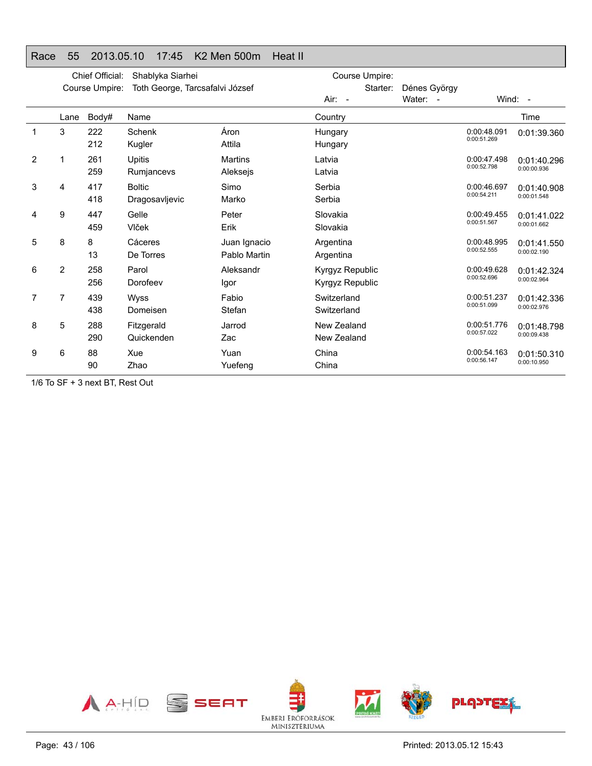### Race 55 2013.05.10 17:45 K2 Men 500m Heat II

|                | Chief Official:<br>Shablyka Siarhei |                |                                 |                              | Course Umpire:                            |              |                            |                            |
|----------------|-------------------------------------|----------------|---------------------------------|------------------------------|-------------------------------------------|--------------|----------------------------|----------------------------|
|                |                                     | Course Umpire: | Toth George, Tarcsafalvi József |                              | Starter:                                  | Dénes György |                            |                            |
|                |                                     |                |                                 |                              | Air: -                                    | Water: -     |                            | Wind: -                    |
|                | Lane                                | Body#          | Name                            |                              | Country                                   |              |                            | Time                       |
|                | 3                                   | 222<br>212     | Schenk<br>Kugler                | Áron<br>Attila               | Hungary<br>Hungary                        |              | 0:00:48.091<br>0:00:51.269 | 0:01:39.360                |
| $\overline{2}$ | 1                                   | 261<br>259     | Upitis<br>Rumjancevs            | <b>Martins</b><br>Aleksejs   | Latvia<br>Latvia                          |              | 0:00:47.498<br>0:00:52.798 | 0:01:40.296<br>0:00:00.936 |
| 3              | 4                                   | 417<br>418     | <b>Boltic</b><br>Dragosavljevic | Simo<br>Marko                | Serbia<br>Serbia                          |              | 0:00:46.697<br>0:00:54.211 | 0:01:40.908<br>0:00:01.548 |
| 4              | 9                                   | 447<br>459     | Gelle<br>Vlček                  | Peter<br>Erik                | Slovakia<br>Slovakia                      |              | 0:00:49.455<br>0:00:51.567 | 0:01:41.022<br>0:00:01.662 |
| 5              | 8                                   | 8<br>13        | Cáceres<br>De Torres            | Juan Ignacio<br>Pablo Martin | Argentina<br>Argentina                    |              | 0:00:48.995<br>0:00:52.555 | 0:01:41.550<br>0:00:02.190 |
| 6              | $\overline{2}$                      | 258<br>256     | Parol<br>Dorofeev               | Aleksandr<br>Igor            | Kyrgyz Republic<br><b>Kyrgyz Republic</b> |              | 0:00:49.628<br>0:00:52.696 | 0:01:42.324<br>0:00:02.964 |
| 7              | 7                                   | 439<br>438     | Wyss<br>Domeisen                | Fabio<br>Stefan              | Switzerland<br>Switzerland                |              | 0:00:51.237<br>0:00:51.099 | 0:01:42.336<br>0:00:02.976 |
| 8              | 5                                   | 288<br>290     | Fitzgerald<br>Quickenden        | Jarrod<br>Zac                | New Zealand<br>New Zealand                |              | 0:00:51.776<br>0:00:57.022 | 0:01:48.798<br>0:00:09.438 |
| 9              | 6                                   | 88<br>90       | Xue<br>Zhao                     | Yuan<br>Yuefeng              | China<br>China                            |              | 0:00:54.163<br>0:00:56.147 | 0:01:50.310<br>0:00:10.950 |

1/6 To SF + 3 next BT, Rest Out

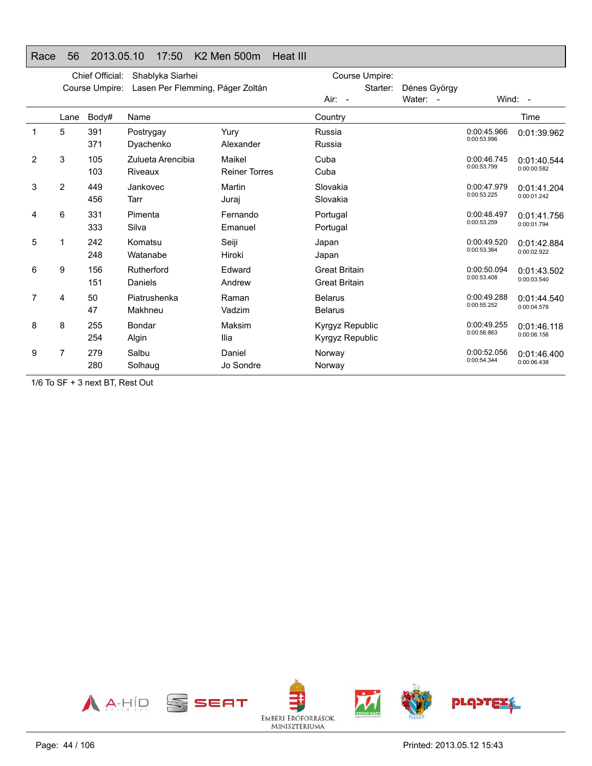### Race 56 2013.05.10 17:50 K2 Men 500m Heat III

|                | Chief Official:<br>Shablyka Siarhei |                |                                  |                                | Course Umpire:                               |              |                            |                            |
|----------------|-------------------------------------|----------------|----------------------------------|--------------------------------|----------------------------------------------|--------------|----------------------------|----------------------------|
|                |                                     | Course Umpire: | Lasen Per Flemming, Páger Zoltán |                                | Starter:                                     | Dénes György |                            |                            |
|                |                                     |                |                                  |                                | Air: -                                       | Water: -     |                            | Wind: -                    |
|                | Lane                                | Body#          | Name                             |                                | Country                                      |              |                            | Time                       |
| 1              | 5                                   | 391<br>371     | Postrygay<br>Dyachenko           | Yury<br>Alexander              | Russia<br>Russia                             |              | 0:00:45.966<br>0:00:53.996 | 0:01:39.962                |
| $\overline{2}$ | 3                                   | 105<br>103     | Zulueta Arencibia<br>Riveaux     | Maikel<br><b>Reiner Torres</b> | Cuba<br>Cuba                                 |              | 0:00:46.745<br>0:00:53.799 | 0:01:40.544<br>0:00:00.582 |
| 3              | 2                                   | 449<br>456     | Jankovec<br>Tarr                 | Martin<br>Juraj                | Slovakia<br>Slovakia                         |              | 0:00:47.979<br>0:00:53.225 | 0:01:41.204<br>0:00:01.242 |
| 4              | 6                                   | 331<br>333     | Pimenta<br>Silva                 | Fernando<br>Emanuel            | Portugal<br>Portugal                         |              | 0:00:48.497<br>0:00:53.259 | 0:01:41.756<br>0:00:01.794 |
| 5              |                                     | 242<br>248     | Komatsu<br>Watanabe              | Seiji<br>Hiroki                | Japan<br>Japan                               |              | 0:00:49.520<br>0:00:53.364 | 0:01:42.884<br>0:00:02.922 |
| 6              | 9                                   | 156<br>151     | Rutherford<br>Daniels            | Edward<br>Andrew               | <b>Great Britain</b><br><b>Great Britain</b> |              | 0:00:50.094<br>0:00:53.408 | 0:01:43.502<br>0:00:03.540 |
| 7              | 4                                   | 50<br>47       | Piatrushenka<br>Makhneu          | Raman<br>Vadzim                | <b>Belarus</b><br><b>Belarus</b>             |              | 0:00:49.288<br>0:00:55.252 | 0:01:44.540<br>0:00:04.578 |
| 8              | 8                                   | 255<br>254     | Bondar<br>Algin                  | Maksim<br>Ilia                 | Kyrgyz Republic<br>Kyrgyz Republic           |              | 0:00:49.255<br>0:00:56.863 | 0:01:46.118<br>0:00:06.156 |
| 9              | 7                                   | 279<br>280     | Salbu<br>Solhaug                 | Daniel<br>Jo Sondre            | Norway<br>Norway                             |              | 0:00:52.056<br>0:00:54.344 | 0:01:46.400<br>0:00:06.438 |

1/6 To SF + 3 next BT, Rest Out

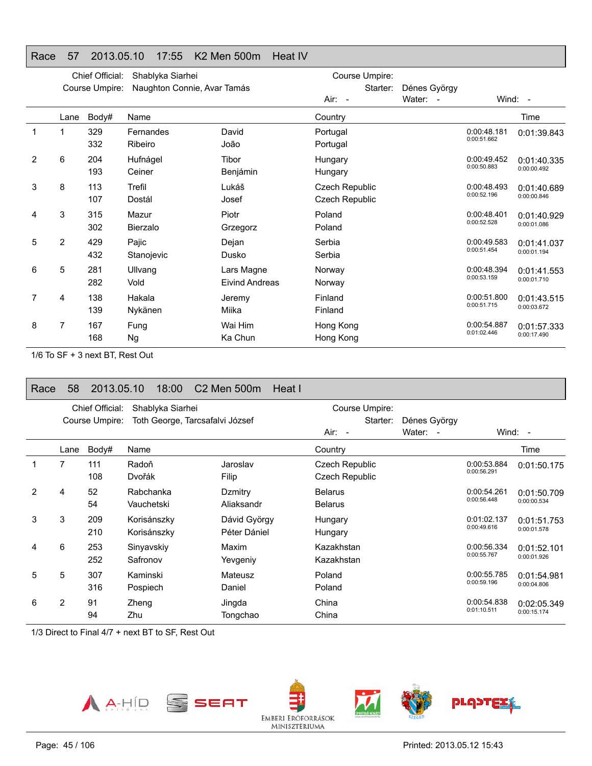### Race 57 2013.05.10 17:55 K2 Men 500m Heat IV

|   |                | Chief Official: | Shablyka Siarhei            |                | Course Umpire: |              |                            |             |
|---|----------------|-----------------|-----------------------------|----------------|----------------|--------------|----------------------------|-------------|
|   |                | Course Umpire:  | Naughton Connie, Avar Tamás |                | Starter:       | Dénes György |                            |             |
|   |                |                 |                             |                | Air: -         | Water: -     |                            | Wind: -     |
|   | Lane           | Body#           | Name                        |                | Country        |              |                            | Time        |
|   |                | 329             | Fernandes                   | David          | Portugal       |              | 0:00:48.181<br>0:00:51.662 | 0:01:39.843 |
|   |                | 332             | Ribeiro                     | João           | Portugal       |              |                            |             |
| 2 | 6              | 204             | Hufnágel                    | Tibor          | Hungary        |              | 0:00:49.452<br>0:00:50.883 | 0:01:40.335 |
|   |                | 193             | Ceiner                      | Benjámin       | Hungary        |              |                            | 0:00:00.492 |
| 3 | 8              | 113             | Trefil                      | Lukáš          | Czech Republic |              | 0:00:48.493                | 0:01:40.689 |
|   |                | 107             | Dostál                      | Josef          | Czech Republic |              | 0:00:52.196                | 0:00:00.846 |
| 4 | 3              | 315             | Mazur                       | Piotr          | Poland         |              | 0:00:48.401                | 0:01:40.929 |
|   |                | 302             | Bierzalo                    | Grzegorz       | Poland         |              | 0:00:52.528                | 0:00:01.086 |
| 5 | $\overline{2}$ | 429             | Pajic                       | Dejan          | Serbia         |              | 0:00:49.583                | 0:01:41.037 |
|   |                | 432             | Stanojevic                  | Dusko          | Serbia         |              | 0:00:51.454                | 0:00:01.194 |
| 6 | 5              | 281             | Ullvang                     | Lars Magne     | Norway         |              | 0:00:48.394                | 0:01:41.553 |
|   |                | 282             | Vold                        | Eivind Andreas | Norway         |              | 0:00:53.159                | 0:00:01.710 |
| 7 | 4              | 138             | Hakala                      | Jeremy         | Finland        |              | 0:00:51.800                | 0:01:43.515 |
|   |                | 139             | Nykänen                     | Miika          | Finland        |              | 0:00:51.715                | 0:00:03.672 |
| 8 | 7              | 167             | Fung                        | Wai Him        | Hong Kong      |              | 0:00:54.887                | 0:01:57.333 |
|   |                | 168             | <b>Ng</b>                   | Ka Chun        | Hong Kong      |              | 0:01:02.446                | 0:00:17.490 |
|   |                |                 |                             |                |                |              |                            |             |

1/6 To SF + 3 next BT, Rest Out

### Race 58 2013.05.10 18:00 C2 Men 500m Heat I

|   |                | Chief Official: | Shablyka Siarhei                |                              | Course Umpire:                   |                          |                            |                            |
|---|----------------|-----------------|---------------------------------|------------------------------|----------------------------------|--------------------------|----------------------------|----------------------------|
|   |                | Course Umpire:  | Toth George, Tarcsafalvi József |                              | Starter:<br>$Air: -$             | Dénes György<br>Water: - |                            | Wind: $-$                  |
|   | Lane           | Body#           | Name                            |                              | Country                          |                          |                            | Time                       |
|   | 7              | 111<br>108      | Radoň<br>Dvořák                 | Jaroslav<br>Filip            | Czech Republic<br>Czech Republic |                          | 0:00:53.884<br>0:00:56.291 | 0:01:50.175                |
| 2 | 4              | 52<br>54        | Rabchanka<br>Vauchetski         | Dzmitry<br>Aliaksandr        | <b>Belarus</b><br><b>Belarus</b> |                          | 0:00:54.261<br>0:00:56.448 | 0:01:50.709<br>0:00:00.534 |
| 3 | 3              | 209<br>210      | Korisánszky<br>Korisánszky      | Dávid György<br>Péter Dániel | Hungary<br>Hungary               |                          | 0:01:02.137<br>0:00:49.616 | 0:01:51.753<br>0:00:01.578 |
| 4 | 6              | 253<br>252      | Sinyavskiy<br>Safronov          | Maxim<br>Yevgeniy            | Kazakhstan<br>Kazakhstan         |                          | 0:00:56.334<br>0:00:55.767 | 0:01:52.101<br>0:00:01.926 |
| 5 | 5              | 307<br>316      | Kaminski<br>Pospiech            | Mateusz<br>Daniel            | Poland<br>Poland                 |                          | 0:00:55.785<br>0:00:59.196 | 0:01:54.981<br>0:00:04.806 |
| 6 | $\overline{2}$ | 91<br>94        | Zheng<br>Zhu                    | Jingda<br>Tongchao           | China<br>China                   |                          | 0:00:54.838<br>0:01:10.511 | 0:02:05.349<br>0:00:15.174 |

1/3 Direct to Final 4/7 + next BT to SF, Rest Out

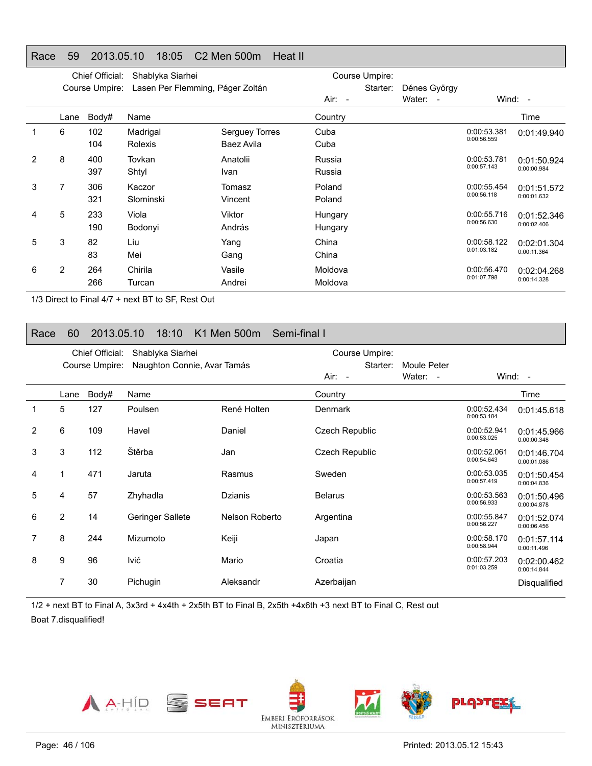#### Race 59 2013.05.10 18:05 C2 Men 500m Heat II

|   |                | Chief Official: | Shablyka Siarhei                 |                |          | Course Umpire: |                                    |             |             |
|---|----------------|-----------------|----------------------------------|----------------|----------|----------------|------------------------------------|-------------|-------------|
|   |                | Course Umpire:  | Lasen Per Flemming, Páger Zoltán |                |          | Starter:       | Dénes György                       |             |             |
|   |                |                 |                                  |                | $Air: -$ |                | Water:<br>$\overline{\phantom{a}}$ |             | Wind: $-$   |
|   | Lane           | Body#           | Name                             |                | Country  |                |                                    |             | Time        |
|   | 6              | 102             | Madrigal                         | Serguey Torres | Cuba     |                |                                    | 0:00:53.381 | 0:01:49.940 |
|   |                | 104             | Rolexis                          | Baez Avila     | Cuba     |                |                                    | 0:00:56.559 |             |
| 2 | 8              | 400             | Tovkan                           | Anatolii       | Russia   |                |                                    | 0:00:53.781 | 0:01:50.924 |
|   |                | 397             | Shtyl                            | Ivan           | Russia   |                |                                    | 0:00:57.143 | 0:00:00.984 |
| 3 | 7              | 306             | Kaczor                           | Tomasz         | Poland   |                |                                    | 0:00:55.454 | 0:01:51.572 |
|   |                | 321             | Slominski                        | Vincent        | Poland   |                |                                    | 0:00:56.118 | 0:00:01.632 |
| 4 | 5              | 233             | Viola                            | Viktor         | Hungary  |                |                                    | 0:00:55.716 | 0:01:52.346 |
|   |                | 190             | Bodonyi                          | András         | Hungary  |                |                                    | 0:00:56.630 | 0:00:02.406 |
| 5 | 3              | 82              | Liu                              | Yang           | China    |                |                                    | 0:00:58.122 | 0:02:01.304 |
|   |                | 83              | Mei                              | Gang           | China    |                |                                    | 0:01:03.182 | 0:00:11.364 |
| 6 | $\overline{2}$ | 264             | Chirila                          | Vasile         | Moldova  |                |                                    | 0:00:56.470 | 0:02:04.268 |
|   |                | 266             | Turcan                           | Andrei         | Moldova  |                |                                    | 0:01:07.798 | 0:00:14.328 |

1/3 Direct to Final 4/7 + next BT to SF, Rest Out

### Race 60 2013.05.10 18:10 K1 Men 500m Semi-final I

|   |                | Chief Official: | Shablyka Siarhei            |                | Course Umpire: |             |                            |                            |
|---|----------------|-----------------|-----------------------------|----------------|----------------|-------------|----------------------------|----------------------------|
|   |                | Course Umpire:  | Naughton Connie, Avar Tamás |                | Starter:       | Moule Peter |                            |                            |
|   |                |                 |                             |                | Air: -         | Water: -    |                            | Wind: -                    |
|   | Lane           | Body#           | Name                        |                | Country        |             |                            | Time                       |
| 1 | 5              | 127             | Poulsen                     | René Holten    | Denmark        |             | 0:00:52.434<br>0:00:53.184 | 0:01:45.618                |
| 2 | 6              | 109             | Havel                       | Daniel         | Czech Republic |             | 0:00:52.941<br>0:00:53.025 | 0:01:45.966<br>0:00:00.348 |
| 3 | 3              | 112             | Štěrba                      | Jan            | Czech Republic |             | 0:00:52.061<br>0:00:54.643 | 0:01:46.704<br>0:00:01.086 |
| 4 |                | 471             | Jaruta                      | Rasmus         | Sweden         |             | 0:00:53.035<br>0:00:57.419 | 0:01:50.454<br>0:00:04.836 |
| 5 | 4              | 57              | Zhyhadla                    | Dzianis        | <b>Belarus</b> |             | 0:00:53.563<br>0:00:56.933 | 0:01:50.496<br>0:00:04.878 |
| 6 | $\overline{2}$ | 14              | Geringer Sallete            | Nelson Roberto | Argentina      |             | 0:00:55.847<br>0:00:56.227 | 0:01:52.074<br>0:00:06.456 |
| 7 | 8              | 244             | Mizumoto                    | Keiji          | Japan          |             | 0:00:58.170<br>0:00:58.944 | 0:01:57.114<br>0:00:11.496 |
| 8 | 9              | 96              | lvić                        | Mario          | Croatia        |             | 0:00:57.203<br>0:01:03.259 | 0:02:00.462<br>0:00:14.844 |
|   | 7              | 30              | Pichugin                    | Aleksandr      | Azerbaijan     |             |                            | Disqualified               |

1/2 + next BT to Final A, 3x3rd + 4x4th + 2x5th BT to Final B, 2x5th +4x6th +3 next BT to Final C, Rest out Boat 7.disqualified!

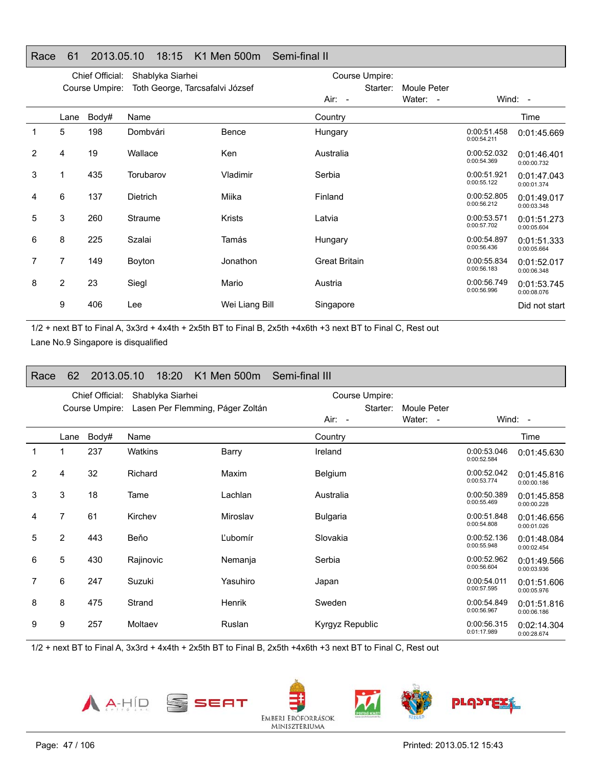|   |                | Chief Official: | Shablyka Siarhei                |                |                      | Course Umpire: |             |                            |                            |
|---|----------------|-----------------|---------------------------------|----------------|----------------------|----------------|-------------|----------------------------|----------------------------|
|   |                | Course Umpire:  | Toth George, Tarcsafalvi József |                |                      | Starter:       | Moule Peter |                            |                            |
|   |                |                 |                                 |                | Air: -               |                | Water: -    |                            | Wind: -                    |
|   | Lane           | Body#           | Name                            |                | Country              |                |             |                            | Time                       |
| 1 | 5              | 198             | Dombvári                        | Bence          | Hungary              |                |             | 0:00:51.458<br>0:00:54.211 | 0:01:45.669                |
| 2 | 4              | 19              | Wallace                         | Ken            | Australia            |                |             | 0:00:52.032<br>0:00:54.369 | 0:01:46.401<br>0:00:00.732 |
| 3 |                | 435             | Torubarov                       | Vladimir       | Serbia               |                |             | 0:00:51.921<br>0:00:55.122 | 0:01:47.043<br>0:00:01.374 |
| 4 | 6              | 137             | <b>Dietrich</b>                 | Miika          | Finland              |                |             | 0:00:52.805<br>0:00:56.212 | 0:01:49.017<br>0:00:03.348 |
| 5 | 3              | 260             | Straume                         | <b>Krists</b>  | Latvia               |                |             | 0:00:53.571<br>0:00:57.702 | 0:01:51.273<br>0:00:05.604 |
| 6 | 8              | 225             | Szalai                          | Tamás          | Hungary              |                |             | 0:00:54.897<br>0:00:56.436 | 0:01:51.333<br>0:00:05.664 |
|   | 7              | 149             | Boyton                          | Jonathon       | <b>Great Britain</b> |                |             | 0:00:55.834<br>0:00:56.183 | 0:01:52.017<br>0:00:06.348 |
| 8 | $\overline{2}$ | 23              | Siegl                           | Mario          | Austria              |                |             | 0:00:56.749<br>0:00:56.996 | 0:01:53.745<br>0:00:08.076 |
|   | 9              | 406             | Lee                             | Wei Liang Bill | Singapore            |                |             |                            | Did not start              |
|   |                |                 |                                 |                |                      |                |             |                            |                            |

#### Race 61 2013.05.10 18:15 K1 Men 500m Semi-final II

1/2 + next BT to Final A, 3x3rd + 4x4th + 2x5th BT to Final B, 2x5th +4x6th +3 next BT to Final C, Rest out Lane No.9 Singapore is disqualified

| Race | 62             | 2013.05.10      | 18:20            | K1 Men 500m                      | Semi-final III  |                         |                            |                            |
|------|----------------|-----------------|------------------|----------------------------------|-----------------|-------------------------|----------------------------|----------------------------|
|      |                | Chief Official: | Shablyka Siarhei |                                  | Course Umpire:  |                         |                            |                            |
|      |                | Course Umpire:  |                  | Lasen Per Flemming, Páger Zoltán | Starter:        | Moule Peter<br>Water: - |                            |                            |
|      |                |                 |                  |                                  | Air: -          |                         |                            | Wind: $-$                  |
|      | Lane           | Body#           | Name             |                                  | Country         |                         |                            | Time                       |
| 1    | 1              | 237             | <b>Watkins</b>   | Barry                            | Ireland         |                         | 0:00:53.046<br>0:00:52.584 | 0:01:45.630                |
| 2    | 4              | 32              | Richard          | Maxim                            | Belgium         |                         | 0:00:52.042<br>0:00:53.774 | 0:01:45.816<br>0:00:00.186 |
| 3    | 3              | 18              | Tame             | Lachlan                          | Australia       |                         | 0:00:50.389<br>0:00:55.469 | 0:01:45.858<br>0:00:00.228 |
| 4    | 7              | 61              | Kirchev          | Miroslav                         | <b>Bulgaria</b> |                         | 0:00:51.848<br>0:00:54.808 | 0:01:46.656<br>0:00:01.026 |
| 5    | $\overline{2}$ | 443             | Beňo             | Ľubomír                          | Slovakia        |                         | 0:00:52.136<br>0:00:55.948 | 0:01:48.084<br>0:00:02.454 |
| 6    | 5              | 430             | Rajinovic        | Nemanja                          | Serbia          |                         | 0:00:52.962<br>0:00:56.604 | 0:01:49.566<br>0:00:03.936 |
| 7    | 6              | 247             | Suzuki           | Yasuhiro                         | Japan           |                         | 0:00:54.011<br>0:00:57.595 | 0:01:51.606<br>0:00:05.976 |
| 8    | 8              | 475             | Strand           | Henrik                           | Sweden          |                         | 0:00:54.849<br>0:00:56.967 | 0:01:51.816<br>0:00:06.186 |
| 9    | 9              | 257             | Moltaev          | Ruslan                           | Kyrgyz Republic |                         | 0:00:56.315<br>0:01:17.989 | 0:02:14.304<br>0:00:28.674 |

1/2 + next BT to Final A, 3x3rd + 4x4th + 2x5th BT to Final B, 2x5th +4x6th +3 next BT to Final C, Rest out







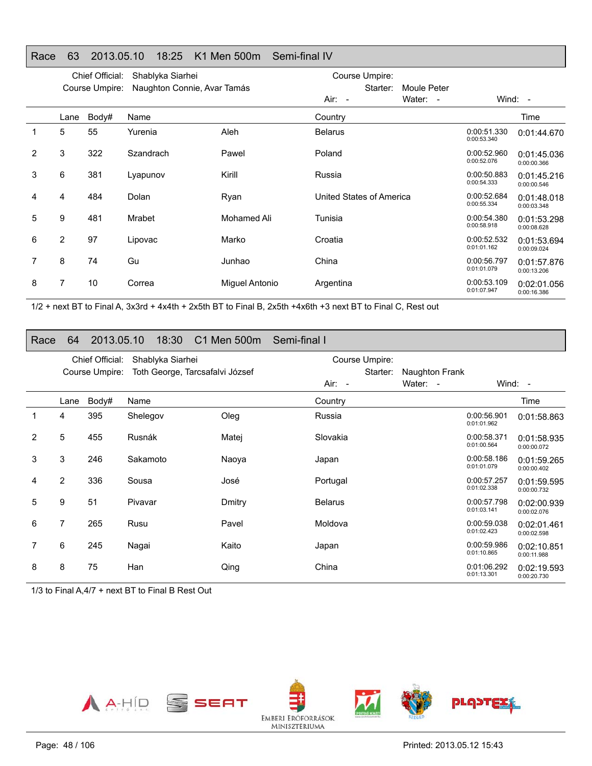### Race 63 2013.05.10 18:25 K1 Men 500m Semi-final IV

|   |                | Chief Official: | Shablyka Siarhei            |                | Course Umpire:           |                                    |                            |                            |
|---|----------------|-----------------|-----------------------------|----------------|--------------------------|------------------------------------|----------------------------|----------------------------|
|   |                | Course Umpire:  | Naughton Connie, Avar Tamás |                | Starter:                 | Moule Peter                        |                            |                            |
|   |                |                 |                             |                | Air: -                   | Water:<br>$\overline{\phantom{a}}$ |                            | Wind: $-$                  |
|   | Lane           | Body#           | Name                        |                | Country                  |                                    |                            | Time                       |
|   | 5              | 55              | Yurenia                     | Aleh           | <b>Belarus</b>           |                                    | 0:00:51.330<br>0:00:53.340 | 0:01:44.670                |
| 2 | 3              | 322             | Szandrach                   | Pawel          | Poland                   |                                    | 0:00:52.960<br>0:00:52.076 | 0:01:45.036<br>0:00:00.366 |
| 3 | 6              | 381             | Lyapunov                    | Kirill         | Russia                   |                                    | 0:00:50.883<br>0:00:54.333 | 0:01:45.216<br>0:00:00.546 |
| 4 | 4              | 484             | Dolan                       | Ryan           | United States of America |                                    | 0:00:52.684<br>0:00:55.334 | 0:01:48.018<br>0:00:03.348 |
| 5 | 9              | 481             | Mrabet                      | Mohamed Ali    | Tunisia                  |                                    | 0:00:54.380<br>0:00:58.918 | 0:01:53.298<br>0:00:08.628 |
| 6 | $\overline{2}$ | 97              | Lipovac                     | Marko          | Croatia                  |                                    | 0:00:52.532<br>0:01:01.162 | 0:01:53.694<br>0:00:09.024 |
|   | 8              | 74              | Gu                          | Junhao         | China                    |                                    | 0:00:56.797<br>0:01:01.079 | 0:01:57.876<br>0:00:13.206 |
| 8 | 7              | 10              | Correa                      | Miguel Antonio | Argentina                |                                    | 0:00:53.109<br>0:01:07.947 | 0:02:01.056<br>0:00:16.386 |

1/2 + next BT to Final A, 3x3rd + 4x4th + 2x5th BT to Final B, 2x5th +4x6th +3 next BT to Final C, Rest out

#### Race 64 2013.05.10 18:30 C1 Men 500m Semi-final I

|                |                | Chief Official: | Shablyka Siarhei                |        |                | Course Umpire: |                |                            |                            |
|----------------|----------------|-----------------|---------------------------------|--------|----------------|----------------|----------------|----------------------------|----------------------------|
|                |                | Course Umpire:  | Toth George, Tarcsafalvi József |        |                | Starter:       | Naughton Frank |                            |                            |
|                |                |                 |                                 |        | Air: -         |                | Water: -       |                            | Wind: $-$                  |
|                | Lane           | Body#           | Name                            |        | Country        |                |                |                            | Time                       |
|                | 4              | 395             | Shelegov                        | Oleg   | Russia         |                |                | 0:00:56.901<br>0:01:01.962 | 0:01:58.863                |
| $\overline{2}$ | 5              | 455             | Rusnák                          | Matej  | Slovakia       |                |                | 0:00:58.371<br>0:01:00.564 | 0:01:58.935<br>0:00:00.072 |
| 3              | 3              | 246             | Sakamoto                        | Naoya  | Japan          |                |                | 0:00:58.186<br>0:01:01.079 | 0:01:59.265<br>0:00:00.402 |
| 4              | $\overline{2}$ | 336             | Sousa                           | José   | Portugal       |                |                | 0:00:57.257<br>0:01:02.338 | 0:01:59.595<br>0:00:00.732 |
| 5              | 9              | 51              | Pivavar                         | Dmitry | <b>Belarus</b> |                |                | 0:00:57.798<br>0:01:03.141 | 0:02:00.939<br>0:00:02.076 |
| 6              | 7              | 265             | Rusu                            | Pavel  | Moldova        |                |                | 0:00:59.038<br>0:01:02.423 | 0:02:01.461<br>0:00:02.598 |
| 7              | 6              | 245             | Nagai                           | Kaito  | Japan          |                |                | 0:00:59.986<br>0:01:10.865 | 0:02:10.851<br>0:00:11.988 |
| 8              | 8              | 75              | Han                             | Qing   | China          |                |                | 0:01:06.292<br>0:01:13.301 | 0:02:19.593<br>0:00:20.730 |

1/3 to Final A,4/7 + next BT to Final B Rest Out

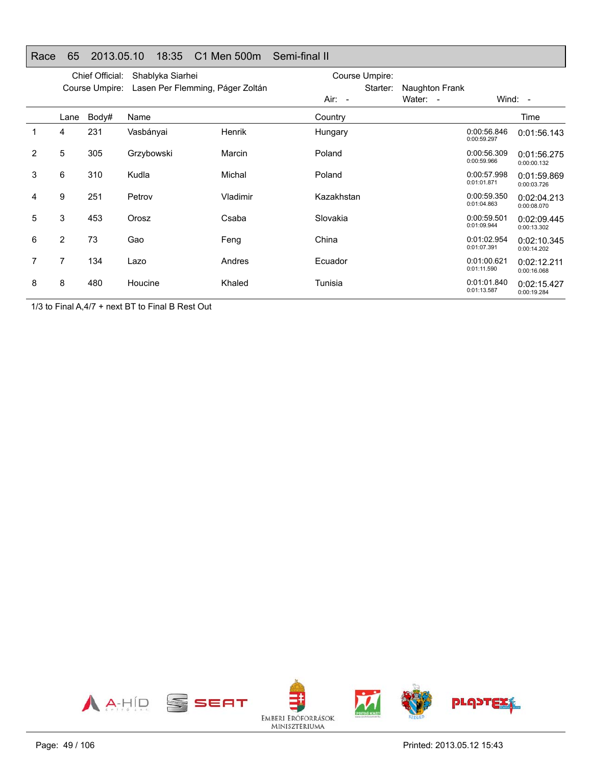| Race | 65             | 2013.05.10                        |            | 18:35            | C1 Men 500m                      | Semi-final II                          |                            |                            |                            |
|------|----------------|-----------------------------------|------------|------------------|----------------------------------|----------------------------------------|----------------------------|----------------------------|----------------------------|
|      |                | Chief Official:<br>Course Umpire: |            | Shablyka Siarhei | Lasen Per Flemming, Páger Zoltán | Course Umpire:<br>Starter:<br>$Air: -$ | Naughton Frank<br>Water: - | Wind: $-$                  |                            |
|      | Lane           | Body#                             | Name       |                  |                                  | Country                                |                            |                            | Time                       |
|      | 4              | 231                               | Vasbányai  |                  | Henrik                           | Hungary                                |                            | 0:00:56.846<br>0:00:59.297 | 0:01:56.143                |
| 2    | 5              | 305                               | Grzybowski |                  | Marcin                           | Poland                                 |                            | 0:00:56.309<br>0:00:59.966 | 0:01:56.275<br>0:00:00.132 |
| 3    | 6              | 310                               | Kudla      |                  | Michal                           | Poland                                 |                            | 0:00:57.998<br>0:01:01.871 | 0:01:59.869<br>0:00:03.726 |
| 4    | 9              | 251                               | Petrov     |                  | Vladimir                         | Kazakhstan                             |                            | 0:00:59.350<br>0:01:04.863 | 0:02:04.213<br>0:00:08.070 |
| 5    | 3              | 453                               | Orosz      |                  | Csaba                            | Slovakia                               |                            | 0:00:59.501<br>0:01:09.944 | 0:02:09.445<br>0:00:13.302 |
| 6    | $\overline{2}$ | 73                                | Gao        |                  | Feng                             | China                                  |                            | 0:01:02.954<br>0:01:07.391 | 0:02:10.345<br>0:00:14.202 |
| 7    | 7              | 134                               | Lazo       |                  | Andres                           | Ecuador                                |                            | 0:01:00.621<br>0:01:11.590 | 0:02:12.211<br>0:00:16.068 |
| 8    | 8              | 480                               | Houcine    |                  | Khaled                           | Tunisia                                |                            | 0:01:01.840<br>0:01:13.587 | 0:02:15.427<br>0:00:19.284 |

1/3 to Final A,4/7 + next BT to Final B Rest Out

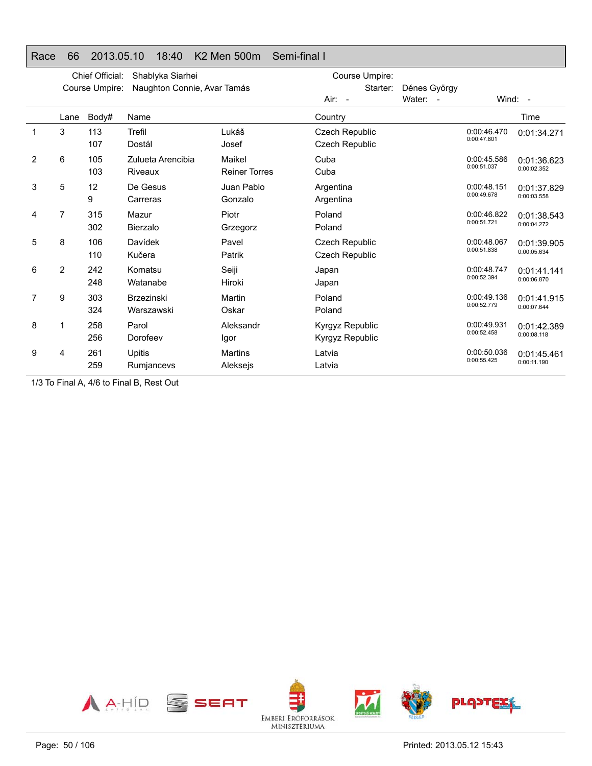### Race 66 2013.05.10 18:40 K2 Men 500m Semi-final I

|   |                | Chief Official: | Shablyka Siarhei                |                                | Course Umpire:                                 |                          |                            |                            |
|---|----------------|-----------------|---------------------------------|--------------------------------|------------------------------------------------|--------------------------|----------------------------|----------------------------|
|   |                | Course Umpire:  | Naughton Connie, Avar Tamás     |                                | Starter:<br>$Air: -$                           | Dénes György<br>Water: - |                            | Wind: -                    |
|   | Lane           | Body#           | Name                            |                                | Country                                        |                          |                            | Time                       |
| 1 | 3              | 113<br>107      | Trefil<br>Dostál                | Lukáš<br>Josef                 | Czech Republic<br><b>Czech Republic</b>        |                          | 0:00:46.470<br>0:00:47.801 | 0:01:34.271                |
| 2 | 6              | 105<br>103      | Zulueta Arencibia<br>Riveaux    | Maikel<br><b>Reiner Torres</b> | Cuba<br>Cuba                                   |                          | 0:00:45.586<br>0:00:51.037 | 0:01:36.623<br>0:00:02.352 |
| 3 | 5              | 12<br>9         | De Gesus<br>Carreras            | Juan Pablo<br>Gonzalo          | Argentina<br>Argentina                         |                          | 0:00:48.151<br>0:00:49.678 | 0:01:37.829<br>0:00:03.558 |
| 4 | 7              | 315<br>302      | Mazur<br><b>Bierzalo</b>        | Piotr<br>Grzegorz              | Poland<br>Poland                               |                          | 0:00:46.822<br>0:00:51.721 | 0:01:38.543<br>0:00:04.272 |
| 5 | 8              | 106<br>110      | Davídek<br>Kučera               | Pavel<br>Patrik                | <b>Czech Republic</b><br><b>Czech Republic</b> |                          | 0:00:48.067<br>0:00:51.838 | 0:01:39.905<br>0:00:05.634 |
| 6 | $\overline{2}$ | 242<br>248      | Komatsu<br>Watanabe             | Seiji<br>Hiroki                | Japan<br>Japan                                 |                          | 0:00:48.747<br>0:00:52.394 | 0:01:41.141<br>0:00:06.870 |
| 7 | 9              | 303<br>324      | <b>Brzezinski</b><br>Warszawski | Martin<br>Oskar                | Poland<br>Poland                               |                          | 0:00:49.136<br>0:00:52.779 | 0:01:41.915<br>0:00:07.644 |
| 8 | 1              | 258<br>256      | Parol<br>Dorofeev               | Aleksandr<br>Igor              | <b>Kyrgyz Republic</b><br>Kyrgyz Republic      |                          | 0:00:49.931<br>0:00:52.458 | 0:01:42.389<br>0:00:08.118 |
| 9 | 4              | 261<br>259      | Upitis<br>Rumjancevs            | <b>Martins</b><br>Aleksejs     | Latvia<br>Latvia                               |                          | 0:00:50.036<br>0:00:55.425 | 0:01:45.461<br>0:00:11.190 |

1/3 To Final A, 4/6 to Final B, Rest Out

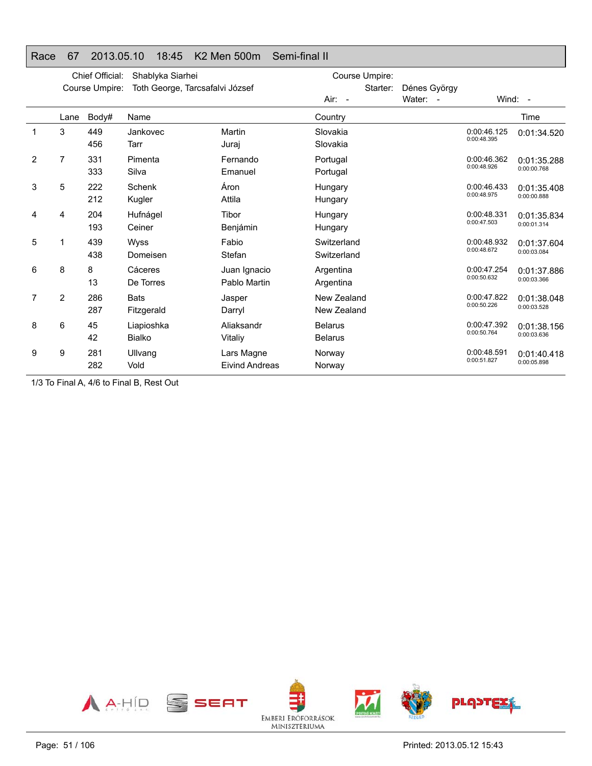|   |      | Chief Official: | Shablyka Siarhei                |                                     | Course Umpire:                   |              |                            |                            |
|---|------|-----------------|---------------------------------|-------------------------------------|----------------------------------|--------------|----------------------------|----------------------------|
|   |      | Course Umpire:  | Toth George, Tarcsafalvi József |                                     | Starter:                         | Dénes György |                            |                            |
|   |      |                 |                                 |                                     | Air: -                           | Water: -     |                            | Wind: $-$                  |
|   | Lane | Body#           | Name                            |                                     | Country                          |              |                            | Time                       |
| 1 | 3    | 449<br>456      | Jankovec<br>Tarr                | Martin<br>Juraj                     | Slovakia<br>Slovakia             |              | 0:00:46.125<br>0:00:48.395 | 0:01:34.520                |
| 2 | 7    | 331<br>333      | Pimenta<br>Silva                | Fernando<br>Emanuel                 | Portugal<br>Portugal             |              | 0:00:46.362<br>0:00:48.926 | 0:01:35.288<br>0:00:00.768 |
| 3 | 5    | 222<br>212      | Schenk<br>Kugler                | Áron<br>Attila                      | Hungary<br>Hungary               |              | 0:00:46.433<br>0:00:48.975 | 0:01:35.408<br>0:00:00.888 |
| 4 | 4    | 204<br>193      | Hufnágel<br>Ceiner              | Tibor<br>Benjámin                   | Hungary<br>Hungary               |              | 0:00:48.331<br>0:00:47.503 | 0:01:35.834<br>0:00:01.314 |
| 5 |      | 439<br>438      | Wyss<br>Domeisen                | Fabio<br>Stefan                     | Switzerland<br>Switzerland       |              | 0:00:48.932<br>0:00:48.672 | 0:01:37.604<br>0:00:03.084 |
| 6 | 8    | 8<br>13         | Cáceres<br>De Torres            | Juan Ignacio<br>Pablo Martin        | Argentina<br>Argentina           |              | 0:00:47.254<br>0:00:50.632 | 0:01:37.886<br>0:00:03.366 |
| 7 | 2    | 286<br>287      | <b>Bats</b><br>Fitzgerald       | Jasper<br>Darryl                    | New Zealand<br>New Zealand       |              | 0:00:47.822<br>0:00:50.226 | 0:01:38.048<br>0:00:03.528 |
| 8 | 6    | 45<br>42        | Liapioshka<br><b>Bialko</b>     | Aliaksandr<br>Vitaliy               | <b>Belarus</b><br><b>Belarus</b> |              | 0:00:47.392<br>0:00:50.764 | 0:01:38.156<br>0:00:03.636 |
| 9 | 9    | 281<br>282      | Ullvang<br>Vold                 | Lars Magne<br><b>Eivind Andreas</b> | Norway<br>Norway                 |              | 0:00:48.591<br>0:00:51.827 | 0:01:40.418<br>0:00:05.898 |
|   |      |                 |                                 |                                     |                                  |              |                            |                            |

#### Race 67 2013.05.10 18:45 K2 Men 500m Semi-final II

1/3 To Final A, 4/6 to Final B, Rest Out

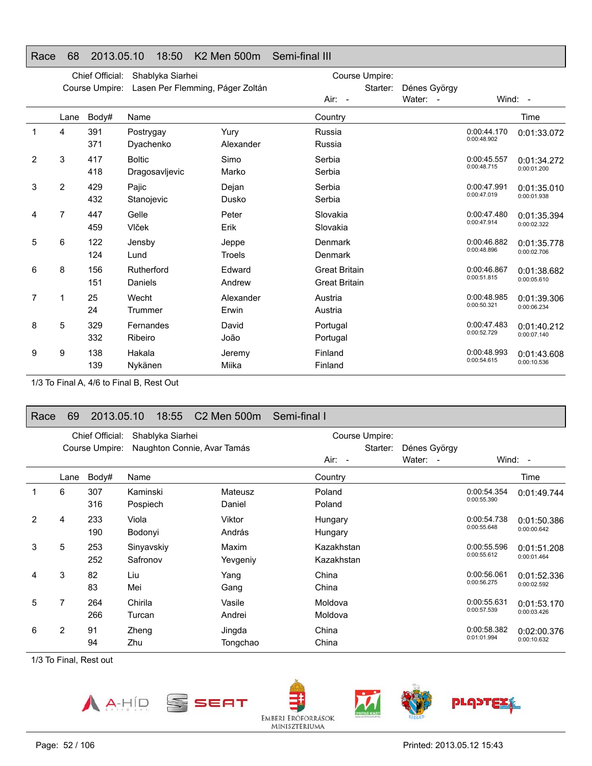### Race 68 2013.05.10 18:50 K2 Men 500m Semi-final III

|   |                | Chief Official: | Shablyka Siarhei                 |                    | Course Umpire:                               |              |                            |                            |
|---|----------------|-----------------|----------------------------------|--------------------|----------------------------------------------|--------------|----------------------------|----------------------------|
|   |                | Course Umpire:  | Lasen Per Flemming, Páger Zoltán |                    | Starter:                                     | Dénes György |                            |                            |
|   |                |                 |                                  |                    | $Air: -$                                     | Water: -     |                            | Wind: -                    |
|   | Lane           | Body#           | Name                             |                    | Country                                      |              |                            | Time                       |
| 1 | 4              | 391<br>371      | Postrygay<br>Dyachenko           | Yury<br>Alexander  | Russia<br>Russia                             |              | 0:00:44.170<br>0:00:48.902 | 0:01:33.072                |
| 2 | 3              | 417<br>418      | <b>Boltic</b><br>Dragosavljevic  | Simo<br>Marko      | Serbia<br>Serbia                             |              | 0:00:45.557<br>0:00:48.715 | 0:01:34.272<br>0:00:01.200 |
| 3 | $\overline{2}$ | 429<br>432      | Pajic<br>Stanojevic              | Dejan<br>Dusko     | Serbia<br>Serbia                             |              | 0:00:47.991<br>0:00:47.019 | 0:01:35.010<br>0:00:01.938 |
| 4 | 7              | 447<br>459      | Gelle<br>Vlček                   | Peter<br>Erik      | Slovakia<br>Slovakia                         |              | 0:00:47.480<br>0:00:47.914 | 0:01:35.394<br>0:00:02.322 |
| 5 | 6              | 122<br>124      | Jensby<br>Lund                   | Jeppe<br>Troels    | <b>Denmark</b><br><b>Denmark</b>             |              | 0:00:46.882<br>0:00:48.896 | 0:01:35.778<br>0:00:02.706 |
| 6 | 8              | 156<br>151      | Rutherford<br>Daniels            | Edward<br>Andrew   | <b>Great Britain</b><br><b>Great Britain</b> |              | 0:00:46.867<br>0:00:51.815 | 0:01:38.682<br>0:00:05.610 |
| 7 | 1              | 25<br>24        | Wecht<br>Trummer                 | Alexander<br>Erwin | Austria<br>Austria                           |              | 0:00:48.985<br>0:00:50.321 | 0:01:39.306<br>0:00:06.234 |
| 8 | 5              | 329<br>332      | Fernandes<br>Ribeiro             | David<br>João      | Portugal<br>Portugal                         |              | 0:00:47.483<br>0:00:52.729 | 0:01:40.212<br>0:00:07.140 |
| 9 | 9              | 138<br>139      | Hakala<br>Nykänen                | Jeremy<br>Miika    | Finland<br>Finland                           |              | 0:00:48.993<br>0:00:54.615 | 0:01:43.608<br>0:00:10.536 |

1/3 To Final A, 4/6 to Final B, Rest Out

#### Race 69 2013.05.10 18:55 C2 Men 500m Semi-final I

|   |      | Chief Official: | Shablyka Siarhei            |          | Course Umpire: |              |             |             |
|---|------|-----------------|-----------------------------|----------|----------------|--------------|-------------|-------------|
|   |      | Course Umpire:  | Naughton Connie, Avar Tamás |          | Starter:       | Dénes György |             |             |
|   |      |                 |                             |          | $Air: -$       | Water: -     |             | Wind: $-$   |
|   | Lane | Body#           | Name                        |          | Country        |              |             | Time        |
|   | 6    | 307             | Kaminski                    | Mateusz  | Poland         |              | 0:00:54.354 | 0:01:49.744 |
|   |      | 316             | Pospiech                    | Daniel   | Poland         |              | 0:00:55.390 |             |
| 2 | 4    | 233             | Viola                       | Viktor   | Hungary        |              | 0:00:54.738 | 0:01:50.386 |
|   |      | 190             | András<br>Bodonyi           |          | Hungary        |              | 0:00:55.648 | 0:00:00.642 |
| 3 | 5    | 253             | Sinyavskiy                  | Maxim    | Kazakhstan     |              | 0:00:55.596 | 0:01:51.208 |
|   |      | 252             | Safronov                    | Yevgeniy | Kazakhstan     |              | 0:00:55.612 | 0:00:01.464 |
| 4 | 3    | 82              | Liu                         | Yang     | China          |              | 0:00:56.061 | 0:01:52.336 |
|   |      | 83              | Mei                         | Gang     | China          |              | 0:00:56.275 | 0:00:02.592 |
| 5 | 7    | 264             | Chirila                     | Vasile   | Moldova        |              | 0:00:55.631 | 0:01:53.170 |
|   |      | 266             | Turcan                      | Andrei   | Moldova        |              | 0:00:57.539 | 0:00:03.426 |
| 6 | 2    | 91              | Zheng                       | Jingda   | China          |              | 0:00:58.382 | 0:02:00.376 |
|   |      | 94              | Zhu                         | Tongchao | China          |              | 0:01:01.994 | 0:00:10.632 |

1/3 To Final, Rest out



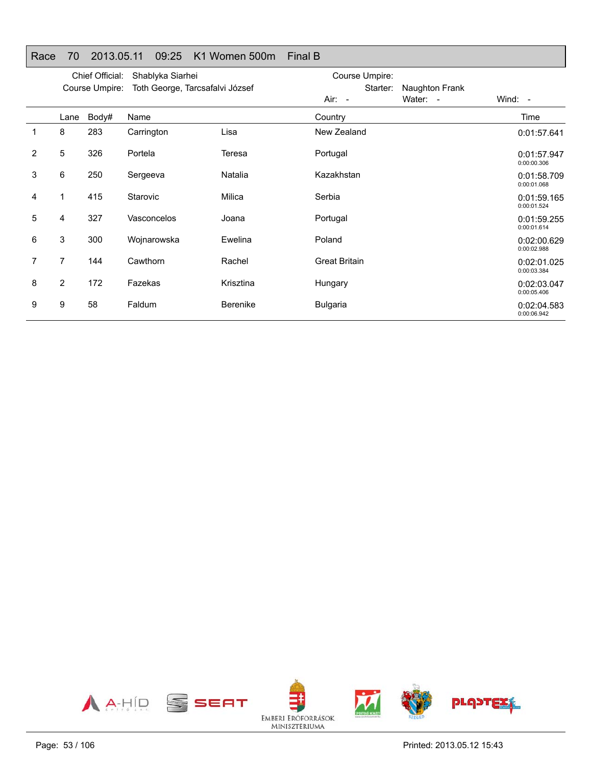| Race           | 70             | 2013.05.11      | 09:25                           | K1 Women 500m   | <b>Final B</b>       |                |                            |
|----------------|----------------|-----------------|---------------------------------|-----------------|----------------------|----------------|----------------------------|
|                |                | Chief Official: | Shablyka Siarhei                |                 | Course Umpire:       |                |                            |
|                |                | Course Umpire:  | Toth George, Tarcsafalvi József |                 | Starter:             | Naughton Frank |                            |
|                |                |                 |                                 |                 | $Air: -$             | Water: -       | Wind: -                    |
|                | Lane           | Body#           | Name                            |                 | Country              |                | Time                       |
| 1              | 8              | 283             | Carrington                      | Lisa            | New Zealand          |                | 0:01:57.641                |
| $\overline{2}$ | 5              | 326             | Portela                         | Teresa          | Portugal             |                | 0:01:57.947<br>0:00:00.306 |
| 3              | 6              | 250             | Sergeeva                        | Natalia         | Kazakhstan           |                | 0:01:58.709<br>0:00:01.068 |
| 4              | 1              | 415             | Starovic                        | Milica          | Serbia               |                | 0:01:59.165<br>0:00:01.524 |
| 5              | 4              | 327             | Vasconcelos                     | Joana           | Portugal             |                | 0:01:59.255<br>0:00:01.614 |
| 6              | 3              | 300             | Wojnarowska                     | Ewelina         | Poland               |                | 0:02:00.629<br>0:00:02.988 |
| 7              | 7              | 144             | Cawthorn                        | Rachel          | <b>Great Britain</b> |                | 0:02:01.025<br>0:00:03.384 |
| 8              | $\overline{2}$ | 172             | Fazekas                         | Krisztina       | Hungary              |                | 0:02:03.047<br>0:00:05.406 |
| 9              | 9              | 58              | Faldum                          | <b>Berenike</b> | <b>Bulgaria</b>      |                | 0:02:04.583<br>0:00:06.942 |

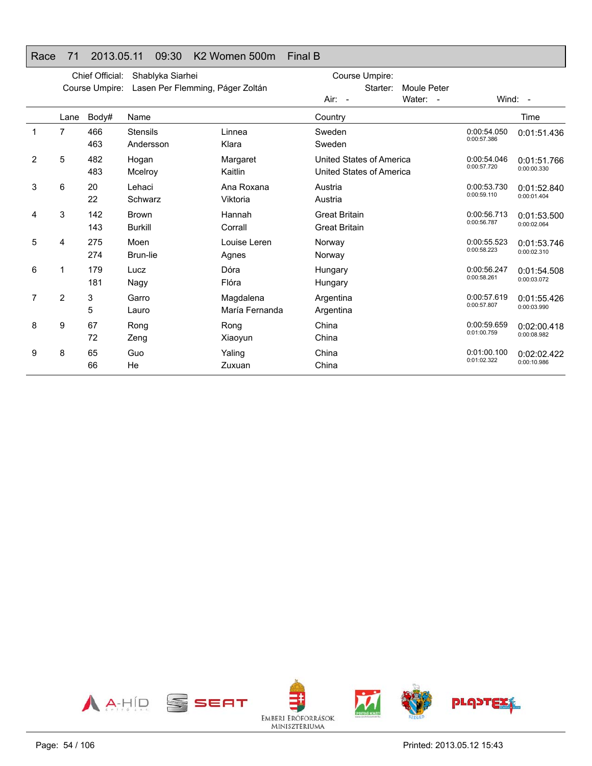#### Race 71 2013.05.11 09:30 K2 Women 500m Final B

|                |                | Chief Official:<br>Course Umpire: | Shablyka Siarhei<br>Lasen Per Flemming, Páger Zoltán |                             | Course Umpire:<br>Starter:<br>Moule Peter            |          |                            |                            |
|----------------|----------------|-----------------------------------|------------------------------------------------------|-----------------------------|------------------------------------------------------|----------|----------------------------|----------------------------|
|                |                |                                   |                                                      |                             | Air: -                                               | Water: - |                            | Wind: $-$                  |
|                | Lane           | Body#                             | Name                                                 |                             | Country                                              |          |                            | Time                       |
|                | 7              | 466<br>463                        | <b>Stensils</b><br>Andersson                         | Linnea<br>Klara             | Sweden<br>Sweden                                     |          | 0:00:54.050<br>0:00:57.386 | 0:01:51.436                |
| $\overline{2}$ | 5              | 482<br>483                        | Hogan<br>Mcelroy                                     | Margaret<br>Kaitlin         | United States of America<br>United States of America |          | 0:00:54.046<br>0:00:57.720 | 0:01:51.766<br>0:00:00.330 |
| 3              | 6              | 20<br>22                          | Lehaci<br>Schwarz                                    | Ana Roxana<br>Viktoria      | Austria<br>Austria                                   |          | 0:00:53.730<br>0:00:59.110 | 0:01:52.840<br>0:00:01.404 |
| 4              | 3              | 142<br>143                        | <b>Brown</b><br><b>Burkill</b>                       | Hannah<br>Corrall           | <b>Great Britain</b><br><b>Great Britain</b>         |          | 0:00:56.713<br>0:00:56.787 | 0:01:53.500<br>0:00:02.064 |
| 5              | 4              | 275<br>274                        | Moen<br>Brun-lie                                     | Louise Leren<br>Agnes       | Norway<br>Norway                                     |          | 0:00:55.523<br>0:00:58.223 | 0:01:53.746<br>0:00:02.310 |
| 6              | 1              | 179<br>181                        | Lucz<br>Nagy                                         | Dóra<br>Flóra               | Hungary<br>Hungary                                   |          | 0:00:56.247<br>0:00:58.261 | 0:01:54.508<br>0:00:03.072 |
| 7              | $\overline{2}$ | 3<br>5                            | Garro<br>Lauro                                       | Magdalena<br>María Fernanda | Argentina<br>Argentina                               |          | 0:00:57.619<br>0:00:57.807 | 0:01:55.426<br>0:00:03.990 |
| 8              | 9              | 67<br>72                          | Rong<br>Zeng                                         | Rong<br>Xiaoyun             | China<br>China                                       |          | 0:00:59.659<br>0:01:00.759 | 0:02:00.418<br>0:00:08.982 |
| 9              | 8              | 65<br>66                          | Guo<br>He                                            | Yaling<br>Zuxuan            | China<br>China                                       |          | 0:01:00.100<br>0:01:02.322 | 0:02:02.422<br>0:00:10.986 |

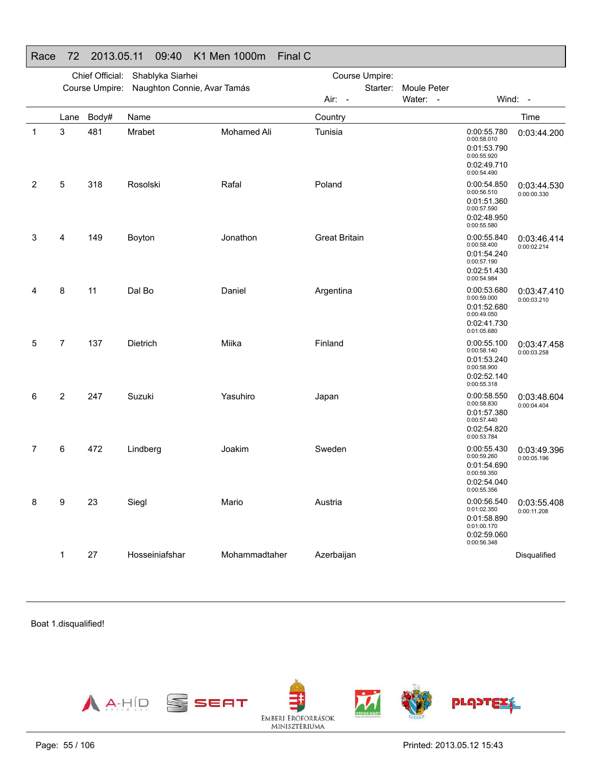|             |                | Chief Official: | Shablyka Siarhei            |               | Course Umpire:       |                         |                                                                                        |                            |
|-------------|----------------|-----------------|-----------------------------|---------------|----------------------|-------------------------|----------------------------------------------------------------------------------------|----------------------------|
|             |                | Course Umpire:  | Naughton Connie, Avar Tamás |               | Starter:<br>Air: -   | Moule Peter<br>Water: - |                                                                                        | Wind: -                    |
|             | Lane           | Body#           | Name                        |               | Country              |                         |                                                                                        | Time                       |
| $\mathbf 1$ | 3              | 481             | Mrabet                      | Mohamed Ali   | Tunisia              |                         | 0:00:55.780<br>0:00:58.010<br>0:01:53.790<br>0:00:55.920<br>0:02:49.710<br>0:00:54.490 | 0:03:44.200                |
| 2           | 5              | 318             | Rosolski                    | Rafal         | Poland               |                         | 0:00:54.850<br>0:00:56.510<br>0:01:51.360<br>0:00:57.590<br>0:02:48.950<br>0:00:55.580 | 0:03:44.530<br>0:00:00.330 |
| 3           | 4              | 149             | Boyton                      | Jonathon      | <b>Great Britain</b> |                         | 0:00:55.840<br>0:00:58.400<br>0:01:54.240<br>0:00:57.190<br>0:02:51.430<br>0:00:54.984 | 0:03:46.414<br>0:00:02.214 |
| 4           | 8              | 11              | Dal Bo                      | Daniel        | Argentina            |                         | 0:00:53.680<br>0:00:59.000<br>0:01:52.680<br>0:00:49.050<br>0:02:41.730<br>0:01:05.680 | 0:03:47.410<br>0:00:03.210 |
| 5           | 7              | 137             | Dietrich                    | Miika         | Finland              |                         | 0:00:55.100<br>0:00:58.140<br>0:01:53.240<br>0:00:58.900<br>0:02:52.140<br>0:00:55.318 | 0:03:47.458<br>0:00:03.258 |
| 6           | $\overline{2}$ | 247             | Suzuki                      | Yasuhiro      | Japan                |                         | 0:00:58.550<br>0:00:58.830<br>0:01:57.380<br>0:00:57.440<br>0:02:54.820<br>0:00:53.784 | 0:03:48.604<br>0:00:04.404 |
| 7           | 6              | 472             | Lindberg                    | Joakim        | Sweden               |                         | 0:00:55.430<br>0:00:59.260<br>0:01:54.690<br>0:00:59.350<br>0:02:54.040<br>0:00:55.356 | 0:03:49.396<br>0:00:05.196 |
| 8           | 9              | 23              | Siegl                       | Mario         | Austria              |                         | 0:00:56.540<br>0:01:02.350<br>0:01:58.890<br>0:01:00.170<br>0:02:59.060<br>0:00:56.348 | 0:03:55.408<br>0:00:11.208 |
|             | 1              | 27              | Hosseiniafshar              | Mohammadtaher | Azerbaijan           |                         |                                                                                        | Disqualified               |

### Race 72 2013.05.11 09:40 K1 Men 1000m Final C

Boat 1.disqualified!

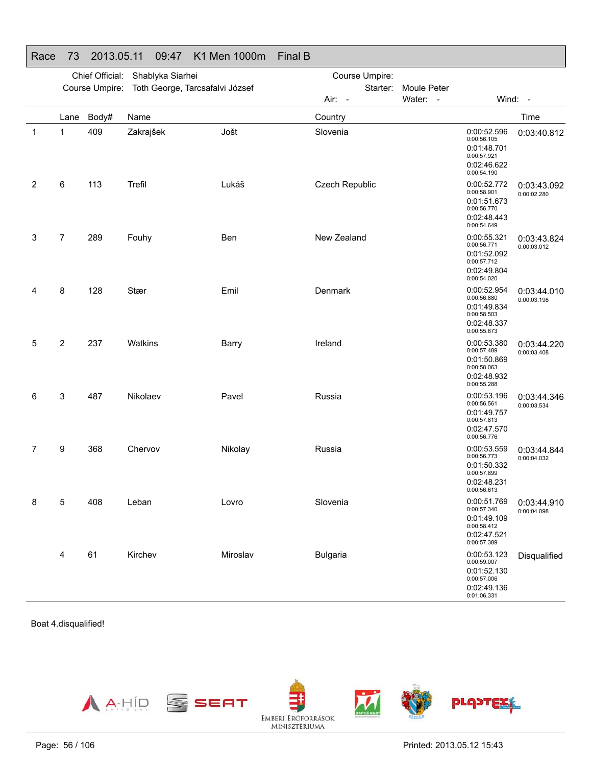| Race | 73             | 2013.05.11                       |           | 09:47 | K1 Men 1000m                                   | <b>Final B</b> |                 |             |                                                                                        |                            |
|------|----------------|----------------------------------|-----------|-------|------------------------------------------------|----------------|-----------------|-------------|----------------------------------------------------------------------------------------|----------------------------|
|      |                | Chief Official: Shablyka Siarhei |           |       |                                                |                | Course Umpire:  |             |                                                                                        |                            |
|      |                |                                  |           |       | Course Umpire: Toth George, Tarcsafalvi József |                | Starter:        | Moule Peter |                                                                                        |                            |
|      |                |                                  |           |       |                                                |                | Air: -          | Water: -    | Wind: -                                                                                |                            |
|      | Lane           | Body#                            | Name      |       |                                                |                | Country         |             |                                                                                        | Time                       |
| 1    | 1              | 409                              | Zakrajšek |       | Jošt                                           |                | Slovenia        |             | 0:00:52.596<br>0:00:56.105<br>0:01:48.701<br>0:00:57.921<br>0:02:46.622<br>0:00:54.190 | 0:03:40.812                |
| 2    | 6              | 113                              | Trefil    |       | Lukáš                                          |                | Czech Republic  |             | 0:00:52.772<br>0:00:58.901<br>0:01:51.673<br>0:00:56.770<br>0:02:48.443<br>0:00:54.649 | 0:03:43.092<br>0:00:02.280 |
| 3    | $\overline{7}$ | 289                              | Fouhy     |       | Ben                                            |                | New Zealand     |             | 0:00:55.321<br>0:00:56.771<br>0:01:52.092<br>0:00:57.712<br>0:02:49.804<br>0:00:54.020 | 0:03:43.824<br>0:00:03.012 |
| 4    | 8              | 128                              | Stær      |       | Emil                                           |                | Denmark         |             | 0:00:52.954<br>0:00:56.880<br>0:01:49.834<br>0:00:58.503<br>0:02:48.337<br>0:00:55.673 | 0:03:44.010<br>0:00:03.198 |
| 5    | $\overline{2}$ | 237                              | Watkins   |       | Barry                                          |                | Ireland         |             | 0:00:53.380<br>0:00:57.489<br>0:01:50.869<br>0:00:58.063<br>0:02:48.932<br>0:00:55.288 | 0:03:44.220<br>0:00:03.408 |
| 6    | 3              | 487                              | Nikolaev  |       | Pavel                                          |                | Russia          |             | 0:00:53.196<br>0:00:56.561<br>0:01:49.757<br>0:00:57.813<br>0:02:47.570<br>0:00:56.776 | 0:03:44.346<br>0:00:03.534 |
| 7    | 9              | 368                              | Chervov   |       | Nikolay                                        |                | Russia          |             | 0:00:53.559<br>0:00:56.773<br>0:01:50.332<br>0:00:57.899<br>0:02:48.231<br>0:00:56.613 | 0:03:44.844<br>0:00:04.032 |
| 8    | 5              | 408                              | Leban     |       | Lovro                                          |                | Slovenia        |             | 0:00:51.769<br>0:00:57.340<br>0:01:49.109<br>0:00:58.412<br>0:02:47.521<br>0:00:57.389 | 0:03:44.910<br>0:00:04.098 |
|      | 4              | 61                               | Kirchev   |       | Miroslav                                       |                | <b>Bulgaria</b> |             | 0:00:53.123<br>0:00:59.007<br>0:01:52.130<br>0:00:57.006<br>0:02:49.136<br>0:01:06.331 | Disqualified               |

Boat 4.disqualified!

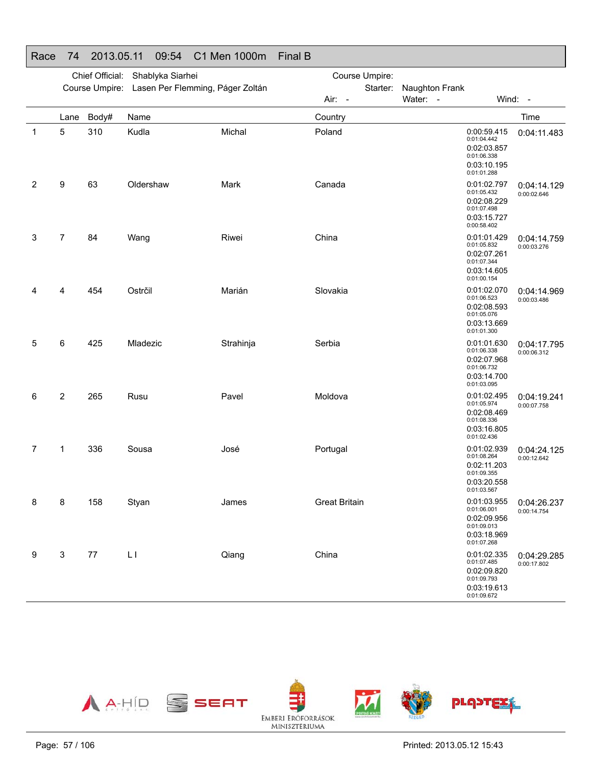| Race | 74             | 2013.05.11                       |           | 09:54 | C1 Men 1000m                                    | <b>Final B</b>       |                |                |                                                                                        |                            |
|------|----------------|----------------------------------|-----------|-------|-------------------------------------------------|----------------------|----------------|----------------|----------------------------------------------------------------------------------------|----------------------------|
|      |                | Chief Official: Shablyka Siarhei |           |       |                                                 |                      | Course Umpire: |                |                                                                                        |                            |
|      |                |                                  |           |       | Course Umpire: Lasen Per Flemming, Páger Zoltán |                      | Starter:       | Naughton Frank |                                                                                        |                            |
|      |                |                                  |           |       |                                                 | Air: -               |                | Water: -       | Wind: -                                                                                |                            |
|      | Lane           | Body#                            | Name      |       |                                                 | Country              |                |                |                                                                                        | Time                       |
| 1    | 5              | 310                              | Kudla     |       | Michal                                          | Poland               |                |                | 0:00:59.415<br>0:01:04.442<br>0:02:03.857<br>0:01:06.338<br>0:03:10.195<br>0:01:01.288 | 0:04:11.483                |
| 2    | 9              | 63                               | Oldershaw |       | Mark                                            | Canada               |                |                | 0:01:02.797<br>0:01:05.432<br>0:02:08.229<br>0:01:07.498<br>0:03:15.727<br>0:00:58.402 | 0:04:14.129<br>0:00:02.646 |
| 3    | $\overline{7}$ | 84                               | Wang      |       | Riwei                                           | China                |                |                | 0:01:01.429<br>0:01:05.832<br>0:02:07.261<br>0:01:07.344<br>0:03:14.605<br>0:01:00.154 | 0:04:14.759<br>0:00:03.276 |
| 4    | 4              | 454                              | Ostrčil   |       | Marián                                          | Slovakia             |                |                | 0:01:02.070<br>0:01:06.523<br>0:02:08.593<br>0:01:05.076<br>0:03:13.669<br>0:01:01.300 | 0:04:14.969<br>0:00:03.486 |
| 5    | 6              | 425                              | Mladezic  |       | Strahinja                                       | Serbia               |                |                | 0:01:01.630<br>0:01:06.338<br>0:02:07.968<br>0:01:06.732<br>0:03:14.700<br>0:01:03.095 | 0:04:17.795<br>0:00:06.312 |
| 6    | 2              | 265                              | Rusu      |       | Pavel                                           | Moldova              |                |                | 0:01:02.495<br>0:01:05.974<br>0:02:08.469<br>0:01:08.336<br>0:03:16.805<br>0:01:02.436 | 0:04:19.241<br>0:00:07.758 |
| 7    | 1              | 336                              | Sousa     |       | José                                            | Portugal             |                |                | 0:01:02.939<br>0:01:08.264<br>0:02:11.203<br>0:01:09.355<br>0:03:20.558<br>0:01:03.567 | 0:04:24.125<br>0:00:12.642 |
| 8    | 8              | 158                              | Styan     |       | James                                           | <b>Great Britain</b> |                |                | 0:01:03.955<br>0:01:06.001<br>0:02:09.956<br>0:01:09.013<br>0:03:18.969<br>0:01:07.268 | 0:04:26.237<br>0:00:14.754 |
| 9    | 3              | 77                               | LI        |       | Qiang                                           | China                |                |                | 0:01:02.335<br>0:01:07.485<br>0:02:09.820<br>0:01:09.793<br>0:03:19.613<br>0:01:09.672 | 0:04:29.285<br>0:00:17.802 |

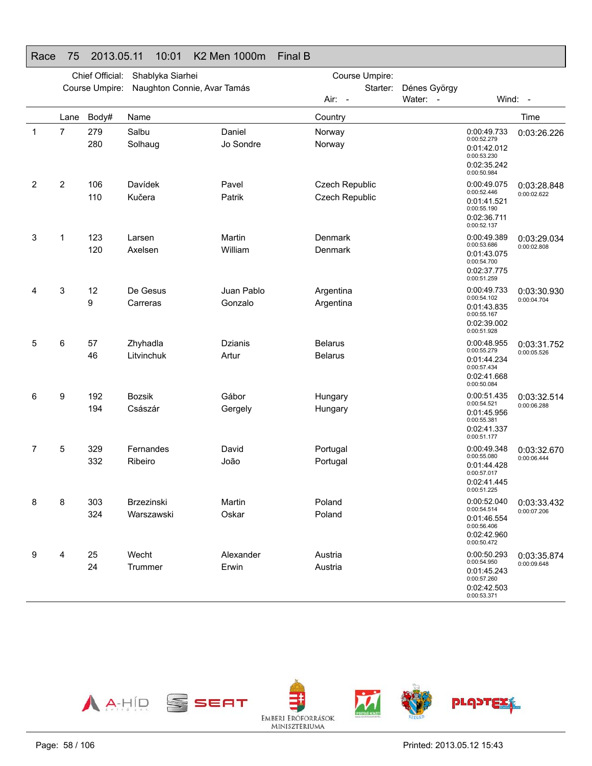#### Chief Official: Shablyka Siarhei Course Umpire: Naughton Connie, Avar Tamás Course Umpire: Starter: Dénes György Air: Water: - Wind: -Lane Body# Name**Country Country Country Country Country** Time 1 7 279 SalbuDaniel Norway 280 SolhaugJo Sondre Norway 0:00:49.733 0:00:52.2790:01:42.012 0:00:53.230 0:02:35.242 0:00:50.9840:03:26.2262 2 106 DavídekPavel **Czech Republic** 110 KučeraPatrik Czech Republic 0:00:49.0750:00:52.446 0:01:41.5210:00:55.190 0:02:36.7110:00:52.1370:03:28.848 0:00:02.622 3 1 123 LarsenMartin **Denmark** 120 AxelsenWilliam Denmark 0:00:49.389 0:00:53.686 0:01:43.075 0:00:54.700 0:02:37.7750:00:51.259 0:03:29.0340:00:02.8084 3 12 De GesusJuan Pablo **Argentina** 9 CarrerasGonzalo **Argentina** 0:00:49.733 0:00:54.1020:01:43.8350:00:55.167 0:02:39.002 0:00:51.928 0:03:30.9300:00:04.7045 6 57 ZhyhadlaDzianis **Belarus** 46 LitvinchukArtur **Belarus** 0:00:48.955 0:00:55.2790:01:44.2340:00:57.434 0:02:41.6680:00:50.0840:03:31.752 0:00:05.526 6 9 192 BozsikGábor Hungary 194 CsászárGergely **Hungary** 0:00:51.435 0:00:54.521 0:01:45.956 0:00:55.3810:02:41.3370:00:51.1770:03:32.514 0:00:06.288 7 5 329 FernandesDavid **Portugal** 332 Ribeiro João Portugal 0:00:49.348 0:00:55.080 0:01:44.4280:00:57.017 0:02:41.445 0:00:51.225 0:03:32.670 0:00:06.4448 8 303 BrzezinskiMartin **Poland** 324 WarszawskiOskar Poland 0:00:52.040 0:00:54.5140:01:46.5540:00:56.406 0:02:42.9600:00:50.4720:03:33.432 0:00:07.206 9 4 25 WechtAlexander **Austria** 24 TrummerErwin **Austria** 0:00:50.293 0:00:54.950 0:01:45.243 0:00:57.260 0:02:42.5030:00:53.371 0:03:35.8740:00:09.648

Race 75 2013.05.11 10:01 K2 Men 1000m Final B

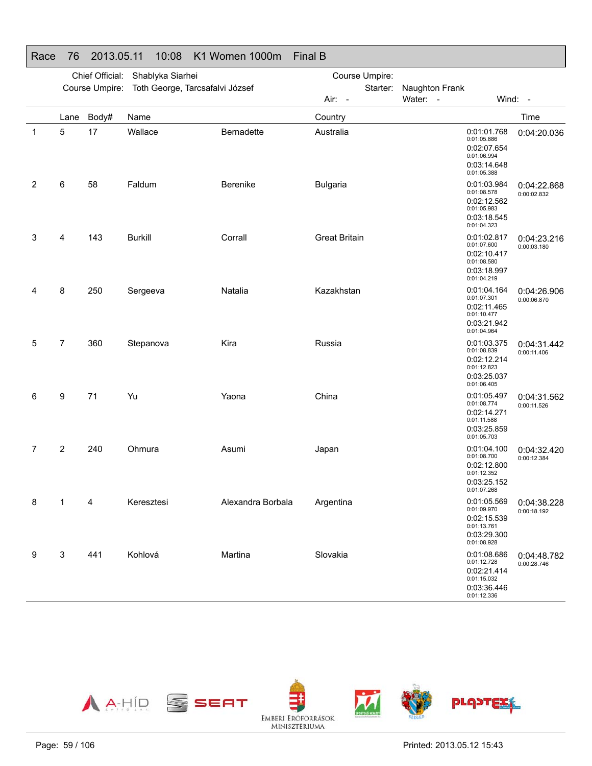|   | Chief Official:<br>Shablyka Siarhei |                |                                 |                   | Course Umpire:       |                                                                                        |                                          |
|---|-------------------------------------|----------------|---------------------------------|-------------------|----------------------|----------------------------------------------------------------------------------------|------------------------------------------|
|   |                                     | Course Umpire: | Toth George, Tarcsafalvi József |                   | Starter:             | Naughton Frank                                                                         |                                          |
|   |                                     |                |                                 |                   | Air: -               | Water: -                                                                               | Wind: -                                  |
|   | Lane                                | Body#          | Name                            |                   | Country              |                                                                                        | Time                                     |
| 1 | 5                                   | 17             | Wallace                         | Bernadette        | Australia            | 0:01:01.768<br>0:01:05.886<br>0:02:07.654<br>0:01:06.994<br>0:03:14.648<br>0:01:05.388 | 0:04:20.036                              |
| 2 | 6                                   | 58             | Faldum                          | Berenike          | <b>Bulgaria</b>      | 0:01:03.984<br>0:01:08.578<br>0:02:12.562<br>0:01:05.983<br>0:03:18.545<br>0:01:04.323 | 0:04:22.868<br>0:00:02.832               |
| 3 | 4                                   | 143            | <b>Burkill</b>                  | Corrall           | <b>Great Britain</b> | 0:01:02.817<br>0:01:07.600<br>0:02:10.417<br>0:01:08.580<br>0:03:18.997<br>0:01:04.219 | 0:04:23.216<br>0:00:03.180               |
| 4 | 8                                   | 250            | Sergeeva                        | Natalia           | Kazakhstan           | 0:01:04.164<br>0:01:07.301<br>0:02:11.465<br>0:01:10.477<br>0:03:21.942<br>0:01:04.964 | 0:04:26.906<br>0:00:06.870               |
| 5 | 7                                   | 360            | Stepanova                       | Kira              | Russia               | 0:01:03.375<br>0:01:08.839<br>0:02:12.214<br>0:01:12.823<br>0:03:25.037<br>0:01:06.405 | 0:04:31.442<br>0:00:11.406               |
| 6 | 9                                   | 71             | Yu                              | Yaona             | China                | 0:01:05.497<br>0:01:08.774<br>0:02:14.271<br>0:01:11.588<br>0:03:25.859<br>0:01:05.703 | 0:04:31.562<br>0:00:11.526               |
| 7 | 2                                   | 240            | Ohmura                          | Asumi             | Japan                | 0:01:04.100<br>0:01:08.700<br>0:02:12.800<br>0:01:12.352<br>0:03:25.152<br>0:01:07.268 | 0:04:32.420<br>0:00:12.384               |
| 8 | $\sim$ 1                            | $\overline{4}$ | Keresztesi                      | Alexandra Borbala | Argentina            | 0:01:09.970<br>0:02:15.539<br>0:01:13.761<br>0:03:29.300<br>0:01:08.928                | 0:01:05.569   0:04:38.228<br>0:00:18.192 |
| 9 | 3                                   | 441            | Kohlová                         | Martina           | Slovakia             | 0:01:08.686<br>0:01:12.728<br>0:02:21.414<br>0:01:15.032<br>0:03:36.446<br>0:01:12.336 | 0:04:48.782<br>0:00:28.746               |

Race 76 2013.05.11 10:08 K1 Women 1000m Final B



# Page: 59 / 106

Printed: 2013.05.12 15:43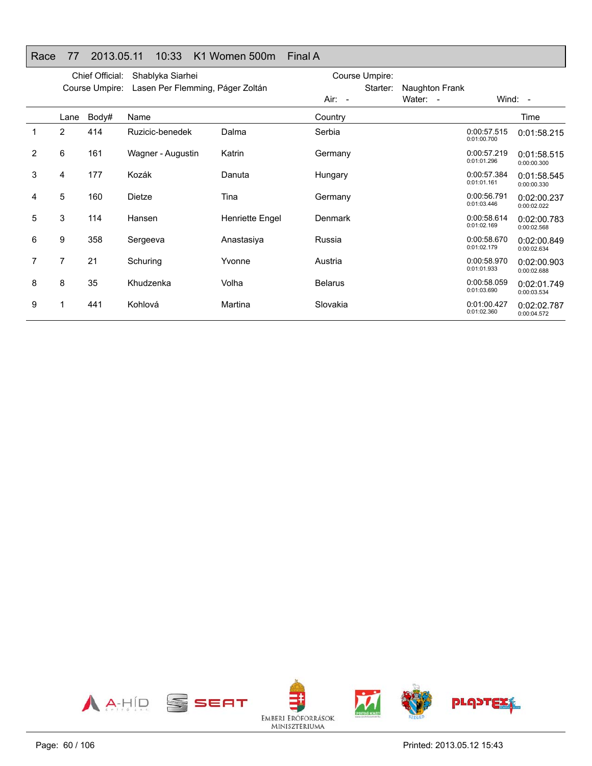#### Race 77 2013.05.11 10:33 K1 Women 500m Final A

|   |                | Chief Official: | Shablyka Siarhei                 |                 | Course Umpire: |                |                            |                            |
|---|----------------|-----------------|----------------------------------|-----------------|----------------|----------------|----------------------------|----------------------------|
|   |                | Course Umpire:  | Lasen Per Flemming, Páger Zoltán |                 | Starter:       | Naughton Frank |                            |                            |
|   |                |                 |                                  |                 | Air: -         | Water: -       |                            | Wind: $-$                  |
|   | Lane           | Body#           | Name                             |                 | Country        |                |                            | Time                       |
|   | $\overline{2}$ | 414             | Ruzicic-benedek                  | Dalma           | Serbia         |                | 0:00:57.515<br>0:01:00.700 | 0:01:58.215                |
| 2 | 6              | 161             | Wagner - Augustin                | Katrin          | Germany        |                | 0:00:57.219<br>0:01:01.296 | 0:01:58.515<br>0:00:00.300 |
| 3 | 4              | 177             | Kozák                            | Danuta          | Hungary        |                | 0:00:57.384<br>0:01:01.161 | 0:01:58.545<br>0:00:00.330 |
| 4 | 5              | 160             | Dietze                           | Tina            | Germany        |                | 0:00:56.791<br>0:01:03.446 | 0:02:00.237<br>0:00:02.022 |
| 5 | 3              | 114             | Hansen                           | Henriette Engel | Denmark        |                | 0:00:58.614<br>0:01:02.169 | 0:02:00.783<br>0:00:02.568 |
| 6 | 9              | 358             | Sergeeva                         | Anastasiya      | Russia         |                | 0:00:58.670<br>0:01:02.179 | 0:02:00.849<br>0:00:02.634 |
| 7 | 7              | 21              | Schuring                         | Yvonne          | Austria        |                | 0:00:58.970<br>0:01:01.933 | 0:02:00.903<br>0:00:02.688 |
| 8 | 8              | 35              | Khudzenka                        | Volha           | <b>Belarus</b> |                | 0:00:58.059<br>0:01:03.690 | 0:02:01.749<br>0:00:03.534 |
| 9 |                | 441             | Kohlová                          | Martina         | Slovakia       |                | 0:01:00.427<br>0:01:02.360 | 0:02:02.787<br>0:00:04.572 |

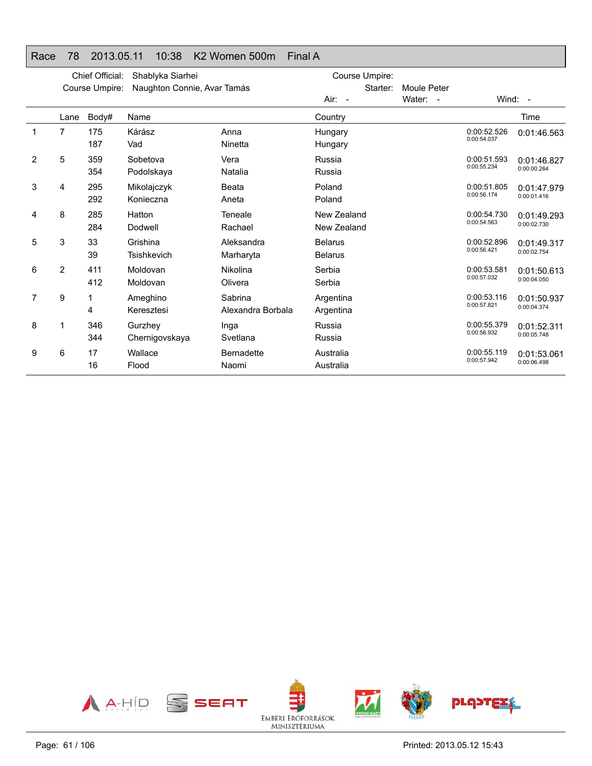### Race 78 2013.05.11 10:38 K2 Women 500m Final A

|   |                | Chief Official: | Shablyka Siarhei               |                              | Course Umpire:                   |             |                            |                            |  |
|---|----------------|-----------------|--------------------------------|------------------------------|----------------------------------|-------------|----------------------------|----------------------------|--|
|   |                | Course Umpire:  | Naughton Connie, Avar Tamás    |                              | Starter:                         | Moule Peter |                            |                            |  |
|   |                |                 |                                |                              | Air: -                           | Water: -    |                            | Wind: -                    |  |
|   | Lane           | Body#           | Name                           |                              | Country                          |             |                            | Time                       |  |
| 1 | $\overline{7}$ | 175<br>187      | Kárász<br>Vad                  | Anna<br>Ninetta              | Hungary<br>Hungary               |             | 0:00:52.526<br>0:00:54.037 | 0:01:46.563                |  |
| 2 | 5              | 359<br>354      | Sobetova<br>Podolskaya         | Vera<br>Natalia              | Russia<br>Russia                 |             | 0:00:51.593<br>0:00:55.234 | 0:01:46.827<br>0:00:00.264 |  |
| 3 | 4              | 295<br>292      | Mikolajczyk<br>Konieczna       | Beata<br>Aneta               | Poland<br>Poland                 |             | 0:00:51.805<br>0:00:56.174 | 0:01:47.979<br>0:00:01.416 |  |
| 4 | 8              | 285<br>284      | Hatton<br>Dodwell              | Teneale<br>Rachael           | New Zealand<br>New Zealand       |             | 0:00:54.730<br>0:00:54.563 | 0:01:49.293<br>0:00:02.730 |  |
| 5 | 3              | 33<br>39        | Grishina<br><b>Tsishkevich</b> | Aleksandra<br>Marharyta      | <b>Belarus</b><br><b>Belarus</b> |             | 0:00:52.896<br>0:00:56.421 | 0:01:49.317<br>0:00:02.754 |  |
| 6 | 2              | 411<br>412      | Moldovan<br>Moldovan           | Nikolina<br>Olivera          | Serbia<br>Serbia                 |             | 0:00:53.581<br>0:00:57.032 | 0:01:50.613<br>0:00:04.050 |  |
| 7 | 9              | 4               | Ameghino<br>Keresztesi         | Sabrina<br>Alexandra Borbala | Argentina<br>Argentina           |             | 0:00:53.116<br>0:00:57.821 | 0:01:50.937<br>0:00:04.374 |  |
| 8 | 1              | 346<br>344      | Gurzhey<br>Chernigovskaya      | Inga<br>Svetlana             | Russia<br>Russia                 |             | 0:00:55.379<br>0:00:56.932 | 0:01:52.311<br>0:00:05.748 |  |
| 9 | 6              | 17<br>16        | Wallace<br>Flood               | <b>Bernadette</b><br>Naomi   | Australia<br>Australia           |             | 0:00:55.119<br>0:00:57.942 | 0:01:53.061<br>0:00:06.498 |  |

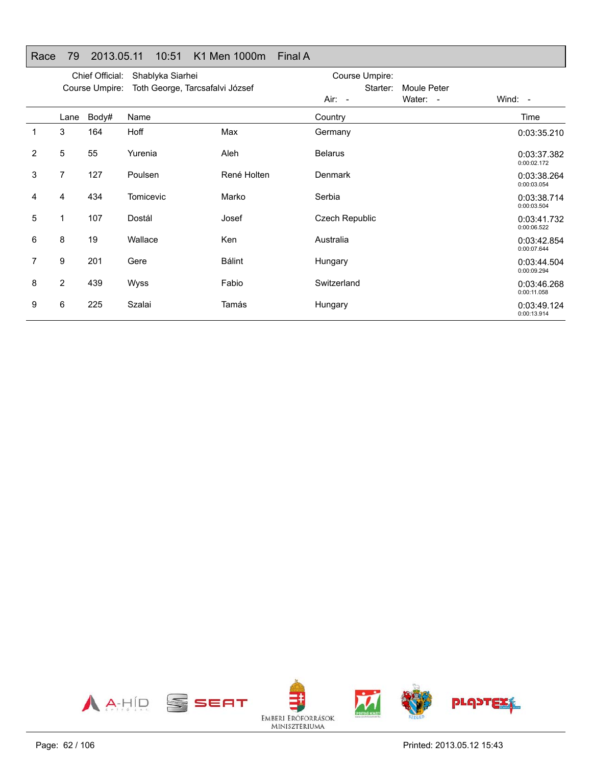|  | Race 79 2013.05.11 10:51 K1 Men 1000m Final A |  |  |
|--|-----------------------------------------------|--|--|

|                |                | Chief Official: | Shablyka Siarhei                |               | Course Umpire:        |             |                            |
|----------------|----------------|-----------------|---------------------------------|---------------|-----------------------|-------------|----------------------------|
|                |                | Course Umpire:  | Toth George, Tarcsafalvi József |               | Starter:              | Moule Peter |                            |
|                |                |                 |                                 |               | Air: -                | Water: -    | Wind: $-$                  |
|                | Lane           | Body#           | Name                            |               | Country               |             | Time                       |
| 1              | 3              | 164             | Hoff                            | Max           | Germany               |             | 0:03:35.210                |
| $\overline{2}$ | 5              | 55              | Yurenia                         | Aleh          | <b>Belarus</b>        |             | 0:03:37.382<br>0:00:02.172 |
| 3              | $\overline{7}$ | 127             | Poulsen                         | René Holten   | <b>Denmark</b>        |             | 0:03:38.264<br>0:00:03.054 |
| 4              | 4              | 434             | <b>Tomicevic</b>                | Marko         | Serbia                |             | 0:03:38.714<br>0:00:03.504 |
| 5              | 1              | 107             | Dostál                          | Josef         | <b>Czech Republic</b> |             | 0:03:41.732<br>0:00:06.522 |
| 6              | 8              | 19              | Wallace                         | <b>Ken</b>    | Australia             |             | 0:03:42.854<br>0:00:07.644 |
| 7              | 9              | 201             | Gere                            | <b>Bálint</b> | Hungary               |             | 0:03:44.504<br>0:00:09.294 |
| 8              | $\overline{2}$ | 439             | Wyss                            | Fabio         | Switzerland           |             | 0:03:46.268<br>0:00:11.058 |
| 9              | 6              | 225             | Szalai                          | Tamás         | Hungary               |             | 0:03:49.124<br>0:00:13.914 |

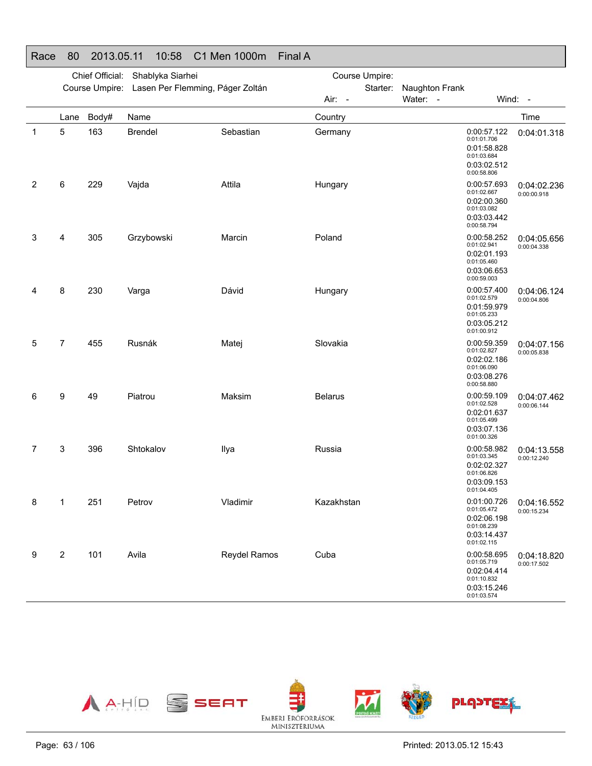|             |                         | Chief Official: | Shablyka Siarhei                                |              |                | Course Umpire: |                |                                                                                        |                            |
|-------------|-------------------------|-----------------|-------------------------------------------------|--------------|----------------|----------------|----------------|----------------------------------------------------------------------------------------|----------------------------|
|             |                         |                 | Course Umpire: Lasen Per Flemming, Páger Zoltán |              |                | Starter:       | Naughton Frank |                                                                                        |                            |
|             |                         |                 |                                                 |              | Air: -         |                | Water: -       | Wind: -                                                                                |                            |
|             | Lane                    | Body#           | Name                                            |              | Country        |                |                |                                                                                        | Time                       |
| $\mathbf 1$ | 5                       | 163             | <b>Brendel</b>                                  | Sebastian    | Germany        |                |                | 0:00:57.122<br>0:01:01.706<br>0:01:58.828<br>0:01:03.684<br>0:03:02.512<br>0:00:58.806 | 0:04:01.318                |
| 2           | 6                       | 229             | Vajda                                           | Attila       | Hungary        |                |                | 0:00:57.693<br>0:01:02.667<br>0:02:00.360<br>0:01:03.082<br>0:03:03.442<br>0:00:58.794 | 0:04:02.236<br>0:00:00.918 |
| 3           | 4                       | 305             | Grzybowski                                      | Marcin       | Poland         |                |                | 0:00:58.252<br>0:01:02.941<br>0:02:01.193<br>0:01:05.460<br>0:03:06.653<br>0:00:59.003 | 0:04:05.656<br>0:00:04.338 |
| 4           | 8                       | 230             | Varga                                           | Dávid        | Hungary        |                |                | 0:00:57.400<br>0:01:02.579<br>0:01:59.979<br>0:01:05.233<br>0:03:05.212<br>0:01:00.912 | 0:04:06.124<br>0:00:04.806 |
| 5           | $\overline{7}$          | 455             | Rusnák                                          | Matej        | Slovakia       |                |                | 0:00:59.359<br>0:01:02.827<br>0:02:02.186<br>0:01:06.090<br>0:03:08.276<br>0:00:58.880 | 0:04:07.156<br>0:00:05.838 |
| 6           | 9                       | 49              | Piatrou                                         | Maksim       | <b>Belarus</b> |                |                | 0:00:59.109<br>0:01:02.528<br>0:02:01.637<br>0:01:05.499<br>0:03:07.136<br>0:01:00.326 | 0:04:07.462<br>0:00:06.144 |
| 7           | 3                       | 396             | Shtokalov                                       | Ilya         | Russia         |                |                | 0:00:58.982<br>0:01:03.345<br>0:02:02.327<br>0:01:06.826<br>0:03:09.153<br>0:01:04.405 | 0:04:13.558<br>0:00:12.240 |
| 8           | 1                       | 251             | Petrov                                          | Vladimir     | Kazakhstan     |                |                | 0:01:00.726<br>0:01:05.472<br>0:02:06.198<br>0:01:08.239<br>0:03:14.437<br>0:01:02.115 | 0:04:16.552<br>0:00:15.234 |
| 9           | $\overline{\mathbf{c}}$ | 101             | Avila                                           | Reydel Ramos | Cuba           |                |                | 0:00:58.695<br>0:01:05.719<br>0:02:04.414<br>0:01:10.832<br>0:03:15.246<br>0:01:03.574 | 0:04:18.820<br>0:00:17.502 |



EMBERI ERŐFORRÁSOK<br>MINISZTÉRIUMA

Race 80 2013.05.11 10:58 C1 Men 1000m Final A

Page: 63 / 106

Printed: 2013.05.12 15:43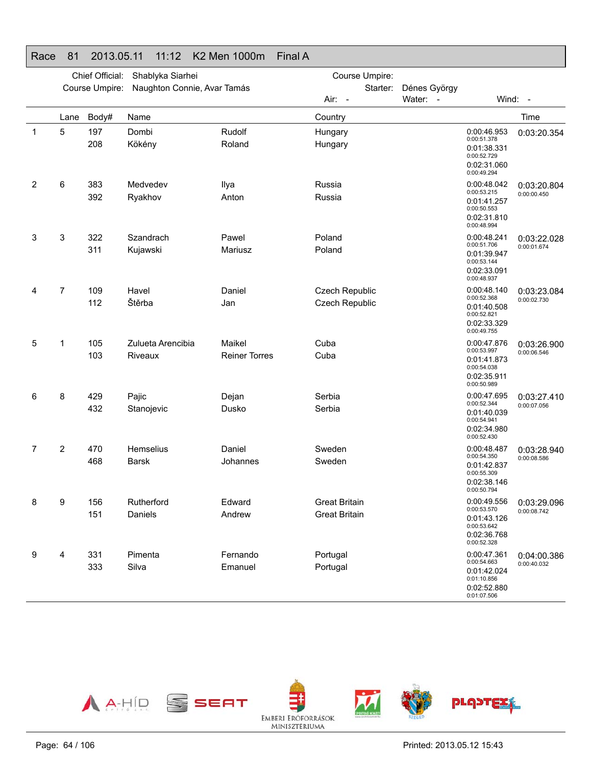|             |                | Chief Official: | Shablyka Siarhei                 |                                | Course Umpire:                               |          |              |                                                                                        |                                          |
|-------------|----------------|-----------------|----------------------------------|--------------------------------|----------------------------------------------|----------|--------------|----------------------------------------------------------------------------------------|------------------------------------------|
|             |                | Course Umpire:  | Naughton Connie, Avar Tamás      |                                |                                              | Starter: | Dénes György |                                                                                        |                                          |
|             |                |                 |                                  |                                | Air: -                                       |          | Water: -     |                                                                                        | Wind: -                                  |
|             | Lane           | Body#           | Name                             |                                | Country                                      |          |              |                                                                                        | Time                                     |
| $\mathbf 1$ | 5              | 197<br>208      | Dombi<br>Kökény                  | Rudolf<br>Roland               | Hungary<br>Hungary                           |          |              | 0:00:46.953<br>0:00:51.378<br>0:01:38.331<br>0:00:52.729<br>0:02:31.060<br>0:00:49.294 | 0:03:20.354                              |
| 2           | 6              | 383<br>392      | Medvedev<br>Ryakhov              | Ilya<br>Anton                  | Russia<br>Russia                             |          |              | 0:00:48.042<br>0:00:53.215<br>0:01:41.257<br>0:00:50.553<br>0:02:31.810<br>0:00:48.994 | 0:03:20.804<br>0:00:00.450               |
| 3           | 3              | 322<br>311      | Szandrach<br>Kujawski            | Pawel<br>Mariusz               | Poland<br>Poland                             |          |              | 0:00:48.241<br>0:00:51.706<br>0:01:39.947<br>0:00:53.144<br>0:02:33.091<br>0:00:48.937 | 0:03:22.028<br>0:00:01.674               |
| 4           | 7              | 109<br>112      | Havel<br>Štěrba                  | Daniel<br>Jan                  | Czech Republic<br>Czech Republic             |          |              | 0:00:48.140<br>0:00:52.368<br>0:01:40.508<br>0:00:52.821<br>0:02:33.329<br>0:00:49.755 | 0:03:23.084<br>0:00:02.730               |
| 5           | 1              | 105<br>103      | Zulueta Arencibia<br>Riveaux     | Maikel<br><b>Reiner Torres</b> | Cuba<br>Cuba                                 |          |              | 0:00:47.876<br>0:00:53.997<br>0:01:41.873<br>0:00:54.038<br>0:02:35.911<br>0:00:50.989 | 0:03:26.900<br>0:00:06.546               |
| 6           | 8              | 429<br>432      | Pajic<br>Stanojevic              | Dejan<br>Dusko                 | Serbia<br>Serbia                             |          |              | 0:00:47.695<br>0:00:52.344<br>0:01:40.039<br>0:00:54.941<br>0:02:34.980<br>0:00:52.430 | 0:03:27.410<br>0:00:07.056               |
| 7           | $\overline{2}$ | 470<br>468      | <b>Hemselius</b><br><b>Barsk</b> | Daniel<br>Johannes             | Sweden<br>Sweden                             |          |              | 0:00:48.487<br>0:00:54.350<br>0:01:42.837<br>0:00:55.309<br>0:02:38.146<br>0:00:50.794 | 0:03:28.940<br>0:00:08.586               |
|             | 9              | 156<br>151      | Rutherford<br>Daniels            | Edward<br>Andrew               | <b>Great Britain</b><br><b>Great Britain</b> |          |              | 0:00:53.570<br>0:01:43.126<br>0:00:53.642<br>0:02:36.768<br>0:00:52.328                | 0:00:49.556   0:03:29.096<br>0:00:08.742 |
| 9           | 4              | 331<br>333      | Pimenta<br>Silva                 | Fernando<br>Emanuel            | Portugal<br>Portugal                         |          |              | 0:00:47.361<br>0:00:54.663<br>0:01:42.024<br>0:01:10.856<br>0:02:52.880<br>0:01:07.506 | 0:04:00.386<br>0:00:40.032               |



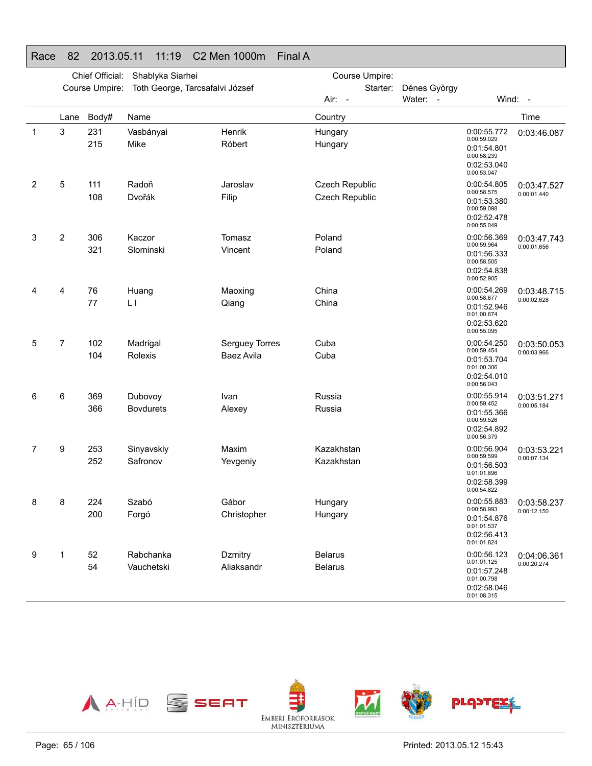|              | Chief Official:<br>Shablyka Siarhei<br>Course Umpire:<br>Toth George, Tarcsafalvi József |            |                             |                              | Course Umpire:<br>Starter:       | Dénes György |                                                                                        |                            |
|--------------|------------------------------------------------------------------------------------------|------------|-----------------------------|------------------------------|----------------------------------|--------------|----------------------------------------------------------------------------------------|----------------------------|
|              |                                                                                          |            |                             |                              | Air:<br>$\sim$                   | Water: -     |                                                                                        | Wind: -                    |
|              | Lane                                                                                     | Body#      | Name                        |                              | Country                          |              |                                                                                        | Time                       |
| $\mathbf{1}$ | 3                                                                                        | 231<br>215 | Vasbányai<br>Mike           | Henrik<br>Róbert             | Hungary<br>Hungary               |              | 0:00:55.772<br>0:00:59.029<br>0:01:54.801<br>0:00:58.239<br>0:02:53.040<br>0:00:53.047 | 0:03:46.087                |
| 2            | 5                                                                                        | 111<br>108 | Radoň<br>Dvořák             | Jaroslav<br>Filip            | Czech Republic<br>Czech Republic |              | 0:00:54.805<br>0:00:58.575<br>0:01:53.380<br>0:00:59.098<br>0:02:52.478<br>0:00:55.049 | 0:03:47.527<br>0:00:01.440 |
| 3            | $\overline{2}$                                                                           | 306<br>321 | Kaczor<br>Slominski         | Tomasz<br>Vincent            | Poland<br>Poland                 |              | 0:00:56.369<br>0:00:59.964<br>0:01:56.333<br>0:00:58.505<br>0:02:54.838<br>0:00:52.905 | 0:03:47.743<br>0:00:01.656 |
| 4            | 4                                                                                        | 76<br>77   | Huang<br>LI                 | Maoxing<br>Qiang             | China<br>China                   |              | 0:00:54.269<br>0:00:58.677<br>0:01:52.946<br>0:01:00.674<br>0:02:53.620<br>0:00:55.095 | 0:03:48.715<br>0:00:02.628 |
| 5            | $\overline{7}$                                                                           | 102<br>104 | Madrigal<br>Rolexis         | Serguey Torres<br>Baez Avila | Cuba<br>Cuba                     |              | 0:00:54.250<br>0:00:59.454<br>0:01:53.704<br>0:01:00.306<br>0:02:54.010<br>0:00:56.043 | 0:03:50.053<br>0:00:03.966 |
| 6            | 6                                                                                        | 369<br>366 | Dubovoy<br><b>Bovdurets</b> | Ivan<br>Alexey               | Russia<br>Russia                 |              | 0:00:55.914<br>0:00:59.452<br>0:01:55.366<br>0:00:59.526<br>0:02:54.892<br>0:00:56.379 | 0:03:51.271<br>0:00:05.184 |
| 7            | 9                                                                                        | 253<br>252 | Sinyavskiy<br>Safronov      | Maxim<br>Yevgeniy            | Kazakhstan<br>Kazakhstan         |              | 0:00:56.904<br>0:00:59.599<br>0:01:56.503<br>0:01:01.896<br>0:02:58.399<br>0:00:54.822 | 0:03:53.221<br>0:00:07.134 |
| 8            | 8                                                                                        | 224<br>200 | Szabó<br>Forgó              | Gábor<br>Christopher         | Hungary<br>Hungary               |              | 0:00:55.883<br>0:00:58.993<br>0:01:54.876<br>0:01:01.537<br>0:02:56.413<br>0:01:01.824 | 0:03:58.237<br>0:00:12.150 |
| 9            | 1                                                                                        | 52<br>54   | Rabchanka<br>Vauchetski     | Dzmitry<br>Aliaksandr        | <b>Belarus</b><br><b>Belarus</b> |              | 0:00:56.123<br>0:01:01.125<br>0:01:57.248<br>0:01:00.798<br>0:02:58.046<br>0:01:08.315 | 0:04:06.361<br>0:00:20.274 |

## Race 82 2013.05.11 11:19 C2 Men 1000m Final A

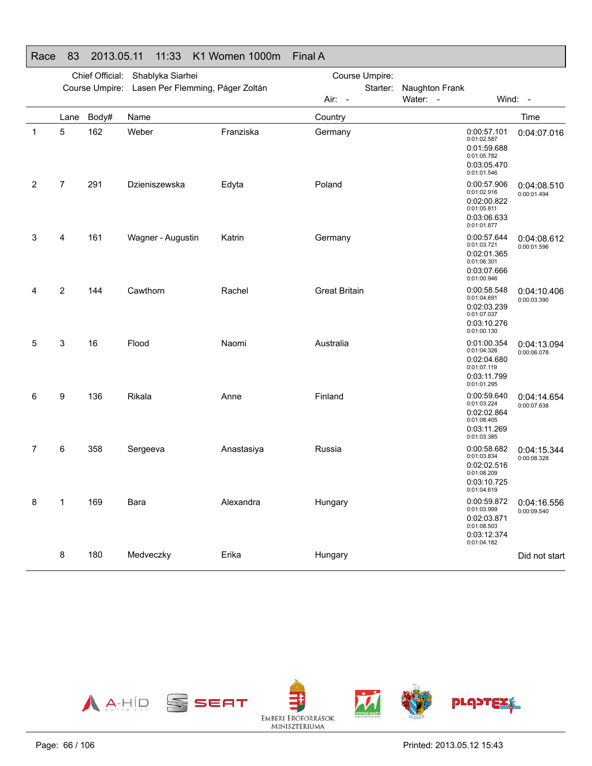|   | Chief Official:<br>Shablyka Siarhei |                |                                  |            | Course Umpire:       |                            |                                                                                        |                            |
|---|-------------------------------------|----------------|----------------------------------|------------|----------------------|----------------------------|----------------------------------------------------------------------------------------|----------------------------|
|   |                                     | Course Umpire: | Lasen Per Flemming, Páger Zoltán |            | Starter:<br>Air: -   | Naughton Frank<br>Water: - |                                                                                        | Wind: -                    |
|   | Lane                                | Body#          | Name                             |            | Country              |                            |                                                                                        | Time                       |
| 1 | 5                                   | 162            | Weber                            | Franziska  | Germany              |                            | 0:00:57.101<br>0:01:02.587<br>0:01:59.688<br>0:01:05.782<br>0:03:05.470<br>0:01:01.546 | 0:04:07.016                |
| 2 | $\overline{7}$                      | 291            | Dzieniszewska                    | Edyta      | Poland               |                            | 0:00:57.906<br>0:01:02.916<br>0:02:00.822<br>0:01:05.811<br>0:03:06.633<br>0:01:01.877 | 0:04:08.510<br>0:00:01.494 |
| 3 | 4                                   | 161            | Wagner - Augustin                | Katrin     | Germany              |                            | 0:00:57.644<br>0:01:03.721<br>0:02:01.365<br>0:01:06.301<br>0:03:07.666<br>0:01:00.946 | 0:04:08.612<br>0:00:01.596 |
| 4 | 2                                   | 144            | Cawthorn                         | Rachel     | <b>Great Britain</b> |                            | 0:00:58.548<br>0:01:04.691<br>0:02:03.239<br>0:01:07.037<br>0:03:10.276<br>0:01:00.130 | 0:04:10.406<br>0:00:03.390 |
| 5 | 3                                   | 16             | Flood                            | Naomi      | Australia            |                            | 0:01:00.354<br>0:01:04.326<br>0:02:04.680<br>0:01:07.119<br>0:03:11.799<br>0:01:01.295 | 0:04:13.094<br>0:00:06.078 |
| 6 | 9                                   | 136            | Rikala                           | Anne       | Finland              |                            | 0:00:59.640<br>0:01:03.224<br>0:02:02.864<br>0:01:08.405<br>0:03:11.269<br>0:01:03.385 | 0:04:14.654<br>0:00:07.638 |
| 7 | 6                                   | 358            | Sergeeva                         | Anastasiya | Russia               |                            | 0:00:58.682<br>0:01:03.834<br>0:02:02.516<br>0:01:08.209<br>0:03:10.725<br>0:01:04.619 | 0:04:15.344<br>0:00:08.328 |
| 8 | 1                                   | 169            | Bara                             | Alexandra  | Hungary              |                            | 0:00:59.872<br>0:01:03.999<br>0:02:03.871<br>0:01:08.503<br>0:03:12.374<br>0:01:04.182 | 0:04:16.556<br>0:00:09.540 |
|   | 8                                   | 180            | Medveczky                        | Erika      | Hungary              |                            |                                                                                        | Did not start              |

Race 83 2013.05.11 11:33 K1 Women 1000m Final A

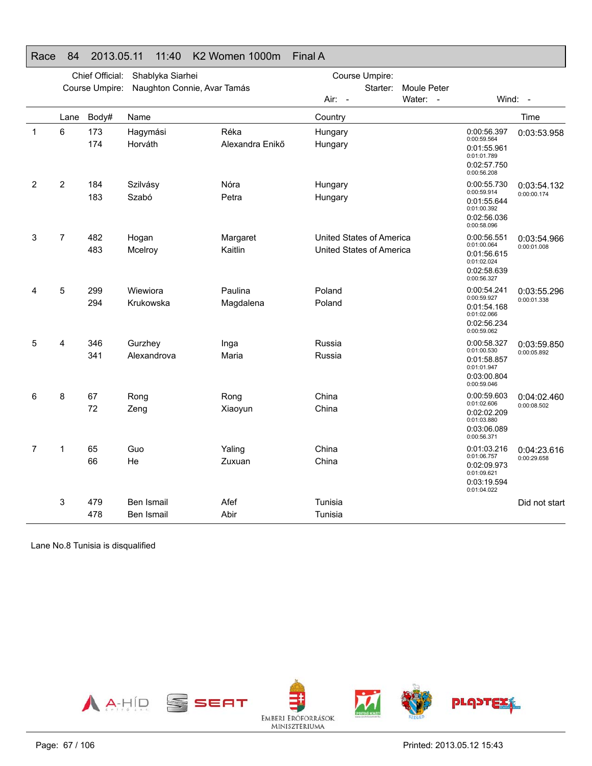|                |                | Chief Official: | Shablyka Siarhei            |                         | Course Umpire:                                       |             |                                                                                        |                            |  |
|----------------|----------------|-----------------|-----------------------------|-------------------------|------------------------------------------------------|-------------|----------------------------------------------------------------------------------------|----------------------------|--|
|                |                | Course Umpire:  | Naughton Connie, Avar Tamás |                         | Starter:                                             | Moule Peter |                                                                                        |                            |  |
|                |                |                 |                             |                         | Air: -                                               | Water: -    |                                                                                        | Wind: -                    |  |
|                | Lane           | Body#           | Name                        |                         | Country                                              |             |                                                                                        | Time                       |  |
| $\mathbf{1}$   | 6              | 173<br>174      | Hagymási<br>Horváth         | Réka<br>Alexandra Enikő | Hungary<br>Hungary                                   |             | 0:00:56.397<br>0:00:59.564<br>0:01:55.961<br>0:01:01.789<br>0:02:57.750<br>0:00:56.208 | 0:03:53.958                |  |
| $\overline{2}$ | $\overline{2}$ | 184<br>183      | Szilvásy<br>Szabó           | Nóra<br>Petra           | Hungary<br>Hungary                                   |             | 0:00:55.730<br>0:00:59.914<br>0:01:55.644<br>0:01:00.392<br>0:02:56.036<br>0:00:58.096 | 0:03:54.132<br>0:00:00.174 |  |
| 3              | $\overline{7}$ | 482<br>483      | Hogan<br>Mcelroy            | Margaret<br>Kaitlin     | United States of America<br>United States of America |             | 0:00:56.551<br>0:01:00.064<br>0:01:56.615<br>0:01:02.024<br>0:02:58.639<br>0:00:56.327 | 0:03:54.966<br>0:00:01.008 |  |
| 4              | 5              | 299<br>294      | Wiewiora<br>Krukowska       | Paulina<br>Magdalena    | Poland<br>Poland                                     |             | 0:00:54.241<br>0:00:59.927<br>0:01:54.168<br>0:01:02.066<br>0:02:56.234<br>0:00:59.062 | 0:03:55.296<br>0:00:01.338 |  |
| 5              | 4              | 346<br>341      | Gurzhey<br>Alexandrova      | Inga<br>Maria           | Russia<br>Russia                                     |             | 0:00:58.327<br>0:01:00.530<br>0:01:58.857<br>0:01:01.947<br>0:03:00.804<br>0:00:59.046 | 0:03:59.850<br>0:00:05.892 |  |
| 6              | 8              | 67<br>72        | Rong<br>Zeng                | Rong<br>Xiaoyun         | China<br>China                                       |             | 0:00:59.603<br>0:01:02.606<br>0:02:02.209<br>0:01:03.880<br>0:03:06.089<br>0:00:56.371 | 0:04:02.460<br>0:00:08.502 |  |
| 7              | 1              | 65<br>66        | Guo<br>He                   | Yaling<br>Zuxuan        | China<br>China                                       |             | 0:01:03.216<br>0:01:06.757<br>0:02:09.973<br>0:01:09.621<br>0:03:19.594<br>0:01:04.022 | 0:04:23.616<br>0:00:29.658 |  |
|                | 3              | 479<br>478      | Ben Ismail<br>Ben Ismail    | Afef<br>Abir            | Tunisia<br>Tunisia                                   |             |                                                                                        | Did not start              |  |

#### Race 84 2013.05.11 11:40 K2 Women 1000m Final A

Lane No.8 Tunisia is disqualified

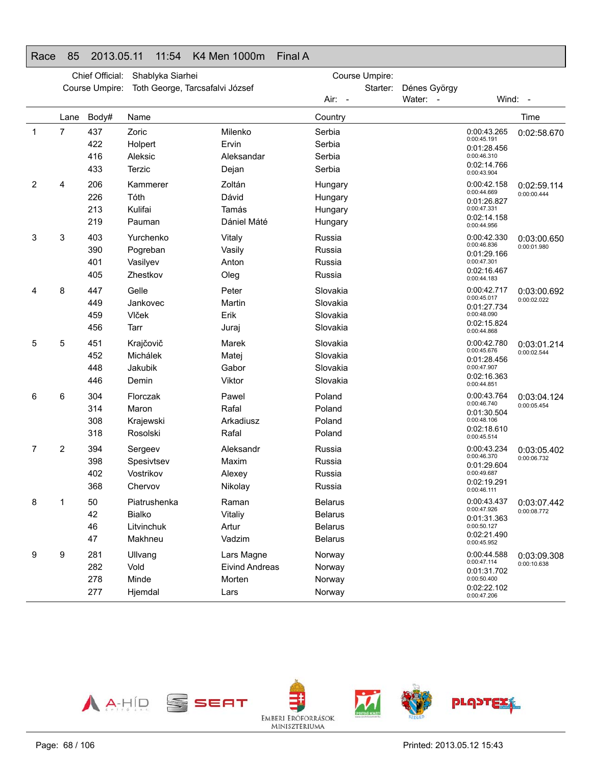### Race 85 2013.05.11 11:54 K4 Men 1000m Final A

|             | Chief Official:<br>Shablyka Siarhei |                |                                 |                       | Course Umpire: |          |                                           |                            |             |
|-------------|-------------------------------------|----------------|---------------------------------|-----------------------|----------------|----------|-------------------------------------------|----------------------------|-------------|
|             |                                     | Course Umpire: | Toth George, Tarcsafalvi József |                       |                | Starter: | Dénes György                              |                            |             |
|             |                                     |                |                                 |                       | Air: -         |          | Water: -                                  |                            | Wind: -     |
|             | Lane                                | Body#          | Name                            |                       | Country        |          |                                           |                            | Time        |
| $\mathbf 1$ | 7                                   | 437            | Zoric                           | Milenko               | Serbia         |          |                                           | 0:00:43.265                | 0:02:58.670 |
|             |                                     | 422            | Holpert                         | Ervin                 | Serbia         |          |                                           | 0:00:45.191<br>0:01:28.456 |             |
|             |                                     | 416            | Aleksic                         | Aleksandar            | Serbia         |          |                                           | 0:00:46.310                |             |
|             |                                     | 433            | Terzic                          | Dejan                 | Serbia         |          |                                           | 0:02:14.766<br>0:00:43.904 |             |
| 2           | 4                                   | 206            | Kammerer                        | Zoltán                | Hungary        |          |                                           | 0:00:42.158                | 0:02:59.114 |
|             |                                     | 226            | Tóth                            | Dávid                 | Hungary        |          |                                           | 0:00:44.669<br>0:01:26.827 | 0:00:00.444 |
|             |                                     | 213            | Kulifai                         | Tamás                 | Hungary        |          |                                           | 0:00:47.331                |             |
|             |                                     | 219            | Pauman                          | Dániel Máté           | Hungary        |          |                                           | 0:02:14.158<br>0:00:44.956 |             |
| 3           | 3                                   | 403            | Yurchenko                       | Vitaly                | Russia         |          |                                           | 0:00:42.330                | 0:03:00.650 |
|             |                                     | 390            | Pogreban                        | Vasily                | Russia         |          |                                           | 0:00:46.836<br>0:01:29.166 | 0:00:01.980 |
|             |                                     | 401            | Vasilyev                        | Anton                 | Russia         |          |                                           | 0:00:47.301                |             |
|             |                                     | 405            | Zhestkov                        | Oleg                  | Russia         |          |                                           | 0:02:16.467<br>0:00:44.183 |             |
| 4           | 8                                   | 447            | Gelle                           | Peter                 | Slovakia       |          |                                           | 0:00:42.717                | 0:03:00.692 |
|             |                                     | 449            | Jankovec                        | Martin                | Slovakia       |          |                                           | 0:00:45.017<br>0:01:27.734 | 0:00:02.022 |
|             |                                     | 459            | Vlček                           | Erik                  | Slovakia       |          |                                           | 0:00:48.090                |             |
|             |                                     | 456            | Tarr                            | Juraj                 | Slovakia       |          |                                           | 0:02:15.824<br>0:00:44.868 |             |
| 5           | 5                                   | 451            | Krajčovič                       | Marek                 | Slovakia       |          |                                           | 0:00:42.780                | 0:03:01.214 |
|             |                                     | 452            | Michálek                        | Matej                 | Slovakia       |          |                                           | 0:00:45.676<br>0:01:28.456 | 0:00:02.544 |
|             |                                     | 448            | Jakubik                         | Gabor                 | Slovakia       |          |                                           | 0:00:47.907                |             |
|             |                                     | 446            | Demin                           | Viktor                | Slovakia       |          |                                           | 0:02:16.363<br>0:00:44.851 |             |
| 6           | 6                                   | 304            | Florczak                        | Pawel                 | Poland         |          |                                           | 0:00:43.764                | 0:03:04.124 |
|             |                                     | 314            | Maron                           | Rafal                 | Poland         |          |                                           | 0:00:46.740<br>0:01:30.504 | 0:00:05.454 |
|             |                                     | 308            | Krajewski                       | Arkadiusz             | Poland         |          |                                           | 0:00:48.106                |             |
|             |                                     | 318            | Rosolski                        | Rafal                 | Poland         |          |                                           | 0:02:18.610<br>0:00:45.514 |             |
| 7           | 2                                   | 394            | Sergeev                         | Aleksandr             | Russia         |          |                                           | 0:00:43.234                | 0:03:05.402 |
|             |                                     | 398            | Spesivtsev                      | Maxim                 | Russia         |          |                                           | 0:00:46.370<br>0:01:29.604 | 0:00:06.732 |
|             |                                     | 402            | Vostrikov                       | Alexey                | Russia         |          |                                           | 0:00:49.687                |             |
|             |                                     | 368            | Chervov                         | Nikolay               | Russia         |          |                                           | 0:02:19.291<br>0:00:46.111 |             |
| 8           | 1                                   | 50             | Piatrushenka                    | Raman                 | <b>Belarus</b> |          |                                           | 0:00:43.437                | 0:03:07.442 |
|             | 42                                  |                | Bialko                          | Vitaliy               | <b>Belarus</b> |          |                                           | 0:00:47.926<br>0:01:31.363 | 0:00:08.772 |
|             |                                     | 46             | Litvinchuk                      | Artur                 | <b>Belarus</b> |          |                                           | 0:00:50.127                |             |
|             |                                     | 47             | Makhneu                         | Vadzim                | <b>Belarus</b> |          |                                           | 0:02:21.490<br>0:00:45.952 |             |
| 9           | 9                                   | 281            | Ullvang                         | Lars Magne            | Norway         |          |                                           | 0:00:44.588                | 0:03:09.308 |
|             |                                     | 282            | Vold                            | <b>Eivind Andreas</b> | Norway         |          | 0:00:47.114<br>0:00:10.638<br>0:01:31.702 |                            |             |
|             |                                     | 278            | Minde                           | Morten                | Norway         |          |                                           | 0:00:50.400                |             |
|             |                                     | 277            | Hjemdal                         | Lars                  | Norway         |          |                                           | 0:02:22.102<br>0:00:47.206 |             |

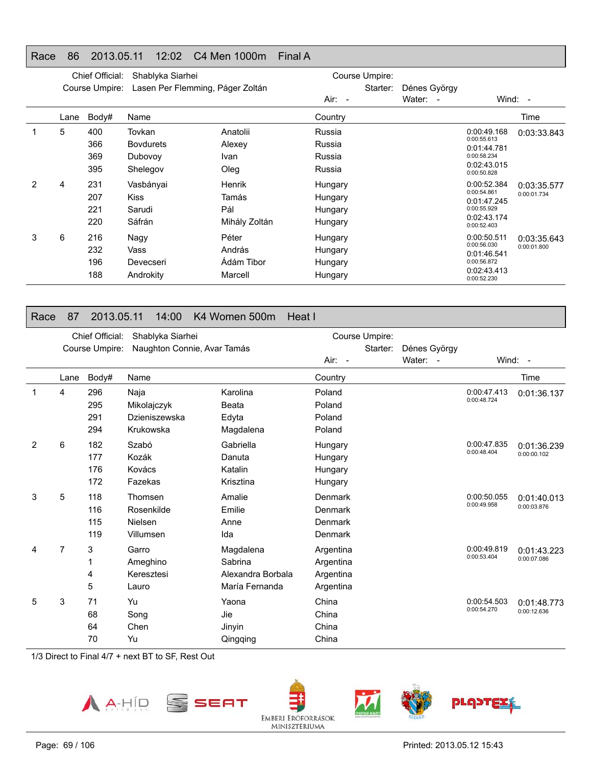### Race 86 2013.05.11 12:02 C4 Men 1000m Final A

|   |      | Chief Official: | Shablyka Siarhei                 |               |          | Course Umpire: |              |                            |             |
|---|------|-----------------|----------------------------------|---------------|----------|----------------|--------------|----------------------------|-------------|
|   |      | Course Umpire:  | Lasen Per Flemming, Páger Zoltán |               |          | Starter:       | Dénes György |                            |             |
|   |      |                 |                                  |               | $Air: -$ |                | Water: -     |                            | Wind: $-$   |
|   | Lane | Body#           | Name                             |               | Country  |                |              |                            | Time        |
|   | 5    | 400             | Tovkan                           | Anatolii      | Russia   |                |              | 0:00:49.168                | 0:03:33.843 |
|   |      | 366             | <b>Bovdurets</b>                 | Alexey        | Russia   |                |              | 0:00:55.613<br>0:01:44.781 |             |
|   |      | 369             | Dubovoy                          | Ivan          | Russia   |                |              | 0:00:58.234                |             |
|   |      | 395             | Shelegov                         | Oleg          | Russia   |                |              | 0:02:43.015<br>0:00:50.828 |             |
| 2 | 4    | 231             | Vasbányai                        | <b>Henrik</b> | Hungary  |                |              | 0:00:52.384                | 0:03:35.577 |
|   |      | 207             | <b>Kiss</b>                      | Tamás         | Hungary  |                |              | 0:00:54.861<br>0:01:47.245 | 0:00:01.734 |
|   |      | 221             | Sarudi                           | Pál           | Hungary  |                |              | 0:00:55.929                |             |
|   |      | 220             | Sáfrán                           | Mihály Zoltán | Hungary  |                |              | 0:02:43.174<br>0:00:52.403 |             |
| 3 | 6    | 216             | Nagy                             | Péter         | Hungary  |                |              | 0:00:50.511                | 0:03:35.643 |
|   |      | 232             | Vass                             | András        | Hungary  |                |              | 0:00:56.030<br>0:01:46.541 | 0:00:01.800 |
|   |      | 196             | Devecseri                        | Ádám Tibor    | Hungary  |                |              | 0:00:56.872                |             |
|   |      | 188             | Androkity                        | Marcell       | Hungary  |                |              | 0:02:43.413<br>0:00:52.230 |             |

#### Race 87 2013.05.11 14:00 K4 Women 500m Heat I

|   | Chief Official:<br>Shablyka Siarhei |                |                             |                   | Course Umpire: |          |              |                            |                            |
|---|-------------------------------------|----------------|-----------------------------|-------------------|----------------|----------|--------------|----------------------------|----------------------------|
|   |                                     | Course Umpire: | Naughton Connie, Avar Tamás |                   |                | Starter: | Dénes György |                            |                            |
|   |                                     |                |                             |                   | Air: -         |          | Water: -     |                            | Wind: -                    |
|   | Lane                                | Body#          | Name                        |                   | Country        |          |              |                            | Time                       |
|   | 4                                   | 296            | Naja                        | Karolina          | Poland         |          |              | 0:00:47.413                | 0:01:36.137                |
|   |                                     | 295            | Mikolajczyk                 | Beata             | Poland         |          |              | 0:00:48.724                |                            |
|   |                                     | 291            | Dzieniszewska               | Edyta             | Poland         |          |              |                            |                            |
|   |                                     | 294            | Krukowska                   | Magdalena         | Poland         |          |              |                            |                            |
| 2 | 6                                   | 182            | Szabó                       | Gabriella         | Hungary        |          |              | 0:00:47.835<br>0:00:48.404 | 0:01:36.239                |
|   |                                     | 177            | Kozák                       | Danuta            | Hungary        |          |              |                            | 0:00:00.102                |
|   |                                     | 176            | Kovács                      | Katalin           | Hungary        |          |              |                            |                            |
|   |                                     | 172            | Fazekas                     | Krisztina         | Hungary        |          |              |                            |                            |
| 3 | 5                                   | 118            | Thomsen                     | Amalie            | Denmark        |          |              | 0:00:50.055                | 0:01:40.013<br>0:00:03.876 |
|   |                                     | 116            | Rosenkilde                  | Emilie            | Denmark        |          |              | 0:00:49.958                |                            |
|   |                                     | 115            | Nielsen                     | Anne              | Denmark        |          |              |                            |                            |
|   |                                     | 119            | Villumsen                   | Ida               | Denmark        |          |              |                            |                            |
| 4 | $\overline{7}$                      | 3              | Garro                       | Magdalena         | Argentina      |          |              | 0:00:49.819                | 0:01:43.223                |
|   |                                     | 1              | Ameghino                    | Sabrina           | Argentina      |          |              | 0:00:53.404                | 0:00:07.086                |
|   |                                     | 4              | Keresztesi                  | Alexandra Borbala | Argentina      |          |              |                            |                            |
|   |                                     | 5              | Lauro                       | María Fernanda    | Argentina      |          |              |                            |                            |
| 5 | 3                                   | 71             | Yu                          | Yaona             | China          |          |              | 0:00:54.503                | 0:01:48.773                |
|   |                                     | 68             | Song                        | Jie               | China          |          |              | 0:00:54.270                | 0:00:12.636                |
|   |                                     | 64             | Chen                        | Jinyin            | China          |          |              |                            |                            |
|   |                                     | 70             | Yu                          | Qingqing          | China          |          |              |                            |                            |

1/3 Direct to Final 4/7 + next BT to SF, Rest Out





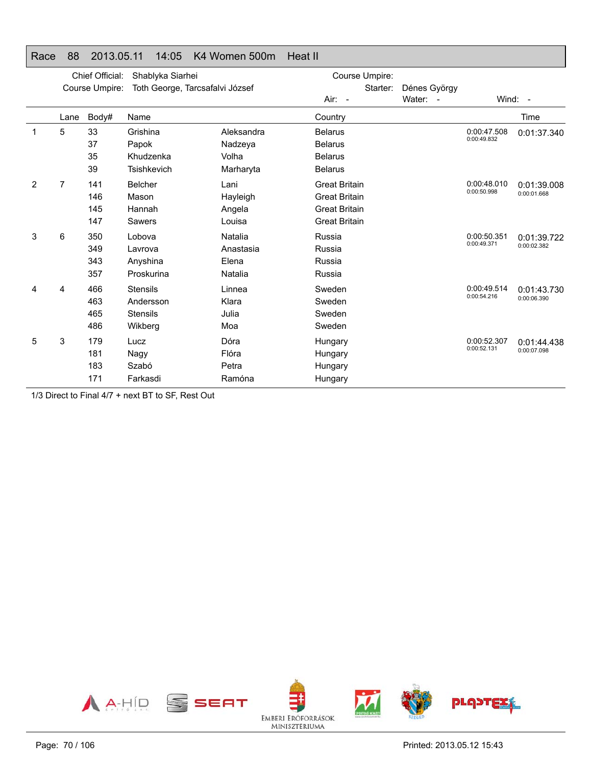#### Race 88 2013.05.11 14:05 K4 Women 500m Heat II

|   |                | Chief Official: | Shablyka Siarhei                |            | Course Umpire:       |              |             |             |
|---|----------------|-----------------|---------------------------------|------------|----------------------|--------------|-------------|-------------|
|   |                | Course Umpire:  | Toth George, Tarcsafalvi József |            | Starter:             | Dénes György |             |             |
|   |                |                 |                                 |            | $Air: -$             | Water: -     |             | Wind: -     |
|   | Lane           | Body#           | Name                            |            | Country              |              |             | Time        |
| 1 | 5              | 33              | Grishina                        | Aleksandra | <b>Belarus</b>       |              | 0:00:47.508 | 0:01:37.340 |
|   |                | 37              | Papok                           | Nadzeya    | <b>Belarus</b>       |              | 0:00:49.832 |             |
|   |                | 35              | Khudzenka                       | Volha      | <b>Belarus</b>       |              |             |             |
|   |                | 39              | <b>Tsishkevich</b>              | Marharyta  | <b>Belarus</b>       |              |             |             |
| 2 | $\overline{7}$ | 141             | Belcher                         | Lani       | <b>Great Britain</b> |              | 0:00:48.010 | 0:01:39.008 |
|   |                | 146             | Mason                           | Hayleigh   | <b>Great Britain</b> |              | 0:00:50.998 | 0:00:01.668 |
|   |                | 145             | Hannah                          | Angela     | <b>Great Britain</b> |              |             |             |
|   |                | 147             | Sawers                          | Louisa     | <b>Great Britain</b> |              |             |             |
| 3 | 6              | 350             | Lobova                          | Natalia    | Russia               |              | 0:00:50.351 | 0:01:39.722 |
|   |                | 349             | Lavrova                         | Anastasia  | Russia               |              | 0:00:49.371 | 0:00:02.382 |
|   |                | 343             | Anyshina                        | Elena      | Russia               |              |             |             |
|   |                | 357             | Proskurina                      | Natalia    | Russia               |              |             |             |
| 4 | 4              | 466             | <b>Stensils</b>                 | Linnea     | Sweden               |              | 0:00:49.514 | 0:01:43.730 |
|   |                | 463             | Andersson                       | Klara      | Sweden               |              | 0:00:54.216 | 0:00:06.390 |
|   |                | 465             | <b>Stensils</b>                 | Julia      | Sweden               |              |             |             |
|   |                | 486             | Wikberg                         | Moa        | Sweden               |              |             |             |
| 5 | 3              | 179             | Lucz                            | Dóra       | Hungary              |              | 0:00:52.307 | 0:01:44.438 |
|   |                | 181             | Nagy                            | Flóra      | Hungary              |              | 0:00:52.131 | 0:00:07.098 |
|   |                | 183             | Szabó                           | Petra      | Hungary              |              |             |             |
|   |                | 171             | Farkasdi                        | Ramóna     | Hungary              |              |             |             |

1/3 Direct to Final 4/7 + next BT to SF, Rest Out

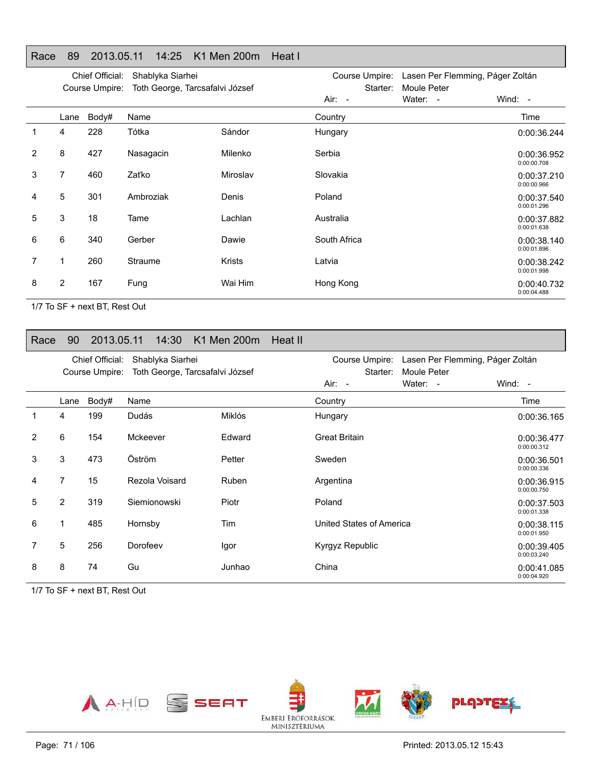#### Race 89 2013.05.11 14:25 K1 Men 200m Heat I

|                | Chief Official:<br>Shablyka Siarhei<br>Toth George, Tarcsafalvi József<br>Course Umpire: |       |           |               | Course Umpire:<br>Starter: | Lasen Per Flemming, Páger Zoltán<br>Moule Peter |                            |
|----------------|------------------------------------------------------------------------------------------|-------|-----------|---------------|----------------------------|-------------------------------------------------|----------------------------|
|                |                                                                                          |       |           |               | Air: -                     | Water: -                                        | Wind: $-$                  |
|                | Lane                                                                                     | Body# | Name      |               | Country                    |                                                 | Time                       |
| 1              | 4                                                                                        | 228   | Tótka     | Sándor        | Hungary                    |                                                 | 0:00:36.244                |
| $\overline{2}$ | 8                                                                                        | 427   | Nasagacin | Milenko       | Serbia                     |                                                 | 0:00:36.952<br>0:00:00.708 |
| 3              | $\overline{7}$                                                                           | 460   | Zaťko     | Miroslav      | Slovakia                   |                                                 | 0:00:37.210<br>0:00:00.966 |
| 4              | 5                                                                                        | 301   | Ambroziak | Denis         | Poland                     |                                                 | 0:00:37.540<br>0:00:01.296 |
| 5              | 3                                                                                        | 18    | Tame      | Lachlan       | Australia                  |                                                 | 0:00:37.882<br>0:00:01.638 |
| 6              | 6                                                                                        | 340   | Gerber    | Dawie         | South Africa               |                                                 | 0:00:38.140<br>0:00:01.896 |
| 7              | 1                                                                                        | 260   | Straume   | <b>Krists</b> | Latvia                     |                                                 | 0:00:38.242<br>0:00:01.998 |
| 8              | $\overline{2}$                                                                           | 167   | Fung      | Wai Him       | Hong Kong                  |                                                 | 0:00:40.732<br>0:00:04.488 |

1/7 To SF + next BT, Rest Out

#### Race 90 2013.05.11 14:30 K1 Men 200m Heat II

|   |                | Chief Official:<br>Course Umpire: | Shablyka Siarhei<br>Toth George, Tarcsafalvi József |        | Course Umpire:<br>Lasen Per Flemming, Páger Zoltán<br>Starter:<br><b>Moule Peter</b> |          |                            |
|---|----------------|-----------------------------------|-----------------------------------------------------|--------|--------------------------------------------------------------------------------------|----------|----------------------------|
|   |                |                                   |                                                     |        | Air: -                                                                               | Water: - | Wind: -                    |
|   | Lane           | Body#                             | Name                                                |        | Country                                                                              |          | Time                       |
| 1 | 4              | 199                               | Dudás                                               | Miklós | Hungary                                                                              |          | 0:00:36.165                |
| 2 | 6              | 154                               | Mckeever                                            | Edward | <b>Great Britain</b>                                                                 |          | 0:00:36.477<br>0:00:00.312 |
| 3 | 3              | 473                               | Öström                                              | Petter | Sweden                                                                               |          | 0:00:36.501<br>0:00:00.336 |
| 4 | $\overline{7}$ | 15                                | Rezola Voisard                                      | Ruben  | Argentina                                                                            |          | 0:00:36.915<br>0:00:00.750 |
| 5 | 2              | 319                               | Siemionowski                                        | Piotr  | Poland                                                                               |          | 0:00:37.503<br>0:00:01.338 |
| 6 | 1              | 485                               | Hornsby                                             | Tim    | United States of America                                                             |          | 0:00:38.115<br>0:00:01.950 |
| 7 | 5              | 256                               | Dorofeev                                            | Igor   | Kyrgyz Republic                                                                      |          | 0:00:39.405<br>0:00:03.240 |
| 8 | 8              | 74                                | Gu                                                  | Junhao | China                                                                                |          | 0:00:41.085<br>0:00:04.920 |

1/7 To SF + next BT, Rest Out

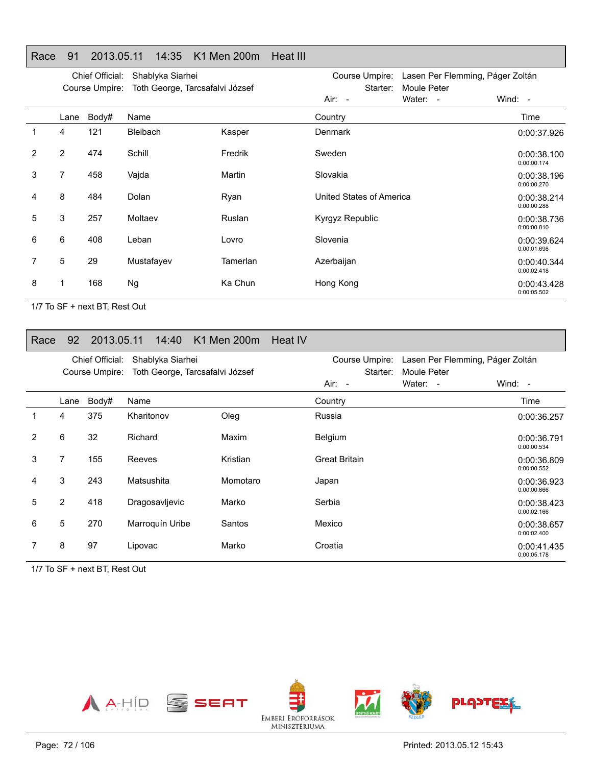#### Race 91 2013.05.11 14:35 K1 Men 200m Heat III

|                |      | Chief Official: | Shablyka Siarhei                |          | Course Umpire:<br>Lasen Per Flemming, Páger Zoltán |                         |                            |
|----------------|------|-----------------|---------------------------------|----------|----------------------------------------------------|-------------------------|----------------------------|
|                |      | Course Umpire:  | Toth George, Tarcsafalvi József |          | Starter:<br>$Air: -$                               | Moule Peter<br>Water: - | Wind: $-$                  |
|                | Lane | Body#           | Name                            |          | Country                                            |                         | Time                       |
|                | 4    | 121             | <b>Bleibach</b>                 | Kasper   | <b>Denmark</b>                                     |                         | 0:00:37.926                |
| $\overline{2}$ | 2    | 474             | Schill                          | Fredrik  | Sweden                                             |                         | 0:00:38.100<br>0:00:00.174 |
| 3              | 7    | 458             | Vajda                           | Martin   | Slovakia                                           |                         | 0:00:38.196<br>0:00:00.270 |
| 4              | 8    | 484             | Dolan                           | Ryan     | United States of America                           |                         | 0:00:38.214<br>0:00:00.288 |
| 5              | 3    | 257             | Moltaev                         | Ruslan   | Kyrgyz Republic                                    |                         | 0:00:38.736<br>0:00:00.810 |
| 6              | 6    | 408             | Leban                           | Lovro    | Slovenia                                           |                         | 0:00:39.624<br>0:00:01.698 |
| 7              | 5    | 29              | Mustafayev                      | Tamerlan | Azerbaijan                                         |                         | 0:00:40.344<br>0:00:02.418 |
| 8              | 1    | 168             | <b>Ng</b>                       | Ka Chun  | Hong Kong                                          |                         | 0:00:43.428<br>0:00:05.502 |

1/7 To SF + next BT, Rest Out

#### Race 92 2013.05.11 14:40 K1 Men 200m Heat IV

|                |                | Chief Official:<br>Course Umpire: | Shablyka Siarhei<br>Toth George, Tarcsafalvi József |          | Course Umpire:<br>Starter:<br>Air: - | Lasen Per Flemming, Páger Zoltán<br>Moule Peter<br>Water: - | Wind: $-$                  |
|----------------|----------------|-----------------------------------|-----------------------------------------------------|----------|--------------------------------------|-------------------------------------------------------------|----------------------------|
|                | Lane           | Body#                             | Name                                                |          | Country                              |                                                             | Time                       |
|                | 4              | 375                               | Kharitonov                                          | Oleg     | Russia                               |                                                             | 0:00:36.257                |
| $\overline{2}$ | 6              | 32                                | Richard                                             | Maxim    | Belgium                              |                                                             | 0:00:36.791<br>0:00:00.534 |
| 3              | 7              | 155                               | Reeves                                              | Kristian | <b>Great Britain</b>                 |                                                             | 0:00:36.809<br>0:00:00.552 |
| 4              | 3              | 243                               | Matsushita                                          | Momotaro | Japan                                |                                                             | 0:00:36.923<br>0:00:00.666 |
| 5              | $\overline{2}$ | 418                               | Dragosavljevic                                      | Marko    | Serbia                               |                                                             | 0:00:38.423<br>0:00:02.166 |
| 6              | 5              | 270                               | Marroquín Uribe                                     | Santos   | Mexico                               |                                                             | 0:00:38.657<br>0:00:02.400 |
|                | 8              | 97                                | Lipovac                                             | Marko    | Croatia                              |                                                             | 0:00:41.435<br>0:00:05.178 |

1/7 To SF + next BT, Rest Out

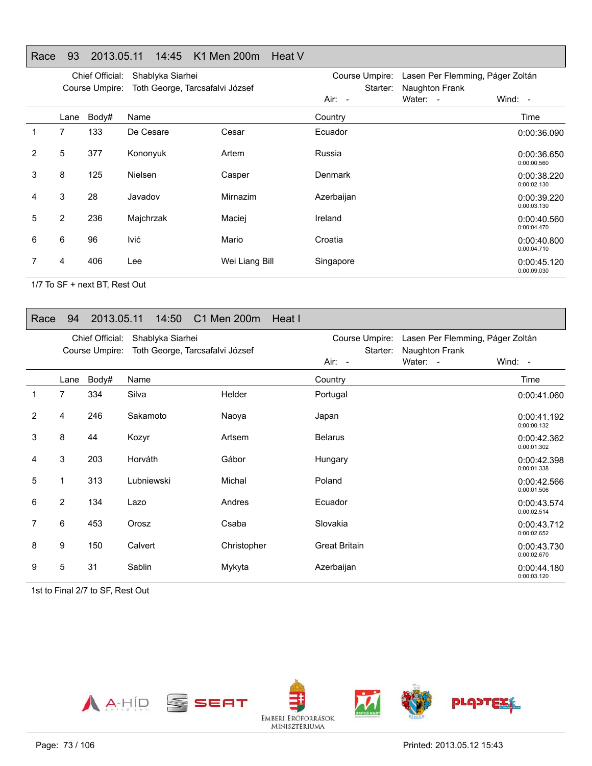# Race 93 2013.05.11 14:45 K1 Men 200m Heat V

|   |                | Chief Official:<br>Course Umpire: | Shablyka Siarhei<br>Toth George, Tarcsafalvi József |                | Course Umpire:<br>Starter: | Lasen Per Flemming, Páger Zoltán<br>Naughton Frank |                            |
|---|----------------|-----------------------------------|-----------------------------------------------------|----------------|----------------------------|----------------------------------------------------|----------------------------|
|   |                |                                   |                                                     |                | Air: -                     | Water: -                                           | Wind: $-$                  |
|   | Lane           | Body#                             | Name                                                |                | Country                    |                                                    | Time                       |
|   | 7              | 133                               | De Cesare                                           | Cesar          | Ecuador                    |                                                    | 0:00:36.090                |
| 2 | 5              | 377                               | Kononyuk                                            | Artem          | Russia                     |                                                    | 0:00:36.650<br>0:00:00.560 |
| 3 | 8              | 125                               | <b>Nielsen</b>                                      | Casper         | Denmark                    |                                                    | 0:00:38.220<br>0:00:02.130 |
| 4 | 3              | 28                                | Javadov                                             | Mirnazim       | Azerbaijan                 |                                                    | 0:00:39.220<br>0:00:03.130 |
| 5 | $\overline{2}$ | 236                               | Majchrzak                                           | Maciej         | Ireland                    |                                                    | 0:00:40.560<br>0:00:04.470 |
| 6 | 6              | 96                                | lvić                                                | Mario          | Croatia                    |                                                    | 0:00:40.800<br>0:00:04.710 |
|   | 4              | 406                               | Lee                                                 | Wei Liang Bill | Singapore                  |                                                    | 0:00:45.120<br>0:00:09.030 |

1/7 To SF + next BT, Rest Out

#### Race 94 2013.05.11 14:50 C1 Men 200m Heat I

|   |      | Chief Official: | Shablyka Siarhei                |             | Course Umpire:       | Lasen Per Flemming, Páger Zoltán |                            |
|---|------|-----------------|---------------------------------|-------------|----------------------|----------------------------------|----------------------------|
|   |      | Course Umpire:  | Toth George, Tarcsafalvi József |             | Starter:             | Naughton Frank                   |                            |
|   |      |                 |                                 |             | Air: -               | Water: -                         | Wind: -                    |
|   | Lane | Body#           | Name                            |             | Country              |                                  | Time                       |
|   | 7    | 334             | Silva                           | Helder      | Portugal             |                                  | 0:00:41.060                |
| 2 | 4    | 246             | Sakamoto                        | Naoya       | Japan                |                                  | 0:00:41.192<br>0:00:00.132 |
| 3 | 8    | 44              | Kozyr                           | Artsem      | <b>Belarus</b>       |                                  | 0:00:42.362<br>0:00:01.302 |
| 4 | 3    | 203             | Horváth                         | Gábor       | Hungary              |                                  | 0:00:42.398<br>0:00:01.338 |
| 5 | 1    | 313             | Lubniewski                      | Michal      | Poland               |                                  | 0:00:42.566<br>0:00:01.506 |
| 6 | 2    | 134             | Lazo                            | Andres      | Ecuador              |                                  | 0:00:43.574<br>0:00:02.514 |
| 7 | 6    | 453             | Orosz                           | Csaba       | Slovakia             |                                  | 0:00:43.712<br>0:00:02.652 |
| 8 | 9    | 150             | Calvert                         | Christopher | <b>Great Britain</b> |                                  | 0:00:43.730<br>0:00:02.670 |
| 9 | 5    | 31              | Sablin                          | Mykyta      | Azerbaijan           |                                  | 0:00:44.180<br>0:00:03.120 |

1st to Final 2/7 to SF, Rest Out

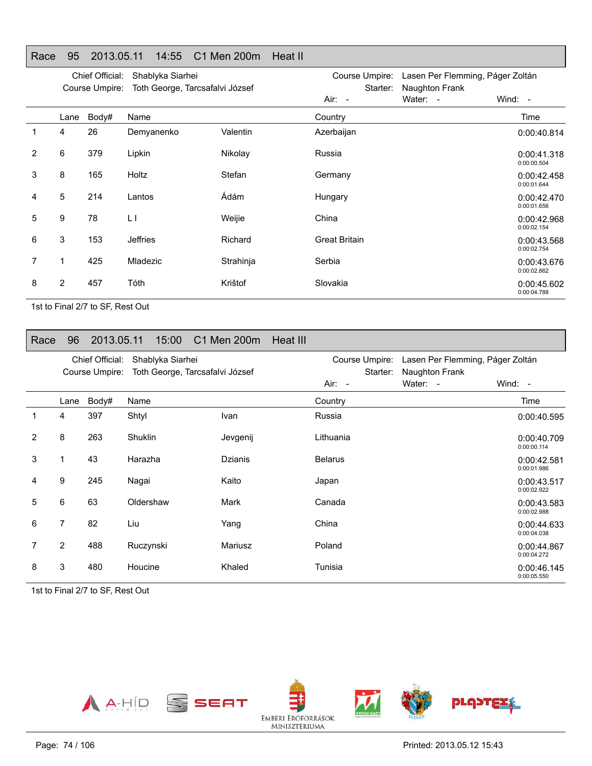# Race 95 2013.05.11 14:55 C1 Men 200m Heat II

|                |                | Chief Official: | Shablyka Siarhei                |           | Course Umpire:       | Lasen Per Flemming, Páger Zoltán |                            |
|----------------|----------------|-----------------|---------------------------------|-----------|----------------------|----------------------------------|----------------------------|
|                |                | Course Umpire:  | Toth George, Tarcsafalvi József |           | Starter:             | Naughton Frank                   |                            |
|                |                |                 |                                 |           | Air: -               | Water: -                         | Wind: -                    |
|                | Lane           | Body#           | Name                            |           | Country              |                                  | Time                       |
| 1              | 4              | 26              | Demyanenko                      | Valentin  | Azerbaijan           |                                  | 0:00:40.814                |
| $\overline{2}$ | 6              | 379             | Lipkin                          | Nikolay   | Russia               |                                  | 0:00:41.318<br>0:00:00.504 |
| 3              | 8              | 165             | Holtz                           | Stefan    | Germany              |                                  | 0:00:42.458<br>0:00:01.644 |
| 4              | 5              | 214             | Lantos                          | Ádám      | Hungary              |                                  | 0:00:42.470<br>0:00:01.656 |
| 5              | 9              | 78              | $\lfloor$                       | Weijie    | China                |                                  | 0:00:42.968<br>0:00:02.154 |
| 6              | 3              | 153             | <b>Jeffries</b>                 | Richard   | <b>Great Britain</b> |                                  | 0:00:43.568<br>0:00:02.754 |
| 7              | 1              | 425             | Mladezic                        | Strahinja | Serbia               |                                  | 0:00:43.676<br>0:00:02.862 |
| 8              | $\overline{2}$ | 457             | Tóth                            | Krištof   | Slovakia             |                                  | 0:00:45.602<br>0:00:04.788 |

1st to Final 2/7 to SF, Rest Out

#### Race 96 2013.05.11 15:00 C1 Men 200m Heat III

|   |                | Chief Official:<br>Course Umpire: | Shablyka Siarhei<br>Toth George, Tarcsafalvi József |                | Course Umpire:<br>Starter: | Lasen Per Flemming, Páger Zoltán<br>Naughton Frank |                            |
|---|----------------|-----------------------------------|-----------------------------------------------------|----------------|----------------------------|----------------------------------------------------|----------------------------|
|   |                |                                   |                                                     |                | Air: -                     | Water: -                                           | Wind: -                    |
|   | Lane           | Body#                             | Name                                                |                | Country                    |                                                    | Time                       |
| 1 | 4              | 397                               | Shtyl                                               | Ivan           | Russia                     |                                                    | 0:00:40.595                |
| 2 | 8              | 263                               | Shuklin                                             | Jevgenij       | Lithuania                  |                                                    | 0:00:40.709<br>0:00:00.114 |
| 3 | 1              | 43                                | Harazha                                             | <b>Dzianis</b> | <b>Belarus</b>             |                                                    | 0:00:42.581<br>0:00:01.986 |
| 4 | 9              | 245                               | Nagai                                               | Kaito          | Japan                      |                                                    | 0:00:43.517<br>0:00:02.922 |
| 5 | 6              | 63                                | Oldershaw                                           | <b>Mark</b>    | Canada                     |                                                    | 0:00:43.583<br>0:00:02.988 |
| 6 | $\overline{7}$ | 82                                | Liu                                                 | Yang           | China                      |                                                    | 0:00:44.633<br>0:00:04.038 |
| 7 | $\overline{2}$ | 488                               | Ruczynski                                           | Mariusz        | Poland                     |                                                    | 0:00:44.867<br>0:00:04.272 |
| 8 | 3              | 480                               | Houcine                                             | Khaled         | Tunisia                    |                                                    | 0:00:46.145<br>0:00:05.550 |

1st to Final 2/7 to SF, Rest Out

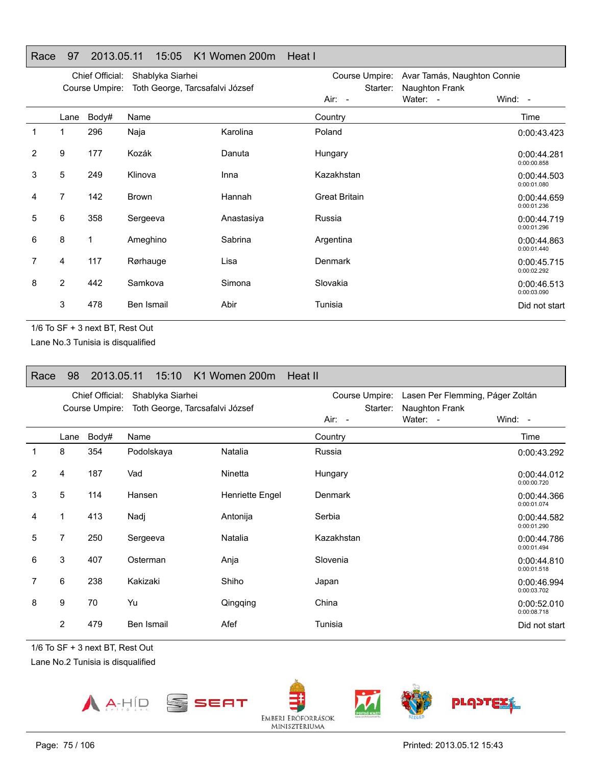|   |                | Chief Official: | Shablyka Siarhei                |            | Course Umpire:       | Avar Tamás, Naughton Connie |                            |
|---|----------------|-----------------|---------------------------------|------------|----------------------|-----------------------------|----------------------------|
|   |                | Course Umpire:  | Toth George, Tarcsafalvi József |            | Starter:             | Naughton Frank              |                            |
|   |                |                 |                                 |            | Air: -               | Water: -                    | Wind: -                    |
|   | Lane           | Body#           | Name                            |            | Country              |                             | Time                       |
| 1 | 1              | 296             | Naja                            | Karolina   | Poland               |                             | 0:00:43.423                |
| 2 | 9              | 177             | Kozák                           | Danuta     | Hungary              |                             | 0:00:44.281<br>0:00:00.858 |
| 3 | 5              | 249             | Klinova                         | Inna       | Kazakhstan           |                             | 0:00:44.503<br>0:00:01.080 |
| 4 | 7              | 142             | Brown                           | Hannah     | <b>Great Britain</b> |                             | 0:00:44.659<br>0:00:01.236 |
| 5 | 6              | 358             | Sergeeva                        | Anastasiya | Russia               |                             | 0:00:44.719<br>0:00:01.296 |
| 6 | 8              | $\mathbf{1}$    | Ameghino                        | Sabrina    | Argentina            |                             | 0:00:44.863<br>0:00:01.440 |
| 7 | 4              | 117             | Rørhauge                        | Lisa       | <b>Denmark</b>       |                             | 0:00:45.715<br>0:00:02.292 |
| 8 | $\overline{2}$ | 442             | Samkova                         | Simona     | Slovakia             |                             | 0:00:46.513<br>0:00:03.090 |
|   | 3              | 478             | Ben Ismail                      | Abir       | Tunisia              |                             | Did not start              |
|   |                |                 |                                 |            |                      |                             |                            |

Race 97 2013.05.11 15:05 K1 Women 200m Heat I

1/6 To SF + 3 next BT, Rest Out

Lane No.3 Tunisia is disqualified

| Race | 98             | 2013.05.11                        | 15:10                                               | K1 Women 200m   | Heat II                              |                                                                |                            |
|------|----------------|-----------------------------------|-----------------------------------------------------|-----------------|--------------------------------------|----------------------------------------------------------------|----------------------------|
|      |                | Chief Official:<br>Course Umpire: | Shablyka Siarhei<br>Toth George, Tarcsafalvi József |                 | Course Umpire:<br>Starter:<br>Air: - | Lasen Per Flemming, Páger Zoltán<br>Naughton Frank<br>Water: - | Wind: $-$                  |
|      | Lane           | Body#                             | Name                                                |                 | Country                              |                                                                | Time                       |
| 1    | 8              | 354                               | Podolskaya                                          | Natalia         | Russia                               |                                                                | 0:00:43.292                |
| 2    | 4              | 187                               | Vad                                                 | Ninetta         | Hungary                              |                                                                | 0:00:44.012<br>0:00:00.720 |
| 3    | 5              | 114                               | Hansen                                              | Henriette Engel | Denmark                              |                                                                | 0:00:44.366<br>0:00:01.074 |
| 4    | 1              | 413                               | Nadj                                                | Antonija        | Serbia                               |                                                                | 0:00:44.582<br>0:00:01.290 |
| 5    | $\overline{7}$ | 250                               | Sergeeva                                            | Natalia         | Kazakhstan                           |                                                                | 0:00:44.786<br>0:00:01.494 |
| 6    | 3              | 407                               | Osterman                                            | Anja            | Slovenia                             |                                                                | 0:00:44.810<br>0:00:01.518 |
| 7    | 6              | 238                               | Kakizaki                                            | Shiho           | Japan                                |                                                                | 0:00:46.994<br>0:00:03.702 |
| 8    | 9              | 70                                | Yu                                                  | Qingqing        | China                                |                                                                | 0:00:52.010<br>0:00:08.718 |
|      | 2              | 479                               | Ben Ismail                                          | Afef            | Tunisia                              |                                                                | Did not start              |

1/6 To SF + 3 next BT, Rest Out

Lane No.2 Tunisia is disqualified





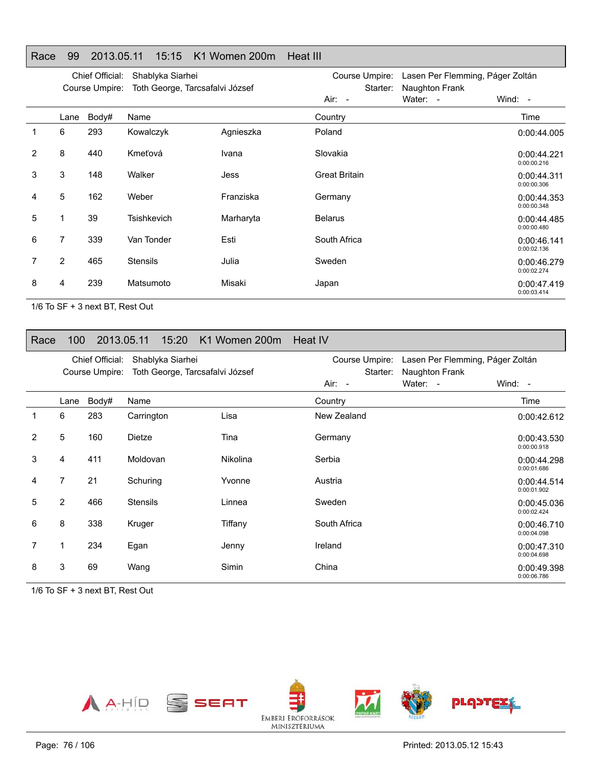|   |      | Chief Official:<br>Course Umpire: | Shablyka Siarhei<br>Toth George, Tarcsafalvi József |           | Course Umpire:<br>Starter: | Lasen Per Flemming, Páger Zoltán |                            |
|---|------|-----------------------------------|-----------------------------------------------------|-----------|----------------------------|----------------------------------|----------------------------|
|   |      |                                   |                                                     |           | Air: -                     | Naughton Frank<br>Water: -       | Wind: $-$                  |
|   | Lane | Body#                             | Name                                                |           | Country                    |                                  | Time                       |
|   | 6    | 293                               | Kowalczyk                                           | Agnieszka | Poland                     |                                  | 0:00:44.005                |
| 2 | 8    | 440                               | Kmeťová                                             | Ivana     | Slovakia                   |                                  | 0:00:44.221<br>0:00:00.216 |
| 3 | 3    | 148                               | Walker                                              | Jess      | <b>Great Britain</b>       |                                  | 0:00:44.311<br>0:00:00.306 |
| 4 | 5    | 162                               | Weber                                               | Franziska | Germany                    |                                  | 0:00:44.353<br>0:00:00.348 |
| 5 |      | 39                                | Tsishkevich                                         | Marharyta | <b>Belarus</b>             |                                  | 0:00:44.485<br>0:00:00.480 |
| 6 | 7    | 339                               | Van Tonder                                          | Esti      | South Africa               |                                  | 0:00:46.141<br>0:00:02.136 |
|   | 2    | 465                               | <b>Stensils</b>                                     | Julia     | Sweden                     |                                  | 0:00:46.279<br>0:00:02.274 |
| 8 | 4    | 239                               | Matsumoto                                           | Misaki    | Japan                      |                                  | 0:00:47.419<br>0:00:03.414 |

Heat III

1/6 To SF + 3 next BT, Rest Out

#### Race 100 2013.05.11 15:20 K1 Women 200m Heat IV

Race 99 2013.05.11 15:15 K1 Women 200m

|   |      | Chief Official: | Shablyka Siarhei                |                 | Course Umpire:       | Lasen Per Flemming, Páger Zoltán |                            |
|---|------|-----------------|---------------------------------|-----------------|----------------------|----------------------------------|----------------------------|
|   |      | Course Umpire:  | Toth George, Tarcsafalvi József |                 | Starter:<br>$Air: -$ | Naughton Frank<br>Water: -       | Wind: -                    |
|   | Lane | Body#           | Name                            |                 | Country              |                                  | Time                       |
| 1 | 6    | 283             | Carrington                      | Lisa            | New Zealand          |                                  | 0:00:42.612                |
| 2 | 5    | 160             | <b>Dietze</b>                   | Tina            | Germany              |                                  | 0:00:43.530<br>0:00:00.918 |
| 3 | 4    | 411             | Moldovan                        | <b>Nikolina</b> | Serbia               |                                  | 0:00:44.298<br>0:00:01.686 |
| 4 | 7    | 21              | Schuring                        | Yvonne          | Austria              |                                  | 0:00:44.514<br>0:00:01.902 |
| 5 | 2    | 466             | <b>Stensils</b>                 | Linnea          | Sweden               |                                  | 0:00:45.036<br>0:00:02.424 |
| 6 | 8    | 338             | Kruger                          | Tiffany         | South Africa         |                                  | 0:00:46.710<br>0:00:04.098 |
| 7 | 1    | 234             | Egan                            | Jenny           | Ireland              |                                  | 0:00:47.310<br>0:00:04.698 |
| 8 | 3    | 69              | Wang                            | Simin           | China                |                                  | 0:00:49.398<br>0:00:06.786 |

1/6 To SF + 3 next BT, Rest Out

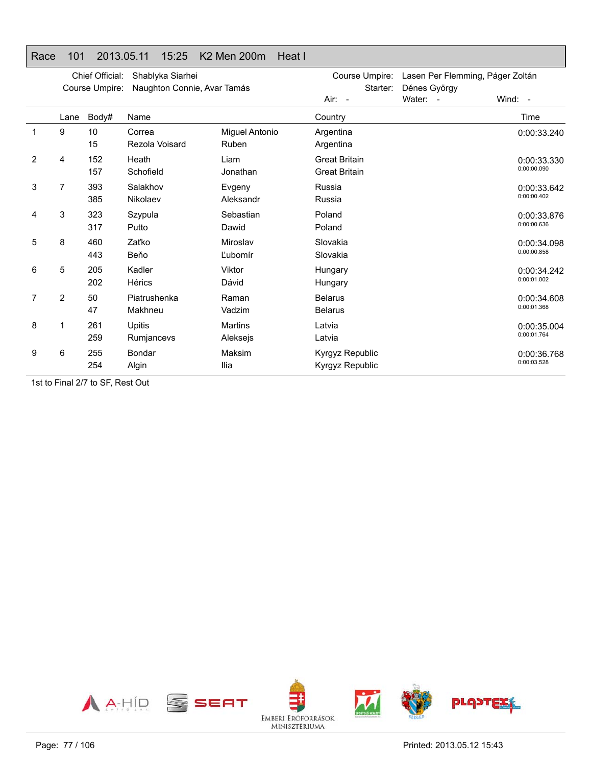# Race 101 2013.05.11 15:25 K2 Men 200m Heat I

|                |                | Chief Official:<br>Course Umpire: | Shablyka Siarhei<br>Naughton Connie, Avar Tamás |                                | Course Umpire:<br>Starter:                   | Lasen Per Flemming, Páger Zoltán<br>Dénes György |                            |
|----------------|----------------|-----------------------------------|-------------------------------------------------|--------------------------------|----------------------------------------------|--------------------------------------------------|----------------------------|
|                |                |                                   |                                                 |                                | Air: -                                       | Water: -                                         | Wind: -                    |
|                | Lane           | Body#                             | Name                                            |                                | Country                                      |                                                  | Time                       |
| 1              | 9              | 10<br>15                          | Correa<br>Rezola Voisard                        | Miguel Antonio<br><b>Ruben</b> | Argentina<br>Argentina                       |                                                  | 0:00:33.240                |
| $\overline{2}$ | 4              | 152<br>157                        | Heath<br>Schofield                              | Liam<br>Jonathan               | <b>Great Britain</b><br><b>Great Britain</b> |                                                  | 0:00:33.330<br>0:00:00.090 |
| 3              | 7              | 393<br>385                        | Salakhov<br>Nikolaev                            | Evgeny<br>Aleksandr            | Russia<br>Russia                             |                                                  | 0:00:33.642<br>0:00:00.402 |
| 4              | 3              | 323<br>317                        | Szypula<br>Putto                                | Sebastian<br>Dawid             | Poland<br>Poland                             |                                                  | 0:00:33.876<br>0:00:00.636 |
| 5              | 8              | 460<br>443                        | Zaťko<br>Beňo                                   | Miroslav<br>Ľubomír            | Slovakia<br>Slovakia                         |                                                  | 0:00:34.098<br>0:00:00.858 |
| 6              | 5              | 205<br>202                        | Kadler<br>Hérics                                | Viktor<br>Dávid                | Hungary<br>Hungary                           |                                                  | 0:00:34.242<br>0:00:01.002 |
| 7              | $\overline{2}$ | 50<br>47                          | Piatrushenka<br>Makhneu                         | Raman<br>Vadzim                | <b>Belarus</b><br><b>Belarus</b>             |                                                  | 0:00:34.608<br>0:00:01.368 |
| 8              |                | 261<br>259                        | <b>Upitis</b><br>Rumjancevs                     | <b>Martins</b><br>Aleksejs     | Latvia<br>Latvia                             |                                                  | 0:00:35.004<br>0:00:01.764 |
| 9              | 6              | 255<br>254                        | Bondar<br>Algin                                 | Maksim<br>Ilia                 | Kyrgyz Republic<br>Kyrgyz Republic           |                                                  | 0:00:36.768<br>0:00:03.528 |

1st to Final 2/7 to SF, Rest Out

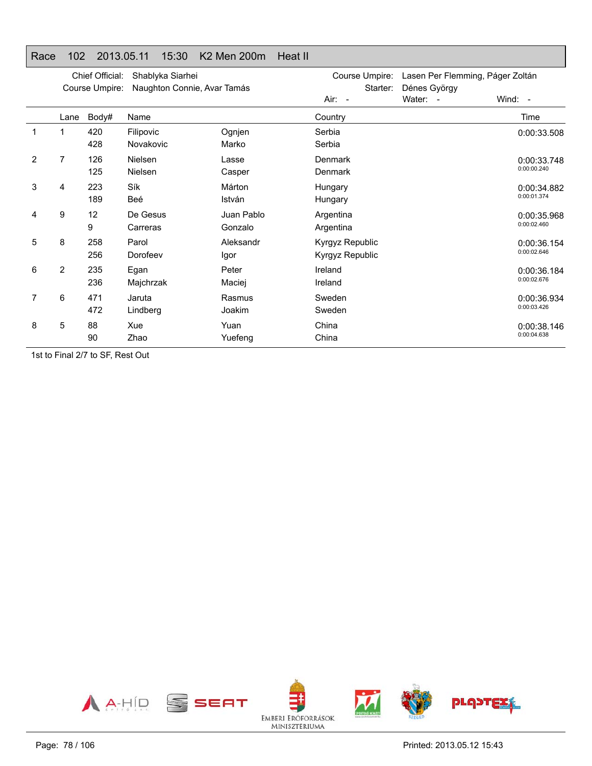# Race 102 2013.05.11 15:30 K2 Men 200m Heat II

|   |                | Chief Official:<br>Course Umpire: | Shablyka Siarhei<br>Naughton Connie, Avar Tamás |                       | Course Umpire:<br>Starter:<br>Air: - | Lasen Per Flemming, Páger Zoltán<br>Dénes György<br>Water: - | Wind: -                    |
|---|----------------|-----------------------------------|-------------------------------------------------|-----------------------|--------------------------------------|--------------------------------------------------------------|----------------------------|
|   | Lane           | Body#                             | Name                                            |                       | Country                              |                                                              | Time                       |
| 1 |                | 420<br>428                        | Filipovic<br>Novakovic                          | Ognjen<br>Marko       | Serbia<br>Serbia                     |                                                              | 0:00:33.508                |
| 2 | 7              | 126<br>125                        | <b>Nielsen</b><br>Nielsen                       | Lasse<br>Casper       | Denmark<br>Denmark                   |                                                              | 0:00:33.748<br>0:00:00.240 |
| 3 | 4              | 223<br>189                        | Sík<br>Beé                                      | Márton<br>István      | Hungary<br>Hungary                   |                                                              | 0:00:34.882<br>0:00:01.374 |
| 4 | 9              | 12<br>9                           | De Gesus<br>Carreras                            | Juan Pablo<br>Gonzalo | Argentina<br>Argentina               |                                                              | 0:00:35.968<br>0:00:02.460 |
| 5 | 8              | 258<br>256                        | Parol<br>Dorofeev                               | Aleksandr<br>Igor     | Kyrgyz Republic<br>Kyrgyz Republic   |                                                              | 0:00:36.154<br>0:00:02.646 |
| 6 | $\overline{2}$ | 235<br>236                        | Egan<br>Majchrzak                               | Peter<br>Maciej       | Ireland<br>Ireland                   |                                                              | 0:00:36.184<br>0:00:02.676 |
| 7 | 6              | 471<br>472                        | Jaruta<br>Lindberg                              | Rasmus<br>Joakim      | Sweden<br>Sweden                     |                                                              | 0:00:36.934<br>0:00:03.426 |
| 8 | 5              | 88<br>90                          | Xue<br>Zhao                                     | Yuan<br>Yuefeng       | China<br>China                       |                                                              | 0:00:38.146<br>0:00:04.638 |

1st to Final 2/7 to SF, Rest Out

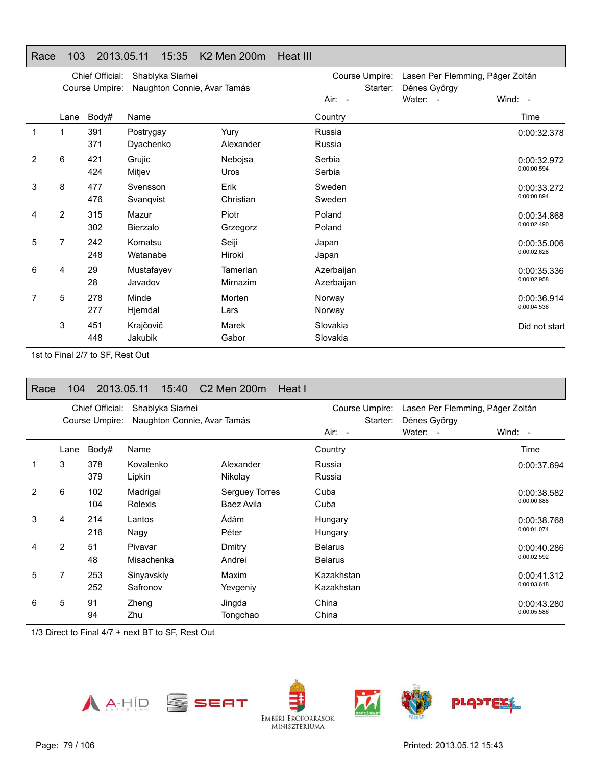# Race 103 2013.05.11 15:35 K2 Men 200m Heat III

|   |                | Chief Official:<br>Course Umpire: | Shablyka Siarhei<br>Naughton Connie, Avar Tamás |                      | Course Umpire:<br>Starter: | Lasen Per Flemming, Páger Zoltán<br>Dénes György |                            |
|---|----------------|-----------------------------------|-------------------------------------------------|----------------------|----------------------------|--------------------------------------------------|----------------------------|
|   |                |                                   |                                                 |                      | Air: -                     | Water: -                                         | Wind: -                    |
|   | Lane           | Body#                             | Name                                            |                      | Country                    |                                                  | Time                       |
| 1 | 1              | 391<br>371                        | Postrygay<br>Dyachenko                          | Yury<br>Alexander    | Russia<br>Russia           |                                                  | 0:00:32.378                |
| 2 | 6              | 421<br>424                        | Grujic<br>Mitjev                                | Nebojsa<br>Uros      | Serbia<br>Serbia           |                                                  | 0:00:32.972<br>0:00:00.594 |
| 3 | 8              | 477<br>476                        | Svensson<br>Svangvist                           | Erik<br>Christian    | Sweden<br>Sweden           |                                                  | 0:00:33.272<br>0:00:00.894 |
| 4 | $\overline{2}$ | 315<br>302                        | Mazur<br>Bierzalo                               | Piotr<br>Grzegorz    | Poland<br>Poland           |                                                  | 0:00:34.868<br>0:00:02.490 |
| 5 | 7              | 242<br>248                        | Komatsu<br>Watanabe                             | Seiji<br>Hiroki      | Japan<br>Japan             |                                                  | 0:00:35.006<br>0:00:02.628 |
| 6 | 4              | 29<br>28                          | Mustafayev<br>Javadov                           | Tamerlan<br>Mirnazim | Azerbaijan<br>Azerbaijan   |                                                  | 0:00:35.336<br>0:00:02.958 |
| 7 | 5              | 278<br>277                        | Minde<br>Hjemdal                                | Morten<br>Lars       | Norway<br>Norway           |                                                  | 0:00:36.914<br>0:00:04.536 |
|   | 3              | 451<br>448                        | Krajčovič<br>Jakubik                            | Marek<br>Gabor       | Slovakia<br>Slovakia       |                                                  | Did not start              |

1st to Final 2/7 to SF, Rest Out

| Race | 104            |                                   | 2013.05.11             | 15:40            | C <sub>2</sub> Men 200m      | Heat I |                                      |                                                              |                            |
|------|----------------|-----------------------------------|------------------------|------------------|------------------------------|--------|--------------------------------------|--------------------------------------------------------------|----------------------------|
|      |                | Chief Official:<br>Course Umpire: |                        | Shablyka Siarhei | Naughton Connie, Avar Tamás  |        | Course Umpire:<br>Starter:<br>Air: - | Lasen Per Flemming, Páger Zoltán<br>Dénes György<br>Water: - | Wind: $-$                  |
|      | Lane           | Body#                             | Name                   |                  |                              |        | Country                              |                                                              | Time                       |
|      | 3              | 378<br>379                        | Kovalenko<br>Lipkin    |                  | Alexander<br>Nikolay         |        | Russia<br>Russia                     |                                                              | 0:00:37.694                |
| 2    | 6              | 102<br>104                        | Madrigal<br>Rolexis    |                  | Serguey Torres<br>Baez Avila |        | Cuba<br>Cuba                         |                                                              | 0:00:38.582<br>0:00:00.888 |
| 3    | 4              | 214<br>216                        | Lantos<br>Nagy         |                  | Ádám<br>Péter                |        | Hungary<br>Hungary                   |                                                              | 0:00:38.768<br>0:00:01.074 |
| 4    | $\overline{2}$ | 51<br>48                          | Pivavar<br>Misachenka  |                  | Dmitry<br>Andrei             |        | <b>Belarus</b><br><b>Belarus</b>     |                                                              | 0:00:40.286<br>0:00:02.592 |
| 5    | 7              | 253<br>252                        | Sinyavskiy<br>Safronov |                  | Maxim<br>Yevgeniy            |        | Kazakhstan<br>Kazakhstan             |                                                              | 0:00:41.312<br>0:00:03.618 |
| 6    | 5              | 91<br>94                          | Zheng<br>Zhu           |                  | Jingda<br>Tongchao           |        | China<br>China                       |                                                              | 0:00:43.280<br>0:00:05.586 |

1/3 Direct to Final 4/7 + next BT to SF, Rest Out

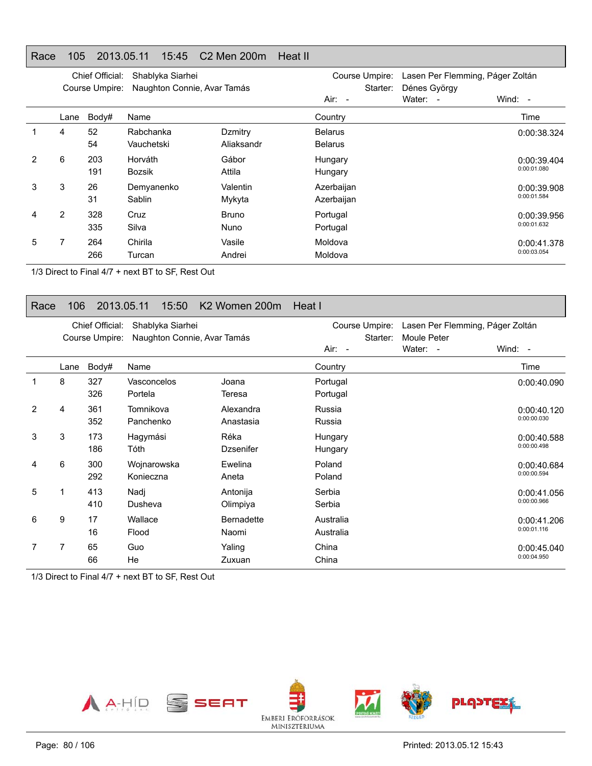### Race 105 2013.05.11 15:45 C2 Men 200m Heat II

|   |                | Chief Official:<br>Course Umpire: | Shablyka Siarhei<br>Naughton Connie, Avar Tamás |                             | Course Umpire:<br>Starter:       | Lasen Per Flemming, Páger Zoltán<br>Dénes György |                            |
|---|----------------|-----------------------------------|-------------------------------------------------|-----------------------------|----------------------------------|--------------------------------------------------|----------------------------|
|   |                |                                   |                                                 |                             | $Air: -$                         | Water:<br>$\overline{\phantom{a}}$               | Wind: $-$                  |
|   | Lane           | Body#                             | Name                                            |                             | Country                          |                                                  | Time                       |
|   | 4              | 52<br>54                          | Rabchanka<br>Vauchetski                         | Dzmitry<br>Aliaksandr       | <b>Belarus</b><br><b>Belarus</b> |                                                  | 0:00:38.324                |
|   | 6              | 203<br>191                        | Horváth<br><b>Bozsik</b>                        | Gábor<br>Attila             | Hungary<br>Hungary               |                                                  | 0:00:39.404<br>0:00:01.080 |
| 3 | 3              | 26<br>31                          | Demyanenko<br>Sablin                            | Valentin<br>Mykyta          | Azerbaijan<br>Azerbaijan         |                                                  | 0:00:39.908<br>0:00:01.584 |
| 4 | $\overline{2}$ | 328<br>335                        | Cruz<br>Silva                                   | <b>Bruno</b><br><b>Nuno</b> | Portugal<br>Portugal             |                                                  | 0:00:39.956<br>0:00:01.632 |
| 5 | 7              | 264<br>266                        | Chirila<br>Turcan                               | Vasile<br>Andrei            | Moldova<br>Moldova               |                                                  | 0:00:41.378<br>0:00:03.054 |

1/3 Direct to Final 4/7 + next BT to SF, Rest Out

| Race | 106                                                                                  |            | 2013.05.11               | 15:50 | K <sub>2</sub> Women 200m  | Heat I                               |                                                             |                            |
|------|--------------------------------------------------------------------------------------|------------|--------------------------|-------|----------------------------|--------------------------------------|-------------------------------------------------------------|----------------------------|
|      | Chief Official:<br>Shablyka Siarhei<br>Naughton Connie, Avar Tamás<br>Course Umpire: |            |                          |       |                            | Course Umpire:<br>Starter:<br>Air: - | Lasen Per Flemming, Páger Zoltán<br>Moule Peter<br>Water: - | Wind: -                    |
|      | Lane                                                                                 | Body#      | Name                     |       |                            | Country                              |                                                             | Time                       |
| 1    | 8                                                                                    | 327<br>326 | Vasconcelos<br>Portela   |       | Joana<br>Teresa            | Portugal<br>Portugal                 |                                                             | 0:00:40.090                |
| 2    | 4                                                                                    | 361<br>352 | Tomnikova<br>Panchenko   |       | Alexandra<br>Anastasia     | Russia<br>Russia                     |                                                             | 0:00:40.120<br>0:00:00.030 |
| 3    | 3                                                                                    | 173<br>186 | Hagymási<br>Tóth         |       | Réka<br><b>Dzsenifer</b>   | Hungary<br>Hungary                   |                                                             | 0:00:40.588<br>0:00:00.498 |
| 4    | 6                                                                                    | 300<br>292 | Wojnarowska<br>Konieczna |       | Ewelina<br>Aneta           | Poland<br>Poland                     |                                                             | 0:00:40.684<br>0:00:00.594 |
| 5    |                                                                                      | 413<br>410 | Nadj<br>Dusheva          |       | Antonija<br>Olimpiya       | Serbia<br>Serbia                     |                                                             | 0:00:41.056<br>0:00:00.966 |
| 6    | 9                                                                                    | 17<br>16   | Wallace<br>Flood         |       | <b>Bernadette</b><br>Naomi | Australia<br>Australia               |                                                             | 0:00:41.206<br>0:00:01.116 |
|      | 7                                                                                    | 65<br>66   | Guo<br>He                |       | Yaling<br>Zuxuan           | China<br>China                       |                                                             | 0:00:45.040<br>0:00:04.950 |

1/3 Direct to Final 4/7 + next BT to SF, Rest Out

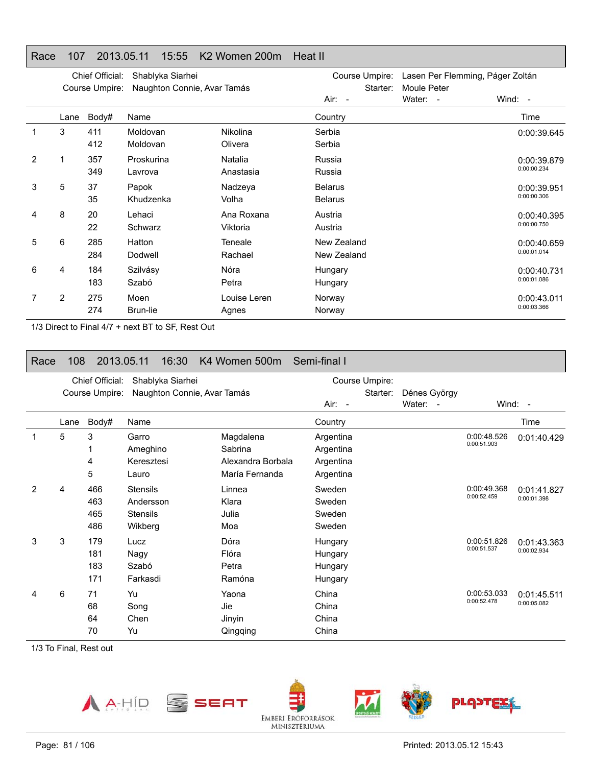#### Race 107 2013.05.11 15:55 K2 Women 200m Heat II

|   |      | Chief Official:<br>Course Umpire: | Shablyka Siarhei<br>Naughton Connie, Avar Tamás |                            | Course Umpire:<br>Starter:       | Lasen Per Flemming, Páger Zoltán<br>Moule Peter |                            |
|---|------|-----------------------------------|-------------------------------------------------|----------------------------|----------------------------------|-------------------------------------------------|----------------------------|
|   |      |                                   |                                                 |                            | Air: -                           | Water: -                                        | Wind: -                    |
|   | Lane | Body#                             | Name                                            |                            | Country                          |                                                 | Time                       |
| 1 | 3    | 411<br>412                        | Moldovan<br>Moldovan                            | <b>Nikolina</b><br>Olivera | Serbia<br>Serbia                 |                                                 | 0:00:39.645                |
| 2 |      | 357<br>349                        | Proskurina<br>Lavrova                           | Natalia<br>Anastasia       | Russia<br>Russia                 |                                                 | 0:00:39.879<br>0:00:00.234 |
| 3 | 5    | 37<br>35                          | Papok<br>Khudzenka                              | Nadzeya<br>Volha           | <b>Belarus</b><br><b>Belarus</b> |                                                 | 0:00:39.951<br>0:00:00.306 |
| 4 | 8    | 20<br>22                          | Lehaci<br>Schwarz                               | Ana Roxana<br>Viktoria     | Austria<br>Austria               |                                                 | 0:00:40.395<br>0:00:00.750 |
| 5 | 6    | 285<br>284                        | Hatton<br>Dodwell                               | Teneale<br>Rachael         | New Zealand<br>New Zealand       |                                                 | 0:00:40.659<br>0:00:01.014 |
| 6 | 4    | 184<br>183                        | Szilvásy<br>Szabó                               | Nóra<br>Petra              | Hungary<br>Hungary               |                                                 | 0:00:40.731<br>0:00:01.086 |
|   | 2    | 275<br>274                        | Moen<br>Brun-lie                                | Louise Leren<br>Agnes      | Norway<br>Norway                 |                                                 | 0:00:43.011<br>0:00:03.366 |

1/3 Direct to Final 4/7 + next BT to SF, Rest Out

#### Race 108 2013.05.11 16:30 K4 Women 500m Semi-final I

|                |                | Chief Official:          | Shablyka Siarhei                                           |                                                             |                                                  | Course Umpire: |                          |                            |                            |
|----------------|----------------|--------------------------|------------------------------------------------------------|-------------------------------------------------------------|--------------------------------------------------|----------------|--------------------------|----------------------------|----------------------------|
|                | Course Umpire: |                          | Naughton Connie, Avar Tamás                                | Air: -                                                      |                                                  | Starter:       | Dénes György<br>Water: - |                            | Wind: -                    |
|                | Lane           | Body#                    | Name                                                       |                                                             | Country                                          |                |                          |                            | Time                       |
| 1              | 5              | 3<br>4<br>5              | Garro<br>Ameghino<br>Keresztesi<br>Lauro                   | Magdalena<br>Sabrina<br>Alexandra Borbala<br>María Fernanda | Argentina<br>Argentina<br>Argentina<br>Argentina |                |                          | 0:00:48.526<br>0:00:51.903 | 0:01:40.429                |
| $\overline{2}$ | 4              | 466<br>463<br>465<br>486 | <b>Stensils</b><br>Andersson<br><b>Stensils</b><br>Wikberg | Linnea<br>Klara<br>Julia<br>Moa                             | Sweden<br>Sweden<br>Sweden<br>Sweden             |                |                          | 0:00:49.368<br>0:00:52.459 | 0:01:41.827<br>0:00:01.398 |
| 3              | 3              | 179<br>181<br>183<br>171 | Lucz<br>Nagy<br>Szabó<br>Farkasdi                          | Dóra<br>Flóra<br>Petra<br>Ramóna                            | Hungary<br>Hungary<br>Hungary<br>Hungary         |                |                          | 0:00:51.826<br>0:00:51.537 | 0:01:43.363<br>0:00:02.934 |
| 4              | 6              | 71<br>68<br>64<br>70     | Yu<br>Song<br>Chen<br>Yu                                   | Yaona<br>Jie<br>Jinyin<br>Qingqing                          | China<br>China<br>China<br>China                 |                |                          | 0:00:53.033<br>0:00:52.478 | 0:01:45.511<br>0:00:05.082 |

1/3 To Final, Rest out

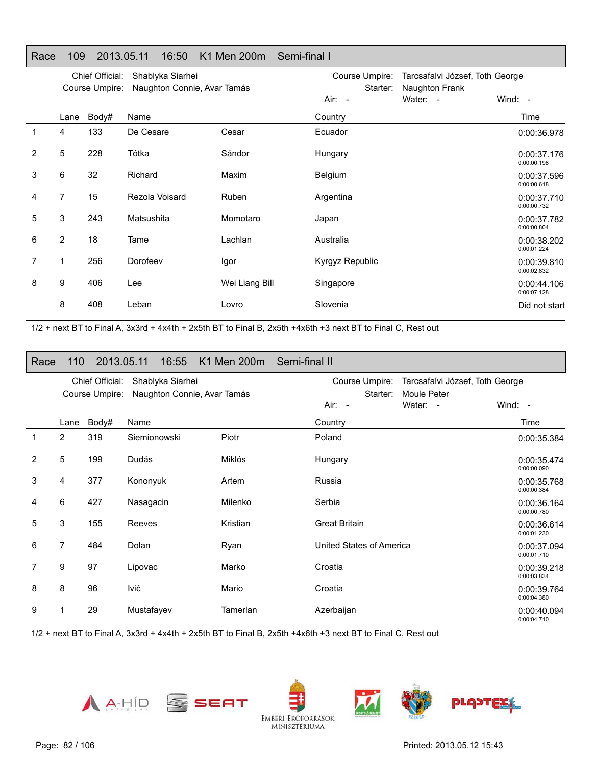### Race 109 2013.05.11 16:50 K1 Men 200m Semi-final I

|   |                | Chief Official:<br>Course Umpire: | Shablyka Siarhei<br>Naughton Connie, Avar Tamás |                | Course Umpire:<br>Starter: | Naughton Frank | Tarcsafalvi József, Toth George |  |
|---|----------------|-----------------------------------|-------------------------------------------------|----------------|----------------------------|----------------|---------------------------------|--|
|   |                |                                   |                                                 |                | Air: -                     | Water: -       | Wind: $-$                       |  |
|   | Lane           | Body#                             | Name                                            |                | Country                    |                | Time                            |  |
| 1 | 4              | 133                               | De Cesare                                       | Cesar          | Ecuador                    |                | 0:00:36.978                     |  |
| 2 | 5              | 228                               | Tótka                                           | Sándor         | Hungary                    |                | 0:00:37.176<br>0:00:00.198      |  |
| 3 | 6              | 32                                | Richard                                         | Maxim          | Belgium                    |                | 0:00:37.596<br>0:00:00.618      |  |
| 4 | $\overline{7}$ | 15                                | Rezola Voisard                                  | Ruben          | Argentina                  |                | 0:00:37.710<br>0:00:00.732      |  |
| 5 | 3              | 243                               | Matsushita                                      | Momotaro       | Japan                      |                | 0:00:37.782<br>0:00:00.804      |  |
| 6 | $\overline{2}$ | 18                                | Tame                                            | Lachlan        | Australia                  |                | 0:00:38.202<br>0:00:01.224      |  |
| 7 | 1              | 256                               | Dorofeev                                        | Igor           | Kyrgyz Republic            |                | 0:00:39.810<br>0:00:02.832      |  |
| 8 | 9              | 406                               | Lee                                             | Wei Liang Bill | Singapore                  |                | 0:00:44.106<br>0:00:07.128      |  |
|   | 8              | 408                               | Leban                                           | Lovro          | Slovenia                   |                | Did not start                   |  |

1/2 + next BT to Final A, 3x3rd + 4x4th + 2x5th BT to Final B, 2x5th +4x6th +3 next BT to Final C, Rest out

| Race           | 110            | 2013.05.11                        | 16:55                                           | K1 Men 200m Semi-final II |                                                                                                    |                            |
|----------------|----------------|-----------------------------------|-------------------------------------------------|---------------------------|----------------------------------------------------------------------------------------------------|----------------------------|
|                |                | Chief Official:<br>Course Umpire: | Shablyka Siarhei<br>Naughton Connie, Avar Tamás |                           | Course Umpire:<br>Tarcsafalvi József, Toth George<br>Starter:<br>Moule Peter<br>Air: -<br>Water: - | Wind: -                    |
|                | Lane           | Body#                             | Name                                            |                           | Country                                                                                            | Time                       |
| 1              | $\overline{2}$ | 319                               | Siemionowski                                    | Piotr                     | Poland                                                                                             | 0:00:35.384                |
| $\overline{2}$ | 5              | 199                               | Dudás                                           | Miklós                    | Hungary                                                                                            | 0:00:35.474<br>0:00:00.090 |
| 3              | 4              | 377                               | Kononyuk                                        | Artem                     | Russia                                                                                             | 0:00:35.768<br>0:00:00.384 |
| 4              | 6              | 427                               | Nasagacin                                       | Milenko                   | Serbia                                                                                             | 0:00:36.164<br>0:00:00.780 |
| 5              | 3              | 155                               | Reeves                                          | Kristian                  | <b>Great Britain</b>                                                                               | 0:00:36.614<br>0:00:01.230 |
| 6              | $\overline{7}$ | 484                               | Dolan                                           | Ryan                      | United States of America                                                                           | 0:00:37.094<br>0:00:01.710 |
| 7              | 9              | 97                                | Lipovac                                         | Marko                     | Croatia                                                                                            | 0:00:39.218<br>0:00:03.834 |
| 8              | 8              | 96                                | lvić                                            | Mario                     | Croatia                                                                                            | 0:00:39.764<br>0:00:04.380 |
| 9              |                | 29                                | Mustafayev                                      | Tamerlan                  | Azerbaijan                                                                                         | 0:00:40.094<br>0:00:04.710 |

MINISZTERIUMA

1/2 + next BT to Final A, 3x3rd + 4x4th + 2x5th BT to Final B, 2x5th +4x6th +3 next BT to Final C, Rest out





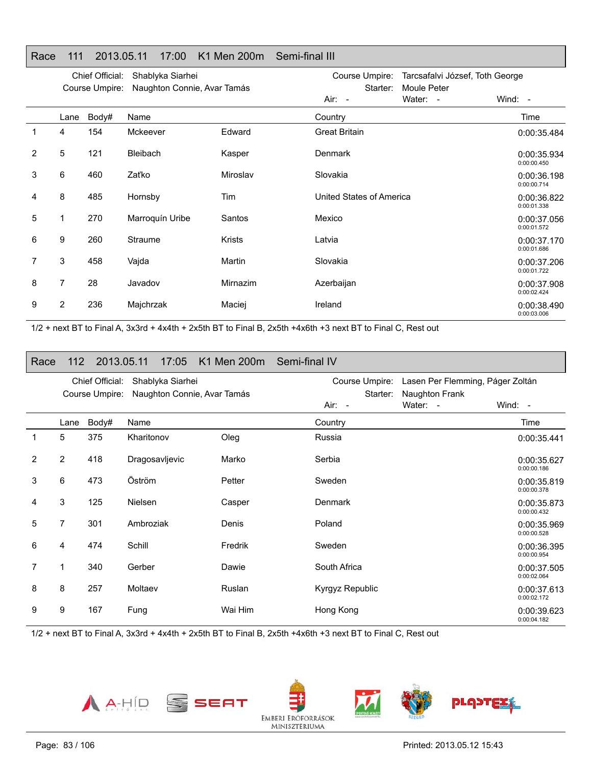|                |      | Chief Official: | Shablyka Siarhei            |               | Course Umpire:           | Tarcsafalvi József, Toth George |                            |
|----------------|------|-----------------|-----------------------------|---------------|--------------------------|---------------------------------|----------------------------|
|                |      | Course Umpire:  | Naughton Connie, Avar Tamás |               | Starter:<br>$Air: -$     | Moule Peter<br>Water: -         | Wind: -                    |
|                | Lane | Body#           | Name                        |               | Country                  |                                 | Time                       |
| 1              | 4    | 154             | Mckeever                    | Edward        | <b>Great Britain</b>     |                                 | 0:00:35.484                |
| 2              | 5    | 121             | <b>Bleibach</b>             | Kasper        | Denmark                  |                                 | 0:00:35.934<br>0:00:00.450 |
| 3              | 6    | 460             | Zaťko                       | Miroslav      | Slovakia                 |                                 | 0:00:36.198<br>0:00:00.714 |
| 4              | 8    | 485             | Hornsby                     | Tim           | United States of America |                                 | 0:00:36.822<br>0:00:01.338 |
| 5              | 1    | 270             | Marroquín Uribe             | Santos        | Mexico                   |                                 | 0:00:37.056<br>0:00:01.572 |
| 6              | 9    | 260             | Straume                     | <b>Krists</b> | Latvia                   |                                 | 0:00:37.170<br>0:00:01.686 |
| $\overline{7}$ | 3    | 458             | Vajda                       | Martin        | Slovakia                 |                                 | 0:00:37.206<br>0:00:01.722 |
| 8              | 7    | 28              | Javadov                     | Mirnazim      | Azerbaijan               |                                 | 0:00:37.908<br>0:00:02.424 |
| 9              | 2    | 236             | Majchrzak                   | Maciej        | Ireland                  |                                 | 0:00:38.490<br>0:00:03.006 |

#### Race 111 2013.05.11 17:00 K1 Men 200m Semi-final III

1/2 + next BT to Final A, 3x3rd + 4x4th + 2x5th BT to Final B, 2x5th +4x6th +3 next BT to Final C, Rest out

#### Race 112 2013.05.11 17:05 K1 Men 200m Semi-final IV

|   |                | Chief Official:<br>Course Umpire: | Shablyka Siarhei<br>Naughton Connie, Avar Tamás |         | Course Umpire:<br>Starter: | Lasen Per Flemming, Páger Zoltán<br>Naughton Frank |                            |
|---|----------------|-----------------------------------|-------------------------------------------------|---------|----------------------------|----------------------------------------------------|----------------------------|
|   |                |                                   |                                                 |         | Air: -                     | Water: -                                           | Wind: $-$                  |
|   | Lane           | Body#                             | Name                                            |         | Country                    |                                                    | Time                       |
| 1 | 5              | 375                               | Kharitonov                                      | Oleg    | Russia                     |                                                    | 0:00:35.441                |
| 2 | $\overline{2}$ | 418                               | Dragosavljevic                                  | Marko   | Serbia                     |                                                    | 0:00:35.627<br>0:00:00.186 |
| 3 | 6              | 473                               | Öström                                          | Petter  | Sweden                     |                                                    | 0:00:35.819<br>0:00:00.378 |
| 4 | 3              | 125                               | <b>Nielsen</b>                                  | Casper  | Denmark                    |                                                    | 0:00:35.873<br>0:00:00.432 |
| 5 | 7              | 301                               | Ambroziak                                       | Denis   | Poland                     |                                                    | 0:00:35.969<br>0:00:00.528 |
| 6 | 4              | 474                               | Schill                                          | Fredrik | Sweden                     |                                                    | 0:00:36.395<br>0:00:00.954 |
| 7 | 1              | 340                               | Gerber                                          | Dawie   | South Africa               |                                                    | 0:00:37.505<br>0:00:02.064 |
| 8 | 8              | 257                               | Moltaev                                         | Ruslan  | Kyrgyz Republic            |                                                    | 0:00:37.613<br>0:00:02.172 |
| 9 | 9              | 167                               | Fung                                            | Wai Him | Hong Kong                  |                                                    | 0:00:39.623<br>0:00:04.182 |

1/2 + next BT to Final A, 3x3rd + 4x4th + 2x5th BT to Final B, 2x5th +4x6th +3 next BT to Final C, Rest out





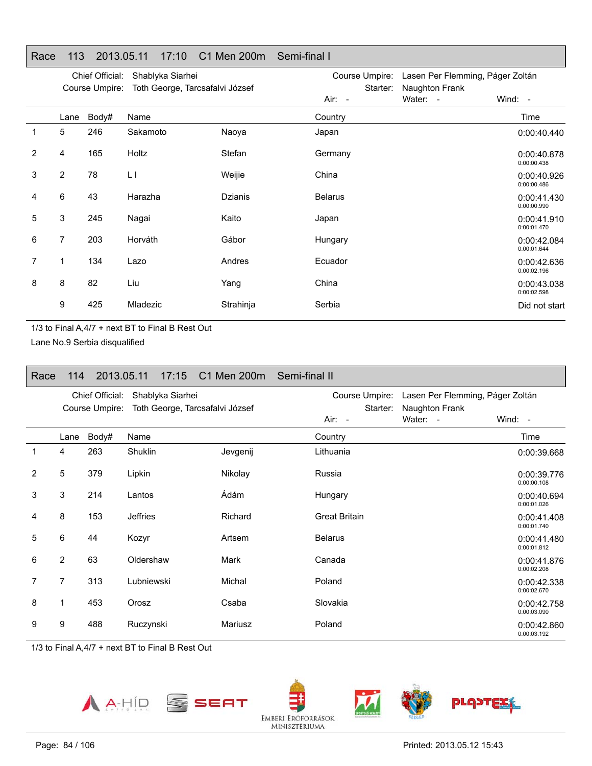|   | Chief Official:<br>Shablyka Siarhei<br>Course Umpire:<br>Toth George, Tarcsafalvi József |       |           |                | Course Umpire:<br>Starter: | Lasen Per Flemming, Páger Zoltán<br>Naughton Frank |                            |
|---|------------------------------------------------------------------------------------------|-------|-----------|----------------|----------------------------|----------------------------------------------------|----------------------------|
|   |                                                                                          |       |           |                | Air: -                     | Water: -                                           | Wind: $-$                  |
|   | Lane                                                                                     | Body# | Name      |                | Country                    |                                                    | Time                       |
| 1 | 5                                                                                        | 246   | Sakamoto  | Naoya          | Japan                      |                                                    | 0:00:40.440                |
| 2 | 4                                                                                        | 165   | Holtz     | Stefan         | Germany                    |                                                    | 0:00:40.878<br>0:00:00.438 |
| 3 | $\overline{2}$                                                                           | 78    | $\lfloor$ | Weijie         | China                      |                                                    | 0:00:40.926<br>0:00:00.486 |
| 4 | 6                                                                                        | 43    | Harazha   | <b>Dzianis</b> | <b>Belarus</b>             |                                                    | 0:00:41.430<br>0:00:00.990 |
| 5 | 3                                                                                        | 245   | Nagai     | Kaito          | Japan                      |                                                    | 0:00:41.910<br>0:00:01.470 |
| 6 | 7                                                                                        | 203   | Horváth   | Gábor          | Hungary                    |                                                    | 0:00:42.084<br>0:00:01.644 |
| 7 | 1                                                                                        | 134   | Lazo      | Andres         | Ecuador                    |                                                    | 0:00:42.636<br>0:00:02.196 |
| 8 | 8                                                                                        | 82    | Liu       | Yang           | China                      |                                                    | 0:00:43.038<br>0:00:02.598 |
|   | 9                                                                                        | 425   | Mladezic  | Strahinja      | Serbia                     |                                                    | Did not start              |

#### Race 113 2013.05.11 17:10 C1 Men 200m Semi-final I

1/3 to Final A,4/7 + next BT to Final B Rest Out

Lane No.9 Serbia disqualified

| Race |                | 114 2013.05.11                    |                  | 17:15 C1 Men 200m Semi-final II |                                      |                                                                             |  |
|------|----------------|-----------------------------------|------------------|---------------------------------|--------------------------------------|-----------------------------------------------------------------------------|--|
|      |                | Chief Official:<br>Course Umpire: | Shablyka Siarhei | Toth George, Tarcsafalvi József | Course Umpire:<br>Starter:<br>Air: - | Lasen Per Flemming, Páger Zoltán<br>Naughton Frank<br>Water: -<br>Wind: $-$ |  |
|      | Lane           | Body#                             | Name             |                                 | Country                              | Time                                                                        |  |
| 1    | 4              | 263                               | Shuklin          | Jevgenij                        | Lithuania                            | 0:00:39.668                                                                 |  |
| 2    | 5              | 379                               | Lipkin           | Nikolay                         | Russia                               | 0:00:39.776<br>0:00:00.108                                                  |  |
| 3    | 3              | 214                               | Lantos           | Ádám                            | Hungary                              | 0:00:40.694<br>0:00:01.026                                                  |  |
| 4    | 8              | 153                               | Jeffries         | Richard                         | <b>Great Britain</b>                 | 0:00:41.408<br>0:00:01.740                                                  |  |
| 5    | 6              | 44                                | Kozyr            | Artsem                          | <b>Belarus</b>                       | 0:00:41.480<br>0:00:01.812                                                  |  |
| 6    | 2              | 63                                | Oldershaw        | Mark                            | Canada                               | 0:00:41.876<br>0:00:02.208                                                  |  |
| 7    | $\overline{7}$ | 313                               | Lubniewski       | Michal                          | Poland                               | 0:00:42.338<br>0:00:02.670                                                  |  |
| 8    | 1              | 453                               | Orosz            | Csaba                           | Slovakia                             | 0:00:42.758<br>0:00:03.090                                                  |  |
| 9    | 9              | 488                               | Ruczynski        | Mariusz                         | Poland                               | 0:00:42.860<br>0:00:03.192                                                  |  |

1/3 to Final A,4/7 + next BT to Final B Rest Out

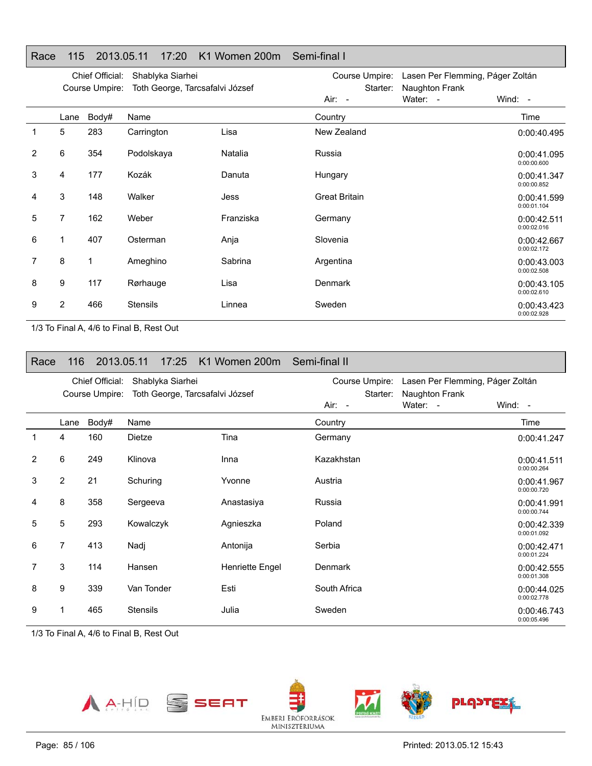### Race 115 2013.05.11 17:20 K1 Women 200m Semi-final I

|   |      | Chief Official:<br>Course Umpire: | Shablyka Siarhei<br>Toth George, Tarcsafalvi József |           | Course Umpire: Lasen Per Flemming, Páger Zoltán<br>Starter: |          |                            |
|---|------|-----------------------------------|-----------------------------------------------------|-----------|-------------------------------------------------------------|----------|----------------------------|
|   |      |                                   |                                                     |           | Air: -                                                      | Water: - | Wind: $-$                  |
|   | Lane | Body#                             | Name                                                |           | Country                                                     |          | Time                       |
| 1 | 5    | 283                               | Carrington                                          | Lisa      | New Zealand                                                 |          | 0:00:40.495                |
| 2 | 6    | 354                               | Podolskaya                                          | Natalia   | Russia                                                      |          | 0:00:41.095<br>0:00:00.600 |
| 3 | 4    | 177                               | Kozák                                               | Danuta    | Hungary                                                     |          | 0:00:41.347<br>0:00:00.852 |
| 4 | 3    | 148                               | Walker                                              | Jess      | <b>Great Britain</b>                                        |          | 0:00:41.599<br>0:00:01.104 |
| 5 | 7    | 162                               | Weber                                               | Franziska | Germany                                                     |          | 0:00:42.511<br>0:00:02.016 |
| 6 | 1    | 407                               | Osterman                                            | Anja      | Slovenia                                                    |          | 0:00:42.667<br>0:00:02.172 |
| 7 | 8    | 1                                 | Ameghino                                            | Sabrina   | Argentina                                                   |          | 0:00:43.003<br>0:00:02.508 |
| 8 | 9    | 117                               | Rørhauge                                            | Lisa      | <b>Denmark</b>                                              |          | 0:00:43.105<br>0:00:02.610 |
| 9 | 2    | 466                               | <b>Stensils</b>                                     | Linnea    | Sweden                                                      |          | 0:00:43.423<br>0:00:02.928 |

1/3 To Final A, 4/6 to Final B, Rest Out

| Race |                |                                   |                  | 116 2013.05.11 17:25 K1 Women 200m Semi-final II |                            |                                                    |                            |
|------|----------------|-----------------------------------|------------------|--------------------------------------------------|----------------------------|----------------------------------------------------|----------------------------|
|      |                | Chief Official:<br>Course Umpire: | Shablyka Siarhei | Toth George, Tarcsafalvi József                  | Course Umpire:<br>Starter: | Lasen Per Flemming, Páger Zoltán<br>Naughton Frank |                            |
|      |                |                                   |                  |                                                  | Air: -                     | Water: -                                           | Wind: $-$                  |
|      | Lane           | Body#                             | Name             |                                                  | Country                    |                                                    | Time                       |
| 1    | 4              | 160                               | Dietze           | Tina                                             | Germany                    |                                                    | 0:00:41.247                |
| 2    | 6              | 249                               | Klinova          | Inna                                             | Kazakhstan                 |                                                    | 0:00:41.511<br>0:00:00.264 |
| 3    | $\overline{2}$ | 21                                | Schuring         | Yvonne                                           | Austria                    |                                                    | 0:00:41.967<br>0:00:00.720 |
| 4    | 8              | 358                               | Sergeeva         | Anastasiya                                       | Russia                     |                                                    | 0:00:41.991<br>0:00:00.744 |
| 5    | 5              | 293                               | Kowalczyk        | Agnieszka                                        | Poland                     |                                                    | 0:00:42.339<br>0:00:01.092 |
| 6    | 7              | 413                               | Nadj             | Antonija                                         | Serbia                     |                                                    | 0:00:42.471<br>0:00:01.224 |
| 7    | 3              | 114                               | Hansen           | Henriette Engel                                  | <b>Denmark</b>             |                                                    | 0:00:42.555<br>0:00:01.308 |
| 8    | 9              | 339                               | Van Tonder       | Esti                                             | South Africa               |                                                    | 0:00:44.025<br>0:00:02.778 |
| 9    |                | 465                               | <b>Stensils</b>  | Julia                                            | Sweden                     |                                                    | 0:00:46.743<br>0:00:05.496 |

1/3 To Final A, 4/6 to Final B, Rest Out

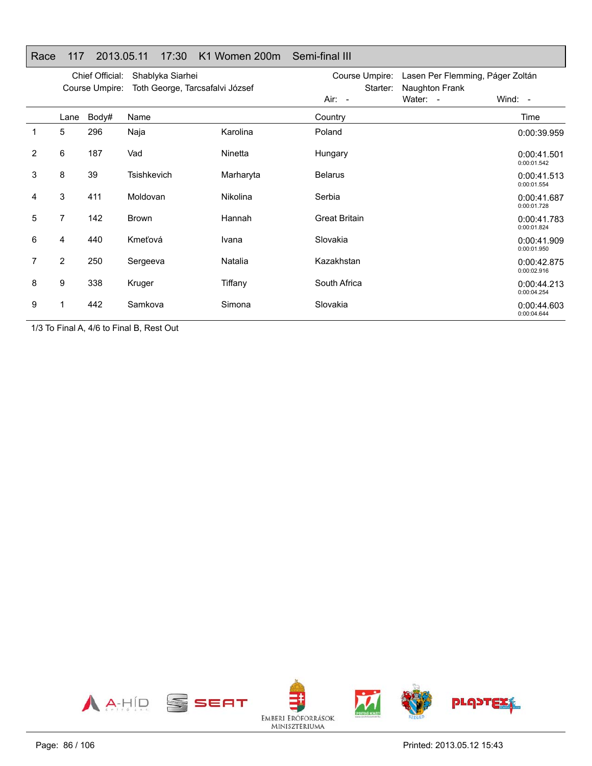|  |  | Race 117 2013.05.11 17:30 K1 Women 200m Semi-final III |  |
|--|--|--------------------------------------------------------|--|

|   |      | Chief Official:<br>Course Umpire: | Shablyka Siarhei<br>Toth George, Tarcsafalvi József |           | Course Umpire:<br>Starter: | Lasen Per Flemming, Páger Zoltán<br>Naughton Frank |                            |
|---|------|-----------------------------------|-----------------------------------------------------|-----------|----------------------------|----------------------------------------------------|----------------------------|
|   |      |                                   |                                                     |           | Air: -                     | Water: -                                           | Wind: -                    |
|   | Lane | Body#                             | Name                                                |           | Country                    |                                                    | Time                       |
| 1 | 5    | 296                               | Naja                                                | Karolina  | Poland                     |                                                    | 0:00:39.959                |
| 2 | 6    | 187                               | Vad                                                 | Ninetta   | Hungary                    |                                                    | 0:00:41.501<br>0:00:01.542 |
| 3 | 8    | 39                                | <b>Tsishkevich</b>                                  | Marharyta | <b>Belarus</b>             |                                                    | 0:00:41.513<br>0:00:01.554 |
| 4 | 3    | 411                               | Moldovan                                            | Nikolina  | Serbia                     |                                                    | 0:00:41.687<br>0:00:01.728 |
| 5 | 7    | 142                               | Brown                                               | Hannah    | <b>Great Britain</b>       |                                                    | 0:00:41.783<br>0:00:01.824 |
| 6 | 4    | 440                               | Kmeťová                                             | Ivana     | Slovakia                   |                                                    | 0:00:41.909<br>0:00:01.950 |
| 7 | 2    | 250                               | Sergeeva                                            | Natalia   | Kazakhstan                 |                                                    | 0:00:42.875<br>0:00:02.916 |
| 8 | 9    | 338                               | Kruger                                              | Tiffany   | South Africa               |                                                    | 0:00:44.213<br>0:00:04.254 |
| 9 |      | 442                               | Samkova                                             | Simona    | Slovakia                   |                                                    | 0:00:44.603<br>0:00:04.644 |

1/3 To Final A, 4/6 to Final B, Rest Out

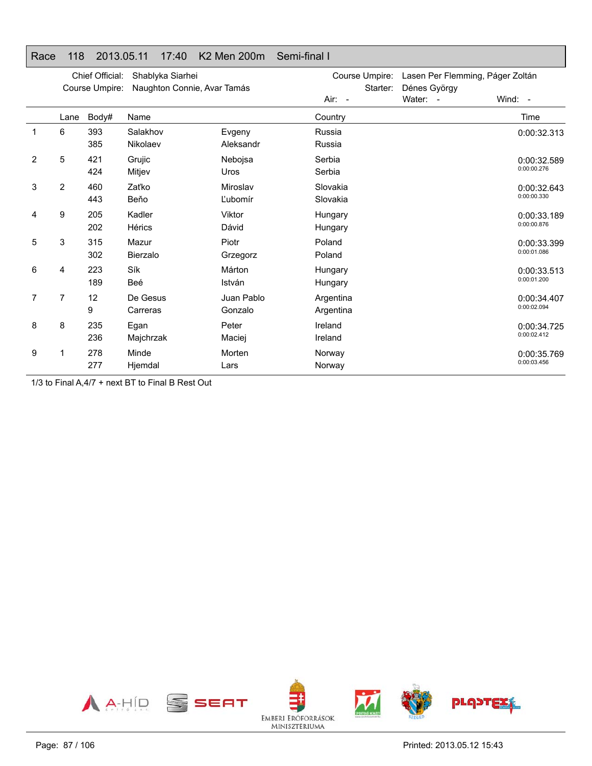|   |      | Chief Official: | Shablyka Siarhei            |            | Course Umpire: | Lasen Per Flemming, Páger Zoltán |             |
|---|------|-----------------|-----------------------------|------------|----------------|----------------------------------|-------------|
|   |      | Course Umpire:  | Naughton Connie, Avar Tamás |            | Starter:       | Dénes György                     |             |
|   |      |                 |                             |            | $Air: -$       | Water: -                         | Wind: $-$   |
|   | Lane | Body#           | Name                        |            | Country        |                                  | Time        |
|   | 6    | 393             | Salakhov                    | Evgeny     | Russia         |                                  | 0:00:32.313 |
|   |      | 385             | Nikolaev                    | Aleksandr  | Russia         |                                  |             |
| 2 | 5    | 421             | Grujic                      | Nebojsa    | Serbia         |                                  | 0:00:32.589 |
|   |      | 424             | Mitjev                      | Uros       | Serbia         |                                  | 0:00:00.276 |
| 3 | 2    | 460             | Zaťko                       | Miroslav   | Slovakia       |                                  | 0:00:32.643 |
|   |      | 443             | Beňo                        | Ľubomír    | Slovakia       |                                  | 0:00:00.330 |
| 4 | 9    | 205             | Kadler                      | Viktor     | Hungary        |                                  | 0:00:33.189 |
|   |      | 202             | Hérics                      | Dávid      | Hungary        |                                  | 0:00:00.876 |
| 5 | 3    | 315             | Mazur                       | Piotr      | Poland         |                                  | 0:00:33.399 |
|   |      | 302             | <b>Bierzalo</b>             | Grzegorz   | Poland         |                                  | 0:00:01.086 |
| 6 | 4    | 223             | Sík                         | Márton     | Hungary        |                                  | 0:00:33.513 |
|   |      | 189             | Beé                         | István     | Hungary        |                                  | 0:00:01.200 |
| 7 | 7    | 12              | De Gesus                    | Juan Pablo | Argentina      |                                  | 0:00:34.407 |
|   |      | 9               | Carreras                    | Gonzalo    | Argentina      |                                  | 0:00:02.094 |
| 8 | 8    | 235             | Egan                        | Peter      | Ireland        |                                  | 0:00:34.725 |
|   |      | 236             | Majchrzak                   | Maciej     | Ireland        |                                  | 0:00:02.412 |
| 9 |      | 278             | Minde                       | Morten     | Norway         |                                  | 0:00:35.769 |
|   |      | 277             | Hjemdal                     | Lars       | Norway         |                                  | 0:00:03.456 |

#### Race 118 2013.05.11 17:40 K2 Men 200m Semi-final I

1/3 to Final A,4/7 + next BT to Final B Rest Out

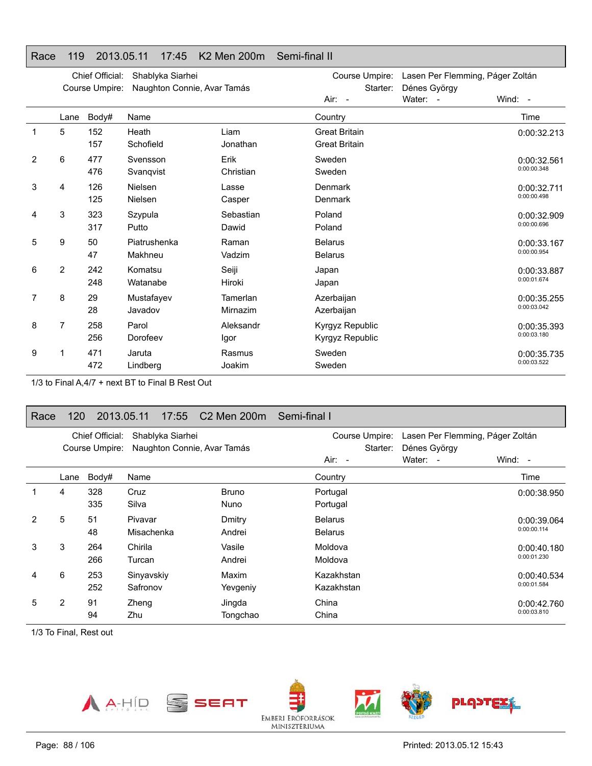#### Chief Official: Shablyka Siarhei Course Umpire: Naughton Connie, Avar Tamás Course Umpire: Lasen Per Flemming, Páger Zoltán Starter: Dénes György Air: -Water: - Wind: -Lane Body# Name**Country Country Country Country Country** Time 1 5 152 HeathLiam Great Britain 157 Schofield Jonathan Great Britain 2 6 477 Svensson Erik Sweden 476 Svanqvist Christian Sweden 3 4 126 Nielsen Lasse Denmark 125 NielsenCasper Denmark 4 3 323 SzypulaSebastian Poland 317 PuttoDawid **Poland** 5 9 50 Piatrushenka Raman Belarus 47 MakhneuVadzim **Belarus** 6 2 242 KomatsuSeiji Japan 248 Watanabe Hiroki Japan 7 8 29 Mustafayev Tamerlan Azerbaijan 28 Javadov Mirnazim Azerbaijan 8 7 258 ParolAleksandr Kyrgyz Republic 256 DorofeevIgor Kyrgyz Republic 9 1 471 JarutaRasmus Sweden

Joakim Sweden

Race 119 2013.05.11 17:45 K2 Men 200m Semi-final II

472 Lindberg1/3 to Final A,4/7 + next BT to Final B Rest Out

#### Race 120 2013.05.11 17:55 C2 Men 200m Semi-final I

|   |      | Chief Official: | Shablyka Siarhei            |              | Course Umpire:       | Lasen Per Flemming, Páger Zoltán |             |
|---|------|-----------------|-----------------------------|--------------|----------------------|----------------------------------|-------------|
|   |      | Course Umpire:  | Naughton Connie, Avar Tamás |              | Starter:<br>$Air: -$ | Dénes György<br>Water: -         | Wind: $-$   |
|   | Lane | Body#           | Name                        |              | Country              |                                  | Time        |
|   | 4    | 328             | Cruz                        | <b>Bruno</b> | Portugal             |                                  | 0:00:38.950 |
|   |      | 335             | Silva                       | <b>Nuno</b>  | Portugal             |                                  |             |
| 2 | 5    | 51              | Pivavar                     | Dmitry       | <b>Belarus</b>       |                                  | 0:00:39.064 |
|   |      | 48              | Misachenka                  | Andrei       | <b>Belarus</b>       |                                  | 0:00:00.114 |
| 3 | 3    | 264             | Chirila                     | Vasile       | Moldova              |                                  | 0:00:40.180 |
|   |      | 266             | Turcan                      | Andrei       | Moldova              |                                  | 0:00:01.230 |
| 4 | 6    | 253             | Sinyavskiy                  | Maxim        | Kazakhstan           |                                  | 0:00:40.534 |
|   |      | 252             | Safronov                    | Yevgeniy     | Kazakhstan           |                                  | 0:00:01.584 |
| 5 | 2    | 91              | Zheng                       | Jingda       | China                |                                  | 0:00:42.760 |
|   |      | 94              | Zhu                         | Tongchao     | China                |                                  | 0:00:03.810 |

1/3 To Final, Rest out



0:00:32.213

0:00:32.5610:00:00.348

0:00:32.7110:00:00.498

0:00:32.909 0:00:00.696

0:00:33.1670:00:00.954

0:00:33.8870:00:01.674

0:00:35.255 0:00:03.042

0:00:35.393 0:00:03.180

0:00:35.735 0:00:03.522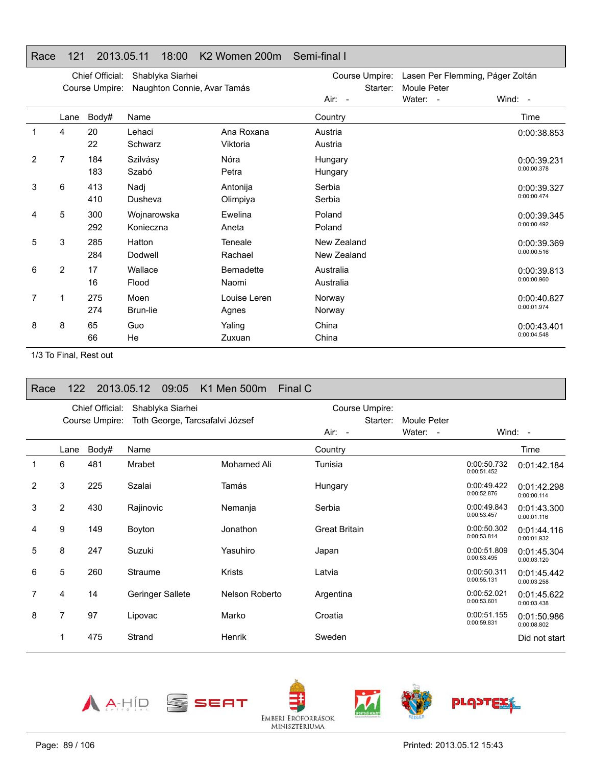#### Race 121 2013.05.11 18:00 K2 Women 200m Semi-final I

|   |                | Chief Official:<br>Course Umpire: | Shablyka Siarhei<br>Naughton Connie, Avar Tamás |                   | Course Umpire:<br>Starter: | Lasen Per Flemming, Páger Zoltán<br>Moule Peter |             |
|---|----------------|-----------------------------------|-------------------------------------------------|-------------------|----------------------------|-------------------------------------------------|-------------|
|   |                |                                   |                                                 |                   | Air: -                     | Water: -                                        | Wind: -     |
|   | Lane           | Body#                             | Name                                            |                   | Country                    |                                                 | Time        |
|   | 4              | 20                                | Lehaci                                          | Ana Roxana        | Austria                    |                                                 | 0:00:38.853 |
|   |                | 22                                | Schwarz                                         | Viktoria          | Austria                    |                                                 |             |
| 2 | 7              | 184                               | Szilvásy                                        | Nóra              | Hungary                    |                                                 | 0:00:39.231 |
|   |                | 183                               | Szabó                                           | Petra             | Hungary                    |                                                 | 0:00:00.378 |
| 3 | 6              | 413                               | Nadj                                            | Antonija          | Serbia                     |                                                 | 0:00:39.327 |
|   |                | 410                               | Dusheva                                         | Olimpiya          | Serbia                     |                                                 | 0:00:00.474 |
| 4 | 5              | 300                               | Wojnarowska                                     | Ewelina           | Poland                     |                                                 | 0:00:39.345 |
|   |                | 292                               | Konieczna                                       | Aneta             | Poland                     |                                                 | 0:00:00.492 |
| 5 | 3              | 285                               | Hatton                                          | Teneale           | New Zealand                |                                                 | 0:00:39.369 |
|   |                | 284                               | Dodwell                                         | Rachael           | New Zealand                |                                                 | 0:00:00.516 |
| 6 | $\overline{2}$ | 17                                | Wallace                                         | <b>Bernadette</b> | Australia                  |                                                 | 0:00:39.813 |
|   |                | 16                                | Flood                                           | Naomi             | Australia                  |                                                 | 0:00:00.960 |
| 7 |                | 275                               | Moen                                            | Louise Leren      | Norway                     |                                                 | 0:00:40.827 |
|   |                | 274                               | Brun-lie                                        | Agnes             | Norway                     |                                                 | 0:00:01.974 |
| 8 | 8              | 65                                | Guo                                             | Yaling            | China                      |                                                 | 0:00:43.401 |
|   |                | 66                                | He                                              | Zuxuan            | China                      |                                                 | 0:00:04.548 |

1/3 To Final, Rest out

| Race           | 122            |                                   | 2013.05.12 | 09:05                                               | K1 Men 500m    | Final C |                      |                            |             |             |             |                            |
|----------------|----------------|-----------------------------------|------------|-----------------------------------------------------|----------------|---------|----------------------|----------------------------|-------------|-------------|-------------|----------------------------|
|                |                | Chief Official:<br>Course Umpire: |            | Shablyka Siarhei<br>Toth George, Tarcsafalvi József |                |         |                      | Course Umpire:<br>Starter: | Moule Peter |             |             |                            |
|                |                |                                   |            |                                                     |                |         | $Air: -$             |                            | Water: -    |             |             | Wind: -                    |
|                | Lane           | Body#                             | Name       |                                                     |                |         | Country              |                            |             |             |             | Time                       |
| 1              | 6              | 481                               | Mrabet     |                                                     | Mohamed Ali    |         | Tunisia              |                            |             | 0:00:51.452 | 0:00:50.732 | 0:01:42.184                |
| $\overline{2}$ | 3              | 225                               | Szalai     |                                                     | Tamás          |         | Hungary              |                            |             | 0:00:52.876 | 0:00:49.422 | 0:01:42.298<br>0:00:00.114 |
| 3              | $\overline{2}$ | 430                               | Rajinovic  |                                                     | Nemanja        |         | Serbia               |                            |             | 0:00:53.457 | 0:00:49.843 | 0:01:43.300<br>0:00:01.116 |
| 4              | 9              | 149                               | Boyton     |                                                     | Jonathon       |         | <b>Great Britain</b> |                            |             | 0:00:53.814 | 0:00:50.302 | 0:01:44.116<br>0:00:01.932 |
| 5              | 8              | 247                               | Suzuki     |                                                     | Yasuhiro       |         | Japan                |                            |             | 0:00:53.495 | 0:00:51.809 | 0:01:45.304<br>0:00:03.120 |
| 6              | 5              | 260                               | Straume    |                                                     | <b>Krists</b>  |         | Latvia               |                            |             | 0:00:55.131 | 0:00:50.311 | 0:01:45.442<br>0:00:03.258 |
| $\overline{7}$ | 4              | 14                                |            | Geringer Sallete                                    | Nelson Roberto |         | Argentina            |                            |             | 0:00:53.601 | 0:00:52.021 | 0:01:45.622<br>0:00:03.438 |
| 8              | 7              | 97                                | Lipovac    |                                                     | Marko          |         | Croatia              |                            |             | 0:00:59.831 | 0:00:51.155 | 0:01:50.986<br>0:00:08.802 |
|                | 1              | 475                               | Strand     |                                                     | Henrik         |         | Sweden               |                            |             |             |             | Did not start              |









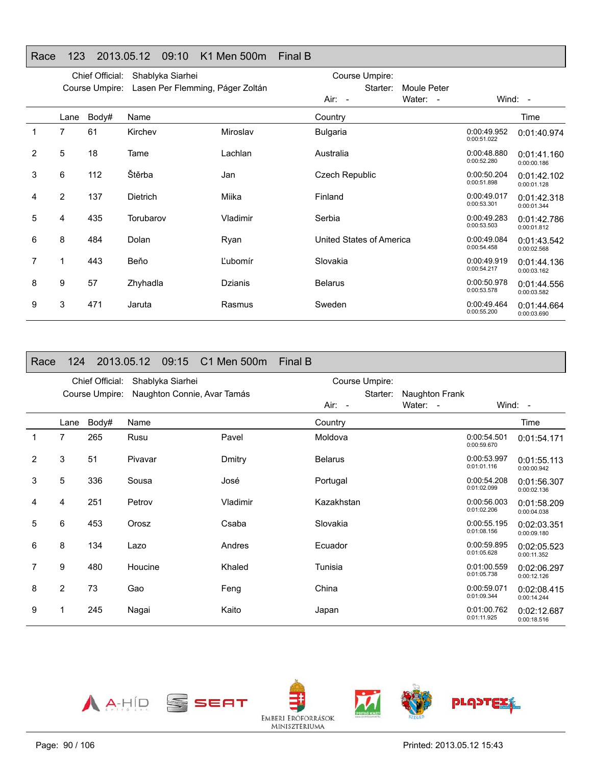# Race 123 2013.05.12 09:10 K1 Men 500m Final B

|   |                | Chief Official: | Shablyka Siarhei                 |          | Course Umpire:           |                            |                            |
|---|----------------|-----------------|----------------------------------|----------|--------------------------|----------------------------|----------------------------|
|   |                | Course Umpire:  | Lasen Per Flemming, Páger Zoltán |          | Starter:<br>Moule Peter  |                            |                            |
|   |                |                 |                                  |          | Water: -<br>Air: -       |                            | Wind: $-$                  |
|   | Lane           | Body#           | Name                             |          | Country                  |                            | Time                       |
| 1 | $\overline{7}$ | 61              | Kirchev                          | Miroslav | <b>Bulgaria</b>          | 0:00:49.952<br>0:00:51.022 | 0:01:40.974                |
| 2 | 5              | 18              | Tame                             | Lachlan  | Australia                | 0:00:48.880<br>0:00:52.280 | 0:01:41.160<br>0:00:00.186 |
| 3 | 6              | 112             | Štěrba                           | Jan      | <b>Czech Republic</b>    | 0:00:50.204<br>0:00:51.898 | 0:01:42.102<br>0:00:01.128 |
| 4 | $\overline{2}$ | 137             | <b>Dietrich</b>                  | Miika    | Finland                  | 0:00:49.017<br>0:00:53.301 | 0:01:42.318<br>0:00:01.344 |
| 5 | 4              | 435             | Torubarov                        | Vladimir | Serbia                   | 0:00:49.283<br>0:00:53.503 | 0:01:42.786<br>0:00:01.812 |
| 6 | 8              | 484             | Dolan                            | Ryan     | United States of America | 0:00:49.084<br>0:00:54.458 | 0:01:43.542<br>0:00:02.568 |
|   | 1              | 443             | Beňo                             | Ľubomír  | Slovakia                 | 0:00:49.919<br>0:00:54.217 | 0:01:44.136<br>0:00:03.162 |
| 8 | 9              | 57              | Zhyhadla                         | Dzianis  | <b>Belarus</b>           | 0:00:50.978<br>0:00:53.578 | 0:01:44.556<br>0:00:03.582 |
| 9 | 3              | 471             | Jaruta                           | Rasmus   | Sweden                   | 0:00:49.464<br>0:00:55.200 | 0:01:44.664<br>0:00:03.690 |

#### Race 124 2013.05.12 09:15 C1 Men 500m Final B

|   |                | Chief Official: | Shablyka Siarhei            |          |                | Course Umpire: |                            |                            |                            |
|---|----------------|-----------------|-----------------------------|----------|----------------|----------------|----------------------------|----------------------------|----------------------------|
|   |                | Course Umpire:  | Naughton Connie, Avar Tamás |          | Air: -         | Starter:       | Naughton Frank<br>Water: - | Wind: $-$                  |                            |
|   |                |                 |                             |          |                |                |                            |                            |                            |
|   | Lane           | Body#           | Name                        |          | Country        |                |                            |                            | Time                       |
| 1 | 7              | 265             | Rusu                        | Pavel    | Moldova        |                |                            | 0:00:54.501<br>0:00:59.670 | 0:01:54.171                |
| 2 | 3              | 51              | Pivavar                     | Dmitry   | <b>Belarus</b> |                |                            | 0:00:53.997<br>0:01:01.116 | 0:01:55.113<br>0:00:00.942 |
| 3 | 5              | 336             | Sousa                       | José     | Portugal       |                |                            | 0:00:54.208<br>0:01:02.099 | 0:01:56.307<br>0:00:02.136 |
| 4 | 4              | 251             | Petrov                      | Vladimir | Kazakhstan     |                |                            | 0:00:56.003<br>0:01:02.206 | 0:01:58.209<br>0:00:04.038 |
| 5 | 6              | 453             | Orosz                       | Csaba    | Slovakia       |                |                            | 0:00:55.195<br>0:01:08.156 | 0:02:03.351<br>0:00:09.180 |
| 6 | 8              | 134             | Lazo                        | Andres   | Ecuador        |                |                            | 0:00:59.895<br>0:01:05.628 | 0:02:05.523<br>0:00:11.352 |
| 7 | 9              | 480             | Houcine                     | Khaled   | Tunisia        |                |                            | 0:01:00.559<br>0:01:05.738 | 0:02:06.297<br>0:00:12.126 |
| 8 | $\overline{2}$ | 73              | Gao                         | Feng     | China          |                |                            | 0:00:59.071<br>0:01:09.344 | 0:02:08.415<br>0:00:14.244 |
| 9 |                | 245             | Nagai                       | Kaito    | Japan          |                |                            | 0:01:00.762<br>0:01:11.925 | 0:02:12.687<br>0:00:18.516 |
|   |                |                 |                             |          |                |                |                            |                            |                            |

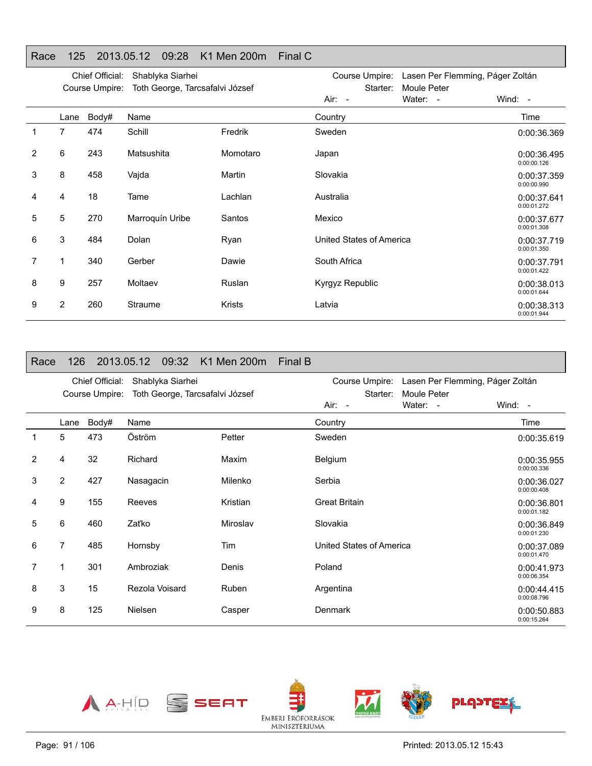### Race 125 2013.05.12 09:28 K1 Men 200m Final C

|                |                | Chief Official:<br>Course Umpire: | Shablyka Siarhei<br>Toth George, Tarcsafalvi József |               | Course Umpire: Lasen Per Flemming, Páger Zoltán<br>Moule Peter<br>Starter: |          |                            |
|----------------|----------------|-----------------------------------|-----------------------------------------------------|---------------|----------------------------------------------------------------------------|----------|----------------------------|
|                |                |                                   |                                                     |               | Air: -                                                                     | Water: - | Wind: $-$                  |
|                | Lane           | Body#                             | Name                                                |               | Country                                                                    |          | Time                       |
|                | 7              | 474                               | Schill                                              | Fredrik       | Sweden                                                                     |          | 0:00:36.369                |
| $\overline{2}$ | 6              | 243                               | Matsushita                                          | Momotaro      | Japan                                                                      |          | 0:00:36.495<br>0:00:00.126 |
| 3              | 8              | 458                               | Vajda                                               | Martin        | Slovakia                                                                   |          | 0:00:37.359<br>0:00:00.990 |
| 4              | 4              | 18                                | Tame                                                | Lachlan       | Australia                                                                  |          | 0:00:37.641<br>0:00:01.272 |
| 5              | 5              | 270                               | Marroquín Uribe                                     | Santos        | Mexico                                                                     |          | 0:00:37.677<br>0:00:01.308 |
| 6              | 3              | 484                               | Dolan                                               | Ryan          | United States of America                                                   |          | 0:00:37.719<br>0:00:01.350 |
|                | 1              | 340                               | Gerber                                              | Dawie         | South Africa                                                               |          | 0:00:37.791<br>0:00:01.422 |
| 8              | 9              | 257                               | Moltaev                                             | Ruslan        | Kyrgyz Republic                                                            |          | 0:00:38.013<br>0:00:01.644 |
| 9              | $\overline{2}$ | 260                               | Straume                                             | <b>Krists</b> | Latvia                                                                     |          | 0:00:38.313<br>0:00:01.944 |

| Race           | 126            |                                   |           | 2013.05.12 09:32 | K1 Men 200m                     | Final B                                |                                                                          |
|----------------|----------------|-----------------------------------|-----------|------------------|---------------------------------|----------------------------------------|--------------------------------------------------------------------------|
|                |                | Chief Official:<br>Course Umpire: |           | Shablyka Siarhei | Toth George, Tarcsafalvi József | Course Umpire:<br>Starter:<br>$Air: -$ | Lasen Per Flemming, Páger Zoltán<br>Moule Peter<br>Water: -<br>Wind: $-$ |
|                | Lane           | Body#                             | Name      |                  |                                 | Country                                | Time                                                                     |
| 1              | 5              | 473                               | Öström    |                  | Petter                          | Sweden                                 | 0:00:35.619                                                              |
| $\overline{2}$ | 4              | 32                                | Richard   |                  | Maxim                           | Belgium                                | 0:00:35.955<br>0:00:00.336                                               |
| 3              | $\overline{2}$ | 427                               | Nasagacin |                  | Milenko                         | Serbia                                 | 0:00:36.027<br>0:00:00.408                                               |
| 4              | 9              | 155                               | Reeves    |                  | Kristian                        | <b>Great Britain</b>                   | 0:00:36.801<br>0:00:01.182                                               |
| 5              | 6              | 460                               | Zaťko     |                  | Miroslav                        | Slovakia                               | 0:00:36.849<br>0:00:01.230                                               |
| 6              | 7              | 485                               | Hornsby   |                  | Tim                             | United States of America               | 0:00:37.089<br>0:00:01.470                                               |
| 7              | 1              | 301                               | Ambroziak |                  | Denis                           | Poland                                 | 0:00:41.973<br>0:00:06.354                                               |
| 8              | 3              | 15                                |           | Rezola Voisard   | Ruben                           | Argentina                              | 0:00:44.415<br>0:00:08.796                                               |
| 9              | 8              | 125                               | Nielsen   |                  | Casper                          | Denmark                                | 0:00:50.883<br>0:00:15.264                                               |

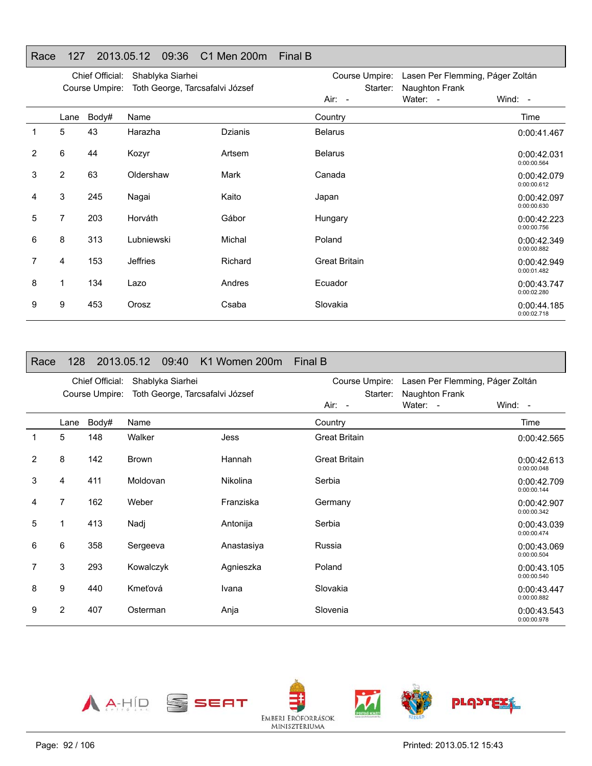# Race 127 2013.05.12 09:36 C1 Men 200m Final B

|   |                | Chief Official:<br>Course Umpire: | Shablyka Siarhei<br>Toth George, Tarcsafalvi József |         | Course Umpire: Lasen Per Flemming, Páger Zoltán<br>Naughton Frank<br>Starter: |          |                            |
|---|----------------|-----------------------------------|-----------------------------------------------------|---------|-------------------------------------------------------------------------------|----------|----------------------------|
|   |                |                                   |                                                     |         | Air: -                                                                        | Water: - | Wind: -                    |
|   | Lane           | Body#                             | Name                                                |         | Country                                                                       |          | Time                       |
|   | 5              | 43                                | Harazha                                             | Dzianis | <b>Belarus</b>                                                                |          | 0:00:41.467                |
| 2 | 6              | 44                                | Kozyr                                               | Artsem  | <b>Belarus</b>                                                                |          | 0:00:42.031<br>0:00:00.564 |
| 3 | $\overline{2}$ | 63                                | Oldershaw                                           | Mark    | Canada                                                                        |          | 0:00:42.079<br>0:00:00.612 |
| 4 | 3              | 245                               | Nagai                                               | Kaito   | Japan                                                                         |          | 0:00:42.097<br>0:00:00.630 |
| 5 | 7              | 203                               | Horváth                                             | Gábor   | Hungary                                                                       |          | 0:00:42.223<br>0:00:00.756 |
| 6 | 8              | 313                               | Lubniewski                                          | Michal  | Poland                                                                        |          | 0:00:42.349<br>0:00:00.882 |
| 7 | 4              | 153                               | <b>Jeffries</b>                                     | Richard | <b>Great Britain</b>                                                          |          | 0:00:42.949<br>0:00:01.482 |
| 8 | 1              | 134                               | Lazo                                                | Andres  | Ecuador                                                                       |          | 0:00:43.747<br>0:00:02.280 |
| 9 | 9              | 453                               | Orosz                                               | Csaba   | Slovakia                                                                      |          | 0:00:44.185<br>0:00:02.718 |

| Race           | 128            |                 | 2013.05.12   | 09:40            | K1 Women 200m                   | Final B              |                                  |                            |
|----------------|----------------|-----------------|--------------|------------------|---------------------------------|----------------------|----------------------------------|----------------------------|
|                |                | Chief Official: |              | Shablyka Siarhei |                                 | Course Umpire:       | Lasen Per Flemming, Páger Zoltán |                            |
|                |                | Course Umpire:  |              |                  | Toth George, Tarcsafalvi József | Starter:<br>Air: -   | Naughton Frank<br>Water: -       | Wind: $-$                  |
|                | Lane           | Body#           | Name         |                  |                                 | Country              |                                  | Time                       |
| 1              | 5              | 148             | Walker       |                  | Jess                            | <b>Great Britain</b> |                                  | 0:00:42.565                |
| $\overline{2}$ | 8              | 142             | <b>Brown</b> |                  | Hannah                          | <b>Great Britain</b> |                                  | 0:00:42.613<br>0:00:00.048 |
| 3              | 4              | 411             | Moldovan     |                  | Nikolina                        | Serbia               |                                  | 0:00:42.709<br>0:00:00.144 |
| 4              | $\overline{7}$ | 162             | Weber        |                  | Franziska                       | Germany              |                                  | 0:00:42.907<br>0:00:00.342 |
| 5              |                | 413             | Nadj         |                  | Antonija                        | Serbia               |                                  | 0:00:43.039<br>0:00:00.474 |
| 6              | 6              | 358             | Sergeeva     |                  | Anastasiya                      | Russia               |                                  | 0:00:43.069<br>0:00:00.504 |
| 7              | 3              | 293             | Kowalczyk    |                  | Agnieszka                       | Poland               |                                  | 0:00:43.105<br>0:00:00.540 |
| 8              | 9              | 440             | Kmeťová      |                  | Ivana                           | Slovakia             |                                  | 0:00:43.447<br>0:00:00.882 |
| 9              | 2              | 407             | Osterman     |                  | Anja                            | Slovenia             |                                  | 0:00:43.543<br>0:00:00.978 |

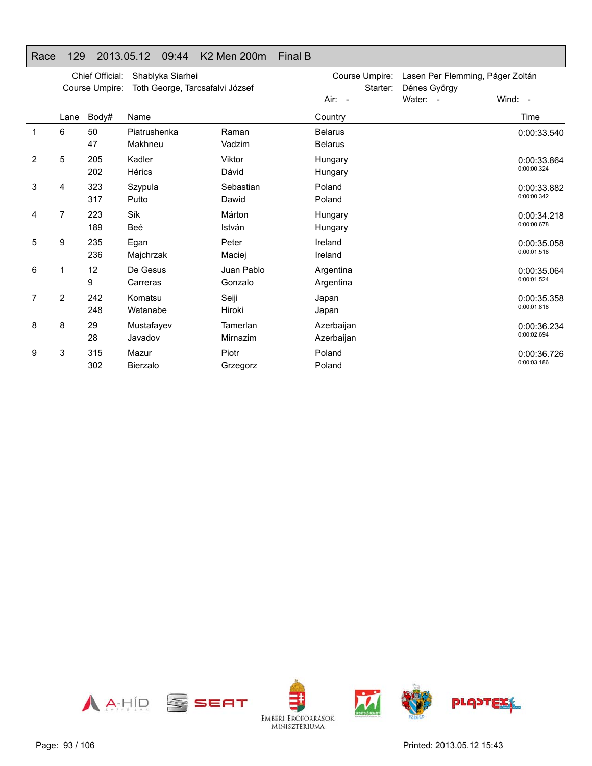# Race 129 2013.05.12 09:44 K2 Men 200m Final B

|   |                | Chief Official:<br>Course Umpire: | Shablyka Siarhei<br>Toth George, Tarcsafalvi József |                       | Course Umpire:<br>Starter:       | Lasen Per Flemming, Páger Zoltán<br>Dénes György |                            |
|---|----------------|-----------------------------------|-----------------------------------------------------|-----------------------|----------------------------------|--------------------------------------------------|----------------------------|
|   |                |                                   |                                                     |                       | Air: -                           | Water: -                                         | Wind: -                    |
|   | Lane           | Body#                             | Name                                                |                       | Country                          |                                                  | Time                       |
| 1 | 6              | 50<br>47                          | Piatrushenka<br>Makhneu                             | Raman<br>Vadzim       | <b>Belarus</b><br><b>Belarus</b> |                                                  | 0:00:33.540                |
| 2 | 5              | 205<br>202                        | Kadler<br>Hérics                                    | Viktor<br>Dávid       | Hungary<br>Hungary               |                                                  | 0:00:33.864<br>0:00:00.324 |
| 3 | 4              | 323<br>317                        | Szypula<br>Putto                                    | Sebastian<br>Dawid    | Poland<br>Poland                 |                                                  | 0:00:33.882<br>0:00:00.342 |
| 4 | 7              | 223<br>189                        | Sík<br>Beé                                          | Márton<br>István      | Hungary<br>Hungary               |                                                  | 0:00:34.218<br>0:00:00.678 |
| 5 | 9              | 235<br>236                        | Egan<br>Majchrzak                                   | Peter<br>Maciej       | Ireland<br>Ireland               |                                                  | 0:00:35.058<br>0:00:01.518 |
| 6 | 1              | 12<br>9                           | De Gesus<br>Carreras                                | Juan Pablo<br>Gonzalo | Argentina<br>Argentina           |                                                  | 0:00:35.064<br>0:00:01.524 |
| 7 | $\overline{2}$ | 242<br>248                        | Komatsu<br>Watanabe                                 | Seiji<br>Hiroki       | Japan<br>Japan                   |                                                  | 0:00:35.358<br>0:00:01.818 |
| 8 | 8              | 29<br>28                          | Mustafayev<br>Javadov                               | Tamerlan<br>Mirnazim  | Azerbaijan<br>Azerbaijan         |                                                  | 0:00:36.234<br>0:00:02.694 |
| 9 | 3              | 315<br>302                        | Mazur<br>Bierzalo                                   | Piotr<br>Grzegorz     | Poland<br>Poland                 |                                                  | 0:00:36.726<br>0:00:03.186 |

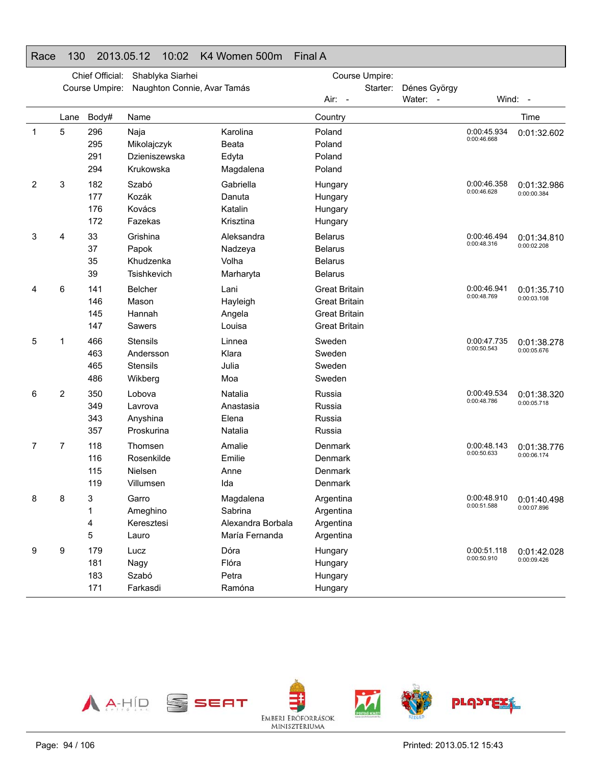### Race 130 2013.05.12 10:02 K4 Women 500m Final A

|   |      | Chief Official: | Shablyka Siarhei            |                   | Course Umpire:       |          |              |                            |                           |
|---|------|-----------------|-----------------------------|-------------------|----------------------|----------|--------------|----------------------------|---------------------------|
|   |      | Course Umpire:  | Naughton Connie, Avar Tamás |                   |                      | Starter: | Dénes György |                            |                           |
|   |      |                 |                             |                   | Air: -               |          | Water: -     |                            | Wind: -                   |
|   | Lane | Body#           | Name                        |                   | Country              |          |              |                            | Time                      |
| 1 | 5    | 296             | Naja                        | Karolina          | Poland               |          |              | 0:00:45.934                | 0:01:32.602               |
|   |      | 295             | Mikolajczyk                 | Beata             | Poland               |          |              | 0:00:46.668                |                           |
|   |      | 291             | Dzieniszewska               | Edyta             | Poland               |          |              |                            |                           |
|   |      | 294             | Krukowska                   | Magdalena         | Poland               |          |              |                            |                           |
| 2 | 3    | 182             | Szabó                       | Gabriella         | Hungary              |          |              | 0:00:46.358<br>0:00:46.628 | 0:01:32.986               |
|   |      | 177             | Kozák                       | Danuta            | Hungary              |          |              |                            | 0:00:00.384               |
|   |      | 176             | Kovács                      | Katalin           | Hungary              |          |              |                            |                           |
|   |      | 172             | Fazekas                     | Krisztina         | Hungary              |          |              |                            |                           |
| 3 | 4    | 33              | Grishina                    | Aleksandra        | <b>Belarus</b>       |          |              | 0:00:46.494                | 0:01:34.810               |
|   |      | 37              | Papok                       | Nadzeya           | <b>Belarus</b>       |          |              | 0:00:48.316                | 0:00:02.208               |
|   |      | 35              | Khudzenka                   | Volha             | <b>Belarus</b>       |          |              |                            |                           |
|   |      | 39              | Tsishkevich                 | Marharyta         | <b>Belarus</b>       |          |              |                            |                           |
| 4 | 6    | 141             | Belcher                     | Lani              | <b>Great Britain</b> |          |              | 0:00:46.941                | 0:01:35.710               |
|   |      | 146             | Mason                       | Hayleigh          | <b>Great Britain</b> |          |              | 0:00:48.769                | 0:00:03.108               |
|   |      | 145             | Hannah                      | Angela            | <b>Great Britain</b> |          |              |                            |                           |
|   |      | 147             | Sawers                      | Louisa            | <b>Great Britain</b> |          |              |                            |                           |
| 5 | 1    | 466             | <b>Stensils</b>             | Linnea            | Sweden               |          |              | 0:00:47.735                | 0:01:38.278               |
|   |      | 463             | Andersson                   | Klara             | Sweden               |          |              | 0:00:50.543                | 0:00:05.676               |
|   |      | 465             | <b>Stensils</b>             | Julia             | Sweden               |          |              |                            |                           |
|   |      | 486             | Wikberg                     | Moa               | Sweden               |          |              |                            |                           |
| 6 | 2    | 350             | Lobova                      | Natalia           | Russia               |          |              | 0:00:49.534                | 0:01:38.320               |
|   |      | 349             | Lavrova                     | Anastasia         | Russia               |          |              | 0:00:48.786                | 0:00:05.718               |
|   |      | 343             | Anyshina                    | Elena             | Russia               |          |              |                            |                           |
|   |      | 357             | Proskurina                  | Natalia           | Russia               |          |              |                            |                           |
| 7 | 7    | 118             | Thomsen                     | Amalie            | Denmark              |          |              | 0:00:48.143                | 0:01:38.776               |
|   |      | 116             | Rosenkilde                  | Emilie            | Denmark              |          |              | 0:00:50.633                | 0:00:06.174               |
|   |      | 115             | Nielsen                     | Anne              | Denmark              |          |              |                            |                           |
|   |      | 119             | Villumsen                   | Ida               | Denmark              |          |              |                            |                           |
| 8 | 8    | 3               | Garro                       | Magdalena         | Argentina            |          |              |                            | 0:00:48.910   0:01:40.498 |
|   |      | 1               | Ameghino                    | Sabrina           | Argentina            |          |              | 0:00:51.588                | 0:00:07.896               |
|   |      | 4               | Keresztesi                  | Alexandra Borbala | Argentina            |          |              |                            |                           |
|   |      | 5               | Lauro                       | María Fernanda    | Argentina            |          |              |                            |                           |
| 9 | 9    | 179             | Lucz                        | Dóra              | Hungary              |          |              | 0:00:51.118                | 0:01:42.028               |
|   |      | 181             | Nagy                        | Flóra             | Hungary              |          |              | 0:00:50.910                | 0:00:09.426               |
|   |      | 183             | Szabó                       | Petra             | Hungary              |          |              |                            |                           |
|   |      | 171             | Farkasdi                    | Ramóna            | Hungary              |          |              |                            |                           |

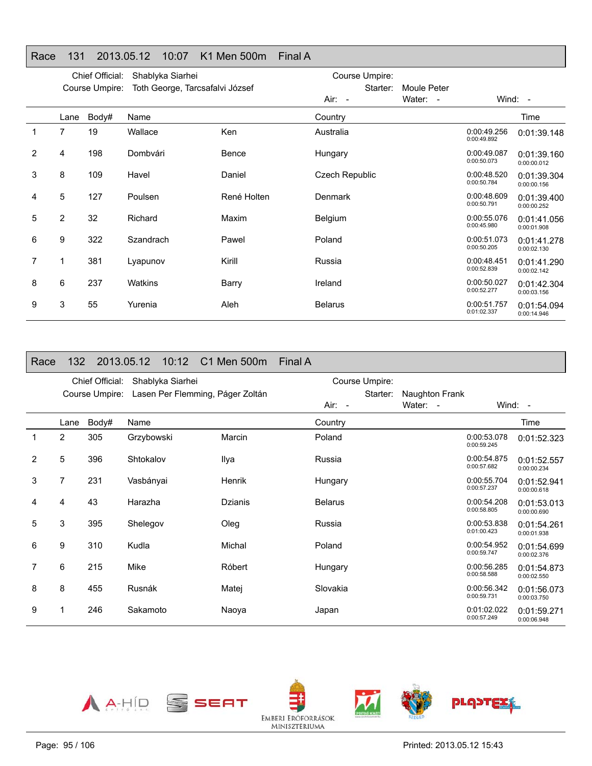### Race 131 2013.05.12 10:07 K1 Men 500m Final A

|   |                | Chief Official: | Shablyka Siarhei                |             | Course Umpire:        |             |                            |                            |
|---|----------------|-----------------|---------------------------------|-------------|-----------------------|-------------|----------------------------|----------------------------|
|   |                | Course Umpire:  | Toth George, Tarcsafalvi József |             | Starter:              | Moule Peter |                            |                            |
|   |                |                 |                                 |             | Air: -                | Water: -    |                            | Wind: $-$                  |
|   | Lane           | Body#           | Name                            |             | Country               |             |                            | Time                       |
|   | 7              | 19              | Wallace                         | Ken         | Australia             |             | 0:00:49.256<br>0:00:49.892 | 0:01:39.148                |
| 2 | 4              | 198             | Dombvári                        | Bence       | Hungary               |             | 0:00:49.087<br>0:00:50.073 | 0:01:39.160<br>0:00:00.012 |
| 3 | 8              | 109             | Havel                           | Daniel      | <b>Czech Republic</b> |             | 0:00:48.520<br>0:00:50.784 | 0:01:39.304<br>0:00:00.156 |
| 4 | 5              | 127             | Poulsen                         | René Holten | Denmark               |             | 0:00:48.609<br>0:00:50.791 | 0:01:39.400<br>0:00:00.252 |
| 5 | $\overline{2}$ | 32              | Richard                         | Maxim       | <b>Belgium</b>        |             | 0:00:55.076<br>0:00:45.980 | 0:01:41.056<br>0:00:01.908 |
| 6 | 9              | 322             | Szandrach                       | Pawel       | Poland                |             | 0:00:51.073<br>0:00:50.205 | 0:01:41.278<br>0:00:02.130 |
|   | 1              | 381             | Lyapunov                        | Kirill      | Russia                |             | 0:00:48.451<br>0:00:52.839 | 0:01:41.290<br>0:00:02.142 |
| 8 | 6              | 237             | Watkins                         | Barry       | Ireland               |             | 0:00:50.027<br>0:00:52.277 | 0:01:42.304<br>0:00:03.156 |
| 9 | 3              | 55              | Yurenia                         | Aleh        | <b>Belarus</b>        |             | 0:00:51.757<br>0:01:02.337 | 0:01:54.094<br>0:00:14.946 |

#### Race 132 2013.05.12 10:12 C1 Men 500m Final A

|                |                | Chief Official: | Shablyka Siarhei                 |                | Course Umpire: |                |                            |                            |
|----------------|----------------|-----------------|----------------------------------|----------------|----------------|----------------|----------------------------|----------------------------|
|                |                | Course Umpire:  | Lasen Per Flemming, Páger Zoltán |                | Starter:       | Naughton Frank |                            |                            |
|                |                |                 |                                  |                | Air: -         | Water: -       |                            | Wind: $-$                  |
|                | Lane           | Body#           | Name                             |                | Country        |                |                            | Time                       |
|                | $\overline{2}$ | 305             | Grzybowski                       | Marcin         | Poland         |                | 0:00:53.078<br>0:00:59.245 | 0:01:52.323                |
| $\overline{2}$ | 5              | 396             | Shtokalov                        | Ilya           | Russia         |                | 0:00:54.875<br>0:00:57.682 | 0:01:52.557<br>0:00:00.234 |
| 3              | $\overline{7}$ | 231             | Vasbányai                        | Henrik         | Hungary        |                | 0:00:55.704<br>0:00:57.237 | 0:01:52.941<br>0:00:00.618 |
| 4              | 4              | 43              | Harazha                          | <b>Dzianis</b> | <b>Belarus</b> |                | 0:00:54.208<br>0:00:58.805 | 0:01:53.013<br>0:00:00.690 |
| 5              | 3              | 395             | Shelegov                         | Oleg           | Russia         |                | 0:00:53.838<br>0:01:00.423 | 0:01:54.261<br>0:00:01.938 |
| 6              | 9              | 310             | Kudla                            | Michal         | Poland         |                | 0:00:54.952<br>0:00:59.747 | 0:01:54.699<br>0:00:02.376 |
| 7              | 6              | 215             | Mike                             | Róbert         | Hungary        |                | 0:00:56.285<br>0:00:58.588 | 0:01:54.873<br>0:00:02.550 |
| 8              | 8              | 455             | Rusnák                           | Matej          | Slovakia       |                | 0:00:56.342<br>0:00:59.731 | 0:01:56.073<br>0:00:03.750 |
| 9              |                | 246             | Sakamoto                         | Naoya          | Japan          |                | 0:01:02.022<br>0:00:57.249 | 0:01:59.271<br>0:00:06.948 |

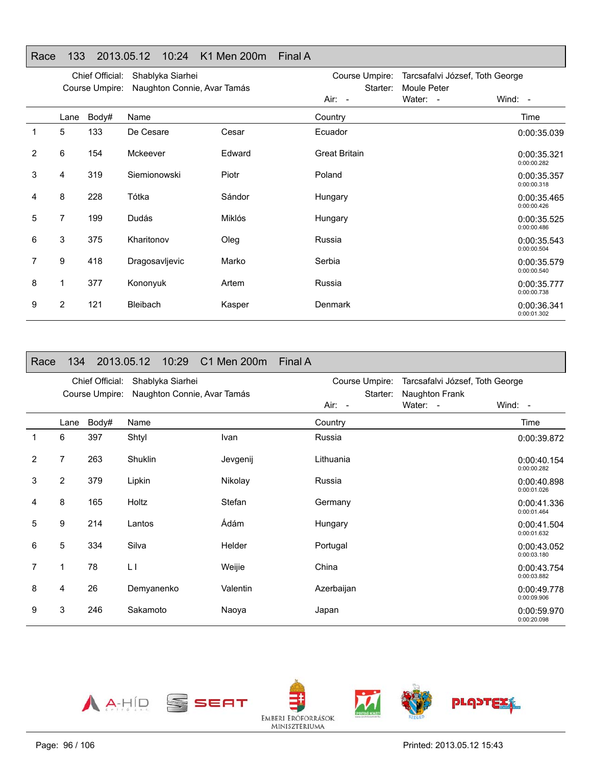|  |  | Race 133 2013.05.12 10:24 K1 Men 200m Final A |  |
|--|--|-----------------------------------------------|--|

|   |      | Chief Official: | Shablyka Siarhei            |               | Course Umpire:       | Tarcsafalvi József, Toth George |                            |
|---|------|-----------------|-----------------------------|---------------|----------------------|---------------------------------|----------------------------|
|   |      | Course Umpire:  | Naughton Connie, Avar Tamás |               | Starter:<br>Air: -   | Moule Peter<br>Water: -         | Wind: $-$                  |
|   | Lane | Body#           | Name                        |               | Country              |                                 | Time                       |
| 1 | 5    | 133             | De Cesare                   | Cesar         | Ecuador              |                                 | 0:00:35.039                |
| 2 | 6    | 154             | Mckeever                    | Edward        | <b>Great Britain</b> |                                 | 0:00:35.321<br>0:00:00.282 |
| 3 | 4    | 319             | Siemionowski                | Piotr         | Poland               |                                 | 0:00:35.357<br>0:00:00.318 |
| 4 | 8    | 228             | Tótka                       | Sándor        | Hungary              |                                 | 0:00:35.465<br>0:00:00.426 |
| 5 | 7    | 199             | <b>Dudás</b>                | <b>Miklós</b> | Hungary              |                                 | 0:00:35.525<br>0:00:00.486 |
| 6 | 3    | 375             | Kharitonov                  | Oleg          | Russia               |                                 | 0:00:35.543<br>0:00:00.504 |
|   | 9    | 418             | Dragosavljevic              | Marko         | Serbia               |                                 | 0:00:35.579<br>0:00:00.540 |
| 8 | 1    | 377             | Kononyuk                    | Artem         | Russia               |                                 | 0:00:35.777<br>0:00:00.738 |
| 9 | 2    | 121             | <b>Bleibach</b>             | Kasper        | Denmark              |                                 | 0:00:36.341<br>0:00:01.302 |

| Race           | 134            |                                   | 2013.05.12 | 10:29            | C1 Men 200m                 | Final A |            |                            |                                                   |                            |
|----------------|----------------|-----------------------------------|------------|------------------|-----------------------------|---------|------------|----------------------------|---------------------------------------------------|----------------------------|
|                |                | Chief Official:<br>Course Umpire: |            | Shablyka Siarhei | Naughton Connie, Avar Tamás |         |            | Course Umpire:<br>Starter: | Tarcsafalvi József, Toth George<br>Naughton Frank |                            |
|                |                |                                   |            |                  |                             |         | Air: -     |                            | Water: -                                          | Wind: -                    |
|                | Lane           | Body#                             | Name       |                  |                             |         | Country    |                            |                                                   | Time                       |
| 1              | 6              | 397                               | Shtyl      |                  | Ivan                        |         | Russia     |                            |                                                   | 0:00:39.872                |
| $\overline{2}$ | 7              | 263                               | Shuklin    |                  | Jevgenij                    |         | Lithuania  |                            |                                                   | 0:00:40.154<br>0:00:00.282 |
| 3              | $\overline{2}$ | 379                               | Lipkin     |                  | Nikolay                     |         | Russia     |                            |                                                   | 0:00:40.898<br>0:00:01.026 |
| 4              | 8              | 165                               | Holtz      |                  | Stefan                      |         | Germany    |                            |                                                   | 0:00:41.336<br>0:00:01.464 |
| 5              | 9              | 214                               | Lantos     |                  | Ádám                        |         | Hungary    |                            |                                                   | 0:00:41.504<br>0:00:01.632 |
| 6              | 5              | 334                               | Silva      |                  | <b>Helder</b>               |         | Portugal   |                            |                                                   | 0:00:43.052<br>0:00:03.180 |
| 7              |                | 78                                | $\lfloor$  |                  | Weijie                      |         | China      |                            |                                                   | 0:00:43.754<br>0:00:03.882 |
| 8              | 4              | 26                                | Demyanenko |                  | Valentin                    |         | Azerbaijan |                            |                                                   | 0:00:49.778<br>0:00:09.906 |
| 9              | 3              | 246                               | Sakamoto   |                  | Naoya                       |         | Japan      |                            |                                                   | 0:00:59.970<br>0:00:20.098 |

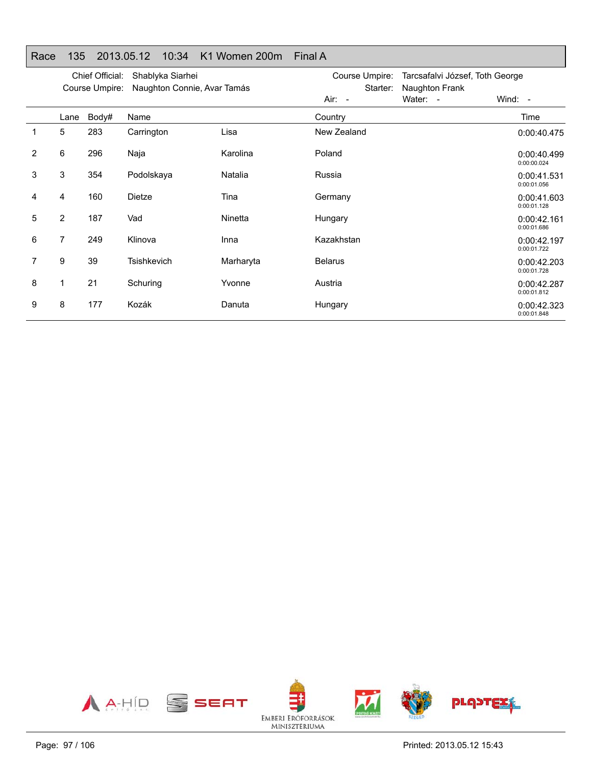|   |                | Chief Official:<br>Course Umpire: | Shablyka Siarhei<br>Naughton Connie, Avar Tamás |           | Course Umpire:<br>Starter: | Tarcsafalvi József, Toth George<br>Naughton Frank |                            |
|---|----------------|-----------------------------------|-------------------------------------------------|-----------|----------------------------|---------------------------------------------------|----------------------------|
|   |                |                                   |                                                 |           | Air: -                     | Water: -                                          | Wind: -                    |
|   | Lane           | Body#                             | Name                                            |           | Country                    |                                                   | Time                       |
| 1 | 5              | 283                               | Carrington                                      | Lisa      | New Zealand                |                                                   | 0:00:40.475                |
| 2 | 6              | 296                               | Naja                                            | Karolina  | Poland                     |                                                   | 0:00:40.499<br>0:00:00.024 |
| 3 | 3              | 354                               | Podolskaya                                      | Natalia   | Russia                     |                                                   | 0:00:41.531<br>0:00:01.056 |
| 4 | 4              | 160                               | Dietze                                          | Tina      | Germany                    |                                                   | 0:00:41.603<br>0:00:01.128 |
| 5 | $\overline{2}$ | 187                               | Vad                                             | Ninetta   | Hungary                    |                                                   | 0:00:42.161<br>0:00:01.686 |
| 6 | $\overline{7}$ | 249                               | Klinova                                         | Inna      | Kazakhstan                 |                                                   | 0:00:42.197<br>0:00:01.722 |
| 7 | 9              | 39                                | <b>Tsishkevich</b>                              | Marharyta | <b>Belarus</b>             |                                                   | 0:00:42.203<br>0:00:01.728 |
| 8 | 1              | 21                                | Schuring                                        | Yvonne    | Austria                    |                                                   | 0:00:42.287<br>0:00:01.812 |
| 9 | 8              | 177                               | Kozák                                           | Danuta    | Hungary                    |                                                   | 0:00:42.323<br>0:00:01.848 |

# Race 135 2013.05.12 10:34 K1 Women 200m Final A

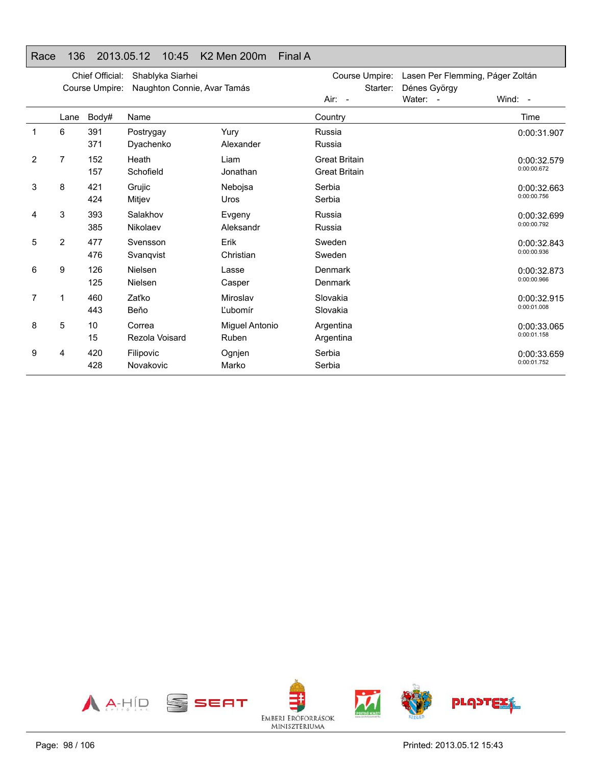# Race 136 2013.05.12 10:45 K2 Men 200m Final A

|                |      | Chief Official:<br>Course Umpire: | Shablyka Siarhei<br>Naughton Connie, Avar Tamás |                         | Lasen Per Flemming, Páger Zoltán<br>Course Umpire:<br>Starter:<br>Dénes György |          |                            |
|----------------|------|-----------------------------------|-------------------------------------------------|-------------------------|--------------------------------------------------------------------------------|----------|----------------------------|
|                |      |                                   |                                                 |                         | Air: -                                                                         | Water: - | Wind: $-$                  |
|                | Lane | Body#                             | Name                                            |                         | Country                                                                        |          | Time                       |
| 1              | 6    | 391<br>371                        | Postrygay<br>Dyachenko                          | Yury<br>Alexander       | Russia<br>Russia                                                               |          | 0:00:31.907                |
| 2              | 7    | 152<br>157                        | Heath<br>Schofield                              | Liam<br>Jonathan        | <b>Great Britain</b><br><b>Great Britain</b>                                   |          | 0:00:32.579<br>0:00:00.672 |
| 3              | 8    | 421<br>424                        | Grujic<br>Mitjev                                | Nebojsa<br><b>Uros</b>  | Serbia<br>Serbia                                                               |          | 0:00:32.663<br>0:00:00.756 |
| 4              | 3    | 393<br>385                        | Salakhov<br>Nikolaev                            | Evgeny<br>Aleksandr     | Russia<br>Russia                                                               |          | 0:00:32.699<br>0:00:00.792 |
| 5              | 2    | 477<br>476                        | Svensson<br>Svanqvist                           | Erik<br>Christian       | Sweden<br>Sweden                                                               |          | 0:00:32.843<br>0:00:00.936 |
| 6              | 9    | 126<br>125                        | Nielsen<br>Nielsen                              | Lasse<br>Casper         | Denmark<br>Denmark                                                             |          | 0:00:32.873<br>0:00:00.966 |
| $\overline{7}$ | 1    | 460<br>443                        | Zaťko<br>Beňo                                   | Miroslav<br>Ľubomír     | Slovakia<br>Slovakia                                                           |          | 0:00:32.915<br>0:00:01.008 |
| 8              | 5    | 10<br>15                          | Correa<br>Rezola Voisard                        | Miguel Antonio<br>Ruben | Argentina<br>Argentina                                                         |          | 0:00:33.065<br>0:00:01.158 |
| 9              | 4    | 420<br>428                        | Filipovic<br>Novakovic                          | Ognjen<br>Marko         | Serbia<br>Serbia                                                               |          | 0:00:33.659<br>0:00:01.752 |

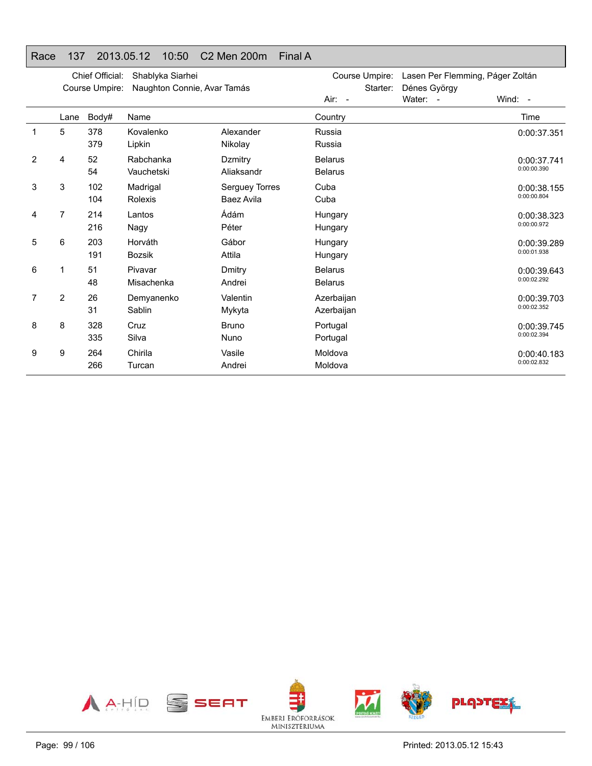# Race 137 2013.05.12 10:50 C2 Men 200m Final A

|   |                | Chief Official:<br>Course Umpire: | Shablyka Siarhei<br>Naughton Connie, Avar Tamás |                                     | Starter:                         | Course Umpire: Lasen Per Flemming, Páger Zoltán<br>Dénes György |                            |
|---|----------------|-----------------------------------|-------------------------------------------------|-------------------------------------|----------------------------------|-----------------------------------------------------------------|----------------------------|
|   |                |                                   |                                                 |                                     | Air: -                           | Water: -                                                        | Wind: -                    |
|   | Lane           | Body#                             | Name                                            |                                     | Country                          |                                                                 | Time                       |
| 1 | 5              | 378<br>379                        | Kovalenko<br>Lipkin                             | Alexander<br>Nikolay                | Russia<br>Russia                 |                                                                 | 0:00:37.351                |
| 2 | 4              | 52<br>54                          | Rabchanka<br>Vauchetski                         | Dzmitry<br>Aliaksandr               | <b>Belarus</b><br><b>Belarus</b> |                                                                 | 0:00:37.741<br>0:00:00.390 |
| 3 | 3              | 102<br>104                        | Madrigal<br>Rolexis                             | Serguey Torres<br><b>Baez Avila</b> | Cuba<br>Cuba                     |                                                                 | 0:00:38.155<br>0:00:00.804 |
| 4 | 7              | 214<br>216                        | Lantos<br>Nagy                                  | Ádám<br>Péter                       | Hungary<br>Hungary               |                                                                 | 0:00:38.323<br>0:00:00.972 |
| 5 | 6              | 203<br>191                        | Horváth<br><b>Bozsik</b>                        | Gábor<br>Attila                     | Hungary<br>Hungary               |                                                                 | 0:00:39.289<br>0:00:01.938 |
| 6 | 1              | 51<br>48                          | Pivavar<br>Misachenka                           | Dmitry<br>Andrei                    | <b>Belarus</b><br><b>Belarus</b> |                                                                 | 0:00:39.643<br>0:00:02.292 |
| 7 | $\overline{2}$ | 26<br>31                          | Demyanenko<br>Sablin                            | Valentin<br>Mykyta                  | Azerbaijan<br>Azerbaijan         |                                                                 | 0:00:39.703<br>0:00:02.352 |
| 8 | 8              | 328<br>335                        | Cruz<br>Silva                                   | <b>Bruno</b><br>Nuno                | Portugal<br>Portugal             |                                                                 | 0:00:39.745<br>0:00:02.394 |
| 9 | 9              | 264<br>266                        | Chirila<br>Turcan                               | Vasile<br>Andrei                    | Moldova<br>Moldova               |                                                                 | 0:00:40.183<br>0:00:02.832 |

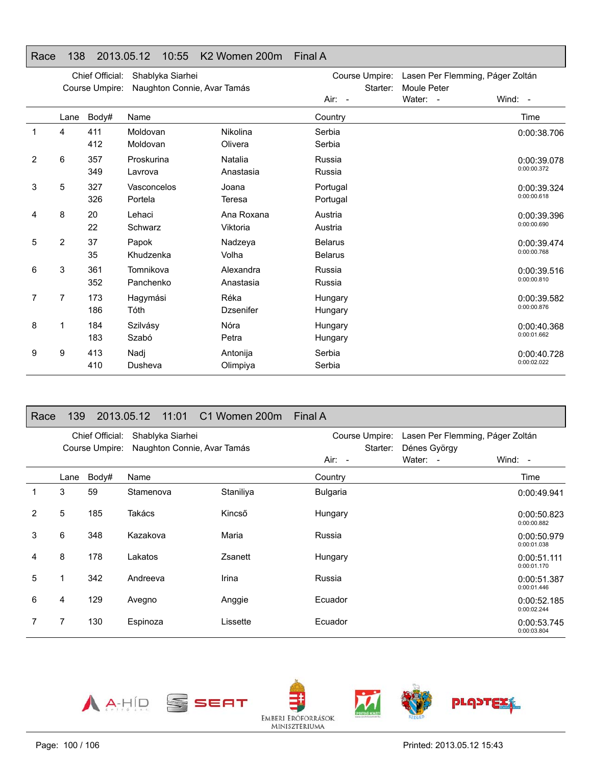### Race 138 2013.05.12 10:55 K2 Women 200m Final A

|   |      | Chief Official:<br>Course Umpire: | Shablyka Siarhei<br>Naughton Connie, Avar Tamás |                          | Course Umpire:<br>Starter:       | Lasen Per Flemming, Páger Zoltán<br>Moule Peter |                            |
|---|------|-----------------------------------|-------------------------------------------------|--------------------------|----------------------------------|-------------------------------------------------|----------------------------|
|   |      |                                   |                                                 |                          | Air: -                           | Water: -                                        | Wind: -                    |
|   | Lane | Body#                             | Name                                            |                          | Country                          |                                                 | Time                       |
| 1 | 4    | 411<br>412                        | Moldovan<br>Moldovan                            | Nikolina<br>Olivera      | Serbia<br>Serbia                 |                                                 | 0:00:38.706                |
| 2 | 6    | 357<br>349                        | Proskurina<br>Lavrova                           | Natalia<br>Anastasia     | Russia<br>Russia                 |                                                 | 0:00:39.078<br>0:00:00.372 |
| 3 | 5    | 327<br>326                        | Vasconcelos<br>Portela                          | Joana<br>Teresa          | Portugal<br>Portugal             |                                                 | 0:00:39.324<br>0:00:00.618 |
| 4 | 8    | 20<br>22                          | Lehaci<br>Schwarz                               | Ana Roxana<br>Viktoria   | Austria<br>Austria               |                                                 | 0:00:39.396<br>0:00:00.690 |
| 5 | 2    | 37<br>35                          | Papok<br>Khudzenka                              | Nadzeva<br>Volha         | <b>Belarus</b><br><b>Belarus</b> |                                                 | 0:00:39.474<br>0:00:00.768 |
| 6 | 3    | 361<br>352                        | Tomnikova<br>Panchenko                          | Alexandra<br>Anastasia   | Russia<br>Russia                 |                                                 | 0:00:39.516<br>0:00:00.810 |
| 7 | 7    | 173<br>186                        | Hagymási<br>Tóth                                | Réka<br><b>Dzsenifer</b> | Hungary<br>Hungary               |                                                 | 0:00:39.582<br>0:00:00.876 |
| 8 | 1    | 184<br>183                        | Szilvásy<br>Szabó                               | Nóra<br>Petra            | Hungary<br>Hungary               |                                                 | 0:00:40.368<br>0:00:01.662 |
| 9 | 9    | 413<br>410                        | Nadj<br>Dusheva                                 | Antonija<br>Olimpiya     | Serbia<br>Serbia                 |                                                 | 0:00:40.728<br>0:00:02.022 |

#### Race 139 2013.05.12 11:01 C1 Women 200m Final A

|   |      | Chief Official: | Shablyka Siarhei            |           | Course Umpire:  | Lasen Per Flemming, Páger Zoltán |                            |
|---|------|-----------------|-----------------------------|-----------|-----------------|----------------------------------|----------------------------|
|   |      | Course Umpire:  | Naughton Connie, Avar Tamás |           | Starter:        | Dénes György                     |                            |
|   |      |                 |                             |           | Air: -          | Water: -                         | Wind: $-$                  |
|   | Lane | Body#           | Name                        |           | Country         |                                  | Time                       |
|   | 3    | 59              | Stamenova                   | Staniliya | <b>Bulgaria</b> |                                  | 0:00:49.941                |
| 2 | 5    | 185             | Takács                      | Kincső    | Hungary         |                                  | 0:00:50.823<br>0:00:00.882 |
| 3 | 6    | 348             | Kazakova                    | Maria     | Russia          |                                  | 0:00:50.979<br>0:00:01.038 |
| 4 | 8    | 178             | Lakatos                     | Zsanett   | Hungary         |                                  | 0:00:51.111<br>0:00:01.170 |
| 5 |      | 342             | Andreeva                    | Irina     | Russia          |                                  | 0:00:51.387<br>0:00:01.446 |
| 6 | 4    | 129             | Avegno                      | Anggie    | Ecuador         |                                  | 0:00:52.185<br>0:00:02.244 |
|   | 7    | 130             | Espinoza                    | Lissette  | Ecuador         |                                  | 0:00:53.745<br>0:00:03.804 |

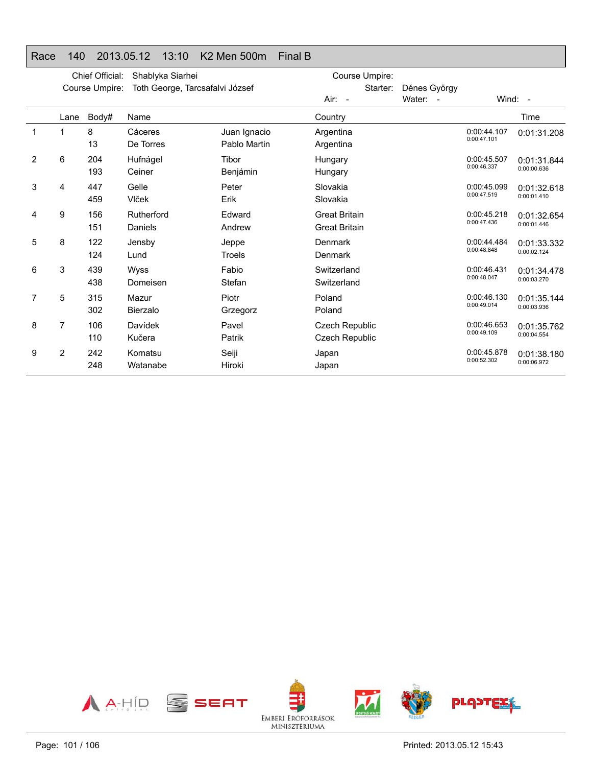# Race 140 2013.05.12 13:10 K2 Men 500m Final B

|   | Chief Official:<br>Shablyka Siarhei<br>Toth George, Tarcsafalvi József<br>Course Umpire: |            |                         | Course Umpire:               |                                                |                          |                            |                            |
|---|------------------------------------------------------------------------------------------|------------|-------------------------|------------------------------|------------------------------------------------|--------------------------|----------------------------|----------------------------|
|   |                                                                                          |            |                         |                              | Starter:<br>Air: -                             | Dénes György<br>Water: - |                            | Wind: -                    |
|   | Lane                                                                                     | Body#      | Name                    |                              | Country                                        |                          |                            | Time                       |
|   | 1                                                                                        | 8<br>13    | Cáceres<br>De Torres    | Juan Ignacio<br>Pablo Martin | Argentina<br>Argentina                         |                          | 0:00:44.107<br>0:00:47.101 | 0:01:31.208                |
| 2 | 6                                                                                        | 204<br>193 | Hufnágel<br>Ceiner      | Tibor<br>Benjámin            | Hungary<br>Hungary                             |                          | 0:00:45.507<br>0:00:46.337 | 0:01:31.844<br>0:00:00.636 |
| 3 | 4                                                                                        | 447<br>459 | Gelle<br>Vlček          | Peter<br>Erik                | Slovakia<br>Slovakia                           |                          | 0:00:45.099<br>0:00:47.519 | 0:01:32.618<br>0:00:01.410 |
| 4 | 9                                                                                        | 156<br>151 | Rutherford<br>Daniels   | Fdward<br>Andrew             | <b>Great Britain</b><br><b>Great Britain</b>   |                          | 0:00:45.218<br>0:00:47.436 | 0:01:32.654<br>0:00:01.446 |
| 5 | 8                                                                                        | 122<br>124 | Jensby<br>Lund          | Jeppe<br>Troels              | Denmark<br>Denmark                             |                          | 0:00:44.484<br>0:00:48.848 | 0:01:33.332<br>0:00:02.124 |
| 6 | 3                                                                                        | 439<br>438 | <b>Wyss</b><br>Domeisen | Fabio<br>Stefan              | Switzerland<br>Switzerland                     |                          | 0:00:46.431<br>0:00:48.047 | 0:01:34.478<br>0:00:03.270 |
| 7 | 5                                                                                        | 315<br>302 | Mazur<br>Bierzalo       | Piotr<br>Grzegorz            | Poland<br>Poland                               |                          | 0:00:46.130<br>0:00:49.014 | 0:01:35.144<br>0:00:03.936 |
| 8 | 7                                                                                        | 106<br>110 | Davídek<br>Kučera       | Pavel<br>Patrik              | <b>Czech Republic</b><br><b>Czech Republic</b> |                          | 0:00:46.653<br>0:00:49.109 | 0:01:35.762<br>0:00:04.554 |
| 9 | 2                                                                                        | 242<br>248 | Komatsu<br>Watanabe     | Seiji<br>Hiroki              | Japan<br>Japan                                 |                          | 0:00:45.878<br>0:00:52.302 | 0:01:38.180<br>0:00:06.972 |

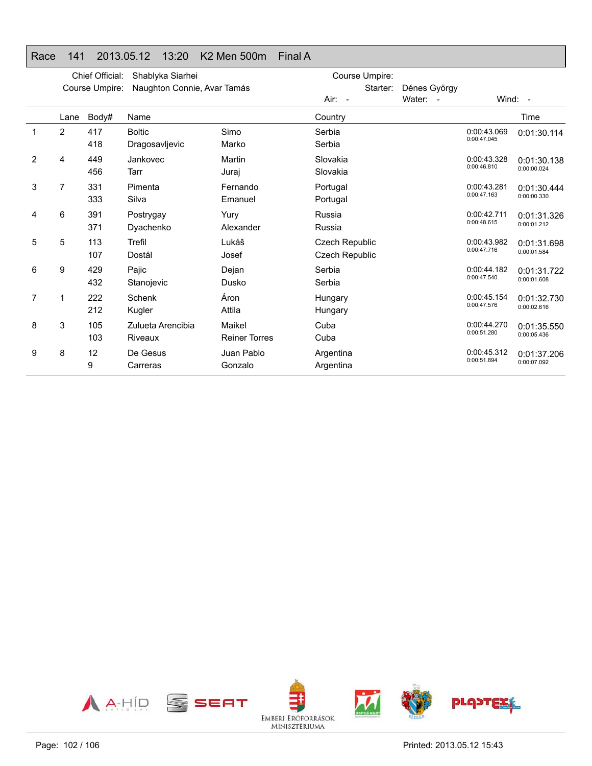# Race 141 2013.05.12 13:20 K2 Men 500m Final A

|   |                | Chief Official: | Shablyka Siarhei                |                                | Course Umpire:                          |                          |                            |                            |
|---|----------------|-----------------|---------------------------------|--------------------------------|-----------------------------------------|--------------------------|----------------------------|----------------------------|
|   |                | Course Umpire:  | Naughton Connie, Avar Tamás     |                                | Starter:<br>$Air: -$                    | Dénes György<br>Water: - |                            | Wind: $-$                  |
|   | Lane           | Body#           | Name                            |                                | Country                                 |                          |                            | Time                       |
|   | $\overline{2}$ | 417<br>418      | <b>Boltic</b><br>Dragosavljevic | Simo<br>Marko                  | Serbia<br>Serbia                        |                          | 0:00:43.069<br>0:00:47.045 | 0:01:30.114                |
| 2 | 4              | 449<br>456      | Jankovec<br>Tarr                | Martin<br>Juraj                | Slovakia<br>Slovakia                    |                          | 0:00:43.328<br>0:00:46.810 | 0:01:30.138<br>0:00:00.024 |
| 3 | 7              | 331<br>333      | Pimenta<br>Silva                | Fernando<br>Emanuel            | Portugal<br>Portugal                    |                          | 0:00:43.281<br>0:00:47.163 | 0:01:30.444<br>0:00:00.330 |
| 4 | 6              | 391<br>371      | Postrygay<br>Dyachenko          | Yury<br>Alexander              | Russia<br>Russia                        |                          | 0:00:42.711<br>0:00:48.615 | 0:01:31.326<br>0:00:01.212 |
| 5 | 5              | 113<br>107      | Trefil<br>Dostál                | Lukáš<br>Josef                 | <b>Czech Republic</b><br>Czech Republic |                          | 0:00:43.982<br>0:00:47.716 | 0:01:31.698<br>0:00:01.584 |
| 6 | 9              | 429<br>432      | Pajic<br>Stanojevic             | Dejan<br>Dusko                 | Serbia<br>Serbia                        |                          | 0:00:44.182<br>0:00:47.540 | 0:01:31.722<br>0:00:01.608 |
| 7 |                | 222<br>212      | Schenk<br>Kugler                | Áron<br>Attila                 | Hungary<br>Hungary                      |                          | 0:00:45.154<br>0:00:47.576 | 0:01:32.730<br>0:00:02.616 |
| 8 | 3              | 105<br>103      | Zulueta Arencibia<br>Riveaux    | Maikel<br><b>Reiner Torres</b> | Cuba<br>Cuba                            |                          | 0:00:44.270<br>0:00:51.280 | 0:01:35.550<br>0:00:05.436 |
| 9 | 8              | 12<br>9         | De Gesus<br>Carreras            | Juan Pablo<br>Gonzalo          | Argentina<br>Argentina                  |                          | 0:00:45.312<br>0:00:51.894 | 0:01:37.206<br>0:00:07.092 |

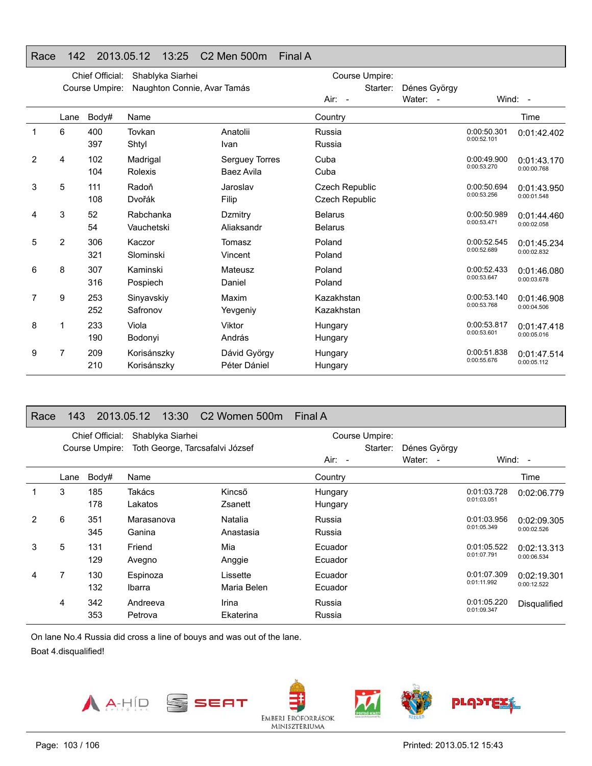#### Race 142 2013.05.12 13:25 C2 Men 500m **Final A**

|   | Chief Official:<br>Shablyka Siarhei |                |                             |                                     | Course Umpire:                          |              |                            |                            |
|---|-------------------------------------|----------------|-----------------------------|-------------------------------------|-----------------------------------------|--------------|----------------------------|----------------------------|
|   |                                     | Course Umpire: | Naughton Connie, Avar Tamás |                                     | Starter:                                | Dénes György |                            |                            |
|   |                                     |                |                             |                                     | Air: -                                  | Water: -     |                            | Wind: -                    |
|   | Lane                                | Body#          | Name                        |                                     | Country                                 |              |                            | Time                       |
| 1 | 6                                   | 400<br>397     | Tovkan<br>Shtyl             | Anatolii<br>Ivan                    | Russia<br>Russia                        |              | 0:00:50.301<br>0:00:52.101 | 0:01:42.402                |
| 2 | 4                                   | 102<br>104     | Madrigal<br>Rolexis         | <b>Serguey Torres</b><br>Baez Avila | Cuba<br>Cuba                            |              | 0:00:49.900<br>0:00:53.270 | 0:01:43.170<br>0:00:00.768 |
| 3 | 5                                   | 111<br>108     | Radoň<br>Dvořák             | Jaroslav<br>Filip                   | Czech Republic<br><b>Czech Republic</b> |              | 0:00:50.694<br>0:00:53.256 | 0:01:43.950<br>0:00:01.548 |
| 4 | 3                                   | 52<br>54       | Rabchanka<br>Vauchetski     | Dzmitry<br>Aliaksandr               | <b>Belarus</b><br><b>Belarus</b>        |              | 0:00:50.989<br>0:00:53.471 | 0:01:44.460<br>0:00:02.058 |
| 5 | 2                                   | 306<br>321     | Kaczor<br>Slominski         | Tomasz<br>Vincent                   | Poland<br>Poland                        |              | 0:00:52.545<br>0:00:52.689 | 0:01:45.234<br>0:00:02.832 |
| 6 | 8                                   | 307<br>316     | Kaminski<br>Pospiech        | Mateusz<br>Daniel                   | Poland<br>Poland                        |              | 0:00:52.433<br>0:00:53.647 | 0:01:46.080<br>0:00:03.678 |
| 7 | 9                                   | 253<br>252     | Sinyavskiy<br>Safronov      | Maxim<br>Yevgeniy                   | Kazakhstan<br>Kazakhstan                |              | 0:00:53.140<br>0:00:53.768 | 0:01:46.908<br>0:00:04.506 |
| 8 | 1                                   | 233<br>190     | Viola<br>Bodonyi            | Viktor<br>András                    | Hungary<br>Hungary                      |              | 0:00:53.817<br>0:00:53.601 | 0:01:47.418<br>0:00:05.016 |
| 9 | 7                                   | 209<br>210     | Korisánszky<br>Korisánszky  | Dávid György<br>Péter Dániel        | Hungary<br>Hungary                      |              | 0:00:51.838<br>0:00:55.676 | 0:01:47.514<br>0:00:05.112 |

#### Race 143 2013.05.12 13:30 C2 Women 500m Final A

|   |      | Chief Official:<br>Course Umpire: | Shablyka Siarhei<br>Toth George, Tarcsafalvi József |                         |                    | Course Umpire:<br>Starter: | Dénes György             |                            |                            |
|---|------|-----------------------------------|-----------------------------------------------------|-------------------------|--------------------|----------------------------|--------------------------|----------------------------|----------------------------|
|   |      |                                   |                                                     |                         | $Air: -$           |                            | Water:<br>$\blacksquare$ |                            | Wind: $-$                  |
|   | Lane | Body#                             | Name                                                |                         | Country            |                            |                          |                            | Time                       |
|   | 3    | 185<br>178                        | Takács<br>Lakatos                                   | Kincső<br>Zsanett       | Hungary<br>Hungary |                            |                          | 0:01:03.728<br>0:01:03.051 | 0:02:06.779                |
| 2 | 6    | 351<br>345                        | Marasanova<br>Ganina                                | Natalia<br>Anastasia    | Russia<br>Russia   |                            |                          | 0:01:03.956<br>0:01:05.349 | 0:02:09.305<br>0:00:02.526 |
| 3 | 5    | 131<br>129                        | Friend<br>Avegno                                    | Mia<br>Anggie           | Ecuador<br>Ecuador |                            |                          | 0:01:05.522<br>0:01:07.791 | 0:02:13.313<br>0:00:06.534 |
| 4 | 7    | 130<br>132                        | Espinoza<br>Ibarra                                  | Lissette<br>Maria Belen | Ecuador<br>Ecuador |                            |                          | 0:01:07.309<br>0:01:11.992 | 0:02:19.301<br>0:00:12.522 |
|   | 4    | 342<br>353                        | Andreeva<br>Petrova                                 | Irina<br>Ekaterina      | Russia<br>Russia   |                            |                          | 0:01:05.220<br>0:01:09.347 | Disqualified               |

On lane No.4 Russia did cross a line of bouys and was out of the lane.

Boat 4.disqualified!

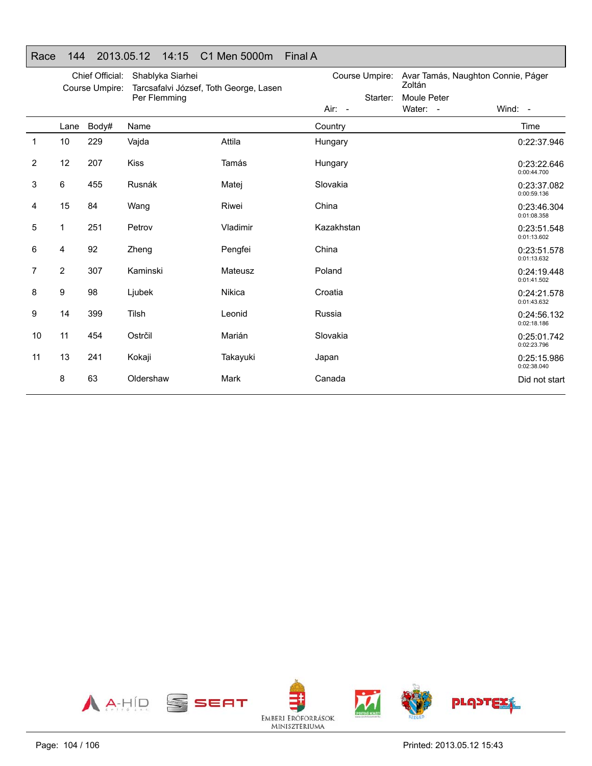|                | Chief Official:<br>Course Umpire: |       | Shablyka Siarhei<br>Tarcsafalvi József, Toth George, Lasen |          | Course Umpire: | Avar Tamás, Naughton Connie, Páger<br>Zoltán |                            |
|----------------|-----------------------------------|-------|------------------------------------------------------------|----------|----------------|----------------------------------------------|----------------------------|
|                |                                   |       | Per Flemming                                               |          | Starter:       | Moule Peter                                  |                            |
|                |                                   |       |                                                            |          | Air: -         | Water: -                                     | Wind: $-$                  |
|                | Lane                              | Body# | Name                                                       |          | Country        |                                              | Time                       |
| $\mathbf{1}$   | 10                                | 229   | Vajda                                                      | Attila   | Hungary        |                                              | 0:22:37.946                |
| $\overline{c}$ | 12                                | 207   | <b>Kiss</b>                                                | Tamás    | Hungary        |                                              | 0:23:22.646<br>0:00:44.700 |
| 3              | 6                                 | 455   | Rusnák                                                     | Matej    | Slovakia       |                                              | 0:23:37.082<br>0:00:59.136 |
| 4              | 15                                | 84    | Wang                                                       | Riwei    | China          |                                              | 0:23:46.304<br>0:01:08.358 |
| 5              | 1                                 | 251   | Petrov                                                     | Vladimir | Kazakhstan     |                                              | 0:23:51.548<br>0:01:13.602 |
| 6              | 4                                 | 92    | Zheng                                                      | Pengfei  | China          |                                              | 0:23:51.578<br>0:01:13.632 |
| 7              | 2                                 | 307   | Kaminski                                                   | Mateusz  | Poland         |                                              | 0:24:19.448<br>0:01:41.502 |
| 8              | 9                                 | 98    | Ljubek                                                     | Nikica   | Croatia        |                                              | 0:24:21.578<br>0:01:43.632 |
| 9              | 14                                | 399   | Tilsh                                                      | Leonid   | Russia         |                                              | 0:24:56.132<br>0:02:18.186 |
| 10             | 11                                | 454   | Ostrčil                                                    | Marián   | Slovakia       |                                              | 0:25:01.742<br>0:02:23.796 |
| 11             | 13                                | 241   | Kokaji                                                     | Takayuki | Japan          |                                              | 0:25:15.986<br>0:02:38.040 |
|                | 8                                 | 63    | Oldershaw                                                  | Mark     | Canada         |                                              | Did not start              |

#### Race 144 2013.05.12 14:15 C1 Men 5000m Final A

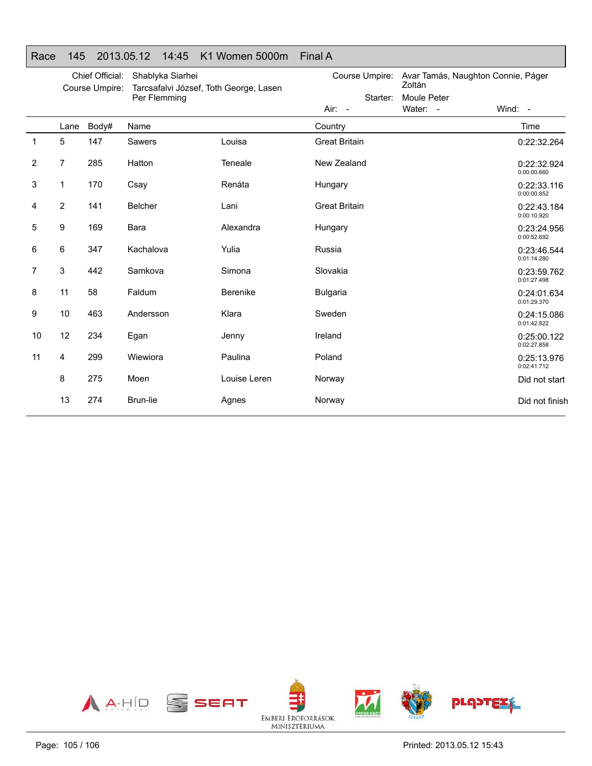|  |  | Race 145 2013.05.12 14:45 K1 Women 5000m Final A |  |
|--|--|--------------------------------------------------|--|
|  |  |                                                  |  |

|                | Chief Official:<br>Course Umpire: |       | Shablyka Siarhei<br>Tarcsafalvi József, Toth George, Lasen<br>Per Flemming |              | Course Umpire:<br>Starter: | Avar Tamás, Naughton Connie, Páger<br>Zoltán<br>Moule Peter |                            |
|----------------|-----------------------------------|-------|----------------------------------------------------------------------------|--------------|----------------------------|-------------------------------------------------------------|----------------------------|
|                |                                   |       |                                                                            |              | $Air: -$                   | Water: -                                                    | Wind: -                    |
|                | Lane                              | Body# | Name                                                                       |              | Country                    |                                                             | Time                       |
| $\mathbf{1}$   | 5                                 | 147   | Sawers                                                                     | Louisa       | <b>Great Britain</b>       |                                                             | 0:22:32.264                |
| $\overline{2}$ | 7                                 | 285   | Hatton                                                                     | Teneale      | New Zealand                |                                                             | 0:22:32.924<br>0:00:00.660 |
| 3              | 1                                 | 170   | Csay                                                                       | Renáta       | Hungary                    |                                                             | 0:22:33.116<br>0:00:00.852 |
| 4              | 2                                 | 141   | Belcher                                                                    | Lani         | <b>Great Britain</b>       |                                                             | 0:22:43.184<br>0:00:10.920 |
| 5              | 9                                 | 169   | Bara                                                                       | Alexandra    | Hungary                    |                                                             | 0:23:24.956<br>0:00:52.692 |
| 6              | 6                                 | 347   | Kachalova                                                                  | Yulia        | Russia                     |                                                             | 0:23:46.544<br>0:01:14.280 |
| 7              | 3                                 | 442   | Samkova                                                                    | Simona       | Slovakia                   |                                                             | 0:23:59.762<br>0:01:27.498 |
| 8              | 11                                | 58    | Faldum                                                                     | Berenike     | <b>Bulgaria</b>            |                                                             | 0:24:01.634<br>0:01:29.370 |
| 9              | 10                                | 463   | Andersson                                                                  | Klara        | Sweden                     |                                                             | 0:24:15.086<br>0:01:42.822 |
| 10             | 12                                | 234   | Egan                                                                       | Jenny        | Ireland                    |                                                             | 0:25:00.122<br>0:02:27.858 |
| 11             | 4                                 | 299   | Wiewiora                                                                   | Paulina      | Poland                     |                                                             | 0:25:13.976<br>0:02:41.712 |
|                | 8                                 | 275   | Moen                                                                       | Louise Leren | Norway                     |                                                             | Did not start              |
|                | 13                                | 274   | Brun-lie                                                                   | Agnes        | Norway                     |                                                             | Did not finish             |